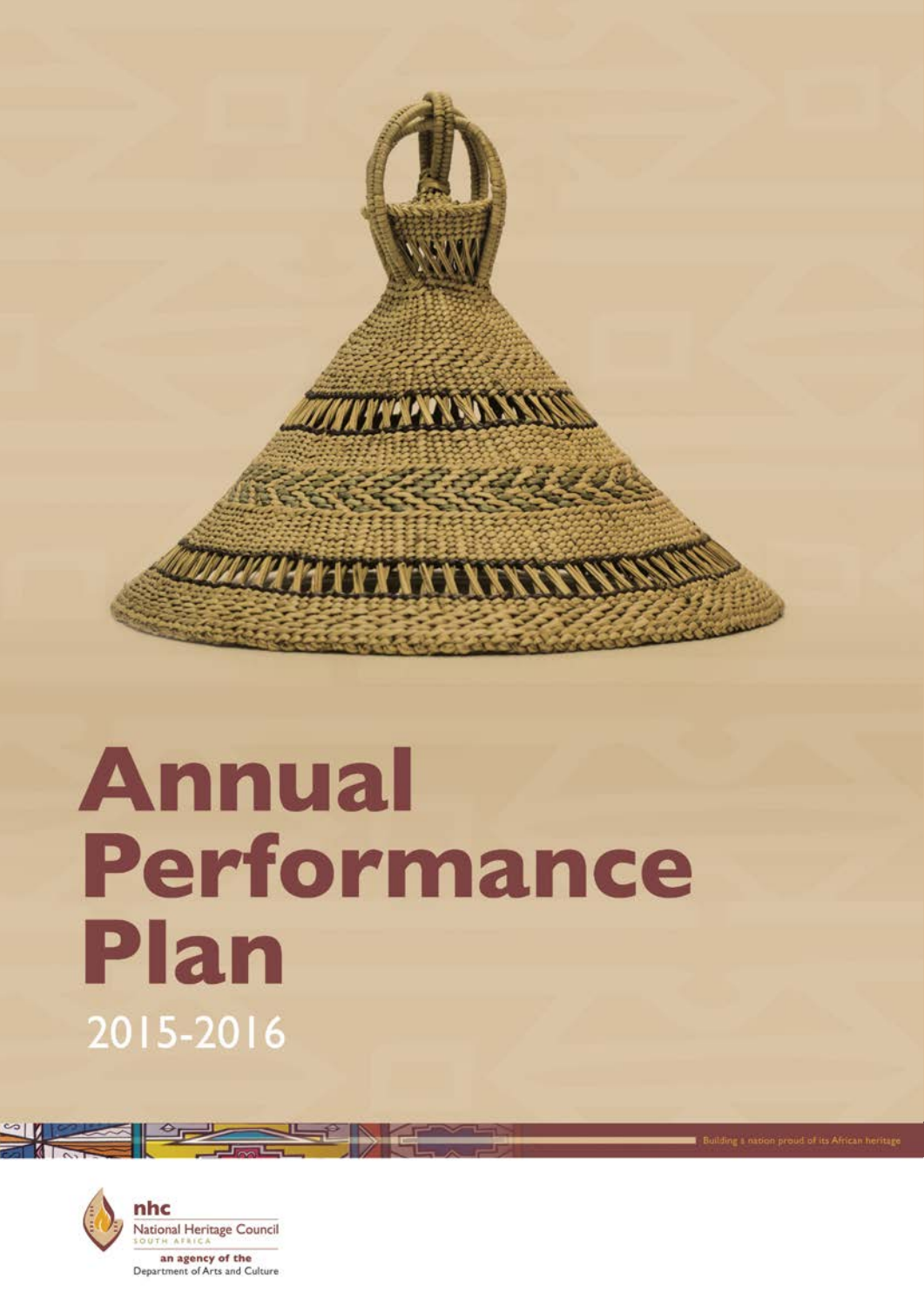

### **Annual** Performance Plan 2015-2016

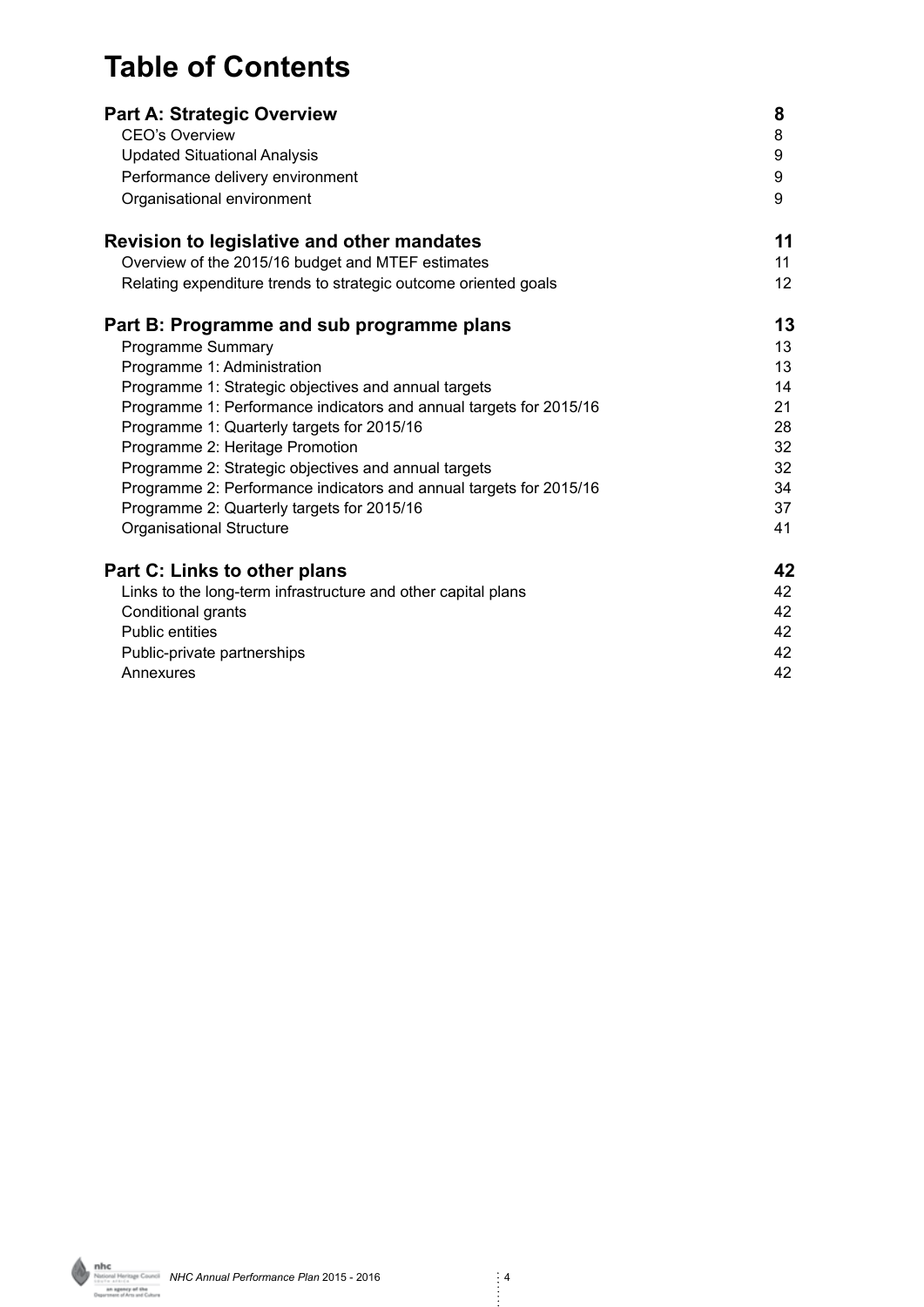#### **Table of Contents**

| <b>Part A: Strategic Overview</b>                                  | 8               |
|--------------------------------------------------------------------|-----------------|
| <b>CEO's Overview</b>                                              | 8               |
| <b>Updated Situational Analysis</b>                                | 9               |
| Performance delivery environment                                   | 9               |
| Organisational environment                                         | 9               |
| <b>Revision to legislative and other mandates</b>                  | 11              |
| Overview of the 2015/16 budget and MTEF estimates                  | 11              |
| Relating expenditure trends to strategic outcome oriented goals    | 12 <sup>2</sup> |
| Part B: Programme and sub programme plans                          | 13              |
| Programme Summary                                                  | 13              |
| Programme 1: Administration                                        | 13              |
| Programme 1: Strategic objectives and annual targets               | 14              |
| Programme 1: Performance indicators and annual targets for 2015/16 | 21              |
| Programme 1: Quarterly targets for 2015/16                         | 28              |
| Programme 2: Heritage Promotion                                    | 32              |
| Programme 2: Strategic objectives and annual targets               | 32              |
| Programme 2: Performance indicators and annual targets for 2015/16 | 34              |
| Programme 2: Quarterly targets for 2015/16                         | 37              |
| <b>Organisational Structure</b>                                    | 41              |
| Part C: Links to other plans                                       | 42              |
| Links to the long-term infrastructure and other capital plans      | 42              |
| Conditional grants                                                 | 42              |
| <b>Public entities</b>                                             | 42              |
| Public-private partnerships                                        | 42              |
| Annexures                                                          | 42              |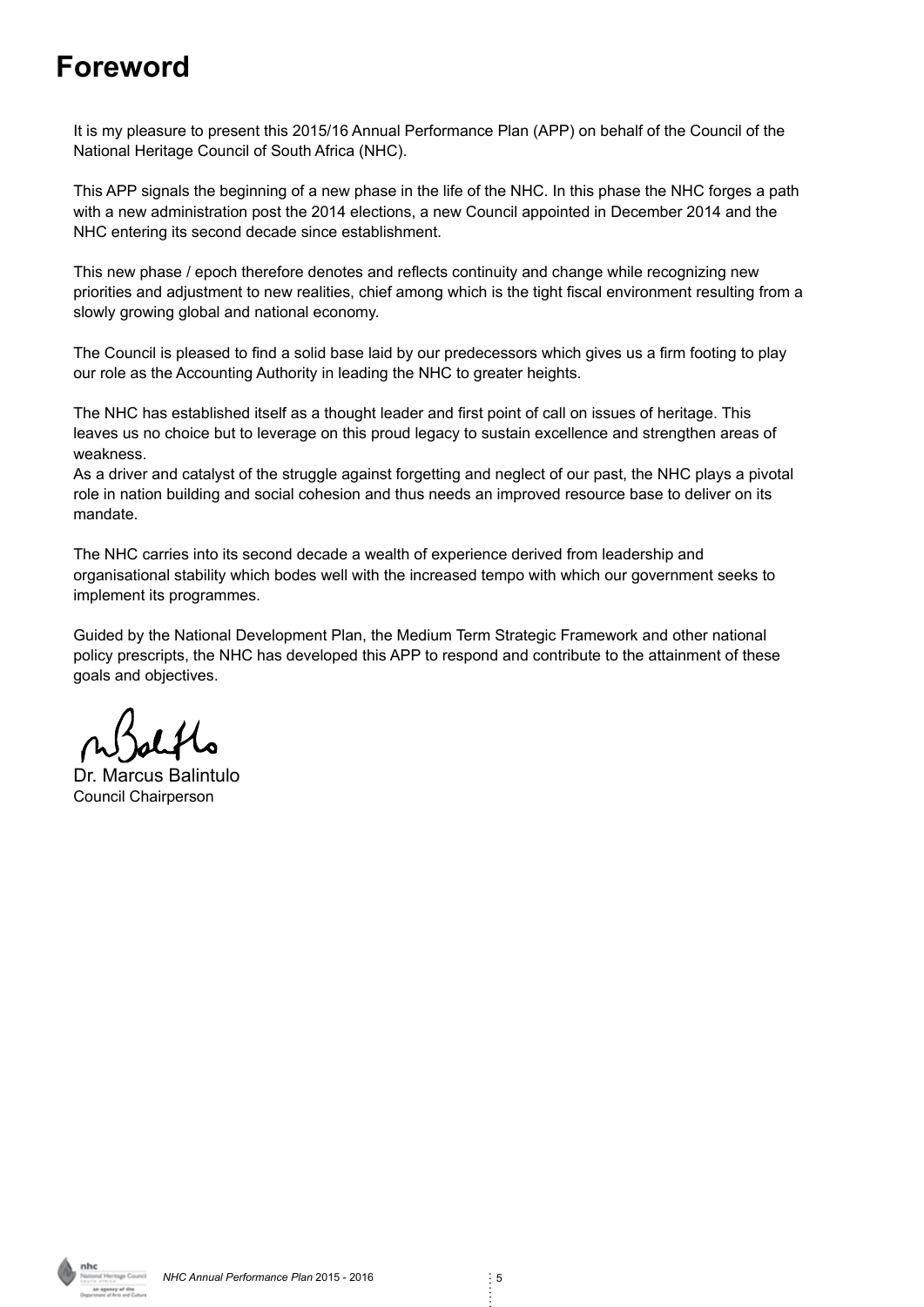#### **Foreword**

It is my pleasure to present this 2015/16 Annual Performance Plan (APP) on behalf of the Council of the National Heritage Council of South Africa (NHC).

This APP signals the beginning of a new phase in the life of the NHC. In this phase the NHC forges a path with a new administration post the 2014 elections, a new Council appointed in December 2014 and the NHC entering its second decade since establishment.

This new phase / epoch therefore denotes and reflects continuity and change while recognizing new priorities and adjustment to new realities, chief among which is the tight fiscal environment resulting from a slowly growing global and national economy.

The Council is pleased to find a solid base laid by our predecessors which gives us a firm footing to play our role as the Accounting Authority in leading the NHC to greater heights.

The NHC has established itself as a thought leader and first point of call on issues of heritage. This leaves us no choice but to leverage on this proud legacy to sustain excellence and strengthen areas of weakness.

As a driver and catalyst of the struggle against forgetting and neglect of our past, the NHC plays a pivotal role in nation building and social cohesion and thus needs an improved resource base to deliver on its mandate.

The NHC carries into its second decade a wealth of experience derived from leadership and organisational stability which bodes well with the increased tempo with which our government seeks to implement its programmes.

Guided by the National Development Plan, the Medium Term Strategic Framework and other national policy prescripts, the NHC has developed this APP to respond and contribute to the attainment of these goals and objectives.

Dr. Marcus Balintulo Council Chairperson

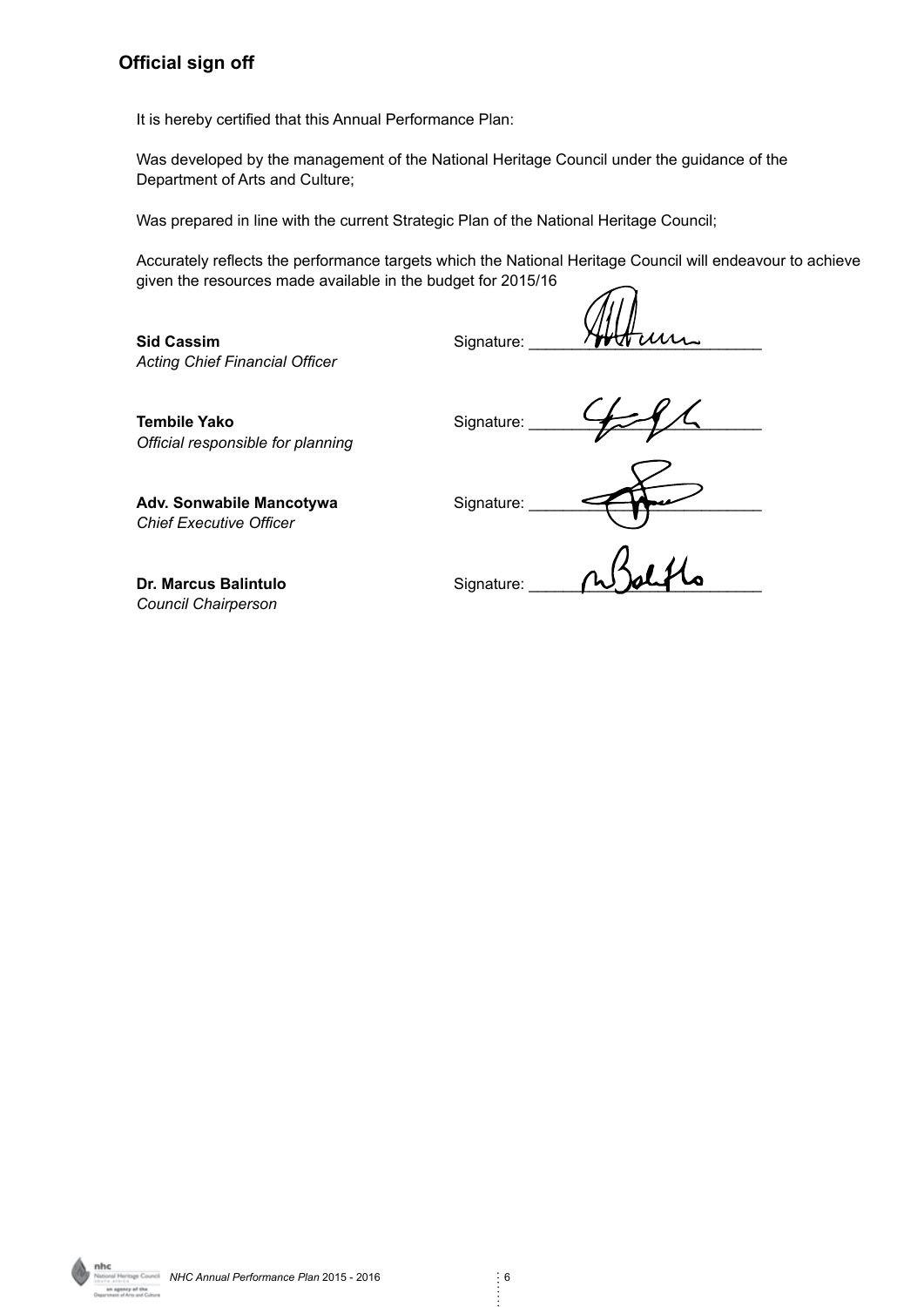#### **Official sign off**

It is hereby certified that this Annual Performance Plan:

Was developed by the management of the National Heritage Council under the guidance of the Department of Arts and Culture;

Was prepared in line with the current Strategic Plan of the National Heritage Council;

Accurately reflects the performance targets which the National Heritage Council will endeavour to achieve given the resources made available in the budget for 2015/16

**Sid Cassim** Signature: *Acting Chief Financial Officer*

Tembile Yako **Signature:** *Official responsible for planning*

Adv. Sonwabile Mancotywa<br>
Signature: *Chief Executive Officer*

**Dr. Marcus Balintulo** Signature: *Council Chairperson*

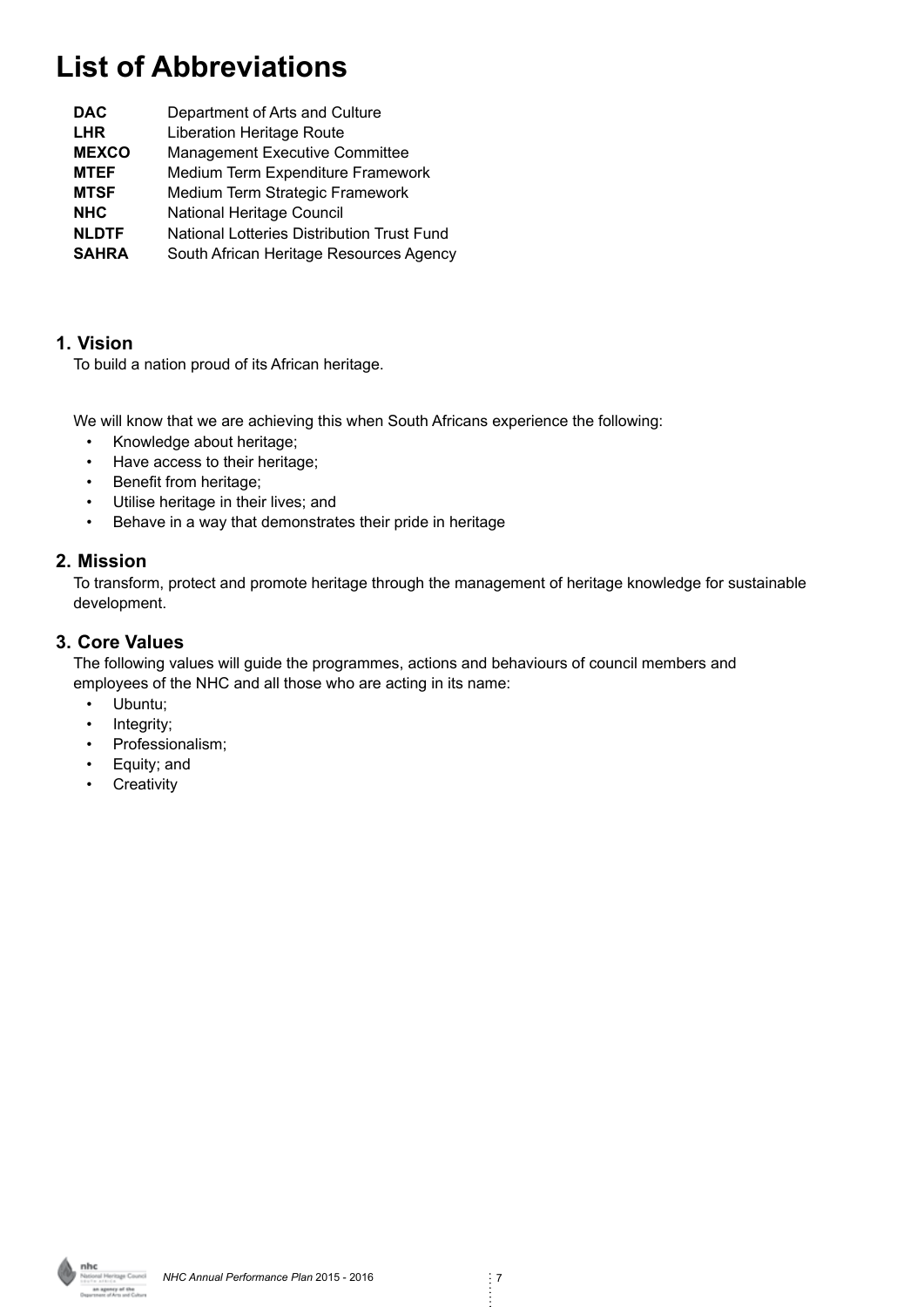#### **List of Abbreviations**

| <b>DAC</b>   | Department of Arts and Culture             |
|--------------|--------------------------------------------|
| <b>LHR</b>   | <b>Liberation Heritage Route</b>           |
| <b>MEXCO</b> | <b>Management Executive Committee</b>      |
| <b>MTEF</b>  | Medium Term Expenditure Framework          |
| <b>MTSF</b>  | Medium Term Strategic Framework            |
| <b>NHC</b>   | National Heritage Council                  |
| <b>NLDTF</b> | National Lotteries Distribution Trust Fund |
| <b>SAHRA</b> | South African Heritage Resources Agency    |
|              |                                            |

#### **1. Vision**

To build a nation proud of its African heritage.

We will know that we are achieving this when South Africans experience the following:

- Knowledge about heritage;
- Have access to their heritage;
- Benefit from heritage;
- Utilise heritage in their lives; and
- Behave in a way that demonstrates their pride in heritage

#### **2. Mission**

To transform, protect and promote heritage through the management of heritage knowledge for sustainable development.

#### **3. Core Values**

The following values will guide the programmes, actions and behaviours of council members and employees of the NHC and all those who are acting in its name:

- Ubuntu;
- Integrity;
- Professionalism;
- Equity; and
- Creativity

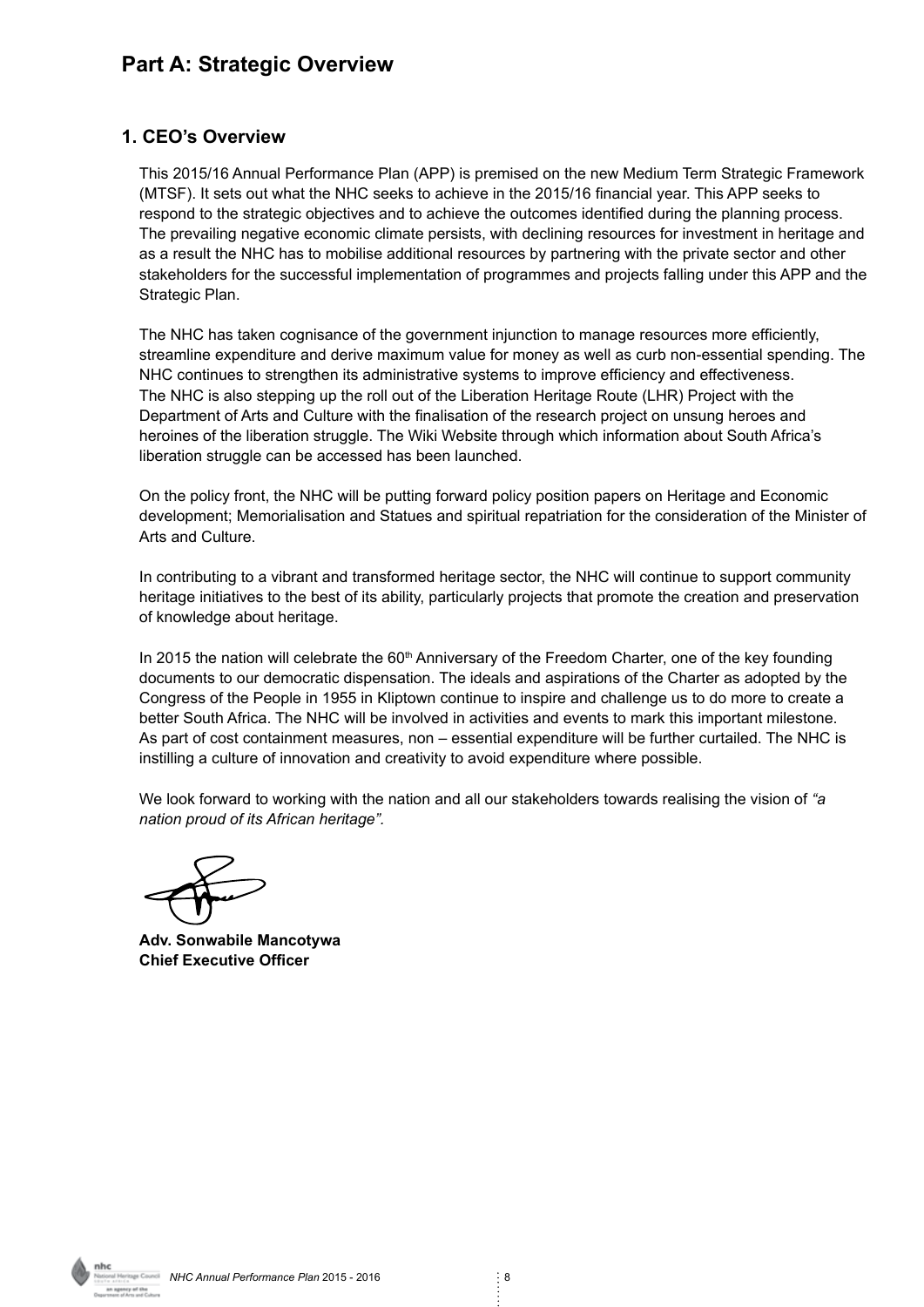#### **Part A: Strategic Overview**

#### **1. CEO's Overview**

This 2015/16 Annual Performance Plan (APP) is premised on the new Medium Term Strategic Framework (MTSF). It sets out what the NHC seeks to achieve in the 2015/16 financial year. This APP seeks to respond to the strategic objectives and to achieve the outcomes identified during the planning process. The prevailing negative economic climate persists, with declining resources for investment in heritage and as a result the NHC has to mobilise additional resources by partnering with the private sector and other stakeholders for the successful implementation of programmes and projects falling under this APP and the Strategic Plan.

The NHC has taken cognisance of the government injunction to manage resources more efficiently, streamline expenditure and derive maximum value for money as well as curb non-essential spending. The NHC continues to strengthen its administrative systems to improve efficiency and effectiveness. The NHC is also stepping up the roll out of the Liberation Heritage Route (LHR) Project with the Department of Arts and Culture with the finalisation of the research project on unsung heroes and heroines of the liberation struggle. The Wiki Website through which information about South Africa's liberation struggle can be accessed has been launched.

On the policy front, the NHC will be putting forward policy position papers on Heritage and Economic development; Memorialisation and Statues and spiritual repatriation for the consideration of the Minister of Arts and Culture.

In contributing to a vibrant and transformed heritage sector, the NHC will continue to support community heritage initiatives to the best of its ability, particularly projects that promote the creation and preservation of knowledge about heritage.

In 2015 the nation will celebrate the  $60<sup>th</sup>$  Anniversary of the Freedom Charter, one of the key founding documents to our democratic dispensation. The ideals and aspirations of the Charter as adopted by the Congress of the People in 1955 in Kliptown continue to inspire and challenge us to do more to create a better South Africa. The NHC will be involved in activities and events to mark this important milestone. As part of cost containment measures, non – essential expenditure will be further curtailed. The NHC is instilling a culture of innovation and creativity to avoid expenditure where possible.

We look forward to working with the nation and all our stakeholders towards realising the vision of *"a nation proud of its African heritage".*

**Adv. Sonwabile Mancotywa Chief Executive Officer**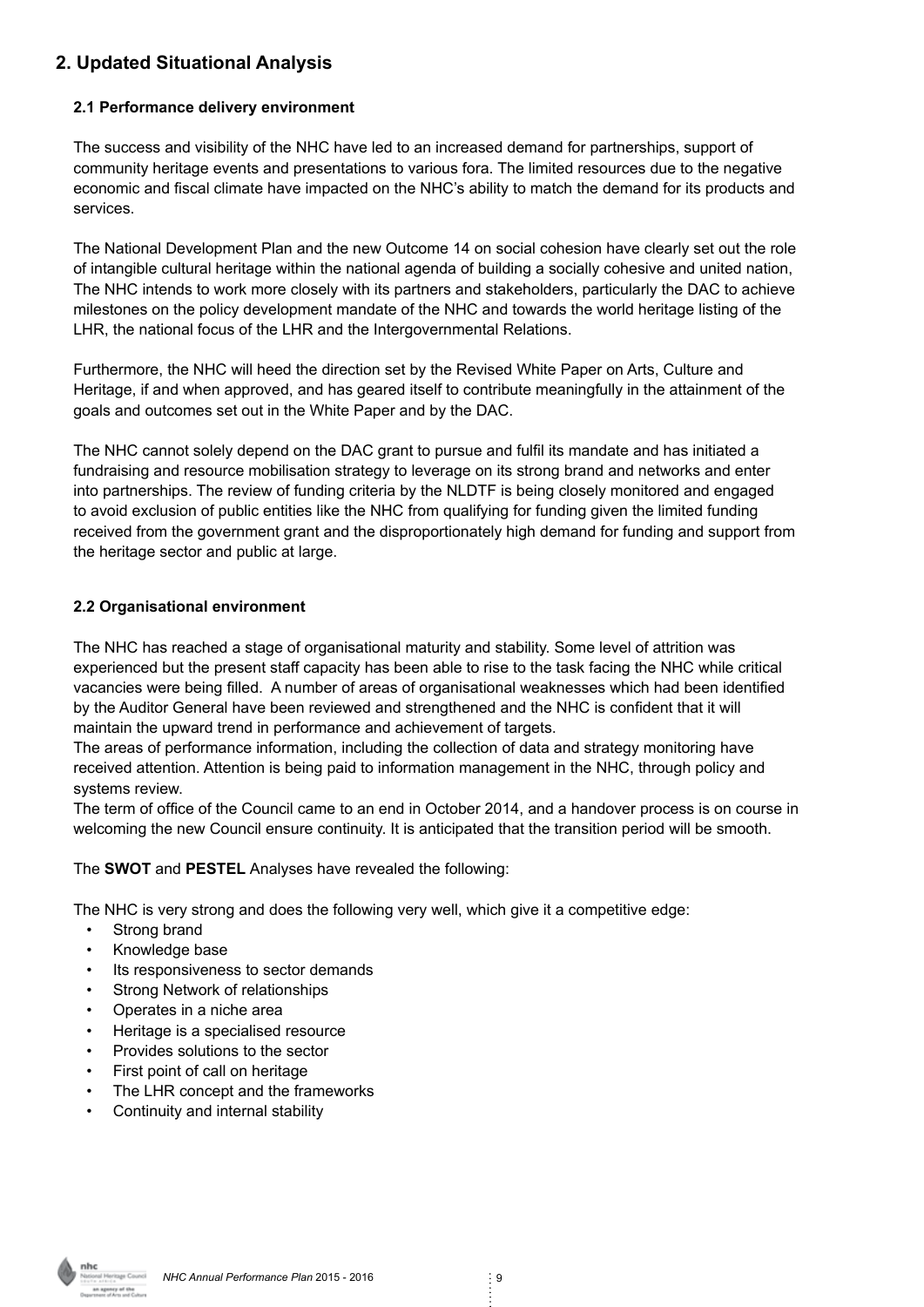#### **2. Updated Situational Analysis**

#### **2.1 Performance delivery environment**

The success and visibility of the NHC have led to an increased demand for partnerships, support of community heritage events and presentations to various fora. The limited resources due to the negative economic and fiscal climate have impacted on the NHC's ability to match the demand for its products and services.

The National Development Plan and the new Outcome 14 on social cohesion have clearly set out the role of intangible cultural heritage within the national agenda of building a socially cohesive and united nation, The NHC intends to work more closely with its partners and stakeholders, particularly the DAC to achieve milestones on the policy development mandate of the NHC and towards the world heritage listing of the LHR, the national focus of the LHR and the Intergovernmental Relations.

Furthermore, the NHC will heed the direction set by the Revised White Paper on Arts, Culture and Heritage, if and when approved, and has geared itself to contribute meaningfully in the attainment of the goals and outcomes set out in the White Paper and by the DAC.

The NHC cannot solely depend on the DAC grant to pursue and fulfil its mandate and has initiated a fundraising and resource mobilisation strategy to leverage on its strong brand and networks and enter into partnerships. The review of funding criteria by the NLDTF is being closely monitored and engaged to avoid exclusion of public entities like the NHC from qualifying for funding given the limited funding received from the government grant and the disproportionately high demand for funding and support from the heritage sector and public at large.

#### **2.2 Organisational environment**

The NHC has reached a stage of organisational maturity and stability. Some level of attrition was experienced but the present staff capacity has been able to rise to the task facing the NHC while critical vacancies were being filled. A number of areas of organisational weaknesses which had been identified by the Auditor General have been reviewed and strengthened and the NHC is confident that it will maintain the upward trend in performance and achievement of targets.

The areas of performance information, including the collection of data and strategy monitoring have received attention. Attention is being paid to information management in the NHC, through policy and systems review.

The term of office of the Council came to an end in October 2014, and a handover process is on course in welcoming the new Council ensure continuity. It is anticipated that the transition period will be smooth.

The **SWOT** and **PESTEL** Analyses have revealed the following:

The NHC is very strong and does the following very well, which give it a competitive edge:

- Strong brand
- Knowledge base
- Its responsiveness to sector demands
- Strong Network of relationships
- Operates in a niche area
- Heritage is a specialised resource
- Provides solutions to the sector
- First point of call on heritage
- The LHR concept and the frameworks
- Continuity and internal stability

*Narinage Council* **NHC Annual Performance Plan 2015 - 2016** 9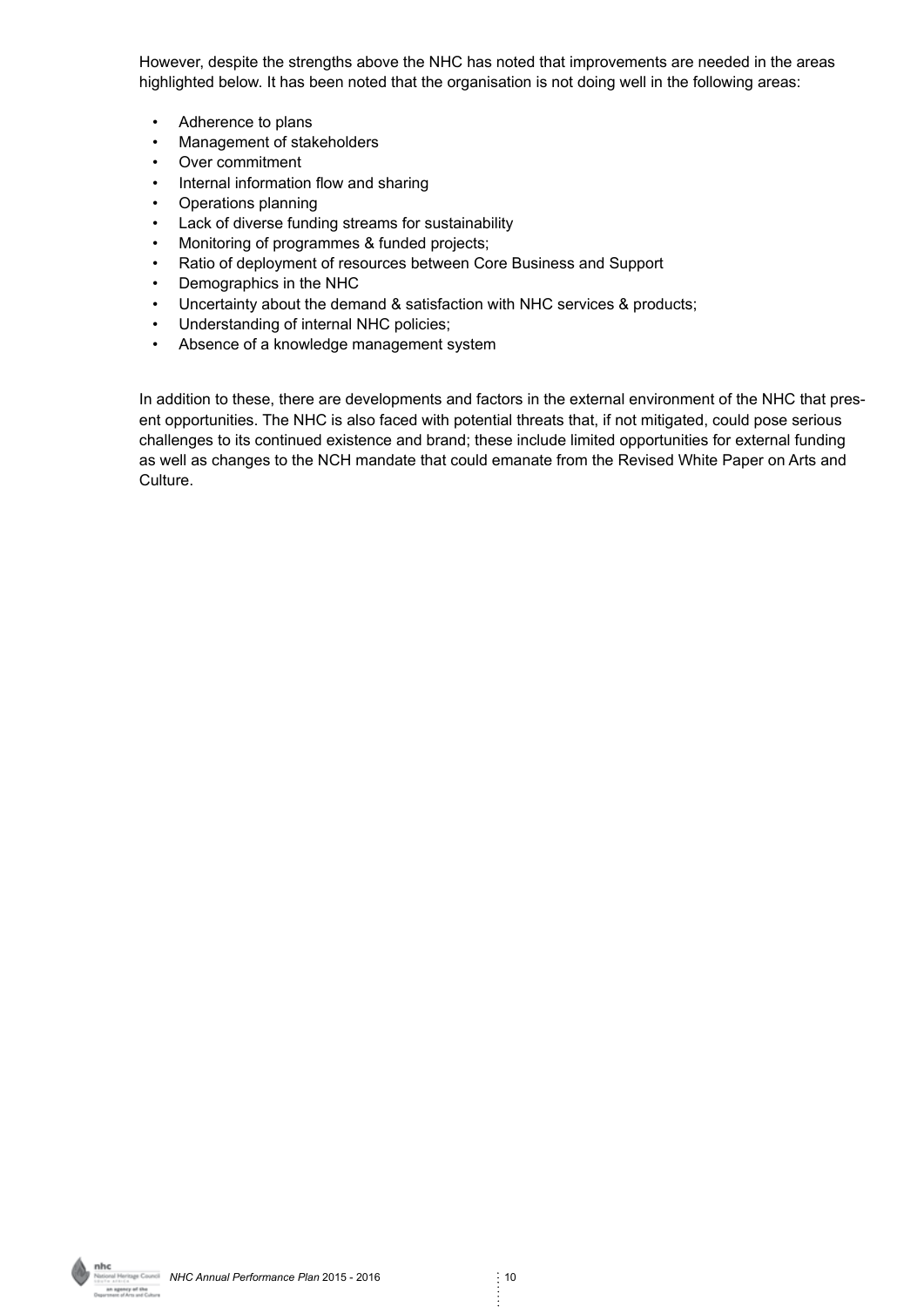However, despite the strengths above the NHC has noted that improvements are needed in the areas highlighted below. It has been noted that the organisation is not doing well in the following areas:

- Adherence to plans
- Management of stakeholders
- Over commitment
- Internal information flow and sharing
- Operations planning
- Lack of diverse funding streams for sustainability
- Monitoring of programmes & funded projects;
- Ratio of deployment of resources between Core Business and Support
- Demographics in the NHC
- Uncertainty about the demand & satisfaction with NHC services & products;
- Understanding of internal NHC policies;
- Absence of a knowledge management system

In addition to these, there are developments and factors in the external environment of the NHC that present opportunities. The NHC is also faced with potential threats that, if not mitigated, could pose serious challenges to its continued existence and brand; these include limited opportunities for external funding as well as changes to the NCH mandate that could emanate from the Revised White Paper on Arts and Culture.

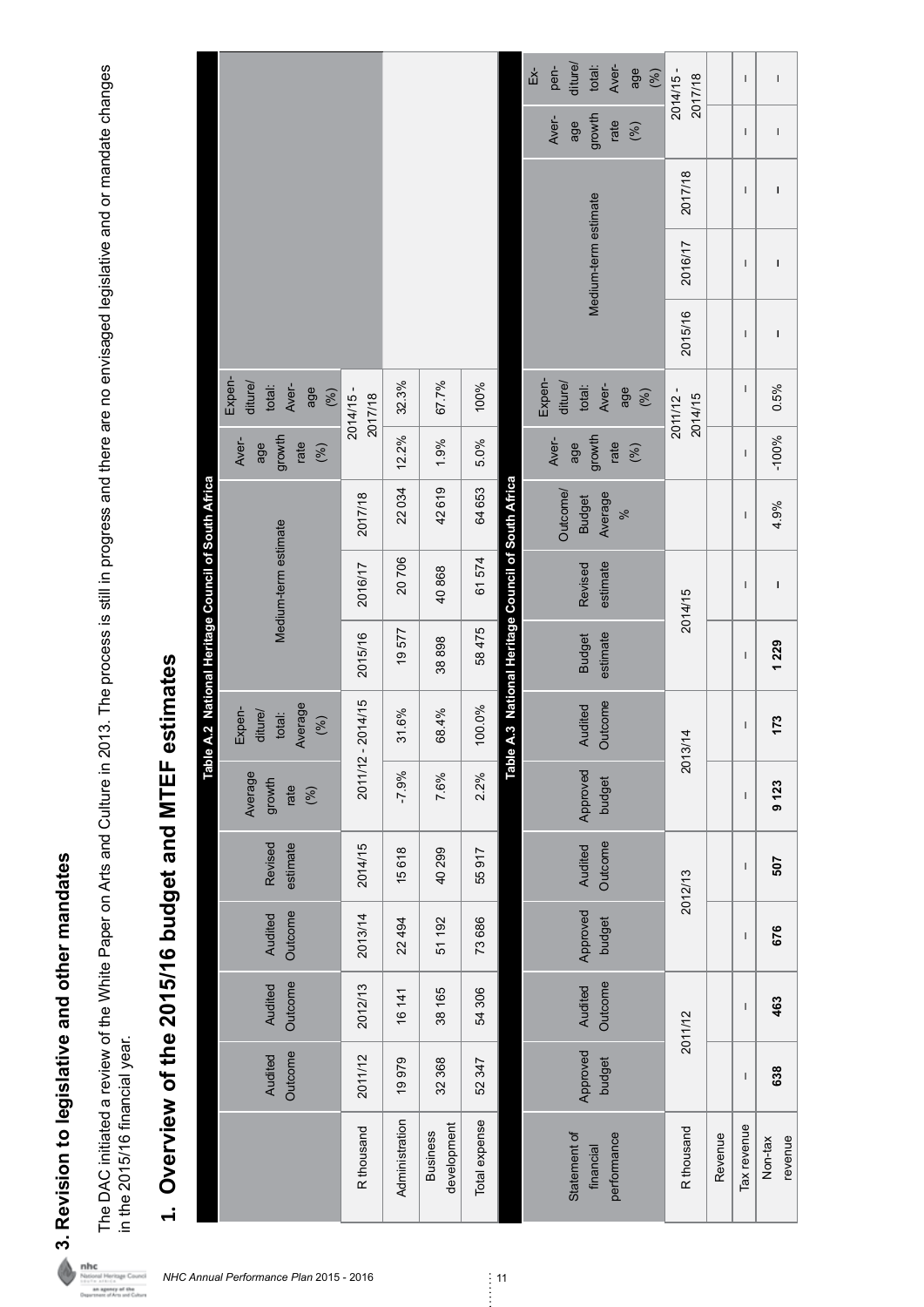3. Revision to legislative and other mandates **3. Revision to legislative and other mandates**

The DAC initiated a review of the White Paper on Arts and Culture in 2013. The process is still in progress and there are no envisaged legislative and or mandate changes<br>in the 2015/16 financial year. The DAC initiated a review of the White Paper on Arts and Culture in 2013. The process is still in progress and there are no envisaged legislative and or mandate changes in the 2015/16 financial year.

## 1. Overview of the 2015/16 budget and MTEF estimates **1. Overview of the 2015/16 budget and MTEF estimates**

|                                               |                                                    |                                                             |                |                                |                                                                                     |  | diture/<br>pen-<br>Еx́- | Aver-<br>total:<br>age               | (%)              | 2014/15 -<br>2017/18 |             | $\mathsf{I}$ | $\begin{array}{c} \rule{0pt}{2ex} \rule{0pt}{2ex} \rule{0pt}{2ex} \rule{0pt}{2ex} \rule{0pt}{2ex} \rule{0pt}{2ex} \rule{0pt}{2ex} \rule{0pt}{2ex} \rule{0pt}{2ex} \rule{0pt}{2ex} \rule{0pt}{2ex} \rule{0pt}{2ex} \rule{0pt}{2ex} \rule{0pt}{2ex} \rule{0pt}{2ex} \rule{0pt}{2ex} \rule{0pt}{2ex} \rule{0pt}{2ex} \rule{0pt}{2ex} \rule{0pt}{2ex} \rule{0pt}{2ex} \rule{0pt}{2ex} \rule{0pt}{2ex} \rule{0pt}{$ |
|-----------------------------------------------|----------------------------------------------------|-------------------------------------------------------------|----------------|--------------------------------|-------------------------------------------------------------------------------------|--|-------------------------|--------------------------------------|------------------|----------------------|-------------|--------------|----------------------------------------------------------------------------------------------------------------------------------------------------------------------------------------------------------------------------------------------------------------------------------------------------------------------------------------------------------------------------------------------------------------|
|                                               |                                                    |                                                             |                |                                |                                                                                     |  | Aver-<br>age            | growth<br>rate<br>(%)                |                  |                      |             | I            | $\sf I$                                                                                                                                                                                                                                                                                                                                                                                                        |
|                                               |                                                    |                                                             |                |                                |                                                                                     |  |                         |                                      |                  | 2017/18              |             | I            | I                                                                                                                                                                                                                                                                                                                                                                                                              |
|                                               |                                                    |                                                             |                |                                |                                                                                     |  |                         | Medium-term estimate                 |                  | 2016/17              |             | I            | $\mathbf I$                                                                                                                                                                                                                                                                                                                                                                                                    |
|                                               |                                                    |                                                             |                |                                |                                                                                     |  |                         |                                      |                  | 2015/16              |             | I            | $\mathbf I$                                                                                                                                                                                                                                                                                                                                                                                                    |
|                                               | Expen-<br>diture/<br>Aver-<br>total:<br>age<br>(%) | 2014/15-<br>2017/18                                         | 32.3%          | 67.7%                          | 100%                                                                                |  | Expen-<br>diture/       | Aver-<br>total:<br>age               | (%)              | 2011/12 -<br>2014/15 |             | $\mathsf I$  | 0.5%                                                                                                                                                                                                                                                                                                                                                                                                           |
|                                               | growth<br>Aver-<br>rate<br>age<br>(%)              |                                                             | 12.2%          | 1.9%                           | 5.0%                                                                                |  | Aver-<br>age            | growth<br>rate<br>(%)                |                  |                      |             | I            | $-100%$                                                                                                                                                                                                                                                                                                                                                                                                        |
| A.2 National Heritage Council of South Africa |                                                    | 2017/18                                                     | 22034          | 42619                          | 64 653                                                                              |  | Outcome/                | Average<br><b>Budget</b><br>$\aleph$ |                  |                      |             | $\mathsf I$  | 4.9%                                                                                                                                                                                                                                                                                                                                                                                                           |
|                                               | Medium-term estimate                               | 2016/17                                                     | 20706          | 40868                          | 61574                                                                               |  |                         | estimate<br>Revised                  |                  | 2014/15              |             | I            | I                                                                                                                                                                                                                                                                                                                                                                                                              |
|                                               |                                                    | 2015/16                                                     | 19577          | 38898                          | A.3 National Heritage Council of South Africa<br>58475<br>estimate<br><b>Budget</b> |  |                         |                                      |                  |                      |             | $\mathsf I$  | 1 229                                                                                                                                                                                                                                                                                                                                                                                                          |
|                                               | Average<br>Expen-<br>diture/<br>total:<br>(%)      | 2011/12 - 2014/15                                           | 31.6%          | 68.4%                          | 100.0%                                                                              |  |                         | Outcome<br>Audited                   |                  | 2013/14              |             | $\mathsf I$  | 173                                                                                                                                                                                                                                                                                                                                                                                                            |
| Table.                                        | Average<br>growth<br>rate<br>(%)                   | Table<br>Approved<br>$-7.9%$<br>2.2%<br>7.6%<br>budget      |                |                                |                                                                                     |  |                         | I                                    | 9 <sub>123</sub> |                      |             |              |                                                                                                                                                                                                                                                                                                                                                                                                                |
|                                               | Revised<br>estimate                                | 2014/15                                                     | 15618          | 40 299                         | 55917                                                                               |  | Outcome<br>Audited      |                                      | 2012/13          |                      | $\mathsf I$ | 507          |                                                                                                                                                                                                                                                                                                                                                                                                                |
|                                               | Outcome<br>Audited                                 | 2013/14                                                     | 22 494         | 51 192                         | 73 686                                                                              |  | Approved<br>budget      |                                      |                  |                      | I           | 676          |                                                                                                                                                                                                                                                                                                                                                                                                                |
|                                               | Outcome<br>Audited                                 | Outcome<br>Audited<br>2012/13<br>54 306<br>38 165<br>16 141 |                |                                | 2011/12                                                                             |  | I                       | 463                                  |                  |                      |             |              |                                                                                                                                                                                                                                                                                                                                                                                                                |
|                                               | Outcome<br>Audited                                 | 2011/12                                                     | 19979          | 32 368                         | 52 347                                                                              |  |                         | Approved<br>budget                   |                  |                      |             | I            | 638                                                                                                                                                                                                                                                                                                                                                                                                            |
|                                               |                                                    | R thousand                                                  | Administration | development<br><b>Business</b> | Total expense                                                                       |  | Statement of            | performance<br>financial             |                  | R thousand           | Revenue     | Tax revenue  | revenue<br>Non-tax                                                                                                                                                                                                                                                                                                                                                                                             |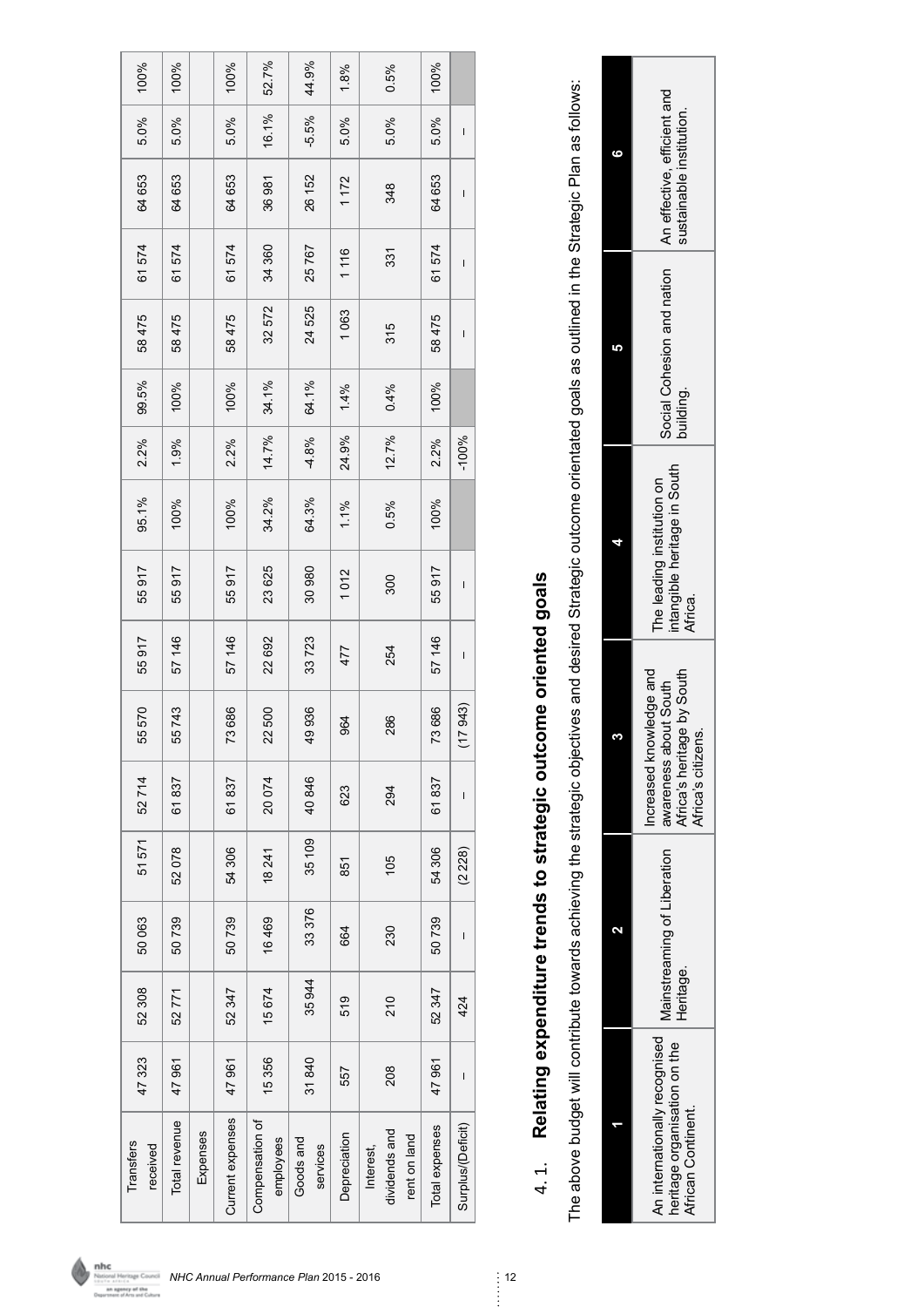| 100%                  | 100%          |          | 100%             | 52.7%                        | 44.9%                 | 1.8%         | 0.5%                                       | 100%           |                   |
|-----------------------|---------------|----------|------------------|------------------------------|-----------------------|--------------|--------------------------------------------|----------------|-------------------|
| 5.0%                  | 5.0%          |          | 5.0%             | 16.1%                        | $-5.5%$               | 5.0%         | 5.0%                                       | 5.0%           | $\mathsf I$       |
| 64 653                | 64653         |          | 64 653           | 36981                        | 26 152                | 1172         | 348                                        | 64 653         | $\mathsf I$       |
| 574<br>61             | 574<br>67     |          | 574<br>6         | 34 360                       | 25767                 | 1116         | 331                                        | 574<br>61      | $\overline{1}$    |
| 58475                 | 58475         |          | 58475            | 32572                        | 24 525                | 063          | 315                                        | 58475          | $\overline{1}$    |
| 99.5%                 | 100%          |          | 100%             | 34.1%                        | 64.1%                 | 1.4%         | 0.4%                                       | 100%           |                   |
| 2.2%                  | 1.9%          |          | 2.2%             | 14.7%                        | $-4.8%$               | 24.9%        | 12.7%                                      | 2.2%           | $-100%$           |
| 95.1%                 | 100%          |          | 100%             | 34.2%                        | 64.3%                 | 1.1%         | 0.5%                                       | 100%           |                   |
| 55917                 | 55917         |          | 55917            | 23 625                       | 30980                 | 1012         | 300                                        | 55917          | $\overline{1}$    |
| 55917                 | 57 146        |          | 57 146           | 22692                        | 33723                 | 477          | 254                                        | 57 146         | $\mathsf I$       |
| 570<br>55             | 55743         |          | 73686            | 22500                        | 49936                 | 964          | 286                                        | 73 686         | 17 943)           |
| 52714                 | 61837         |          | 61837            | 20074                        | 40846                 | 623          | 294                                        | 61837          | $\mathsf I$       |
| 51 571                | 52078         |          | 54306            | 18 241                       | 35 109                | 851          | 105                                        | 54 306         | (2 228)           |
| 50063                 | 50739         |          | 50739            | 16469                        | 33 376                | 664          | 230                                        | 50739          | $\mathsf I$       |
| 52 308                | 52771         |          | 52347            | 15 674                       | 35944                 | 519          | 210                                        | 52347          | 424               |
| 47323                 | 47 961        |          | 47 961           | 15356                        | 31840                 | 557          | 208                                        | 47 961         | $\mathbf I$       |
| Transfers<br>received | Total revenue | Expenses | Current expenses | Compensation of<br>employees | Goods and<br>services | Depreciation | dividends and<br>rent on land<br>Interest, | Total expenses | Surplus/(Deficit) |

# 4.1. Relating expenditure trends to strategic outcome oriented goals 4. 1. **Relating expenditure trends to strategic outcome oriented goals**

The above budget will contribute towards achieving the strategic objectives and desired Strategic outcome orientated goals as outlined in the Strategic Plan as follows: The above budget will contribute towards achieving the strategic objectives and desired Strategic outcome orientated goals as outlined in the Strategic Plan as follows:

|    | ustainable institution.                                                                                                  |  |  |  |
|----|--------------------------------------------------------------------------------------------------------------------------|--|--|--|
| r, | Social Cohesion and nation   An effective, efficient and<br>building.                                                    |  |  |  |
|    | intangible heritage in South<br>The leading institution on<br>Africa.                                                    |  |  |  |
| ø  | increased knowledge and<br>Africa's heritage by South<br>awareness about South<br>Africa's citizens.                     |  |  |  |
| ς  | Heritage.                                                                                                                |  |  |  |
|    | . An internationally recognised $\mid$ Mainstreaming of Liberation<br>heritage organisation on the<br>African Continent. |  |  |  |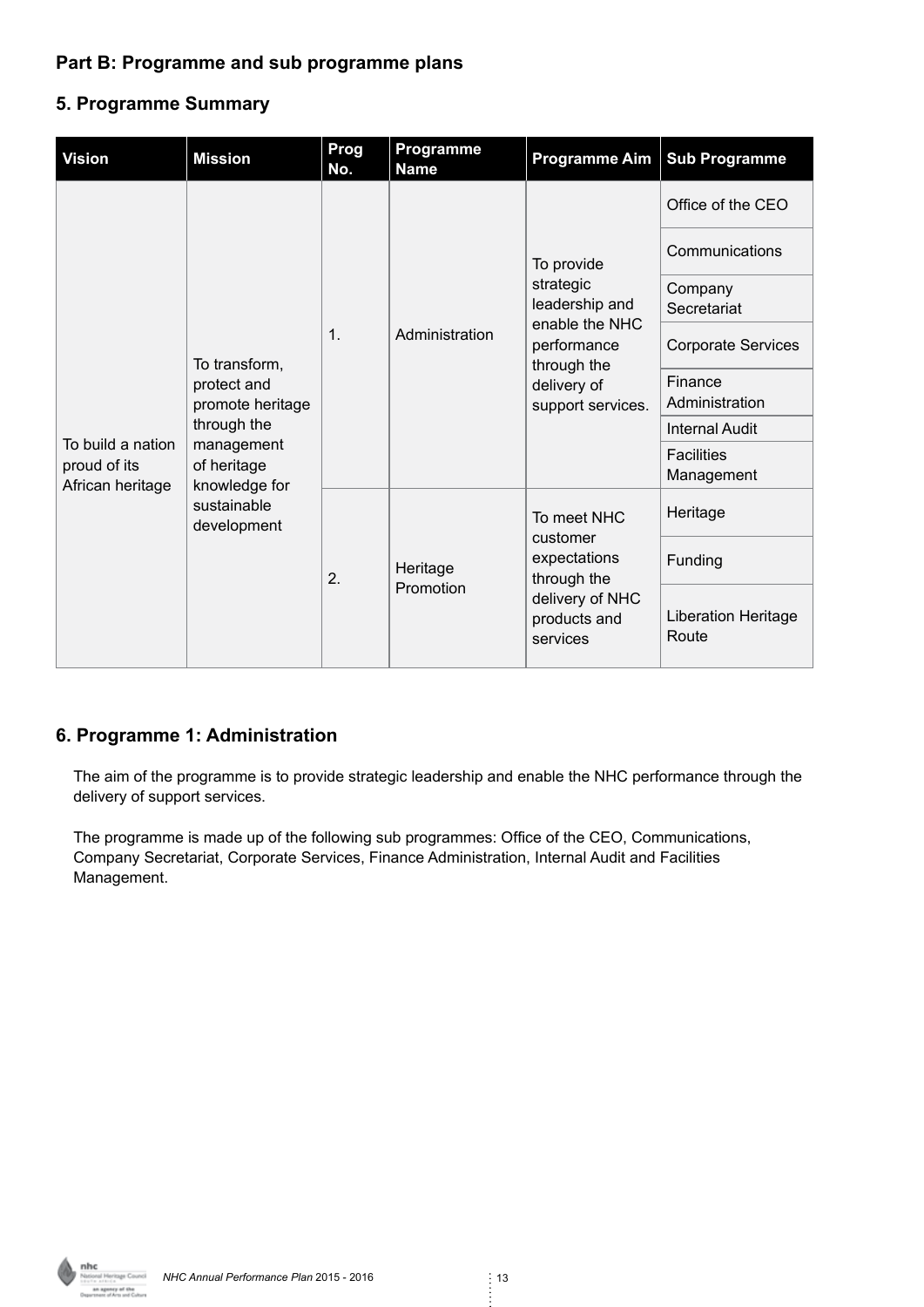#### **Part B: Programme and sub programme plans**

#### **5. Programme Summary**

| <b>Vision</b>                                         | <b>Mission</b>                                                           | Prog<br>No. | Programme<br><b>Name</b> | <b>Programme Aim</b>                                   | <b>Sub Programme</b>                |
|-------------------------------------------------------|--------------------------------------------------------------------------|-------------|--------------------------|--------------------------------------------------------|-------------------------------------|
|                                                       |                                                                          |             |                          |                                                        | Office of the CEO                   |
|                                                       |                                                                          |             |                          | To provide                                             | Communications                      |
|                                                       |                                                                          |             |                          | strategic<br>leadership and                            | Company<br>Secretariat              |
|                                                       | To transform,                                                            | 1.          | Administration           | enable the NHC<br>performance<br>through the           | <b>Corporate Services</b>           |
|                                                       | protect and<br>promote heritage                                          |             |                          | delivery of<br>support services.                       | Finance<br>Administration           |
| To build a nation<br>proud of its<br>African heritage | through the                                                              |             |                          |                                                        | <b>Internal Audit</b>               |
|                                                       | management<br>of heritage<br>knowledge for<br>sustainable<br>development |             |                          |                                                        | <b>Facilities</b><br>Management     |
|                                                       |                                                                          | 2.          |                          | To meet NHC<br>customer<br>expectations<br>through the | Heritage                            |
|                                                       |                                                                          |             | Heritage                 |                                                        | Funding                             |
|                                                       |                                                                          |             | Promotion                | delivery of NHC<br>products and<br>services            | <b>Liberation Heritage</b><br>Route |

#### **6. Programme 1: Administration**

The aim of the programme is to provide strategic leadership and enable the NHC performance through the delivery of support services.

The programme is made up of the following sub programmes: Office of the CEO, Communications, Company Secretariat, Corporate Services, Finance Administration, Internal Audit and Facilities Management.

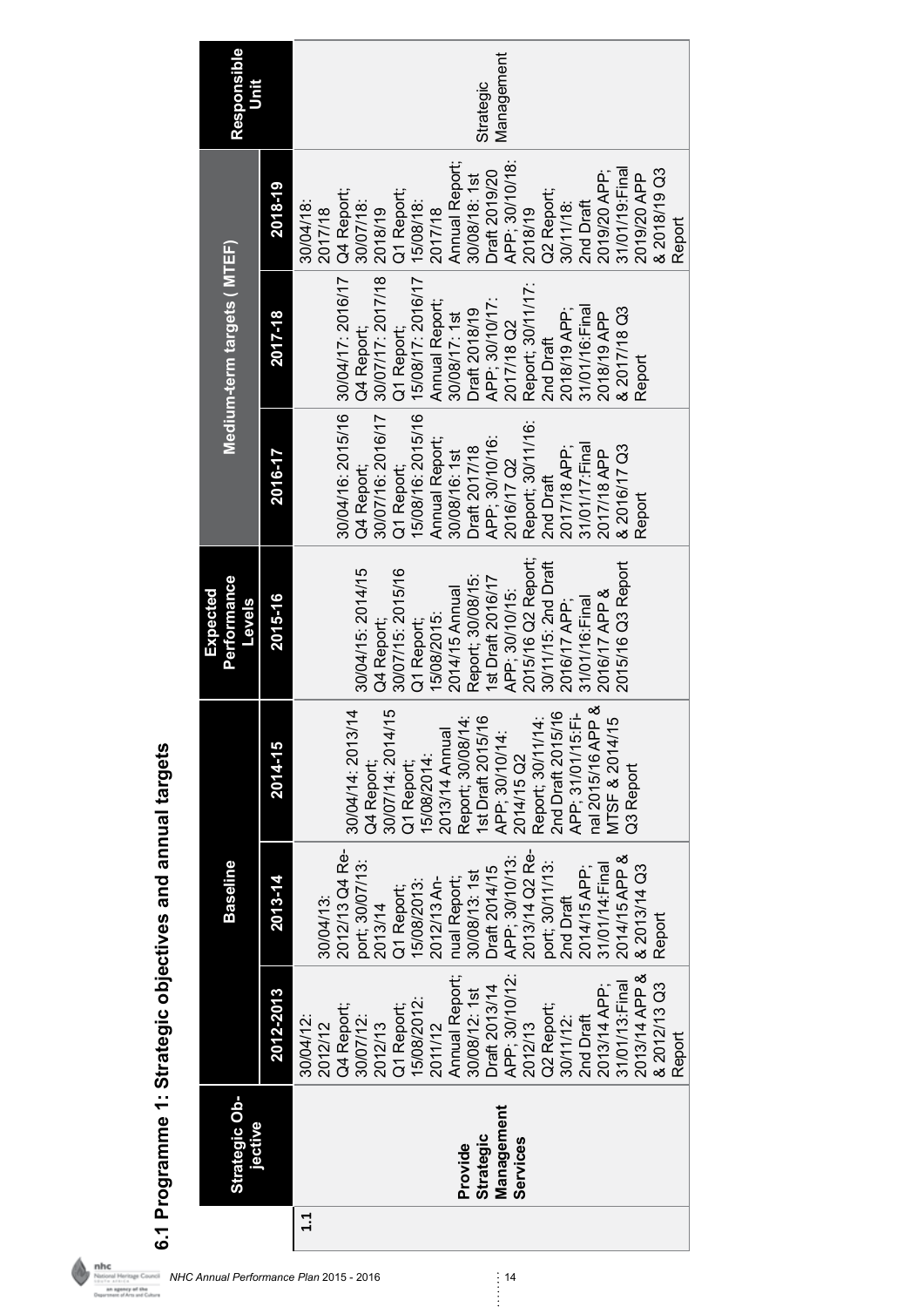| Responsible<br>Unit               |           | Management<br>Strategic                                                                                                                                                                                                                                                                                                |
|-----------------------------------|-----------|------------------------------------------------------------------------------------------------------------------------------------------------------------------------------------------------------------------------------------------------------------------------------------------------------------------------|
|                                   | 2018-19   | Annual Report;<br>APP; 30/10/18:<br>& 2018/19 Q3<br>2019/20 APP;<br>31/01/19:Final<br>Draft 2019/20<br>2019/20 APP<br>30/08/18: 1st<br>Q4 Report;<br>Q1 Report;<br>Q2 Report;<br>30/07/18:<br>15/08/18:<br>30/04/18:<br>2nd Draft<br>30/11/18:<br>2017/18<br>2018/19<br>2017/18<br>2018/19<br>Report                   |
| Medium-term targets ( MTEF)       | 2017-18   | 30/04/16: 2015/16 30/04/17: 2016/17<br>15/08/17: 2016/17<br>30/07/17: 2017/18<br>Report; 30/11/17:<br>2nd Draft<br>Annual Report;<br>Draft 2018/19<br>APP; 30/10/17:<br>31/01/16: Final<br>& 2017/18 Q3<br>2018/19 APP;<br>30/08/17: 1st<br>2018/19 APP<br>2017/18 Q2<br>Q1 Report;<br>Q4 Report;<br>Report            |
|                                   | 2016-17   | 15/08/16: 2015/16<br>30/07/16: 2016/17<br>Report; 30/11/16:<br>Annual Report;<br>APP; 30/10/16:<br>& 2016/17 Q3<br>2017/18 APP;<br>31/01/17:Final<br>Draft 2017/18<br>2017/18 APP<br>30/08/16: 1st<br>2016/17 Q2<br>Q1 Report;<br>Q4 Report;<br>2nd Draft<br>Report                                                    |
| Performance<br>Expected<br>Levels | 2015-16   | 2015/16 Q2 Report;<br>30/11/15: 2nd Draft<br>2015/16 Q3 Report<br>30/04/15: 2014/15<br>30/07/15: 2015/16<br>Report; 30/08/15:<br>1st Draft 2016/17<br>2014/15 Annual<br>2016/17 APP &<br>APP; 30/10/15:<br>31/01/16: Final<br>2016/17 APP;<br>15/08/2015:<br>Q4 Report;<br>Q1 Report;                                  |
|                                   | 2014-15   | nal 2015/16 APP &<br>$\overline{4}$<br>15<br>2nd Draft 2015/16<br>APP; 31/01/15:Fi-<br>Report; 30/08/14:<br>st Draft 2015/16<br>LO<br>Report; 30/11/14<br>30/04/14: 2013/<br>30/07/14: 2014/<br>2013/14 Annual<br>MTSF & 2014/1<br>APP; 30/10/14:<br>2014/15 Q2<br>5/08/2014:<br>Q4 Report;<br>Q1 Report;<br>Q3 Report |
| <b>Baseline</b>                   | 2013-14   | 2012/13 Q4 Re-<br>APP; 30/10/13:<br>2013/14 Q2 Re-<br>2014/15 APP &<br>port; 30/07/13:<br>2013/14<br>port; 30/11/13:<br>31/01/14: Final<br>& 2013/14 Q3<br>Draft 2014/15<br>2014/15 APP;<br>30/08/13: 1st<br>15/08/2013:<br>2012/13 An-<br>nual Report;<br>Q1 Report;<br>2nd Draft<br>30/04/13:<br>Report              |
|                                   | 2012-2013 | 2013/14 APP &<br>APP; 30/10/12:<br>Annual Report;<br>31/01/13: Final<br>& 2012/13 Q3<br>Draft 2013/14<br>2013/14 APP;<br>30/08/12: 1st<br>15/08/2012:<br>Q2 Report;<br>Q4 Report;<br>Q1 Report;<br>30/07/12:<br>2nd Draft<br>30/04/12:<br>30/11/12:<br>2012/13<br>2012/13<br>2011/12<br>2012/12<br>Report              |
| Strategic Ob-<br>jective          |           | Management<br><b>Strategic</b><br>Services<br>Provide                                                                                                                                                                                                                                                                  |
|                                   |           | $\mathbf{u}$<br>- 14<br>erformance Plan 2015                                                                                                                                                                                                                                                                           |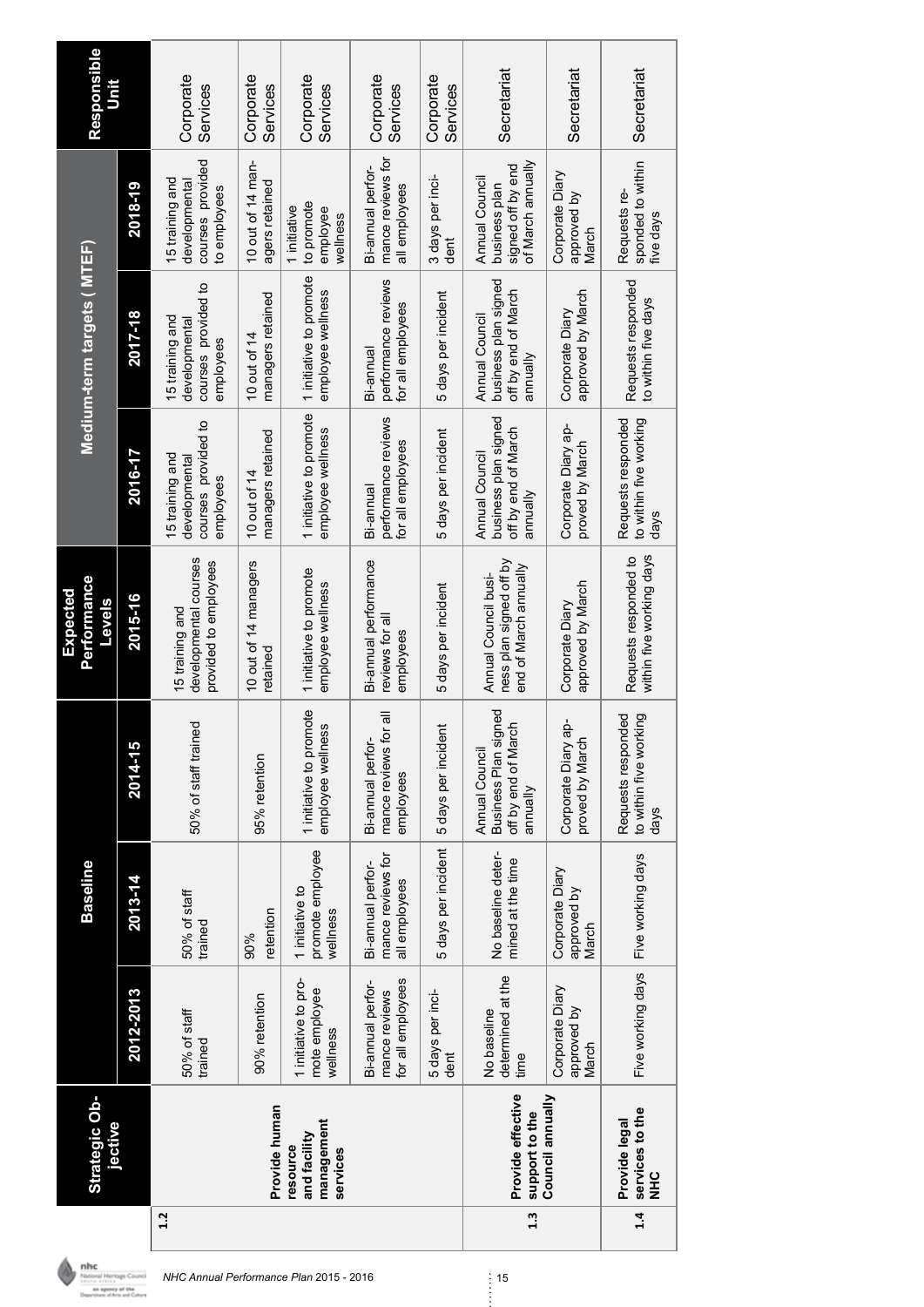|     | <b>Strategic Ob-</b><br>jective                    |                                                         | <b>Baseline</b>                                         |                                                                                       | <b>Performance</b><br>Expected<br><b>Sjeve<sub>T</sub></b>               |                                                                           | Medium-term targets (MTEF)                                                |                                                                           | Responsible<br>ار<br>5 |
|-----|----------------------------------------------------|---------------------------------------------------------|---------------------------------------------------------|---------------------------------------------------------------------------------------|--------------------------------------------------------------------------|---------------------------------------------------------------------------|---------------------------------------------------------------------------|---------------------------------------------------------------------------|------------------------|
|     |                                                    | 2012-2013                                               | $2013 - 14$                                             | 2014-15                                                                               | 2015-16                                                                  | 2016-17                                                                   | 2017-18                                                                   | 2018-19                                                                   |                        |
| 1.2 |                                                    | 50% of staff<br>trained                                 | 50% of staff<br>trained                                 | 50% of staff trained                                                                  | developmental courses<br>provided to employees<br>15 training and        | courses provided to<br>15 training and<br>developmental<br>employees      | courses provided to<br>15 training and<br>developmenta<br>employees       | courses provided<br>15 training and<br>developmental<br>to employees      | Corporate<br>Services  |
|     | Provide human                                      | 90% retention                                           | retention<br>90%                                        | 95% retention                                                                         | 10 out of 14 managers<br>retained                                        | managers retained<br>10 out of 14                                         | managers retained<br>10 out of 14                                         | 10 out of 14 man-<br>agers retained                                       | Corporate<br>Services  |
|     | management<br>and facility<br>resource<br>services | 1 initiative to pro-<br>mote employee<br>wellness       | promote employee<br>1 initiative to<br>wellness         | 1 initiative to promote<br>employee wellness                                          | 1 initiative to promote<br>employee wellness                             | 1 initiative to promote<br>employee wellness                              | 1 initiative to promote<br>employee wellness                              | to promote<br>1 initiative<br>employee<br>wellness                        | Corporate<br>Services  |
|     |                                                    | for all employees<br>Bi-annual perfor-<br>mance reviews | mance reviews for<br>Bi-annual perfor-<br>all employees | ఀ<br>mance reviews for<br>Bi-annual perfor-<br>employees                              | Bi-annual performance<br>reviews for all<br>employees                    | performance reviews<br>for all employees<br>Bi-annual                     | performance reviews<br>for all employees<br>Bi-annual                     | mance reviews for<br>Bi-annual perfor-<br>all employees                   | Corporate<br>Services  |
|     |                                                    | 5 days per inci-<br>dent                                | 5 days per incident                                     | 5 days per incident                                                                   | 5 days per incident                                                      | 5 days per incident                                                       | 5 days per incident                                                       | 3 days per inci-<br>dent                                                  | Corporate<br>Services  |
| 1.3 | Provide effective<br>support to the                | determined at the<br>No baseline<br>time                | No baseline deter-<br>mined at the time                 | ္ၿာ<br><b>Business Plan sign</b><br>off by end of March<br>Annual Council<br>annually | ness plan signed off by<br>end of March annually<br>Annual Council busi- | business plan signed<br>off by end of March<br>Annual Council<br>annually | business plan signed<br>off by end of March<br>Annual Council<br>annually | of March annually<br>signed off by end<br>Annual Council<br>business plan | Secretariat            |
|     | Council annually                                   | Corporate Diary<br>approved by<br>March                 | Corporate Diary<br>approved by<br>March                 | Corporate Diary ap-<br>proved by March                                                | approved by March<br>Corporate Diary                                     | Corporate Diary ap-<br>proved by March                                    | approved by March<br>Corporate Diary                                      | Corporate Diary<br>approved<br>by<br>March                                | Secretariat            |
| 1.4 | services to the<br>Provide legal<br><b>SHR</b>     | Five working days                                       | Five working days                                       | Requests responded<br>to within five working<br>days                                  | within five working days<br>Requests responded to                        | to within five working<br>Requests responded<br>days                      | Requests responded<br>to within five days                                 | sponded to within<br>Requests re-<br>five days                            | Secretariat            |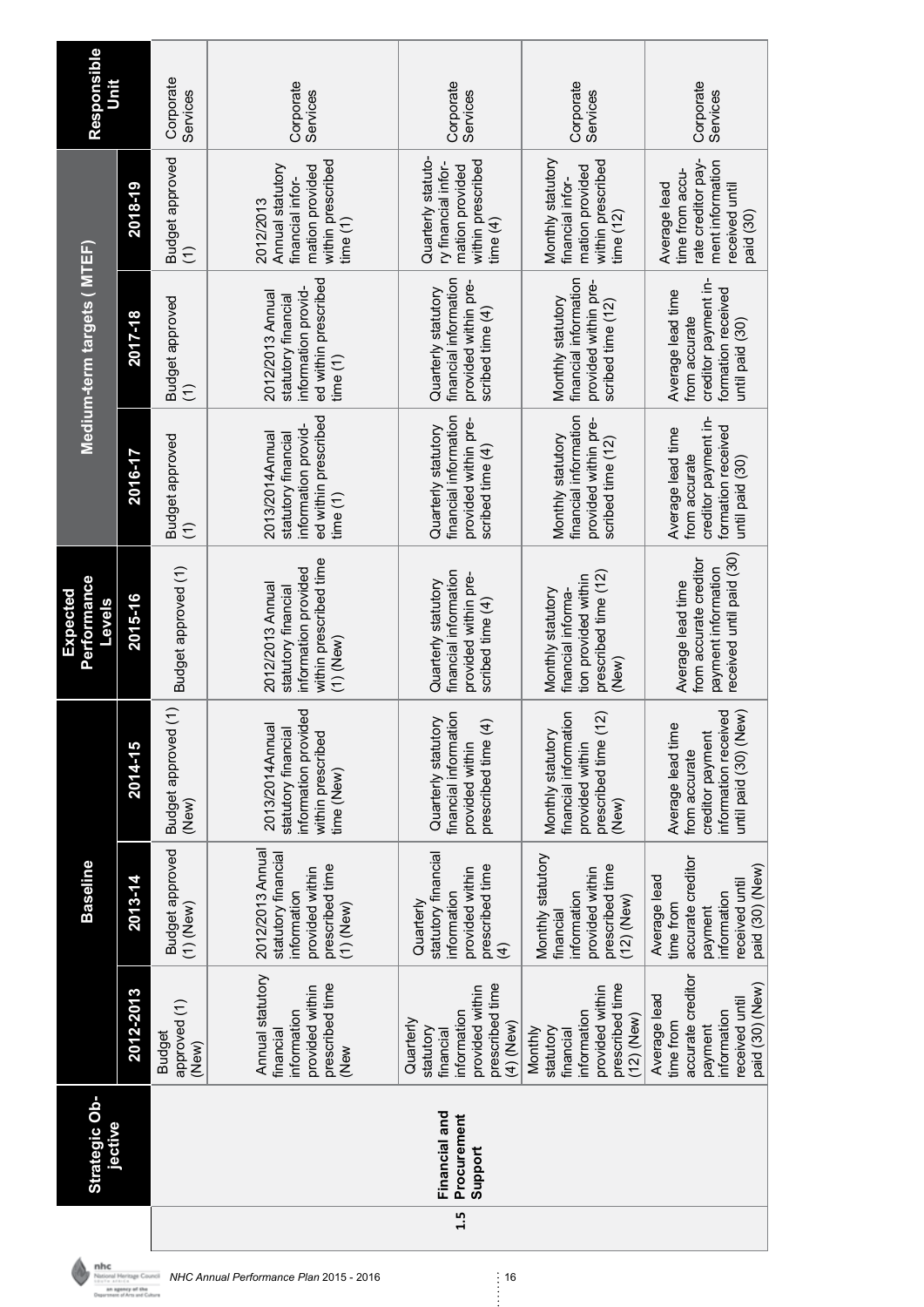|                                                                                                               | <b>Baseline</b>                                                                                               |                                                                                                         | Performance<br>Expected<br><b>Levels</b>                                                                 |                                                                                                     | Medium-term targets (MTEF)                                                                           |                                                                                                          | Responsible           |
|---------------------------------------------------------------------------------------------------------------|---------------------------------------------------------------------------------------------------------------|---------------------------------------------------------------------------------------------------------|----------------------------------------------------------------------------------------------------------|-----------------------------------------------------------------------------------------------------|------------------------------------------------------------------------------------------------------|----------------------------------------------------------------------------------------------------------|-----------------------|
| 2012-2013                                                                                                     | 2013-14                                                                                                       | 2014-15                                                                                                 | 2015-16                                                                                                  | 2016-17                                                                                             | 2017-18                                                                                              | 2018-19                                                                                                  |                       |
| approved (1)<br><b>Budget</b><br>(New)                                                                        | <b>Budget approved</b><br>$(1)$ (New)                                                                         | Budget approved (1)<br>(New)                                                                            | Budget approved (1)                                                                                      | Budget approved<br>€                                                                                | Budget approved<br>Ξ                                                                                 | Budget approved<br>$\widehat{E}$                                                                         | Corporate<br>Services |
| Annual statutory<br>prescribed time<br>provided within<br>information<br>financial<br>(New                    | 2012/2013 Annual<br>statutory financial<br>prescribed time<br>provided within<br>information<br>$(1)$ (New)   | information provided<br>2013/2014 Annual<br>statutory financial<br>within prescribed<br>time (New)      | within prescribed time<br>information provided<br>2012/2013 Annual<br>statutory financial<br>$(1)$ (New) | ed within prescribed<br>information provid-<br>2013/2014Annual<br>statutory financial<br>time $(1)$ | ed within prescribed<br>information provid-<br>2012/2013 Annual<br>statutory financial<br>time $(1)$ | within prescribed<br>Annual statutory<br>mation provided<br>financial infor-<br>2012/2013<br>time(1)     | Corporate<br>Services |
| prescribed time<br>provided within<br>information<br>Quarterly<br>(4) (New)<br>statutory<br>financial         | statutory financial<br>prescribed time<br>provided within<br>information<br>Quarterly<br>$\widehat{f}$        | financial information<br>Quarterly statutory<br>E<br>prescribed time<br>provided within                 | financial information<br>provided within pre-<br>Quarterly statutory<br>scribed time (4)                 | financial information<br>provided within pre-<br>Quarterly statutory<br>scribed time (4)            | financial information<br>provided within pre-<br>Quarterly statutory<br>scribed time (4)             | Quarterly statuto-<br>within prescribed<br>ry financial infor-<br>mation provided<br>time $(4)$          | Corporate<br>Services |
| prescribed time<br>provided within<br>information<br>$(12)$ (New)<br>statutory<br>Monthly<br>financial        | Monthly statutory<br>prescribed time<br>provided within<br>information<br>$(12)$ (New)<br>financial           | financial information<br>(12)<br>Monthly statutory<br>prescribed time<br>provided within<br>(New)       | prescribed time (12)<br>tion provided within<br>Monthly statutory<br>financial informa-<br>(New)         | financial information<br>provided within pre-<br>Monthly statutory<br>scribed time (12)             | financial information<br>provided within pre-<br>Monthly statutory<br>scribed time (12)              | Monthly statutory<br>within prescribed<br>mation provided<br>financial infor-<br>time $(12)$             | Corporate<br>Services |
| accurate creditor<br>paid (30) (New)<br>Average lead<br>received until<br>information<br>time from<br>payment | accurate creditor<br>paid (30) (New)<br>Average lead<br>received until<br>information<br>time from<br>payment | information received<br>until paid (30) (New)<br>Average lead time<br>creditor payment<br>from accurate | received until paid (30)<br>from accurate creditor<br>payment information<br>Average lead time           | creditor payment in-<br>formation received<br>Average lead time<br>from accurate<br>until paid (30) | creditor payment in-<br>formation received<br>Average lead time<br>from accurate<br>until paid (30)  | rate creditor pay-<br>ment information<br>time from accu-<br>Average lead<br>received until<br>paid (30) | Corporate<br>Services |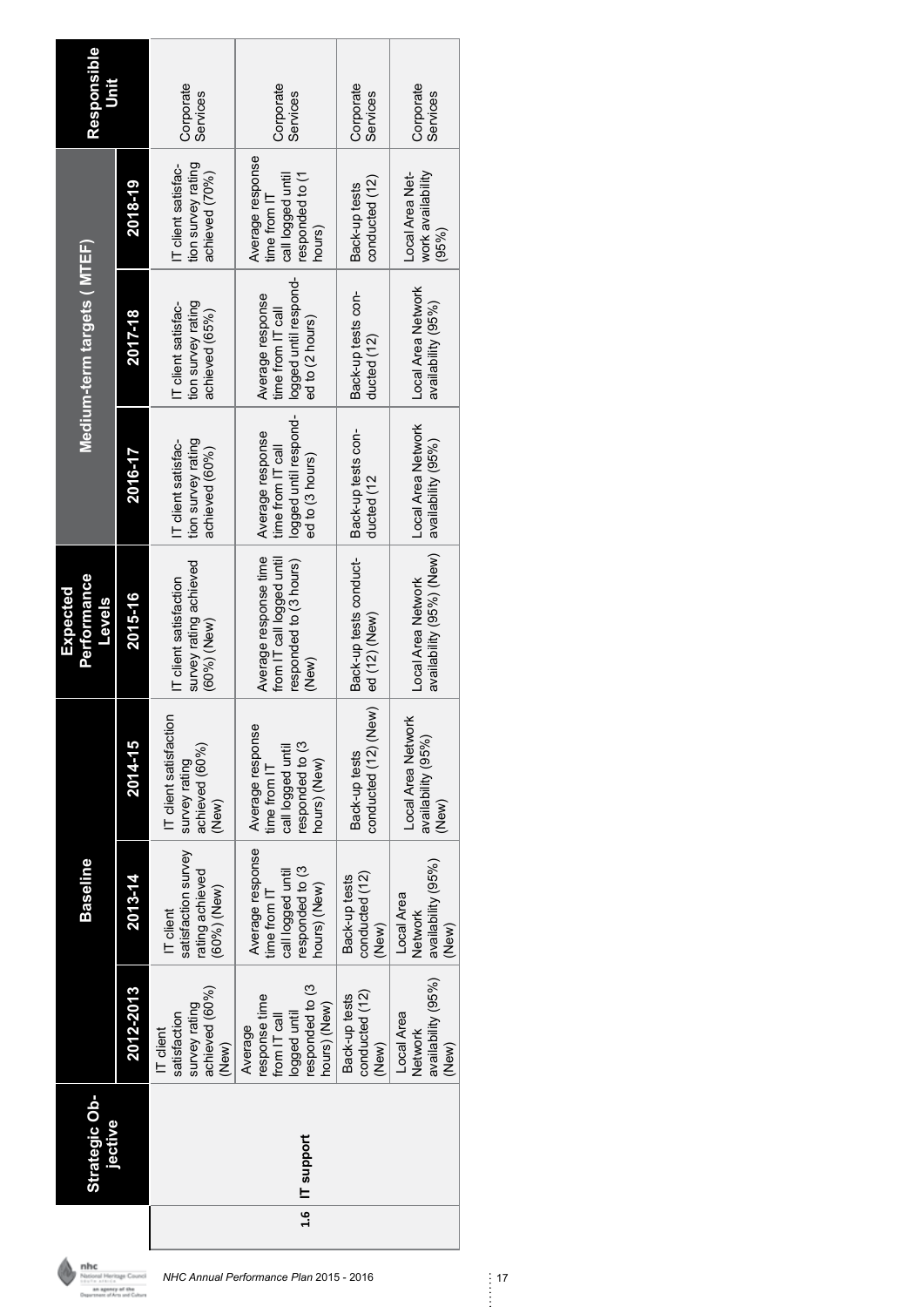| Strategic Ob-<br>jective |                                                                                             | <b>Baseline</b>                                                                          |                                                                                         | <b>Performance</b><br>Expected<br><b>Slevel</b>                                       |                                                                                   | Medium-term targets (MTEF)                                                        |                                                                                    | Responsible<br>ات<br>5 |
|--------------------------|---------------------------------------------------------------------------------------------|------------------------------------------------------------------------------------------|-----------------------------------------------------------------------------------------|---------------------------------------------------------------------------------------|-----------------------------------------------------------------------------------|-----------------------------------------------------------------------------------|------------------------------------------------------------------------------------|------------------------|
|                          | 2012-2013                                                                                   | 2013-14                                                                                  | 2014-15                                                                                 | 2015-16                                                                               | 2016-17                                                                           | 2017-18                                                                           | 2018-19                                                                            |                        |
|                          | achieved (60%)<br>survey rating<br>satisfaction<br>IT client<br>(New)                       | satisfaction survey<br>rating achieved<br>(60%)(New)<br>IT client                        | IT client satisfaction<br>achieved (60%)<br>survey rating<br>(New)                      | survey rating achieved<br>IT client satisfaction<br>$(60\%)$ (New)                    | tion survey rating<br>IT client satisfac-<br>achieved (60%)                       | tion survey rating<br>IT client satisfac-<br>achieved (65%)                       | tion survey rating<br>IT client satisfac-<br>achieved (70%)                        | Corporate<br>Services  |
| 1.6   IT support         | responded to (3<br>response time<br>hours) (New)<br>logged until<br>from IT call<br>Average | Average response<br>responded to (3<br>call logged until<br>hours) (New)<br>time from IT | Average response<br>responded to (3<br>call logged until<br>hours) (New)<br>ime from IT | Average response time<br>from IT call logged until<br>responded to (3 hours)<br>(New) | logged until respond-<br>Average response<br>time from IT call<br>ed to (3 hours) | logged until respond-<br>Average response<br>time from IT call<br>ed to (2 hours) | Average response<br>responded to (1<br>call logged until<br>time from IT<br>hours) | Corporate<br>Services  |
|                          | conducted (12)<br>Back-up tests<br>(New)                                                    | conducted (12)<br>Back-up tests<br>(New)                                                 | conducted (12) (New)<br>Back-up tests                                                   | Back-up tests conduct-<br>ed (12) (New)                                               | Back-up tests con-<br>ducted (12                                                  | Back-up tests con-<br>ducted (12)                                                 | conducted (12)<br>Back-up tests                                                    | Corporate<br>Services  |
|                          | availability (95%)<br>Local Area<br>Network<br>(New)                                        | availability (95%)<br>Local Area<br>Network<br>(New)                                     | Local Area Network<br>availability (95%)<br>(New)                                       | availability (95%) (New)<br>Local Area Network                                        | Local Area Network<br>availability (95%)                                          | Local Area Network<br>availability (95%)                                          | work availability<br>Local Area Net-<br>(95%)                                      | Corporate<br>Services  |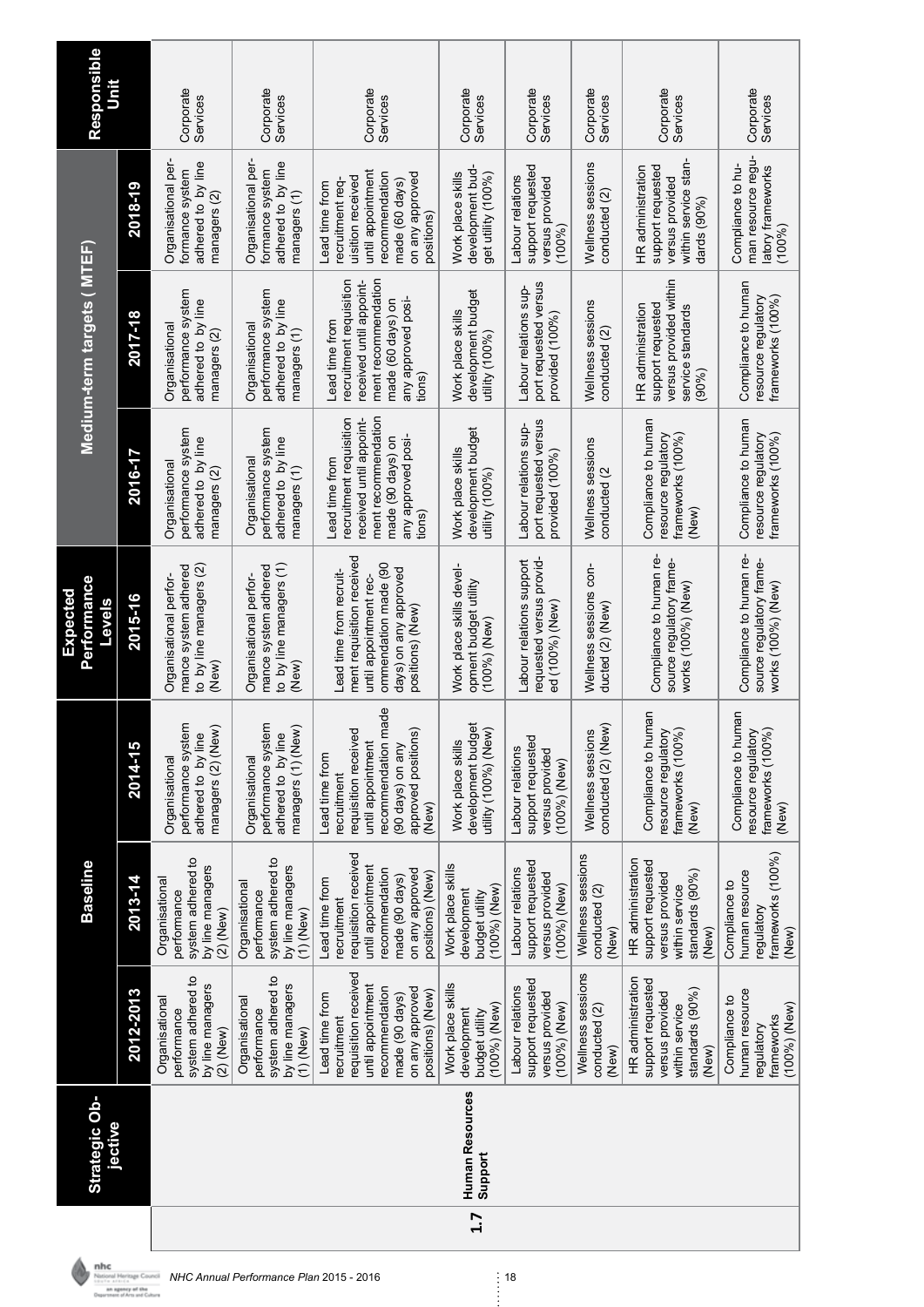|     | Strategic Ob-<br>jective          |                                                                                                                                                       | <b>Baseline</b>                                                                                                                                       |                                                                                                                                                       | Performance<br>Expected<br><b>Sjeve<sub>1</sub></b>                                                                                                 |                                                                                                                                                  | Medium-term targets(MTEF)                                                                                                                        |                                                                                                                                                 | Responsible           |
|-----|-----------------------------------|-------------------------------------------------------------------------------------------------------------------------------------------------------|-------------------------------------------------------------------------------------------------------------------------------------------------------|-------------------------------------------------------------------------------------------------------------------------------------------------------|-----------------------------------------------------------------------------------------------------------------------------------------------------|--------------------------------------------------------------------------------------------------------------------------------------------------|--------------------------------------------------------------------------------------------------------------------------------------------------|-------------------------------------------------------------------------------------------------------------------------------------------------|-----------------------|
|     |                                   | 2012-2013                                                                                                                                             | 2013-14                                                                                                                                               | 2014-15                                                                                                                                               | 2015-16                                                                                                                                             | 2016-17                                                                                                                                          | 2017-18                                                                                                                                          | 2018-19                                                                                                                                         |                       |
|     |                                   | system adhered to<br>by line managers<br>Organisational<br>performance<br>$(2)$ (New)                                                                 | system adhered to<br>by line managers<br>Organisational<br>performance<br>$(2)$ (New)                                                                 | performance system<br>managers (2) (New)<br>adhered to by line<br>Organisational                                                                      | mance system adhered<br>to by line managers (2)<br>Organisational perfor-<br>(New)                                                                  | performance system<br>adhered to by line<br>Organisational<br>managers (2)                                                                       | performance system<br>adhered to by line<br>Organisational<br>managers (2)                                                                       | Organisational per-<br>adhered to by line<br>formance system<br>managers (2)                                                                    | Corporate<br>Services |
|     |                                   | system adhered to<br>by line managers<br>Organisational<br>performance<br>$(1)$ (New)                                                                 | system adhered to<br>by line managers<br>Organisational<br>performance<br>$(1)$ (New)                                                                 | performance system<br>managers (1) (New)<br>adhered to by line<br>Organisational                                                                      | mance system adhered<br>to by line managers (1)<br>Organisational perfor-<br>(New)                                                                  | performance system<br>adhered to by line<br>Organisational<br>managers (1)                                                                       | performance system<br>adhered to by line<br>Organisational<br>managers (1)                                                                       | Organisational per-<br>adhered to by line<br>formance system<br>managers (1)                                                                    | Corporate<br>Services |
|     |                                   | requisition received<br>until appointment<br>recommendation<br>on any approved<br>positions) (New)<br>made (90 days)<br>Lead time from<br>recruitment | requisition received<br>until appointment<br>recommendation<br>on any approved<br>positions) (New)<br>made (90 days)<br>Lead time from<br>recruitment | recommendation made<br>approved positions)<br>requisition received<br>until appointment<br>(90 days) on any<br>Lead time from<br>recruitment<br>(New) | ment requisition received<br>ommendation made (90<br>days) on any approved<br>Lead time from recruit-<br>until appointment rec-<br>positions) (New) | recruitment requisition<br>ment recommendation<br>received until appoint-<br>any approved posi-<br>made (90 days) on<br>Lead time from<br>tions) | ment recommendation<br>received until appoint-<br>recruitment requisition<br>any approved posi-<br>made (60 days) on<br>Lead time from<br>tions) | until appointment<br>recommendation<br>on any approved<br>uisition received<br>made (60 days)<br>recruitment reg<br>Lead time from<br>positions | Corporate<br>Services |
| 1.7 | <b>Human Resources</b><br>Support | Work place skills<br>$(100%)$ (New)<br>development<br>budget utility                                                                                  | Work place skills<br>$(100%)$ (New)<br>development<br>budget utility                                                                                  | development budget<br>utility (100%) (New)<br>Work place skills                                                                                       | Work place skills devel-<br>opment budget utility<br>(100%)(New)                                                                                    | development budget<br>Work place skills<br>utility (100%)                                                                                        | development budget<br>Work place skills<br>utility (100%)                                                                                        | development bud<br>Work place skills<br>get utility (100%)                                                                                      | Corporate<br>Services |
|     |                                   | support requested<br>Labour relations<br>versus provided<br>(100%) (New)                                                                              | support requested<br>Labour relations<br>versus provided<br>(100%)(New)                                                                               | support requested<br>Labour relations<br>versus provided<br>$(100\%)$ (New)                                                                           | Labour relations support<br>requested versus provid-<br>ed (100%) (New)                                                                             | port requested versus<br>Labour relations sup-<br>provided (100%)                                                                                | port requested versus<br>Labour relations sup-<br>provided (100%)                                                                                | support requested<br>Labour relations<br>versus provided<br>(100%)                                                                              | Corporate<br>Services |
|     |                                   | Wellness sessions<br>conducted (2)<br>(New)                                                                                                           | Wellness sessions<br>conducted (2)<br>(New)                                                                                                           | conducted (2) (New)<br>Wellness sessions                                                                                                              | Wellness sessions con-<br>ducted (2) (New)                                                                                                          | Wellness sessions<br>conducted (2                                                                                                                | Wellness sessions<br>conducted (2)                                                                                                               | Wellness sessions<br>conducted (2)                                                                                                              | Corporate<br>Services |
|     |                                   | HR administration<br>support requested<br>standards $(90\%)$<br>versus provided<br>within service<br>(New)                                            | HR administration<br>support requested<br>standards (90%)<br>versus provided<br>within service<br>(New)                                               | Compliance to human<br>resource regulatory<br>frameworks (100%<br>(New)                                                                               | Compliance to human re-<br>source regulatory frame-<br>works (100%) (New)                                                                           | Compliance to human<br>resource regulatory<br>frameworks (100%)<br>(New)                                                                         | versus provided within<br>support requested<br>HR administration<br>service standards<br>$(90\%)$                                                | within service stan-<br>support requested<br>HR administration<br>versus provided<br>dards $(90\%)$                                             | Corporate<br>Services |
|     |                                   | human resource<br>Compliance to<br>(100%) (New)<br>frameworks<br>regulatory                                                                           | frameworks (100%)<br>human resource<br>Compliance to<br>regulatory<br>(New)                                                                           | Compliance to human<br>resource regulatory<br>frameworks (100%<br>(New)                                                                               | Compliance to human re-<br>source regulatory frame-<br>works (100%) (New)                                                                           | Compliance to human<br>frameworks (100%)<br>resource regulatory                                                                                  | Compliance to human<br>resource regulatory<br>frameworks (100%)                                                                                  | man resource requ-<br>Compliance to hu-<br>latory frameworks<br>(100%)                                                                          | Corporate<br>Services |

**NHC Annual Performance Plan 2015 - 2016**<br> *NHC Annual Performance Plan 2015 - 2016* 18<br> **Current of Annual Performance** Plan 2015 - 2016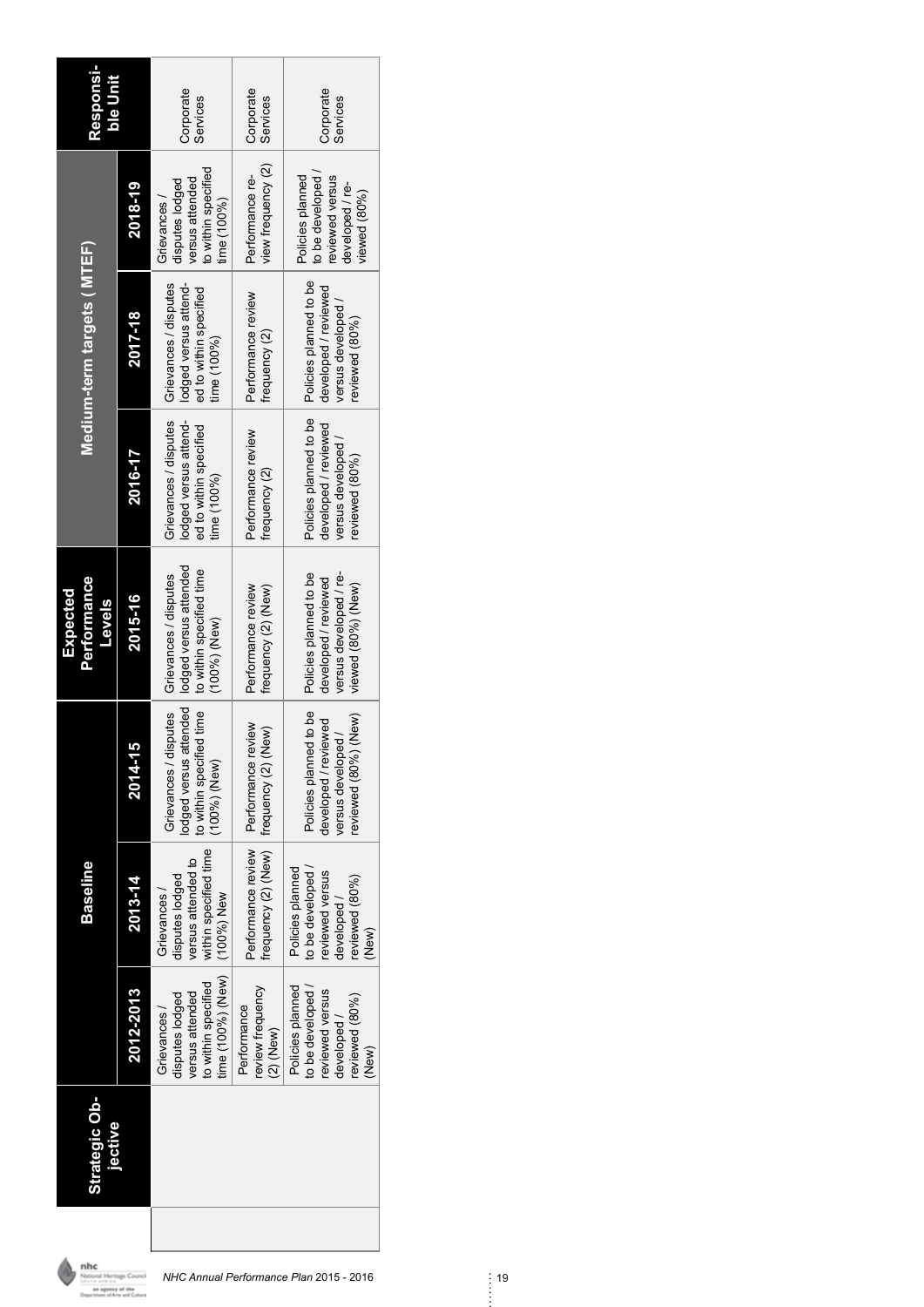| <b>Responsi-</b><br>ble Unit             |           | Corporate<br>Services                                                                        | Corporate<br>Services                                          | Corporate<br>Services                                                                          |
|------------------------------------------|-----------|----------------------------------------------------------------------------------------------|----------------------------------------------------------------|------------------------------------------------------------------------------------------------|
|                                          | 2018-19   | to within specified<br>versus attended<br>disputes lodged<br>Grievances /<br>time (100%)     | view frequency (2)<br>Performance re-                          | Policies planned<br>to be developed<br>reviewed versus<br>developed / re-<br>viewed (80%)      |
| Medium-term targets ( MTEF)              | 2017-18   | Grievances / disputes<br>lodged versus attend-<br>ed to within specified<br>time (100%)      | Performance review<br>frequency (2)                            | Policies planned to be<br>developed / reviewed<br>versus developed<br>reviewed (80%)           |
|                                          | 2016-17   | Grievances / disputes<br>lodged versus attend-<br>ed to within specified<br>time (100%)      | Performance review<br>frequency (2)                            | Policies planned to be<br>developed / reviewed<br>versus developed<br>reviewed (80%)           |
| Performance<br>Expected<br><b>Sjevel</b> | 2015-16   | lodged versus attended<br>to within specified time<br>Grievances / disputes<br>(100%)(New)   | Performance review<br>frequency (2) (New)                      | versus developed / re-<br>Policies planned to be<br>developed / reviewed<br>viewed (80%) (New) |
|                                          | 2014-15   | odged versus attended<br>to within specified time<br>Grievances / disputes<br>(100%) (New)   | Performance review   Performance review<br>frequency (2) (New) | Policies planned to be<br>(New)<br>developed / reviewed<br>versus developed /<br>eviewed (80%) |
| Baseline                                 | 2013-14   | within specified time<br>versus attended to<br>disputes lodged<br>Grievances<br>(100%) New   | frequency (2) (New)                                            | Policies planned<br>to be developed<br>reviewed versus<br>reviewed (80%)<br>developed<br>(New) |
|                                          | 2012-2013 | time (100%) (New)<br>to within specified<br>versus attended<br>disputes lodged<br>Grievances | review frequency<br>Performance<br>$(2)$ (New)                 | Policies planned<br>to be developed<br>reviewed versus<br>reviewed (80%)<br>developed<br>(New) |
| <b>Strategic Ob-</b><br>jective          |           |                                                                                              |                                                                |                                                                                                |
|                                          |           |                                                                                              |                                                                |                                                                                                |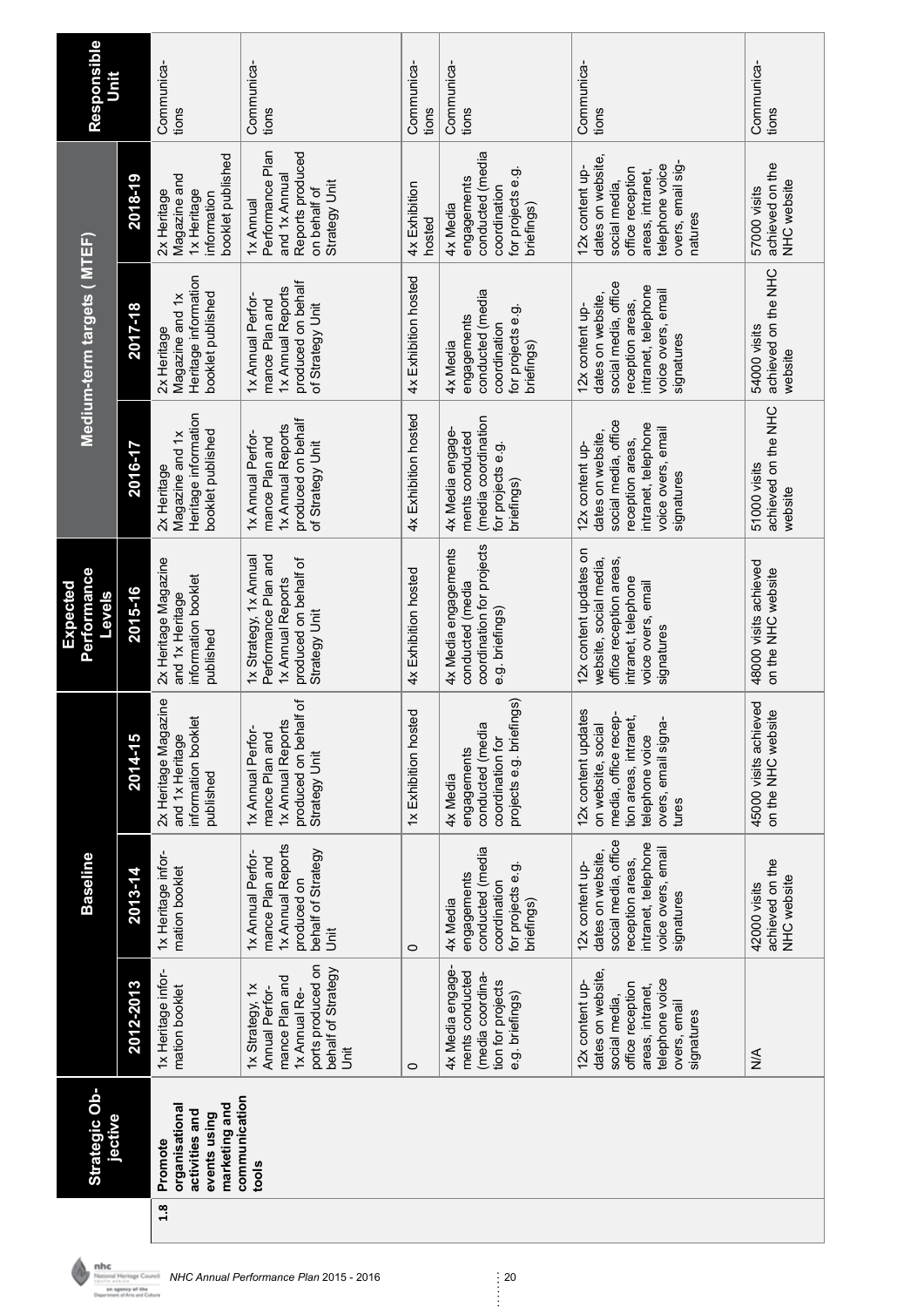| Responsible<br>Unit                      |           | Communica-<br>tions                                                            | Communica-<br>tions                                                                                                  | Communica-<br>tions     | Communica-<br>tions                                                                             | Communica-<br>tions                                                                                                                              | Communica-<br>tions                            |
|------------------------------------------|-----------|--------------------------------------------------------------------------------|----------------------------------------------------------------------------------------------------------------------|-------------------------|-------------------------------------------------------------------------------------------------|--------------------------------------------------------------------------------------------------------------------------------------------------|------------------------------------------------|
|                                          | 2018-19   | booklet published<br>Magazine and<br>2x Heritage<br>1x Heritage<br>information | Performance Plan<br>Reports produced<br>and 1x Annual<br>Strategy Unit<br>on behalf of<br>1x Annual                  | 4x Exhibition<br>hosted | conducted (media<br>for projects e.g.<br>engagements<br>coordination<br>4x Media<br>briefings)  | dates on website.<br>overs, email sig-<br>telephone voice<br>12x content up-<br>office reception<br>areas, intranet,<br>social media,<br>natures | achieved on the<br>NHC website<br>57000 visits |
| Medium-term targets ( MTEF)              | 2017-18   | Heritage information<br>booklet published<br>Magazine and 1x<br>2x Heritage    | produced on behalf<br>1x Annual Reports<br>1x Annual Perfor-<br>mance Plan and<br>of Strategy Unit                   | 4x Exhibition hosted    | conducted (media<br>for projects e.g<br>engagements<br>coordination<br>4x Media<br>briefings)   | social media, office<br>intranet, telephone<br>voice overs, email<br>dates on website.<br>reception areas,<br>12x content up-<br>signatures      | achieved on the NHC<br>54000 visits<br>website |
|                                          | 2016-17   | Heritage information<br>booklet published<br>Magazine and 1x<br>2x Heritage    | produced on behalf<br>1x Annual Reports<br>1x Annual Perfor-<br>mance Plan and<br>of Strategy Unit                   | 4x Exhibition hosted    | (media coordination<br>4x Media engage-<br>ments conducted<br>for projects e.g.<br>briefings)   | social media, office<br>intranet, telephone<br>voice overs, email<br>dates on website.<br>reception areas,<br>12x content up-<br>signatures      | achieved on the NHC<br>51000 visits<br>website |
| Performance<br><b>Expected</b><br>Levels | 2015-16   | 2x Heritage Magazine<br>information booklet<br>and 1x Heritage<br>published    | Performance Plan and<br>1x Strategy, 1x Annual<br>produced on behalf of<br>1x Annual Reports<br>Strategy Unit        | 4x Exhibition hosted    | coordination for projects<br>4x Media engagements<br>conducted (media<br>e.g. briefings)        | 12x content updates on<br>website, social media,<br>office reception areas,<br>intranet, telephone<br>voice overs, email<br>signatures           | 48000 visits achieved<br>on the NHC website    |
|                                          | 2014-15   | 2x Heritage Magazine<br>information booklet<br>and 1x Heritage<br>published    | produced on behalf of<br>1x Annual Reports<br>1x Annual Perfor-<br>mance Plan and<br>Strategy Unit                   | 1x Exhibition hosted    | projects e.g. briefings)<br>conducted (media<br>coordination for<br>engagements<br>4x Media     | 12x content updates<br>media, office recep-<br>tion areas, intranet,<br>overs, email signa-<br>on website, social<br>telephone voice<br>tures    | 45000 visits achieved<br>on the NHC website    |
| <b>Baseline</b>                          | 2013-14   | 1x Heritage infor-<br>mation booklet                                           | 1x Annual Reports<br>behalf of Strategy<br>1x Annual Perfor-<br>mance Plan and<br>produced on<br>j<br>5              | $\circ$                 | conducted (media<br>for projects e.g.<br>engagements<br>coordination<br>briefings)<br>4x Media  | social media, office<br>intranet, telephone<br>voice overs, email<br>dates on website,<br>reception areas,<br>12x content up-<br>signatures      | achieved on the<br>NHC website<br>42000 visits |
|                                          | 2012-2013 | 1x Heritage infor-<br>mation booklet                                           | ports produced on<br>behalf of Strategy<br>mance Plan and<br>1x Strategy, 1x<br>Annual Perfor-<br>1x Annual Re-<br>j | $\circ$                 | 4x Media engage-<br>ments conducted<br>(media coordina-<br>tion for projects<br>e.g. briefings) | dates on website,<br>telephone voice<br>12x content up-<br>office reception<br>areas, intranet,<br>social media,<br>overs, email<br>signatures   | $\frac{4}{2}$                                  |
| <b>Strategic Ob-</b><br>jective          |           | marketing and<br>organisational<br>activities and<br>events using<br>Promote   | communication<br>tools                                                                                               |                         |                                                                                                 |                                                                                                                                                  |                                                |
|                                          |           | 1.8                                                                            |                                                                                                                      |                         |                                                                                                 |                                                                                                                                                  |                                                |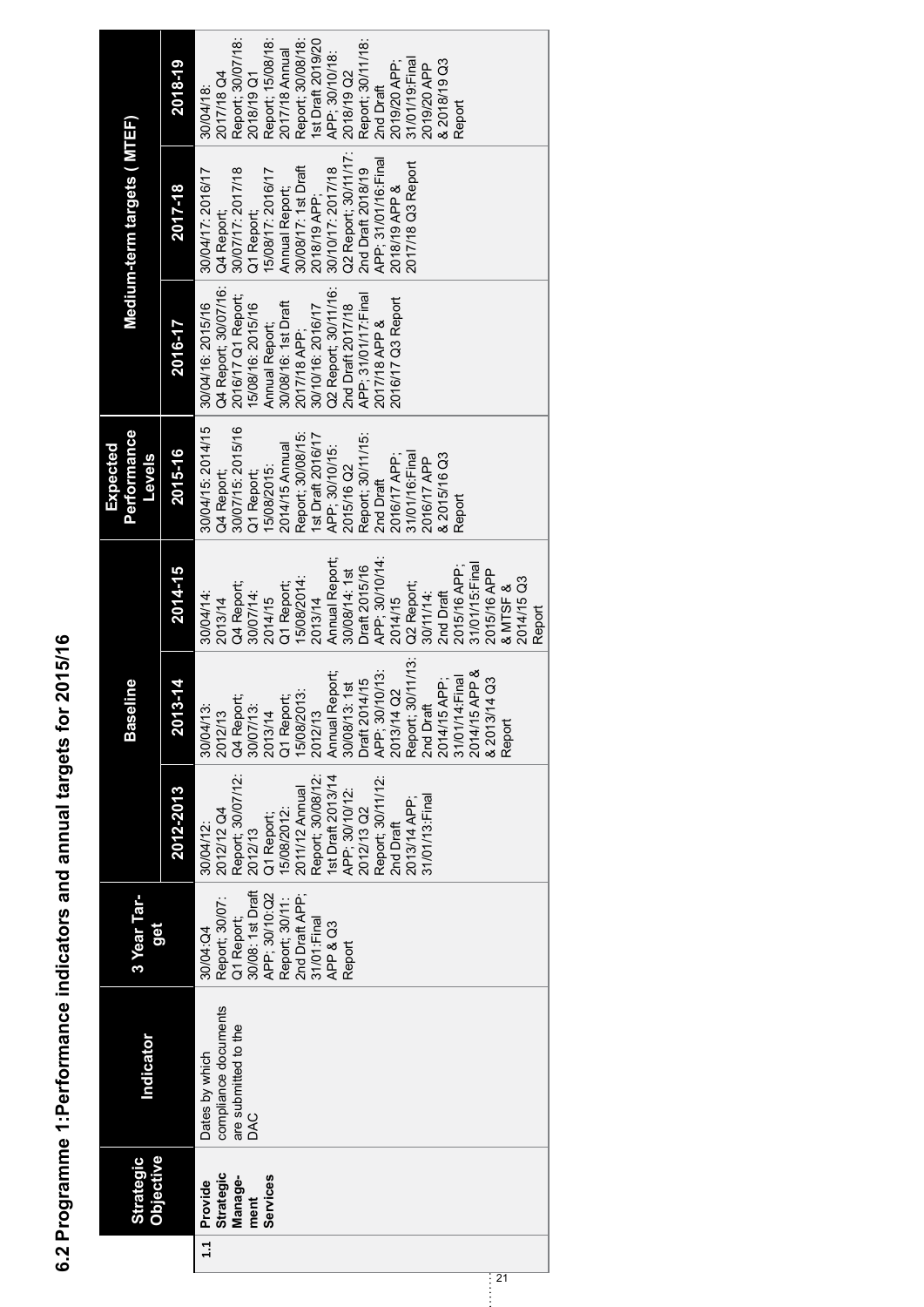6.2 Programme 1:Performance indicators and annual targets for 2015/16 **6.2 Programme 1:Performance indicators and annual targets for 2015/16** 

| <b>Strategic</b><br>Manage-<br>Provide<br>1.1 | Indicator<br><b>Objective</b> | 3 Year Tar-<br>ëg |                   | <b>Baseline</b>   |                 | <b>Performance</b><br><b>Levels</b> |                      | Medium-term targets ( MTEF) |                   |
|-----------------------------------------------|-------------------------------|-------------------|-------------------|-------------------|-----------------|-------------------------------------|----------------------|-----------------------------|-------------------|
|                                               |                               |                   | 2012-2013         | 2013-14           | 2014-15         | 2015-16                             | 2016-17              | 2017-18                     | 2018-19           |
|                                               | Dates by which                | 30/04:04          | 30/04/12:         | 30/04/13:         | 30/04/14:       | 30/04/15: 2014/15                   | 30/04/16: 2015/16    | 30/04/17: 2016/17           | 30/04/18:         |
|                                               | compliance documents          | Report; 30/07:    | 2012/12 Q4        | 2012/13           | 2013/14         | Q4 Report;                          | Q4 Report; 30/07/16: | Q4 Report;                  | 2017/18 Q4        |
|                                               | are submitted to the          | Q1 Report;        | Report; 30/07/12: | Q4 Report;        | Q4 Report;      | 30/07/15: 2015/16                   | 2016/17 Q1 Report;   | 30/07/17: 2017/18           | Report; 30/07/18: |
| ment                                          | DAC                           | 30/08: 1st Draft  | 2012/13           | 30/07/13:         | 30/07/14:       | Q1 Report;                          | 15/08/16: 2015/16    | Q1 Report;                  | 2018/19 Q1        |
| Services                                      |                               | APP; 30/10:Q2     | Q1 Report;        | 2013/14           | 2014/15         | 15/08/2015:                         | Annual Report;       | 15/08/17: 2016/17           | Report; 15/08/18: |
|                                               |                               | Report: 30/11:    | 15/08/2012:       | Q1 Report;        | Q1 Report       | 2014/15 Annual                      | 30/08/16: 1st Draft  | Annual Report;              | 2017/18 Annual    |
|                                               |                               | 2nd Draft APP;    | 2011/12 Annual    | 15/08/2013:       | 15/08/2014:     | Report; 30/08/15:                   | 2017/18 APP;         | 30/08/17: 1st Draft         | Report; 30/08/18: |
|                                               |                               | 31/01: Final      | Report; 30/08/12  | 2012/13           | 2013/14         | 1st Draft 2016/17                   | 30/10/16: 2016/17    | 2018/19 APP;                | 1st Draft 2019/20 |
|                                               |                               | APP & Q3          | 1st Draft 2013/14 | Annual Report;    | Annual Report;  | APP; 30/10/15:                      | Q2 Report; 30/11/16: | 30/10/17: 2017/18           | APP; 30/10/18:    |
|                                               |                               | Report            | APP; 30/10/12:    | 30/08/13: 1st     | 30/08/14: 1st   | 2015/16 Q2                          | 2nd Draft 2017/18    | Q2 Report; 30/11/17:        | 2018/19 Q2        |
|                                               |                               |                   | 2012/13 Q2        | Draft 2014/15     | Draft 2015/16   | Report; 30/11/15:                   | APP; 31/01/17:Final  | 2nd Draft 2018/19           | Report; 30/11/18: |
|                                               |                               |                   | Report; 30/11/12: | APP; 30/10/13:    | APP; 30/10/14:  | 2nd Draft                           | 2017/18 APP &        | APP; 31/01/16: Final        | 2nd Draft         |
|                                               |                               |                   | 2nd Draft         | 2013/14 Q2        | 2014/15         | 2016/17 APP;                        | 2016/17 Q3 Report    | 2018/19 APP &               | 2019/20 APP;      |
|                                               |                               |                   | 2013/14 APP;      | Report; 30/11/13: | Q2 Report;      | 31/01/16: Final                     |                      | 2017/18 Q3 Report           | 31/01/19: Final   |
|                                               |                               |                   | 31/01/13: Final   | 2nd Draft         | 30/11/14:       | 2016/17 APP                         |                      |                             | 2019/20 APP       |
|                                               |                               |                   |                   | 2014/15 APP;      | 2nd Draft       | & 2015/16 Q3                        |                      |                             | & 2018/19 Q3      |
|                                               |                               |                   |                   | 31/01/14: Final   | 2015/16 APP;    | Report                              |                      |                             | Report            |
|                                               |                               |                   |                   | 2014/15 APP &     | 31/01/15: Final |                                     |                      |                             |                   |
|                                               |                               |                   |                   | & 2013/14 Q3      | 2015/16 APP     |                                     |                      |                             |                   |
| $\overline{21}$                               |                               |                   |                   | Repor             | & MTSF &        |                                     |                      |                             |                   |
|                                               |                               |                   |                   |                   | 2014/15 Q3      |                                     |                      |                             |                   |
|                                               |                               |                   |                   |                   | Report          |                                     |                      |                             |                   |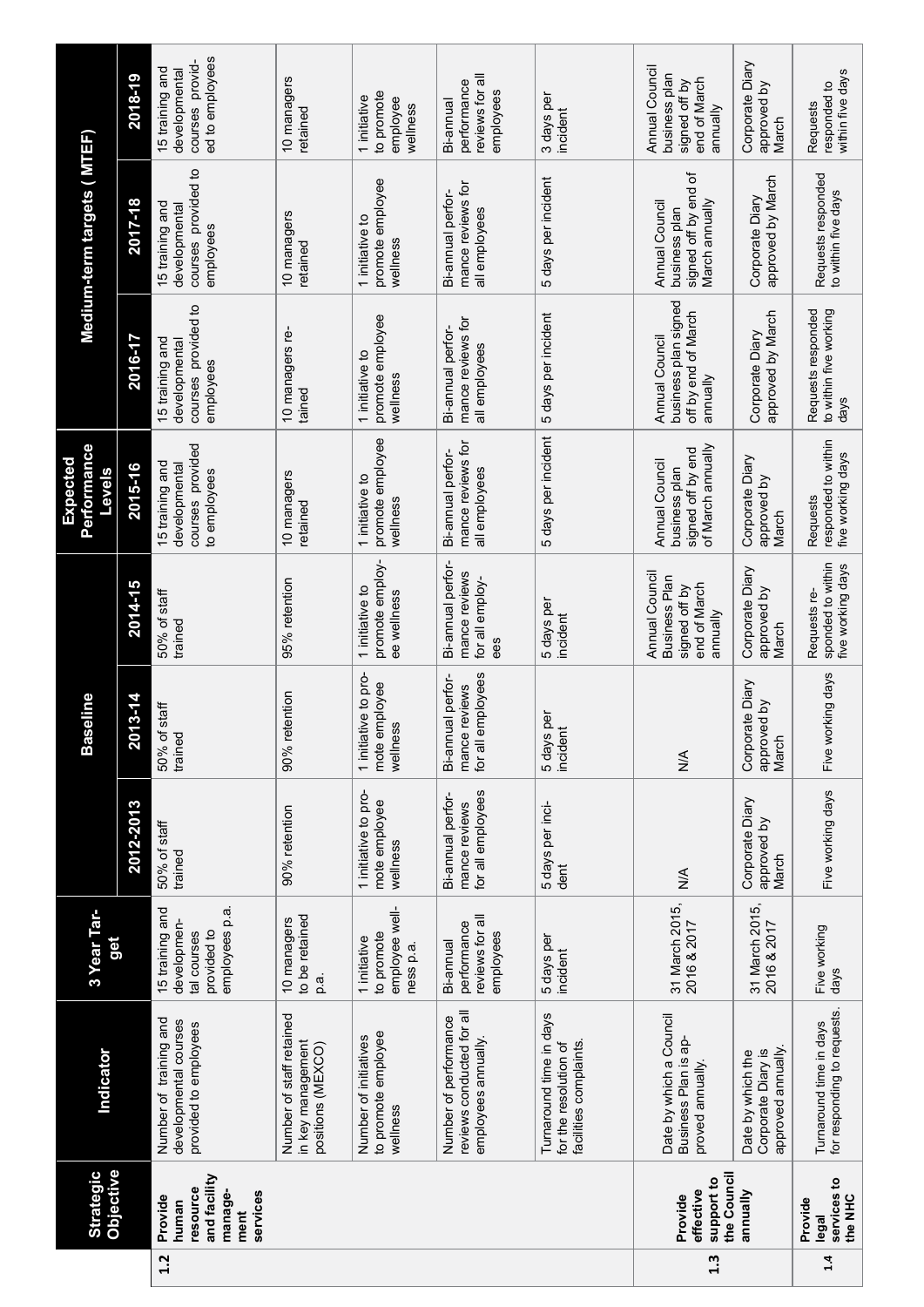|     | Objective<br><b>Strategic</b>                                               | Indicator                                                                 | 3 Year Tar-<br>get                                                            |                                                         | seline<br>Bas                                              |                                                                                     | Performance<br>Expected<br>Levels                                         |                                                                           | Medium-term targets ( MTEF)                                                  |                                                                              |
|-----|-----------------------------------------------------------------------------|---------------------------------------------------------------------------|-------------------------------------------------------------------------------|---------------------------------------------------------|------------------------------------------------------------|-------------------------------------------------------------------------------------|---------------------------------------------------------------------------|---------------------------------------------------------------------------|------------------------------------------------------------------------------|------------------------------------------------------------------------------|
|     |                                                                             |                                                                           |                                                                               | 2012-2013                                               | 2013-14                                                    | 2014-15                                                                             | 2015-16                                                                   | 2016-17                                                                   | 2017-18                                                                      | 2018-19                                                                      |
| 1.2 | and facility<br>resource<br>manage-<br>services<br>Provide<br>human<br>ment | Number of training and<br>developmental courses<br>provided to employees  | 15 training and<br>employees p.a<br>developmen-<br>provided to<br>tal courses | 50% of staff<br>trained                                 | staff<br>50% of<br>trained                                 | 50% of staff<br>trained                                                             | courses provided<br>15 training and<br>developmental<br>to employees      | courses provided to<br>15 training and<br>developmental<br>employees      | courses provided to<br>15 training and<br>developmental<br>employees         | ed to employees<br>courses provid<br>15 training and<br>developmental        |
|     |                                                                             | Number of staff retained<br>in key management<br>positions (MEXCO)        | to be retained<br>10 managers<br>ρ                                            | 90% retention                                           | 90% retention                                              | 95% retention                                                                       | 10 managers<br>retained                                                   | 10 managers re-<br>tained                                                 | 10 managers<br>retained                                                      | 10 managers<br>retained                                                      |
|     |                                                                             | to promote employee<br>Number of initiatives<br>wellness                  | employee well-<br>to promote<br>1 initiative<br>ness p.a.                     | 1 initiative to pro-<br>mote employee<br>wellness       | 1 initiative to pro-<br>mote employee<br>wellness          | promote employ-<br>1 initiative to<br>ee wellness                                   | promote employee<br>1 initiative to<br>wellness                           | promote employee<br>1 initiative to<br>wellness                           | promote employee<br>1 initiative to<br>wellness                              | to promote<br>1 initiative<br>employee<br>wellness                           |
|     |                                                                             | reviews conducted for all<br>Number of performance<br>employees annually. | reviews for all<br>performance<br>employees<br>Bi-annual                      | for all employees<br>Bi-annual perfor-<br>mance reviews | for all employees<br>Bi-annual perfor-<br>reviews<br>mance | Bi-annual perfor-<br>mance reviews<br>for all employ-<br>ees                        | mance reviews for<br>Bi-annual perfor-<br>all employees                   | mance reviews for<br>Bi-annual perfor-<br>all employees                   | mance reviews for<br>Bi-annual perfor-<br>all employees                      | reviews for al<br>performance<br>employees<br>Bi-annual                      |
|     |                                                                             | Turnaround time in days<br>for the resolution of<br>facilities complaints | 5 days per<br>incident                                                        | 5 days per inci-<br>dent                                | 5 days per<br>incident                                     | 5 days per<br>incident                                                              | 5 days per incident                                                       | 5 days per incident                                                       | 5 days per incident                                                          | 3 days per<br>incident                                                       |
| 1.3 | the Council<br>support to<br>effective<br>Provide                           | Date by which a Council<br>Business Plan is ap-<br>proved annually.       | 31 March 2015,<br>2016 & 2017                                                 | $\frac{4}{2}$                                           | $\frac{1}{2}$                                              | Annual Council<br><b>Business Plan</b><br>end of March<br>signed off by<br>annually | of March annually<br>signed off by end<br>Annual Council<br>business plan | business plan signed<br>off by end of March<br>Annual Council<br>annually | 'ö<br>signed off by end<br>March annually<br>Annual Council<br>business plan | Annual Council<br>business plan<br>end of March<br>signed off by<br>annually |
|     | annually                                                                    | approved annually.<br>Corporate Diary is<br>Date by which the             | 31 March 2015,<br>2016 & 2017                                                 | Corporate Diary<br>approved by<br>March                 | Corporate Diary<br>approved by<br>March                    | Corporate Diary<br>approved by<br>March                                             | Corporate Diary<br>approved by<br>March                                   | approved by March<br>Corporate Diary                                      | approved by March<br>Corporate Diary                                         | Corporate Diary<br>approved by<br>March                                      |
| 1.4 | services to<br>the NHC<br>Provide<br>legal                                  | for responding to requests.<br>Turnaround time in days                    | Five working<br>days                                                          | Five working days                                       | Five working days                                          | sponded to within<br>five working days<br>Requests re-                              | responded to within<br>five working days<br>Requests                      | Requests responded<br>to within five working<br>days                      | Requests responded<br>to within five days                                    | within five days<br>responded to<br>Requests                                 |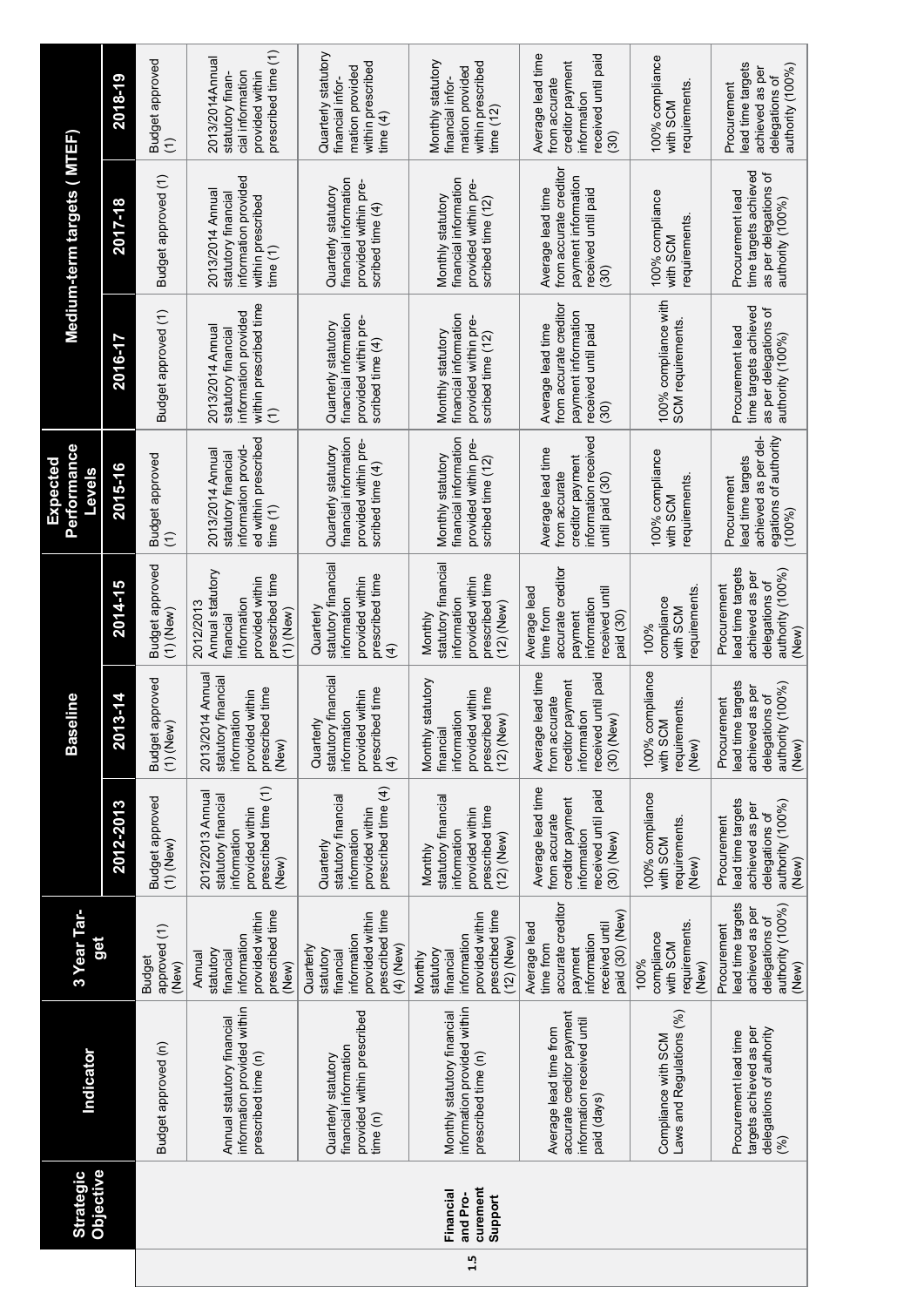|     | Objective<br><b>Strategic</b>                | Indicator                                                                                        | 3 Year Tar-<br>get                                                                                            |                                                                                                              | seline<br>Šа                                                                                                  |                                                                                                               | <b>Performance</b><br>Expected<br><b>Levels</b>                                                   |                                                                                                            | Medium-term targets ( MTEF)                                                                                           |                                                                                                      |
|-----|----------------------------------------------|--------------------------------------------------------------------------------------------------|---------------------------------------------------------------------------------------------------------------|--------------------------------------------------------------------------------------------------------------|---------------------------------------------------------------------------------------------------------------|---------------------------------------------------------------------------------------------------------------|---------------------------------------------------------------------------------------------------|------------------------------------------------------------------------------------------------------------|-----------------------------------------------------------------------------------------------------------------------|------------------------------------------------------------------------------------------------------|
|     |                                              |                                                                                                  |                                                                                                               | 2012-2013                                                                                                    | 2013-14                                                                                                       | 2014-15                                                                                                       | 2015-16                                                                                           | 2016-17                                                                                                    | 2017-18                                                                                                               | 2018-19                                                                                              |
|     |                                              | Budget approved (n)                                                                              | approved (1)<br><b>Budget</b><br>(New)                                                                        | Budget approved<br>$(1)$ (New)                                                                               | Budget approved<br>$(1)$ (New)                                                                                | Budget approved<br>$(1)$ (New)                                                                                | Budget approved<br>$\widehat{\cdot}$                                                              | Budget approved (1)                                                                                        | Budget approved (1)                                                                                                   | <b>Budget approved</b><br>Ξ                                                                          |
|     |                                              | information provided within<br>Annual statutory financial<br>prescribed time (n)                 | prescribed time<br>provided within<br>information<br>statutory<br>financial<br>Annual<br>(New)                | prescribed time (1)<br>2012/2013 Annual<br>statutory financial<br>provided within<br>information<br>(New)    | 2013/2014 Annua<br>statutory financial<br>prescribed time<br>provided within<br>information<br>(New)          | Annual statutory<br>prescribed time<br>provided within<br>information<br>2012/2013<br>$(1)$ (New)<br>financia | ed within prescribed<br>information provid-<br>2013/2014 Annual<br>statutory financial<br>time(1) | within prescribed time<br>information provided<br>2013/2014 Annual<br>statutory financial<br>$\widehat{E}$ | information provided<br>2013/2014 Annual<br>statutory financial<br>within prescribed<br>time(1)                       | prescribed time (1)<br>2013/2014Annual<br>cial information<br>provided within<br>statutory finan-    |
|     |                                              | provided within prescribed<br>financial information<br>Quarterly statutory<br>time(n)            | prescribed time<br>provided within<br>information<br>(4) (New)<br>Quarterly<br>statutory<br>financial         | prescribed time (4)<br>statutory financial<br>provided within<br>information<br>Quarterly                    | statutory financia<br>prescribed time<br>provided within<br>non<br>Quarterly<br>informa<br>$\overline{4}$     | statutory financia<br>prescribed time<br>provided within<br>informatior<br>Quarterl<br>E                      | financial information<br>provided within pre-<br>Quarterly statutory<br>scribed time (4)          | financial information<br>provided within pre-<br>Quarterly statutory<br>scribed time (4)                   | financial information<br>provided within pre-<br>Quarterly statutory<br>scribed time (4)                              | Quarterly statutory<br>within prescribed<br>mation provided<br>financial infor-<br>time $(4)$        |
| 1.5 | curement<br>Financial<br>and Pro-<br>Support | information provided within<br>Monthly statutory financial<br>prescribed time (n)                | prescribed time<br>provided within<br>information<br>$(12)$ (New)<br>statutory<br>financial<br>Monthly        | statutory financial<br>prescribed time<br>provided within<br>information<br>$(12)$ (New)<br>Monthly          | Monthly statutory<br>prescribed time<br>provided within<br>information<br>$(12)$ (New)<br>financia            | statutory financia<br>prescribed time<br>provided within<br>informatior<br>$(12)$ (New)<br>Monthly            | financial information<br>provided within pre-<br>Monthly statutory<br>scribed time (12)           | financial information<br>provided within pre-<br>Monthly statutory<br>scribed time (12)                    | financial information<br>provided within pre-<br>Monthly statutory<br>scribed time (12)                               | Monthly statutory<br>within prescribed<br>mation provided<br>financial infor-<br>time $(12)$         |
|     |                                              | accurate creditor payment<br>information received until<br>Average lead time from<br>paid (days) | accurate creditor<br>paid (30) (New)<br>Average lead<br>received until<br>information<br>time from<br>payment | Average lead time<br>received until paid<br>creditor payment<br>from accurate<br>information<br>$(30)$ (New) | Average lead time<br>received until paid<br>payment<br>from accurate<br>information<br>(30) (New)<br>creditor | accurate creditor<br>Average lead<br>received until<br>intormation<br>time from<br>payment<br>paid (30)       | information received<br>Average lead time<br>creditor payment<br>from accurate<br>until paid (30) | from accurate creditor<br>payment information<br>Average lead time<br>received until paid<br>(30)          | from accurate creditor<br>payment information<br>Average lead time<br>received until paid<br>$\widetilde{\mathrm{S}}$ | Average lead time<br>received until paid<br>creditor payment<br>from accurate<br>informatior<br>(30) |
|     |                                              | Laws and Regulations (%)<br>Compliance with SCM                                                  | requirements.<br>compliance<br>with SCM<br>100%<br>(New)                                                      | 100% compliance<br>requirements.<br>with SCM<br>(New)                                                        | 100% compliance<br>requirements<br>with SCM<br>(New)                                                          | requirements<br>compliance<br>with SCM<br>$100\%$                                                             | 100% compliance<br>requirements<br>with SCM                                                       | 100% compliance with<br>SCM requirements                                                                   | 100% compliance<br>requirements<br>with SCM                                                                           | 100% compliance<br>requirements<br>with SCM                                                          |
|     |                                              | targets achieved as per<br>delegations of authority<br>Procurement lead time<br>(%)              | lead time targets<br>authority (100%)<br>achieved as per<br>delegations of<br>Procurement<br>(New)            | lead time targets<br>authority (100%)<br>achieved as per<br>delegations of<br>Procurement<br>(New)           | lead time targets<br>authority (100%)<br>achieved as per<br>delegations of<br>Procurement<br>(New)            | lead time targets<br>authority (100%)<br>achieved as per<br>delegations of<br>Procurement<br>(New             | achieved as per del-<br>egations of authority<br>lead time targets<br>Procurement<br>$(100\%)$    | time targets achieved<br>as per delegations of<br>Procurement lead<br>authority (100%)                     | time targets achieved<br>as per delegations of<br>Procurement lead<br>authority (100%)                                | lead time targets<br>authority (100%)<br>achieved as per<br>delegations of<br>Procurement            |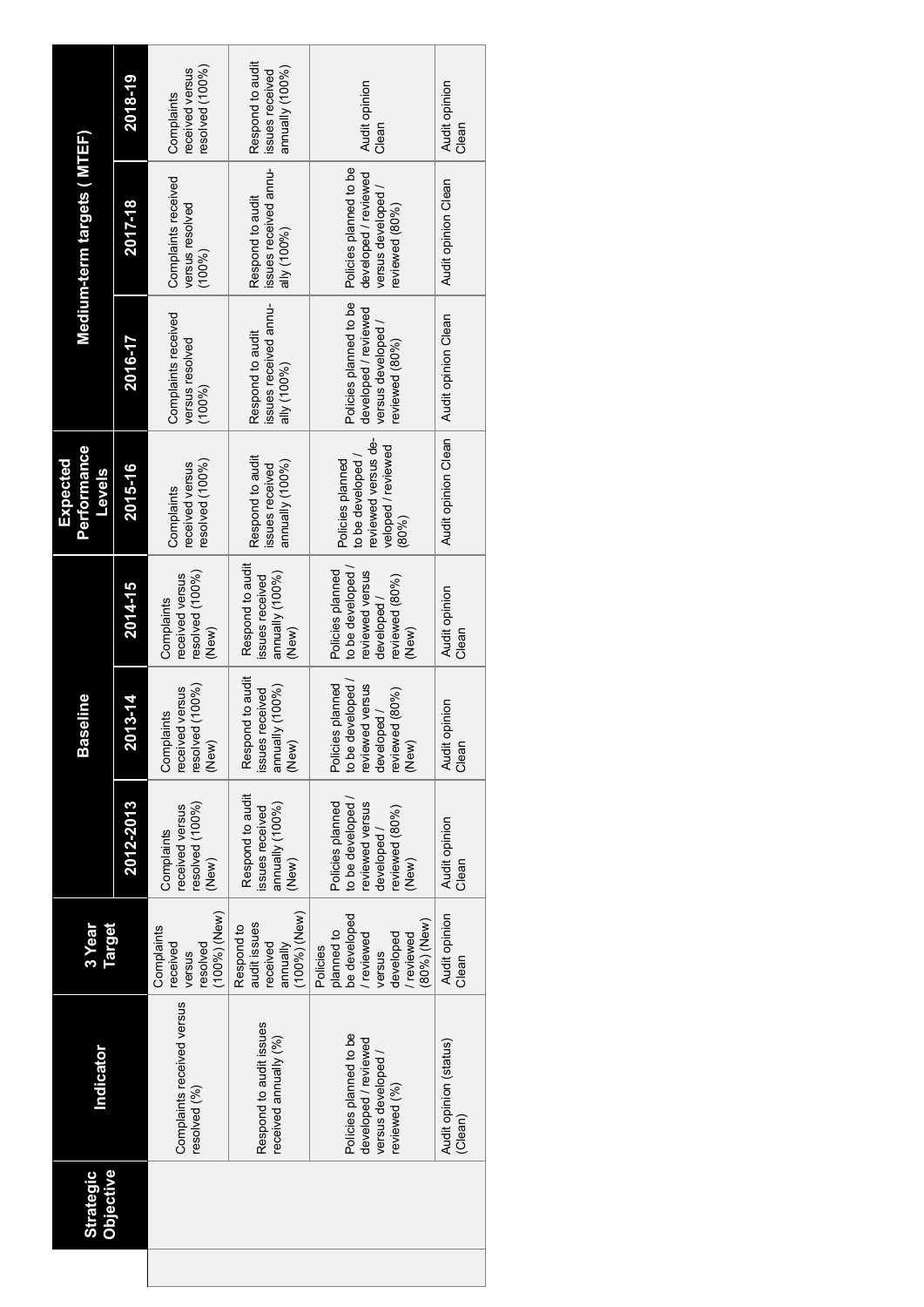| <b>Strategic</b><br><b>Objective</b> | Indicator                                                                          | Target<br>a Year                                                                                     |                                                                                                 | seline<br>йã                                                                                       |                                                                                                  | <b>Performance</b><br>Expected<br><b>Levels</b>                                             |                                                                                      | Medium-term targets ( MTEF)                                                           |                                                        |
|--------------------------------------|------------------------------------------------------------------------------------|------------------------------------------------------------------------------------------------------|-------------------------------------------------------------------------------------------------|----------------------------------------------------------------------------------------------------|--------------------------------------------------------------------------------------------------|---------------------------------------------------------------------------------------------|--------------------------------------------------------------------------------------|---------------------------------------------------------------------------------------|--------------------------------------------------------|
|                                      |                                                                                    |                                                                                                      | 2012-2013                                                                                       | 2013-14                                                                                            | 2014-15                                                                                          | 2015-16                                                                                     | 2016-17                                                                              | 2017-18                                                                               | 2018-19                                                |
|                                      | Complaints received versus<br>resolved (%)                                         | (100%)(New)<br>Complaints<br>received<br>resolved<br>versus                                          | resolved (100%)<br>received versus<br>Complaints<br>(New)                                       | resolved $(100\%)$<br>eceived versus<br>Complaints<br>(New)                                        | resolved (100%)<br>received versus<br>Complaints<br>(New)                                        | resolved (100%)<br>received versus<br>Complaints                                            | Complaints received<br>versus resolved<br>(100%)                                     | Complaints received<br>versus resolved<br>(100%)                                      | resolved (100%)<br>received versus<br>Complaints       |
|                                      | Respond to audit issues<br>received annually (%)                                   | (100%)(New)<br>audit issues<br>Respond to<br>received<br>annually                                    | Respond to audit<br>annually (100%)<br>issues received<br>(New)                                 | Respond to audit<br>annually (100%)<br>issues received<br>(New)                                    | Respond to audit<br>annually (100%)<br>ssues received<br>(New)                                   | Respond to audit<br>annually (100%)<br>ssues received                                       | issues received annu-<br>Respond to audit<br>ally (100%)                             | issues received annu-<br>Respond to audit<br>ally (100%)                              | Respond to audit<br>annually (100%)<br>issues received |
|                                      | Policies planned to be<br>developed / reviewed<br>versus developed<br>reviewed (%) | planned to<br>be developed<br>(80%) (New)<br>reviewed<br>reviewed<br>developed<br>Policies<br>versus | Policies planned<br>to be developed<br>reviewed versus<br>reviewed (80%)<br>developed/<br>(New) | to be developed /<br>Policies planned<br>reviewed versus<br>reviewed (80%)<br>developed /<br>(New) | to be developed<br>Policies planned<br>reviewed versus<br>reviewed (80%)<br>developed /<br>(New) | reviewed versus de-<br>veloped / reviewed<br>to be developed /<br>Policies planned<br>(80%) | Policies planned to be<br>developed / reviewed<br>versus developed<br>reviewed (80%) | Policies planned to be<br>developed / reviewed<br>versus developed/<br>reviewed (80%) | Audit opinion<br>Clean                                 |
|                                      | Audit opinion (status)<br>(Clean)                                                  | Audit opinion<br>Clean                                                                               | Audit opinion<br>Clean                                                                          | Audit opinion<br>Clean                                                                             | Audit opinion<br>Clean                                                                           | Audit opinion Clean                                                                         | Audit opinion Clean                                                                  | Audit opinion Clean                                                                   | Audit opinion<br>Clean                                 |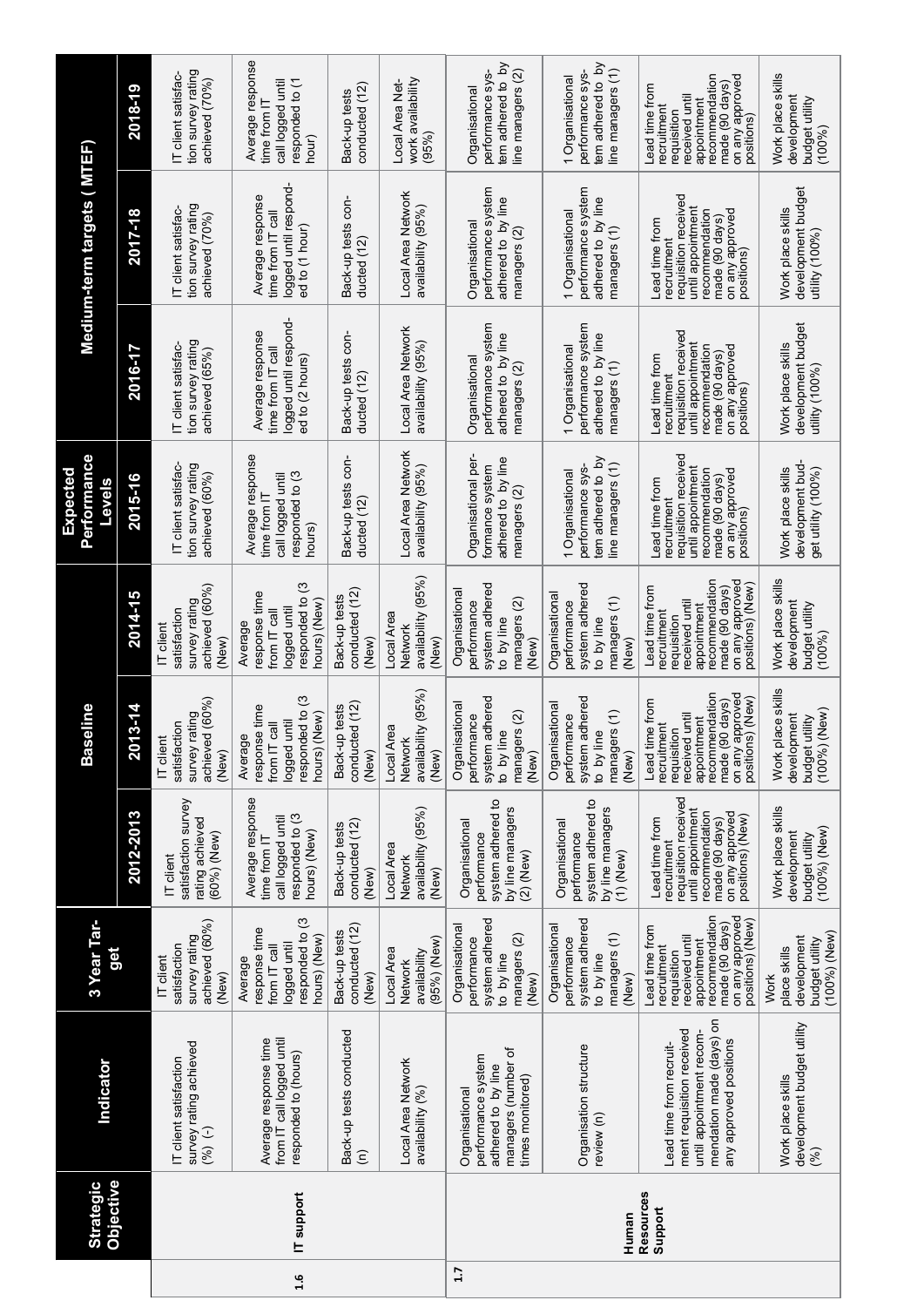|     | Objective<br><b>Strategic</b> | Indicator                                                                                                                              | 3 Year Tar-<br>get                                                                                                                                       |                                                                                                                                                       | seline<br>Bas                                                                                                                                             |                                                                                                                                                         | Performance<br>Expected<br>Levels                                                                                                              |                                                                                                                                                | Medium-term targets (MTEF                                                                                                                       |                                                                                                                                                       |
|-----|-------------------------------|----------------------------------------------------------------------------------------------------------------------------------------|----------------------------------------------------------------------------------------------------------------------------------------------------------|-------------------------------------------------------------------------------------------------------------------------------------------------------|-----------------------------------------------------------------------------------------------------------------------------------------------------------|---------------------------------------------------------------------------------------------------------------------------------------------------------|------------------------------------------------------------------------------------------------------------------------------------------------|------------------------------------------------------------------------------------------------------------------------------------------------|-------------------------------------------------------------------------------------------------------------------------------------------------|-------------------------------------------------------------------------------------------------------------------------------------------------------|
|     |                               |                                                                                                                                        |                                                                                                                                                          | 2012-2013                                                                                                                                             | 2013-14                                                                                                                                                   | 2014-15                                                                                                                                                 | 2015-16                                                                                                                                        | 2016-17                                                                                                                                        | 2017-18                                                                                                                                         | 2018-19                                                                                                                                               |
|     |                               | survey rating achieved<br>IT client satisfaction<br>$(-)$ (%)                                                                          | achieved (60%)<br>survey rating<br>satisfaction<br>IT client<br>(New)                                                                                    | satisfaction survey<br>rating achieved<br>(60%) (New)<br>IT client                                                                                    | achieved (60%)<br>survey rating<br>satisfaction<br>IT client<br>(New)                                                                                     | achieved (60%)<br>survey rating<br>satistaction<br>IT client<br>(New)                                                                                   | IT client satisfac-<br>tion survey rating<br>achieved (60%)                                                                                    | tion survey rating<br>IT client satisfac-<br>achieved (65%)                                                                                    | tion survey rating<br>IT client satisfac-<br>achieved (70%)                                                                                     | tion survey rating<br>IT client satisfac-<br>achieved (70%)                                                                                           |
| 1.6 | IT support                    | Average response time<br>from IT call logged until<br>responded to (hours)                                                             | responded to (3<br>response time<br>hours) (New)<br>logged until<br>from IT call<br>Average                                                              | Average response<br>responded to (3<br>call logged until<br>hours) (New)<br>time from IT                                                              | responded to (3<br>response time<br>(New)<br>logged until<br>$\overline{\overline{g}}$<br>Average<br>from IT<br>hours)                                    | responded to (3<br>response time<br>hours) (New)<br>logged until<br>from IT cal<br>Average                                                              | Average response<br>responded to (3<br>call logged until<br>time trom I<br>hours                                                               | logged until respond-<br>Average response<br>time from IT call<br>ed to (2 hours)                                                              | logged until respond-<br>Average response<br>time from IT call<br>ed to (1 hour)                                                                | Average response<br>responded to (1<br>call logged until<br>time from I<br>hour)                                                                      |
|     |                               | Back-up tests conducted<br>$\widehat{\epsilon}$                                                                                        | conducted (12)<br>Back-up tests<br>(New)                                                                                                                 | conducted (12)<br>Back-up tests<br>(New)                                                                                                              | conducted (12)<br>Back-up tests<br>(New)                                                                                                                  | conducted (12)<br>Back-up tests<br>(New)                                                                                                                | Back-up tests con-<br>ducted (12)                                                                                                              | Back-up tests con-<br>ducted (12                                                                                                               | Back-up tests con-<br>ducted (12)                                                                                                               | conducted (12)<br>Back-up tests                                                                                                                       |
|     |                               | Local Area Network<br>availability (%)                                                                                                 | (95%) (New)<br>Local Area<br>availability<br>Network                                                                                                     | availability (95%)<br>Local Area<br>Network<br>(New)                                                                                                  | availability (95%)<br>Local Area<br>Networ<br>(New)                                                                                                       | availability (95%)<br>Local Area<br>Networl<br>(New)                                                                                                    | Local Area Network<br>availability (95%)                                                                                                       | Local Area Network<br>availability (95%)                                                                                                       | Local Area Network<br>availability (95%)                                                                                                        | work availability<br>Local Area Net-<br>(95%)                                                                                                         |
| 1.7 |                               | managers (number of<br>performance system<br>adhered to by line<br>times monitored)<br>Organisational                                  | system adhered<br>Organisational<br>managers (2)<br>performance<br>to by line<br>(New)                                                                   | system adhered to<br>by line managers<br>Organisational<br>performance<br>$(2)$ (New)                                                                 | system adhered<br>Organisational<br>managers (2)<br>performance<br>to by line<br>(New)                                                                    | system adhered<br>Organisationa<br>managers (2)<br>performance<br>to by line<br>(New)                                                                   | Organisational per-<br>adhered to by line<br>formance system<br>managers (2)                                                                   | performance system<br>adhered to by line<br>Organisational<br>managers (2)                                                                     | performance system<br>adhered to by line<br>Organisational<br>managers (2)                                                                      | tem adhered to by<br>performance sys-<br>line managers (2)<br>Organisational                                                                          |
|     | Human                         | Organisation structure<br>review (n)                                                                                                   | system adhered<br>Organisational<br>managers (1)<br>performance<br>to by line<br>(New)                                                                   | system adhered to<br>by line managers<br>Organisational<br>performance<br>$(1)$ (New)                                                                 | system adhered<br>Organisational<br>managers (1)<br>performance<br>to by line<br>(New)                                                                    | system adhered<br>Organisational<br>managers (1)<br>performance<br>by line<br>New)<br>$\overline{a}$                                                    | tem adhered to by<br>line managers (1)<br>performance sys-<br>1 Organisational                                                                 | performance system<br>adhered to by line<br>1 Organisationa<br>managers (1)                                                                    | performance system<br>adhered to by line<br>1 Organisational<br>managers (1)                                                                    | tem adhered to by<br>line managers (1)<br>performance sys-<br>1 Organisational                                                                        |
|     | Resources<br>Support          | mendation made (days) on<br>ment requisition received<br>until appointment recom-<br>any approved positions<br>Lead time from recruit- | recommendation<br>pevoudde kue uo<br>positions) (New)<br>made (90 days)<br>Lead time from<br>received until<br>appointment<br>recruitment<br>requisition | requisition received<br>until appointment<br>recommendation<br>on any approved<br>positions) (New)<br>Lead time from<br>made (90 days)<br>recruitment | recommendation<br>approved<br>positions) (New<br>Lead time from<br>made (90 days)<br>received until<br>appointmen<br>recruitment<br>requisition<br>on any | on any approved<br>recommendation<br>positions) (New<br>Lead time from<br>made (90 days)<br>received until<br>appointment<br>recruitment<br>requisition | requisition received<br>until appointment<br>recommendation<br>penoudde Kue uo<br>made (90 days)<br>Lead time from<br>recruitment<br>positions | requisition received<br>until appointment<br>recommendation<br>penoudde Kue uo<br>made (90 days)<br>Lead time from<br>recruitment<br>positions | requisition received<br>until appointment<br>recommendation<br>on any approved<br>made (90 days)<br>Lead time from<br>recruitment<br>positions) | recommendation<br>penoudde <i>hi</i> e uo<br>Lead time from<br>made (90 days<br>received until<br>recruitment<br>appointmen<br>reausiton<br>positions |
|     |                               | development budget utility<br>Work place skills<br>(%)                                                                                 | $(100\%)$ (New)<br>development<br>budget utility<br>place skills<br><b>Work</b>                                                                          | Work place skills<br>$(100\%)$ (New)<br>development<br>budget utility                                                                                 | Work place skills<br>(New)<br>development<br>budget utility<br>(100%                                                                                      | Work place skills<br>development<br>budget utility<br>(100%                                                                                             | development bud<br>Work place skills<br>get utility (100%)                                                                                     | development budget<br>Work place skills<br>utility (100%)                                                                                      | development budget<br>Work place skills<br>utility (100%)                                                                                       | Work place skills<br>development<br>budget utility<br>(100%)                                                                                          |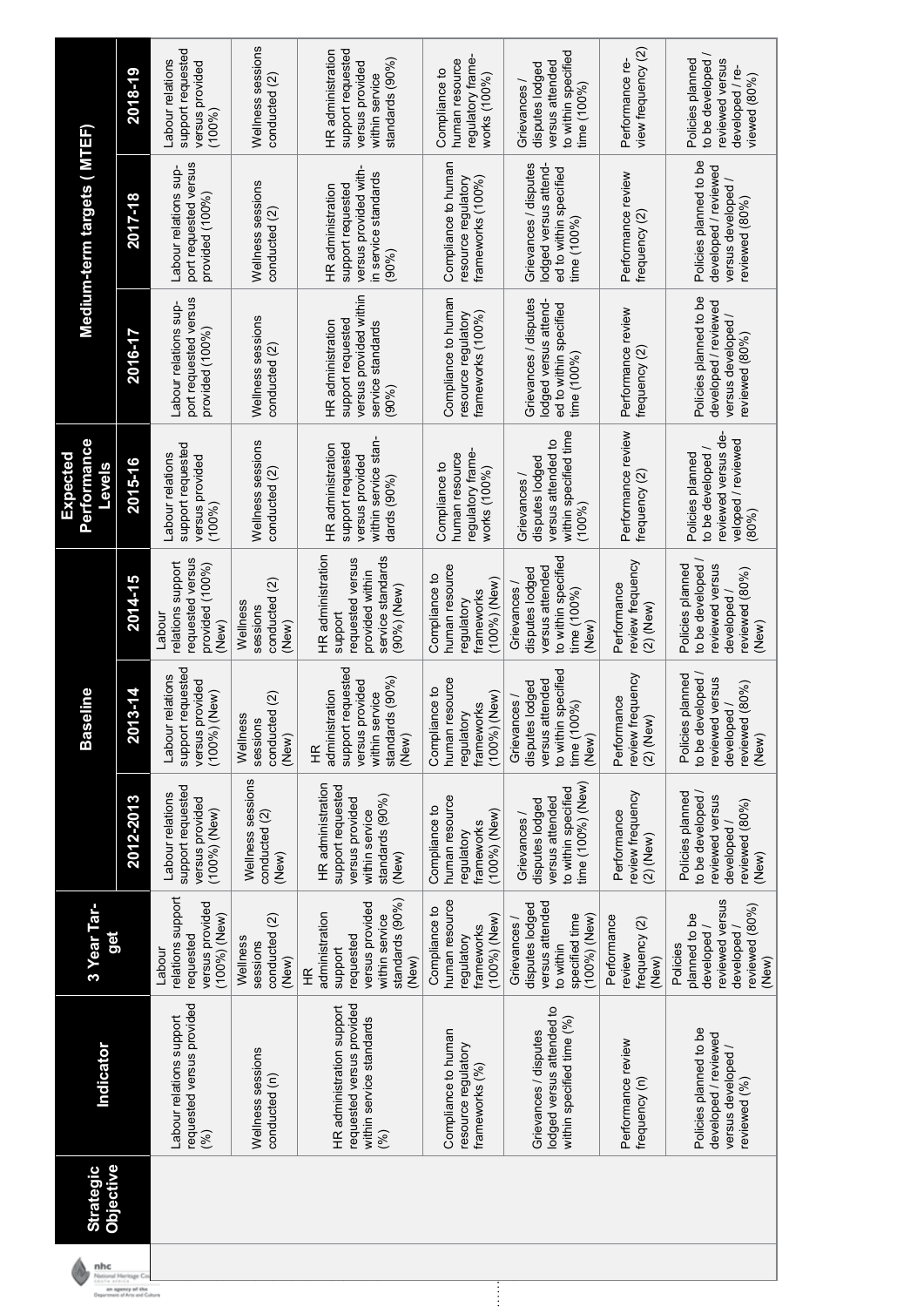| nhc                                   | <b>Objective</b><br><b>Strategic</b> | Indicator                                                                                 | 3 Year Tar-<br>get                                                                                           |                                                                                                         | seline<br>Bã                                                                                                                           |                                                                                                           | <b>Performance</b><br>Expected<br><b>Pevels</b>                                                    |                                                                                                   | Medium-term targets ( MTEF)                                                                     |                                                                                                |
|---------------------------------------|--------------------------------------|-------------------------------------------------------------------------------------------|--------------------------------------------------------------------------------------------------------------|---------------------------------------------------------------------------------------------------------|----------------------------------------------------------------------------------------------------------------------------------------|-----------------------------------------------------------------------------------------------------------|----------------------------------------------------------------------------------------------------|---------------------------------------------------------------------------------------------------|-------------------------------------------------------------------------------------------------|------------------------------------------------------------------------------------------------|
| National Heritage C<br>1911 - Article |                                      |                                                                                           |                                                                                                              | 2012-2013                                                                                               | 2013-14                                                                                                                                | 2014-15                                                                                                   | 2015-16                                                                                            | 2016-17                                                                                           | 2017-18                                                                                         | 2018-19                                                                                        |
|                                       |                                      | requested versus provided<br>Labour relations support<br>$(\%)$                           | relations support<br>versus provided<br>(100%) (New)<br>requested<br>Labour                                  | support requested<br>Labour relations<br>versus provided<br>(100%)(New)                                 | support requested<br>Labour relations<br>provided<br>(100%) (New)<br>versus                                                            | requested versus<br>elations support<br>provided (100%)<br>Labou<br>(New)                                 | support requested<br>Labour relations<br>versus provided<br>(100%)                                 | port requested versus<br>Labour relations sup-<br>provided $(100\%)$                              | port requested versus<br>Labour relations sup-<br>provided (100%)                               | support requested<br>Labour relations<br>versus provided<br>(100%                              |
|                                       |                                      | Wellness sessions<br>conducted (n)                                                        | conducted (2)<br>Wellness<br>sessions<br>(New)                                                               | Wellness sessions<br>conducted (2)<br>(New)                                                             | conducted (2)<br>Wellness<br>sessions<br>(New)                                                                                         | conducted (2)<br>Wellness<br>sessions<br>(New)                                                            | Wellness sessions<br>conducted (2)                                                                 | Wellness sessions<br>conducted (2)                                                                | Wellness sessions<br>conducted (2)                                                              | Wellness sessions<br>conducted (2)                                                             |
|                                       |                                      | requested versus provided<br>HR administration support<br>within service standards<br>(%) | standards (90%)<br>versus provided<br>administration<br>within service<br>requested<br>support<br>(New)<br>壬 | HR administration<br>support requested<br>standards (90%)<br>versus provided<br>within service<br>(New) | support requested<br>standards $(90\%)$<br>provided<br>administration<br>within service<br>versus<br>(New)<br>$\widetilde{\mathbf{H}}$ | HR administration<br>service standards<br>reauested<br>versus<br>provided within<br>(90%) (New)<br>suppor | within service stan<br>support requested<br>HR administration<br>versus provided<br>dards $(90\%)$ | versus provided within<br>support requested<br>HR administration<br>service standards<br>$(90\%)$ | versus provided with<br>in service standards<br>support requested<br>HR administration<br>(90%) | support requested<br>HR administration<br>standards (90%)<br>versus provided<br>within service |
| $\vdots$                              |                                      | Compliance to human<br>resource regulatory<br>frameworks (%)                              | human resource<br>Compliance to<br>$(100\%)$ (New)<br>frameworks<br>regulatory                               | human resource<br>Compliance to<br>$(100%)$ (New)<br>frameworks<br>regulatory                           | <b>I</b> resource<br>Compliance to<br>$(100\%)$ (New)<br>frameworks<br>regulatory<br>humar                                             | human resource<br>Compliance to<br>(100%) (New)<br>trameworks<br>regulatory                               | regulatory frame<br>human resource<br>Compliance to<br>works (100%)                                | Compliance to humar<br>frameworks (100%)<br>resource regulatory                                   | Compliance to humar<br>resource regulatory<br>frameworks (100%)                                 | regulatory frame-<br>human resource<br>Compliance to<br>works (100%)                           |
|                                       |                                      | lodged versus attended to<br>within specified time (%)<br>Grievances / disputes           | versus attended<br>disputes lodged<br>specified time<br>$(100\%)$ (New)<br>Grievances /<br>to within         | time (100%) (New)<br>to within specified<br>versus attended<br>disputes lodged<br>Grievances /          | in specified<br>disputes lodged<br>attended<br>Grievances /<br>00%)<br>versus<br>to withi<br>time(1)<br>(New)                          | to within specified<br>versus attended<br>disputes lodged<br>Grievances /<br>time (100%)<br>(New)         | within specified time<br>versus attended to<br>disputes lodged<br>Grievances /<br>$(100\%)$        | Grievances / disputes<br>lodged versus attend<br>ed to within specified<br>time $(100\%$          | Grievances / disputes<br>lodged versus attend<br>ed to within specified<br>time (100%)          | to within specified<br>versus attended<br>disputes lodged<br>Grievances<br>$time(100\%)$       |
|                                       |                                      | Performance review<br>frequency (n)                                                       | Performance<br>frequency (2)<br>review<br>(New)                                                              | review frequency<br>Performance<br>$(2)$ (New)                                                          | frequency<br>Performance<br>$(2)$ (New)<br>review                                                                                      | review frequency<br>Performance<br>$(2)$ (New)                                                            | Performance review<br>frequency (2)                                                                | Performance review<br>frequency (2)                                                               | Performance review<br>trequency (2)                                                             | view frequency (2)<br>Performance re-                                                          |
|                                       |                                      | Policies planned to be<br>developed / reviewed<br>versus developed /<br>reviewed (%)      | reviewed versus<br>reviewed (80%)<br>planned to be<br>developed /<br>developed/<br>Policies<br>(New)         | to be developed /<br>Policies planned<br>reviewed versus<br>reviewed (80%)<br>developed /<br>(New)      | Policies planned<br>to be developed<br>reviewed versus<br>reviewed (80%)<br>developed<br>(New)                                         | to be developed /<br>Policies planned<br>reviewed versus<br>reviewed (80%)<br>developed<br>(New           | reviewed versus de-<br>veloped / reviewed<br>to be developed /<br>Policies planned<br>(80%         | Policies planned to be<br>developed / reviewed<br>versus developed /<br>reviewed (80%)            | Policies planned to be<br>developed / reviewed<br>versus developed /<br>reviewed (80%)          | to be developed /<br>Policies planned<br>reviewed versus<br>developed / re-<br>viewed $(80\%)$ |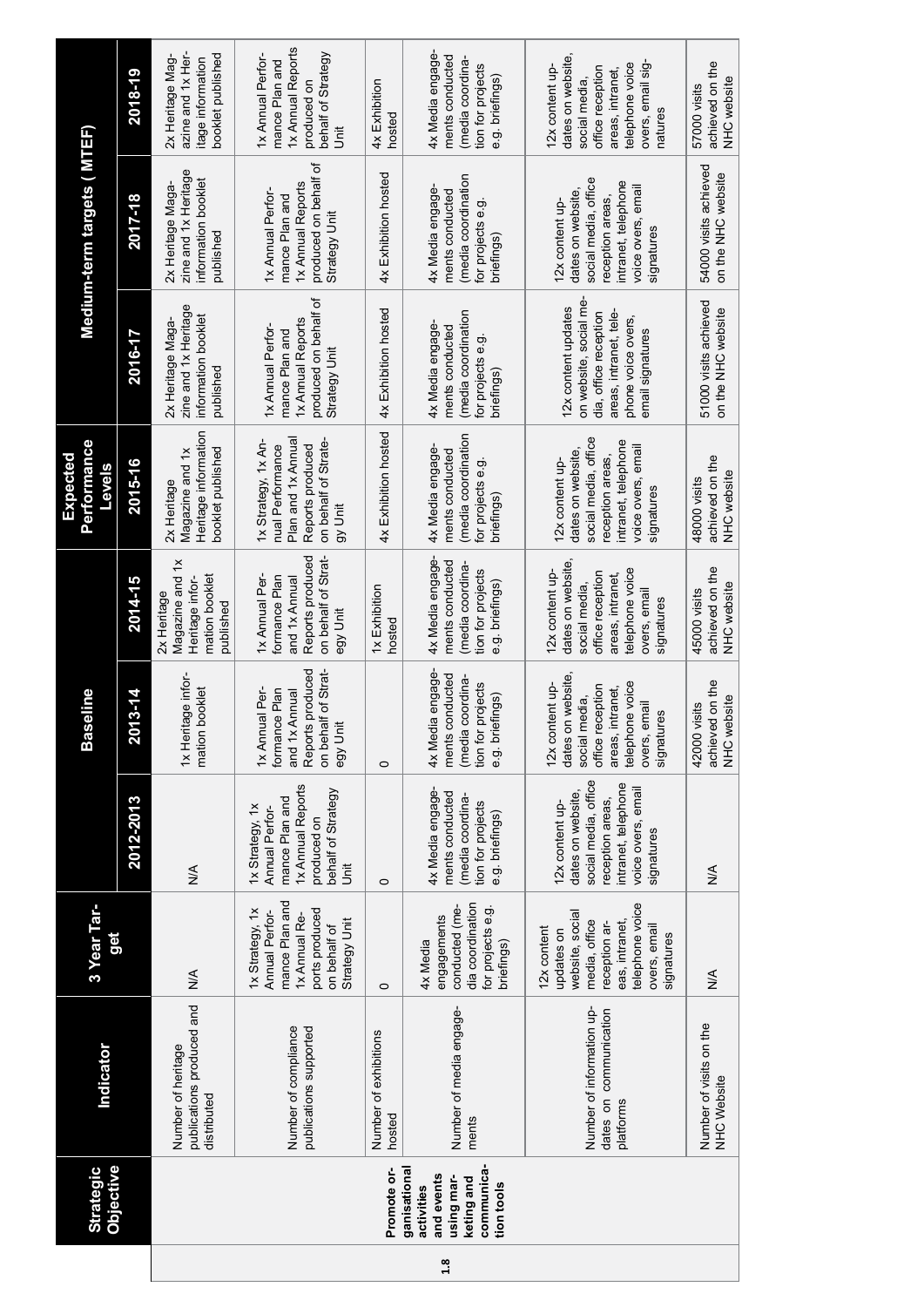|     | <b>Objective</b><br><b>Strategic</b>                                                             | Indicator                                                        | 3 Year Tar-<br>ğ                                                                                                                                  |                                                                                                                                             | <b>Baseline</b>                                                                                                                               |                                                                                                                                              | <b>Performance</b><br>Expected<br><b>Levels</b>                                                                                             |                                                                                                                                            | Medium-term targets ( MTEF)                                                                                                                 |                                                                                                                                                 |
|-----|--------------------------------------------------------------------------------------------------|------------------------------------------------------------------|---------------------------------------------------------------------------------------------------------------------------------------------------|---------------------------------------------------------------------------------------------------------------------------------------------|-----------------------------------------------------------------------------------------------------------------------------------------------|----------------------------------------------------------------------------------------------------------------------------------------------|---------------------------------------------------------------------------------------------------------------------------------------------|--------------------------------------------------------------------------------------------------------------------------------------------|---------------------------------------------------------------------------------------------------------------------------------------------|-------------------------------------------------------------------------------------------------------------------------------------------------|
|     |                                                                                                  |                                                                  |                                                                                                                                                   | 2012-2013                                                                                                                                   | 2013-14                                                                                                                                       | 2014-15                                                                                                                                      | 2015-16                                                                                                                                     | 2016-17                                                                                                                                    | 2017-18                                                                                                                                     | 2018-19                                                                                                                                         |
|     |                                                                                                  | publications produced and<br>Number of heritage<br>distributed   | $\frac{4}{5}$                                                                                                                                     | $\frac{4}{5}$                                                                                                                               | 1x Heritage infor-<br>mation booklet                                                                                                          | Magazine and 1x<br>mation booklet<br>Heritage infor-<br>2x Heritage<br>publishec                                                             | Heritage information<br>booklet published<br>Magazine and 1x<br>2x Heritage                                                                 | zine and 1x Heritage<br>information booklet<br>2x Heritage Maga-<br>published                                                              | zine and 1x Heritage<br>information booklet<br>2x Heritage Maga-<br>published                                                               | azine and 1x Her-<br>booklet published<br>2x Heritage Mag-<br>itage information                                                                 |
|     |                                                                                                  | Number of compliance<br>publications supported                   | mance Plan and<br>1x Strategy, 1x<br>ports produced<br>Annual Perfor-<br>1x Annual Re-<br>Strategy Unit<br>on behalf of                           | 1x Annual Reports<br>behalf of Strategy<br>mance Plan and<br>1x Strategy, 1x<br>Annual Perfor-<br>produced on<br>jit                        | Reports produced<br>on behalf of Strat<br>1x Annual Per-<br>formance Plan<br>and 1x Annual<br>egy Unit                                        | Reports produced<br>on behalf of Strat<br>1x Annual Per-<br>formance Plan<br>and 1x Annual<br>egy Unit                                       | Plan and 1x Annual<br>1x Strategy, 1x An-<br>on behalf of Strate-<br>Reports produced<br>nual Performance<br>gy Unit                        | produced on behalf of<br>1x Annual Reports<br>1x Annual Perfor-<br>mance Plan and<br>Strategy Unit                                         | produced on behalf of<br>1x Annual Reports<br>1x Annual Perfor-<br>mance Plan and<br>Strategy Unit                                          | 1x Annual Reports<br>1x Annual Perfor-<br>behalf of Strategy<br>mance Plan and<br>produced on<br>š                                              |
|     | Promote or-                                                                                      | Number of exhibitions<br>hosted                                  | $\circ$                                                                                                                                           | $\circ$                                                                                                                                     | $\circ$                                                                                                                                       | 1x Exhibition<br>hosted                                                                                                                      | 4x Exhibition hosted                                                                                                                        | 4x Exhibition hosted                                                                                                                       | 4x Exhibition hosted                                                                                                                        | 4x Exhibition<br>hosted                                                                                                                         |
| 1.8 | communica-<br>ganisational<br>and events<br>using mar-<br>keting and<br>tion tools<br>activities | Number of media engage-<br>ments                                 | dia coordination<br>conducted (me-<br>for projects e.g.<br>engagements<br>briefings)<br>4x Media                                                  | 4x Media engage-<br>ments conducted<br>(media coordina-<br>tion for projects<br>e.g. briefings)                                             | 4x Media engage-<br>ments conducted<br>(media coordina-<br>tion for projects<br>e.g. briefings)                                               | 4x Media engage-<br>ments conducted<br>(media coordina-<br>tion for projects<br>e.g. briefings)                                              | (media coordinatior<br>4x Media engage-<br>ments conducted<br>for projects e.g.<br>brietings                                                | (media coordination<br>4x Media engage-<br>ments conducted<br>for projects e.g.<br>briefings)                                              | (media coordination<br>4x Media engage-<br>ments conducted<br>for projects e.g.<br><b>brietings</b>                                         | 4x Media engage-<br>ments conducted<br>(media coordina-<br>tion for projects<br>e.g. briefings)                                                 |
|     |                                                                                                  | Number of information up-<br>dates on communication<br>platforms | telephone voice<br>website, social<br>media, office<br>eas, intranet,<br>reception ar-<br>overs, email<br>12x content<br>updates on<br>signatures | social media, office<br>intranet, telephone<br>voice overs, email<br>dates on website,<br>reception areas,<br>12x content up-<br>signatures | dates on website<br>telephone voice<br>12x content up-<br>office reception<br>areas, intranet,<br>social media,<br>overs, email<br>signatures | dates on website<br>telephone voice<br>12x content up-<br>office reception<br>areas, intranet,<br>social media<br>overs, email<br>signatures | social media, office<br>intranet, telephone<br>voice overs, email<br>dates on website.<br>reception areas.<br>12x content up-<br>signatures | on website, social me-<br>12x content updates<br>dia, office reception<br>areas, intranet, tele-<br>phone voice overs,<br>email signatures | social media, office<br>intranet, telephone<br>voice overs, email<br>dates on website.<br>reception areas,<br>12x content up-<br>signatures | dates on website,<br>overs, email sig-<br>telephone voice<br>12x content up-<br>office reception<br>areas, intranet,<br>social media<br>natures |
|     |                                                                                                  | Number of visits on the<br><b>NHC Website</b>                    | $\frac{1}{2}$                                                                                                                                     | $\frac{8}{2}$                                                                                                                               | achieved on the<br>NHC website<br>42000 visits                                                                                                | achieved on the<br>NHC website<br>45000 visits                                                                                               | achieved on the<br>NHC website<br>48000 visits                                                                                              | 51000 visits achieved<br>on the NHC website                                                                                                | 54000 visits achieved<br>on the NHC website                                                                                                 | achieved on the<br>NHC website<br>57000 visits                                                                                                  |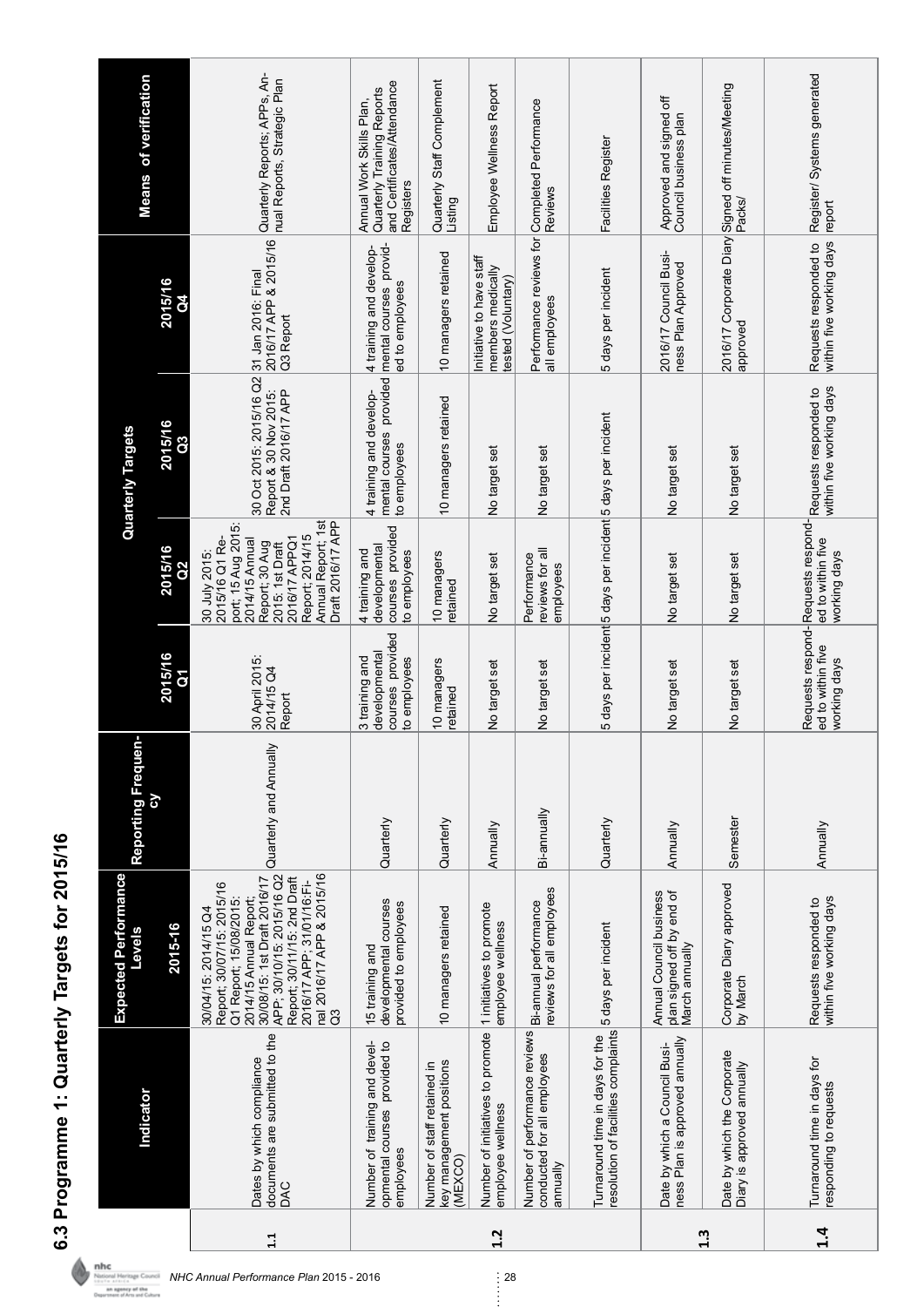|           | Indicator                                                                       | <b>Expected Performance</b><br>Levels                                                                                                                                                                                                                           | Reporting Frequen-     |                                                                     |                                                                                                                                                                                             | <b>Quarterly Targets</b>                                                             |                                                                      | <b>Means of verification</b>                                                                       |
|-----------|---------------------------------------------------------------------------------|-----------------------------------------------------------------------------------------------------------------------------------------------------------------------------------------------------------------------------------------------------------------|------------------------|---------------------------------------------------------------------|---------------------------------------------------------------------------------------------------------------------------------------------------------------------------------------------|--------------------------------------------------------------------------------------|----------------------------------------------------------------------|----------------------------------------------------------------------------------------------------|
|           |                                                                                 | 2015-16                                                                                                                                                                                                                                                         |                        | 2015/16<br>$\overline{\delta}$                                      | 2015/16<br>$\frac{2}{3}$                                                                                                                                                                    | 2015/16<br>$\overline{a}$                                                            | 2015/16<br>3                                                         |                                                                                                    |
| 1.1       | documents are submitted to the<br>Dates by which compliance<br>DAC              | 30/08/15: 1st Draft 2016/17<br>APP; 30/10/15: 2015/16 Q2<br>nal 2016/17 APP & 2015/16<br>Report; 30/11/15: 2nd Draft<br>2016/17 APP; 31/01/16:Fi-<br>Report; 30/07/15: 2015/16<br>2014/15 Annual Report;<br>Q1 Report; 15/08/2015:<br>30/04/15: 2014/15 Q4<br>G | Quarterly and Annually | 30 April 2015:<br>2014/15 Q4<br>Report                              | Annual Report; 1st<br>Draft 2016/17 APP<br>port; 15 Aug 2015:<br>Report; 2014/15<br>2015/16 Q1 Re-<br>2016/17 APPQ1<br>2014/15 Annual<br>Report; 30 Aug<br>2015: 1st Draft<br>30 July 2015: | 30 Oct 2015: 2015/16 Q2<br>Report & 30 Nov 2015:<br>2nd Draft 2016/17 APP            | 2016/17 APP & 2015/16<br>31 Jan 2016: Final<br>Q <sub>3</sub> Report | Quarterly Reports; APPs, An-<br>nual Reports, Strategic Plan                                       |
|           | Number of training and devel-<br>opmental courses provided to<br>employees      | developmental courses<br>provided to employees<br>15 training and                                                                                                                                                                                               | Quarterly              | courses provided<br>developmental<br>3 training and<br>to employees | courses provided<br>developmental<br>to employees<br>4 training and                                                                                                                         | mental courses provided<br>4 training and develop-<br>to employees                   | mental courses provid-<br>4 training and develop-<br>ed to employees | and Certificates/Attendance<br>Quarterly Training Reports<br>Annual Work Skills Plan,<br>Registers |
|           | key management positions<br>Number of staff retained in<br>(MEXCO)              | 10 managers retained                                                                                                                                                                                                                                            | Quarterly              | 10 managers<br>retained                                             | 10 managers<br>retained                                                                                                                                                                     | 10 managers retained                                                                 | 10 managers retained                                                 | Quarterly Staff Complement<br>Listing                                                              |
| 1.2       | Number of initiatives to promote  1 initiatives to promote<br>employee wellness | employee wellness                                                                                                                                                                                                                                               | Annually               | No target set                                                       | No target set                                                                                                                                                                               | No target set                                                                        | Initiative to have staff<br>members medically<br>tested (Voluntary)  | Employee Wellness Report                                                                           |
|           | Number of performance reviews<br>conducted for all employees<br>annually        | reviews for all employees<br>Bi-annual performance                                                                                                                                                                                                              | Bi-annually            | No target set                                                       | reviews for all<br>Performance<br>employees                                                                                                                                                 | No target set                                                                        | all employees                                                        | Performance reviews for Completed Performance<br>Reviews                                           |
|           | resolution of facilities complaints<br>Turnaround time in days for the          | 5 days per incident                                                                                                                                                                                                                                             | Quarterly              |                                                                     | 5 days per incident 5 days per incident 5 days per incident                                                                                                                                 |                                                                                      | 5 days per incident                                                  | Facilities Register                                                                                |
|           | ness Plan is approved annually<br>Date by which a Council Busi-                 | Annual Council business<br>plan signed off by end of<br>March annually                                                                                                                                                                                          | Annually               | No target set                                                       | No target set                                                                                                                                                                               | No target set                                                                        | 2016/17 Council Busi-<br>ness Plan Approved                          | Approved and signed off<br>Council business plan                                                   |
| 1.3       | Date by which the Corporate<br>Diary is approved annually                       | Corporate Diary approved<br>by March                                                                                                                                                                                                                            | Semester               | No target set                                                       | No target set                                                                                                                                                                               | No target set                                                                        | approved                                                             | 2016/17 Corporate Diary Signed off minutes/Meeting<br>Packs/                                       |
| $\dot{a}$ | Turnaround time in days for<br>responding to requests                           | within five working days<br>Requests responded to                                                                                                                                                                                                               | Annually               | ed to within five<br>working days                                   | ed to within five<br>working days                                                                                                                                                           | within five working days<br>Requests respond-Requests respond- Requests responded to | within five working days<br>Requests responded to                    | Register/ Systems generated<br>report                                                              |

6.3 Programme 1: Quarterly Targets for 2015/16 **6.3 Programme 1: Quarterly Targets for 2015/16**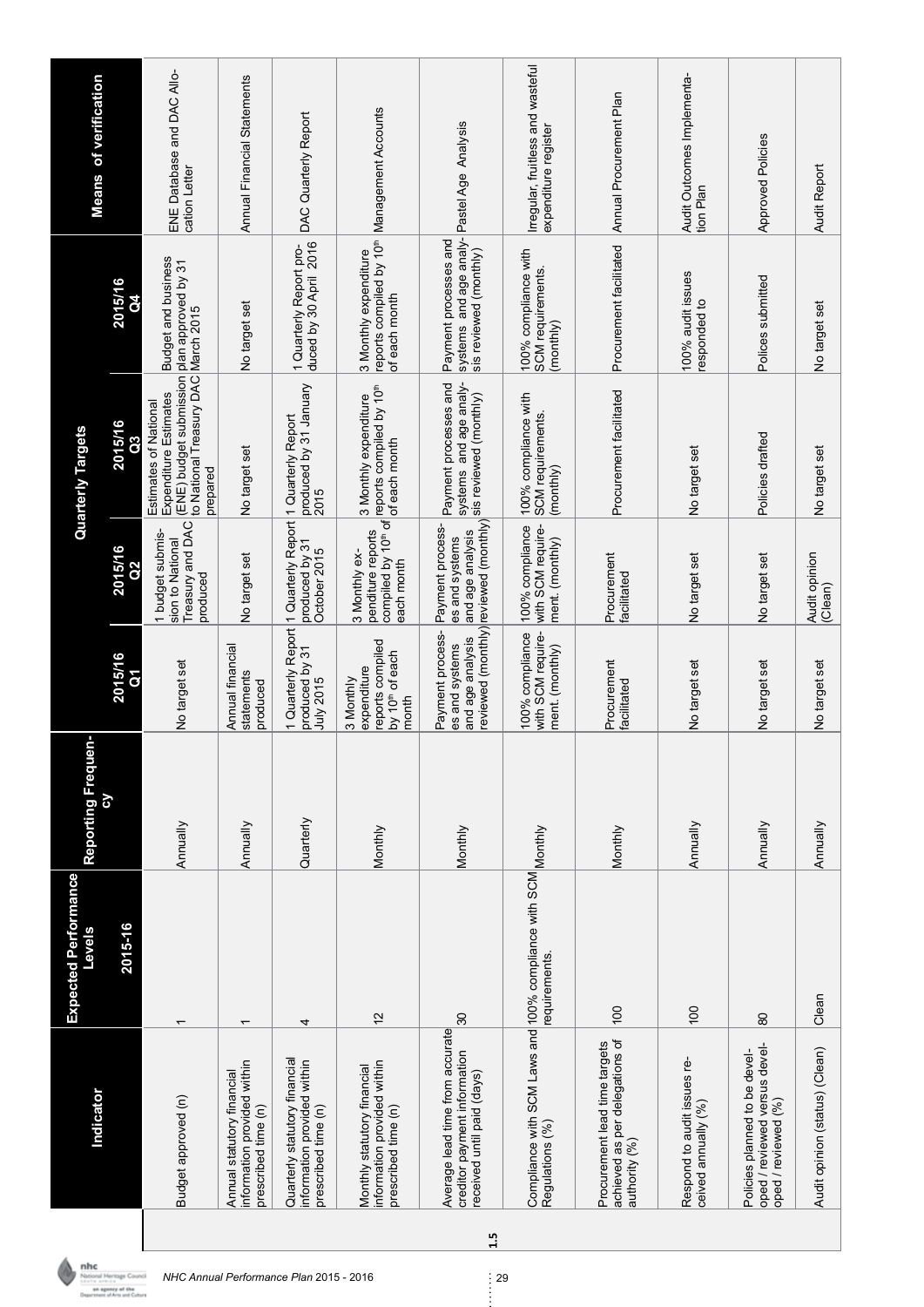|     | <b>Indicator</b>                                                                              | <b>Expected Performance</b><br><b>Levels</b> | Reporting Frequen-<br>δ |                                                                                      |                                                                                                 | Quarterly Targets                                                                                                 |                                                                                                    | <b>Means</b> of verification                              |
|-----|-----------------------------------------------------------------------------------------------|----------------------------------------------|-------------------------|--------------------------------------------------------------------------------------|-------------------------------------------------------------------------------------------------|-------------------------------------------------------------------------------------------------------------------|----------------------------------------------------------------------------------------------------|-----------------------------------------------------------|
|     |                                                                                               | 2015-16                                      |                         | 2015/16                                                                              | 2015/16                                                                                         | 2015/16                                                                                                           | 2015/16                                                                                            |                                                           |
|     | Budget approved (n)                                                                           |                                              | Annually                | No target set                                                                        | Treasury and DAC<br>1 budget submis-<br>sion to National<br>produced                            | to National Treasury DAC<br>(ENE) budget submission<br>Expenditure Estimates<br>Estimates of National<br>prepared | <b>Budget and business</b><br>plan approved by 31<br>March 2015                                    | ENE Database and DAC Allo-<br>cation Letter               |
|     | information provided within<br>Annual statutory financial<br>prescribed time (n)              | $\overline{\phantom{0}}$                     | Annually                | Annual financial<br>statements<br>produced                                           | No target set                                                                                   | No target set                                                                                                     | No target set                                                                                      | Annual Financial Statements                               |
|     | Quarterly statutory financial<br>information provided within<br>prescribed time (n)           | 4                                            | Quarterly               | produced by 31<br>July 2015                                                          | 1 Quarterly Report   1 Quarterly Report   1 Quarterly Report<br>produced by 31<br>October 2015  | produced by 31 January<br>2015                                                                                    | duced by 30 April 2016<br>1 Quarterly Report pro-                                                  | DAC Quarterly Report                                      |
|     | information provided within<br>Monthly statutory financial<br>prescribed time (n)             | 12                                           | Monthly                 | reports compiled<br>by 10 <sup>th</sup> of each<br>expenditure<br>3 Monthly<br>month | penditure reports<br>3 Monthly ex-<br>each month                                                | compiled by 10th of ceports compiled by 10th<br>3 Monthly expenditure<br>of each month                            | reports compiled by 10 <sup>th</sup> Management Accounts<br>3 Monthly expenditure<br>of each month |                                                           |
| 1.5 | Average lead time from accurate<br>creditor payment information<br>received until paid (days) | $\overline{30}$                              | Monthly                 | Payment process-<br>and age analysis<br>es and systems                               | reviewed (monthly) reviewed (monthly)<br>Payment process-<br>and age analysis<br>es and systems | systems and age analy-<br>Payment processes and<br>sis reviewed (monthly)                                         | systems and age analy-Pastel Age Analysis<br>Payment processes and<br>sis reviewed (monthly)       |                                                           |
|     | Compliance with SCM Laws and 100% compliance with SCM Monthly<br>Regulations (%)              | requirements.                                |                         | with SCM require-<br>100% compliance<br>ment. (monthly)                              | with SCM require-<br>100% compliance<br>ment. (monthly)                                         | 100% compliance with<br>SCM requirements.<br>(monthly)                                                            | 100% compliance with<br>SCM requirements.<br>(monthly)                                             | Irregular, fruitless and wasteful<br>expenditure register |
|     | achieved as per delegations of<br>Procurement lead time targets<br>authority (%)              | 100                                          | Monthly                 | Procurement<br>facilitated                                                           | Procurement<br>facilitated                                                                      | Procurement facilitated                                                                                           | Procurement facilitated                                                                            | Annual Procurement Plan                                   |
|     | Respond to audit issues re-<br>ceived annually (%)                                            | 100                                          | Annually                | No target set                                                                        | No target set                                                                                   | No target set                                                                                                     | 100% audit issues<br>responded to                                                                  | Audit Outcomes Implementa-<br>tion Plan                   |
|     | oped / reviewed versus devel-<br>Policies planned to be devel-<br>oped / reviewed (%)         | $\frac{8}{2}$                                | Annually                | No target set                                                                        | No target set                                                                                   | Policies drafted                                                                                                  | Polices submitted                                                                                  | <b>Approved Policies</b>                                  |
|     | Audit opinion (status) (Clean)                                                                | Clean                                        | Annually                | No target set                                                                        | Audit opinion<br>(Clean)                                                                        | No target set                                                                                                     | No target set                                                                                      | Audit Report                                              |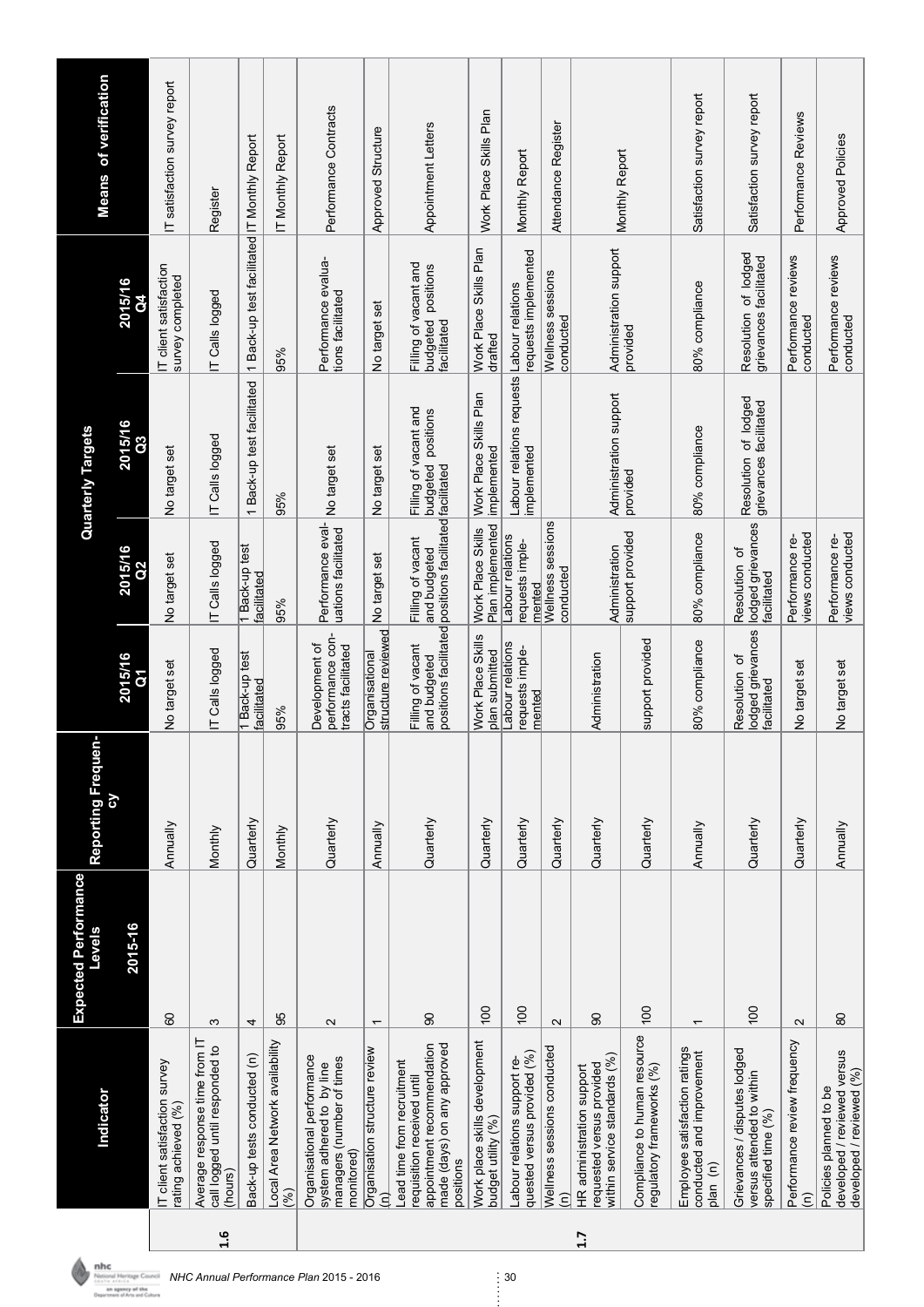|     |                                                                                                                                    | <b>Expected Performance</b> |                    |                                                          |                                                                                              |                                                |                                                            |                               |
|-----|------------------------------------------------------------------------------------------------------------------------------------|-----------------------------|--------------------|----------------------------------------------------------|----------------------------------------------------------------------------------------------|------------------------------------------------|------------------------------------------------------------|-------------------------------|
|     | Indicator                                                                                                                          | Levels                      | Reporting Frequen- |                                                          |                                                                                              | <b>Quarterly Targets</b>                       |                                                            | <b>Means of verification</b>  |
|     |                                                                                                                                    | 2015-16                     |                    | 2015/16<br>δ                                             | 2015/16                                                                                      | 2015/16<br>ິວິ                                 | 2015/16                                                    |                               |
|     | T client satisfaction survey<br>rating achieved (%)                                                                                | 80                          | Annually           | No target set                                            | No target set                                                                                | No target set                                  | IT client satisfaction<br>survey completed                 | IT satisfaction survey report |
| 1.6 | Average response time from IT<br>call logged until responded to<br>(hours)                                                         | S                           | Monthly            | IT Calls logged                                          | IT Calls logged                                                                              | IT Calls logged                                | IT Calls logged                                            | Register                      |
|     | Back-up tests conducted (n)                                                                                                        | 4                           | Quarterly          | 1 Back-up test<br>facilitated                            | 1 Back-up test<br>facilitated                                                                | 1 Back-up test facilitated                     | 1 Back-up test facilitated IT Monthly Report               |                               |
|     | Local Area Network availability<br>(%)                                                                                             | 95                          | Monthly            | 95%                                                      | 95%                                                                                          | 95%                                            | 95%                                                        | IT Monthly Report             |
|     | Organisational performance<br>managers (number of times<br>system adhered to by line<br>monitored)                                 | 2                           | Quarterly          | performance con-<br>Development of<br>tracts facilitated | Performance eval-<br>uations facilitated                                                     | No target set                                  | Performance evalua-<br>tions facilitated                   | Performance Contracts         |
|     | Organisation structure review<br>Ξ                                                                                                 | $\overline{\phantom{0}}$    | Annually           | structure reviewed<br>Organisational                     | No target set                                                                                | No target set                                  | No target set                                              | Approved Structure            |
|     | appointment recommendation<br>made (days) on any approved<br>Lead time from recruitment<br>requisition received until<br>positions | $\overline{6}$              | Quarterly          | Filling of vacant<br>and budgeted                        | positions facilitated positions facilitated facilitated<br>Filling of vacant<br>and budgeted | Filling of vacant and<br>budgeted positions    | Filling of vacant and<br>budgeted positions<br>facilitated | Appointment Letters           |
|     | Work place skills development<br>budget utility (%)                                                                                | $\frac{100}{2}$             | Quarterly          | Work Place Skills<br>plan submitted                      | Plan implemented<br>Work Place Skills                                                        | Work Place Skills Plan<br>implemented          | Work Place Skills Plan<br>drafted                          | Work Place Skills Plan        |
|     | quested versus provided (%)<br>Labour relations support re-                                                                        | $\frac{00}{1}$              | Quarterly          | Labour relations<br>requests imple-<br>mented            | Labour relations<br>requests imple-<br>mented                                                | Labour relations requests<br>implemented       | requests implemented<br>Labour relations                   | Monthly Report                |
|     | Wellness sessions conducted<br>έ                                                                                                   | $\mathbf{\Omega}$           | Quarterly          |                                                          | Wellness sessions<br>conducted                                                               |                                                | Wellness sessions<br>conducted                             | Attendance Register           |
| 1.7 | within service standards (%)<br>requested versus provided<br>HR administration support                                             | 8                           | Quarterly          | Administration                                           | Administration                                                                               | Administration support                         | Administration support                                     | Monthly Report                |
|     | Compliance to human resource<br>regulatory frameworks (%)                                                                          | 100                         | Quarterly          | support provided                                         | support provided                                                                             | provided                                       | provided                                                   |                               |
|     | Employee satisfaction ratings<br>conducted and improvement<br>plan <sub>(n)</sub>                                                  |                             | Annually           | 80% compliance                                           | 80% compliance                                                                               | 80% compliance                                 | 80% compliance                                             | Satisfaction survey report    |
|     | Grievances / disputes lodged<br>versus attended to within<br>specified time (%)                                                    | 100                         | Quarterly          | lodged grievances<br>Resolution of<br>facilitated        | lodged grievances<br>Resolution of<br>acilitated                                             | Resolution of lodged<br>grievances facilitated | Resolution of lodged<br>grievances facilitated             | Satisfaction survey report    |
|     | Performance review frequency<br>$\widehat{\epsilon}$                                                                               | $\sim$                      | Quarterly          | No target set                                            | views conducted<br>Performance re-                                                           |                                                | Performance reviews<br>conducted                           | Performance Reviews           |
|     | developed / reviewed versus<br>developed / reviewed (%)<br>Policies planned to be                                                  | 80                          | Annually           | No target set                                            | views conducted<br>Performance re-                                                           |                                                | Performance reviews<br>conducted                           | <b>Approved Policies</b>      |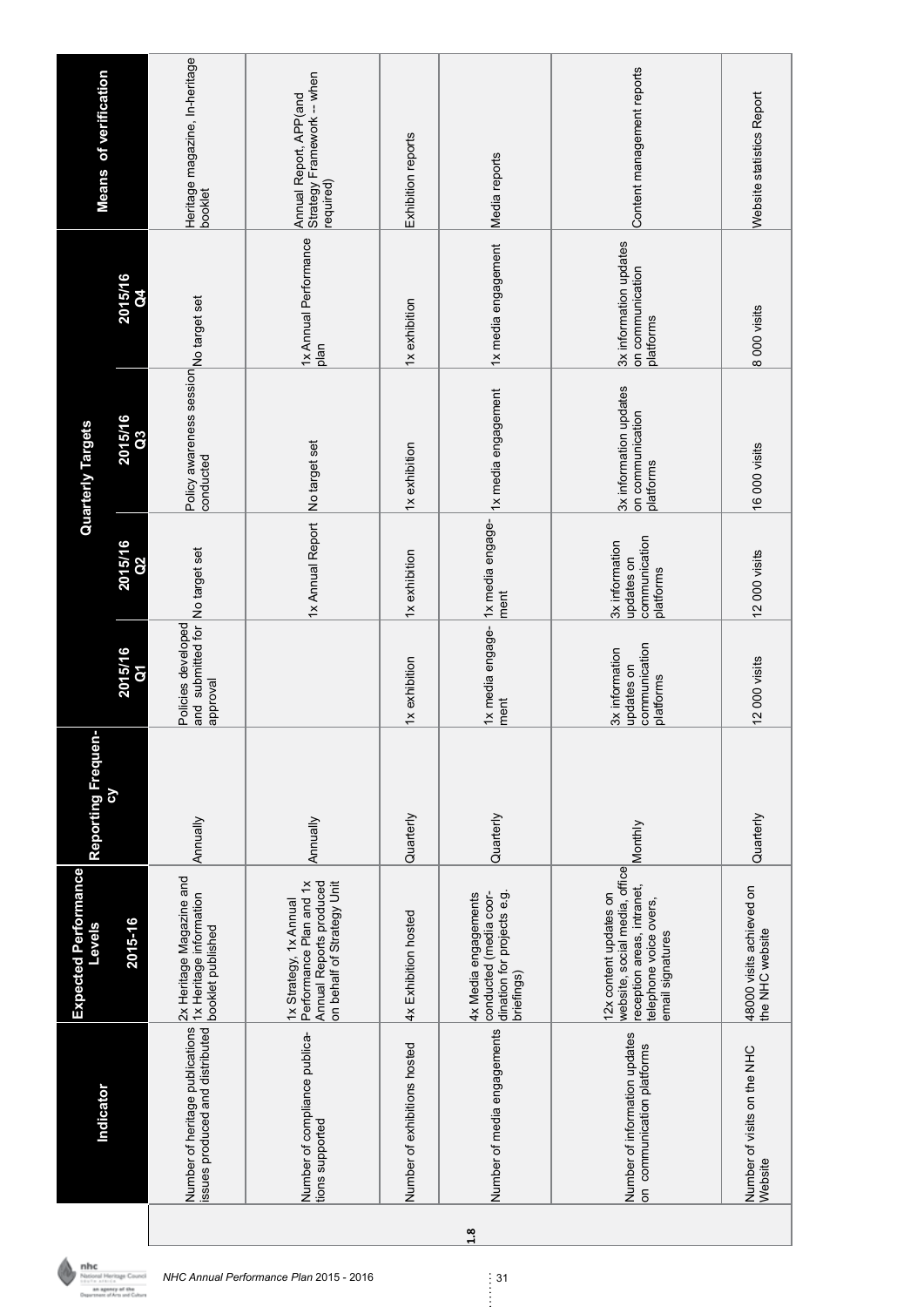|     | Indicator                                                                                                                                                                                                                        | Expected Performance<br>Levels                                                                                                      | ċ<br>Reporting Freque |                                                                   |                                                            | Quarterly Targets                                       |                                                         | <b>Means of verification</b>                                      |
|-----|----------------------------------------------------------------------------------------------------------------------------------------------------------------------------------------------------------------------------------|-------------------------------------------------------------------------------------------------------------------------------------|-----------------------|-------------------------------------------------------------------|------------------------------------------------------------|---------------------------------------------------------|---------------------------------------------------------|-------------------------------------------------------------------|
|     |                                                                                                                                                                                                                                  | 2015-16                                                                                                                             | ζQ                    | 2015/16                                                           | 2015/16                                                    | 2015/16<br>C3                                           | 2015/16                                                 |                                                                   |
|     | www.common.common.common.common.common.common.common.common.common.common.common.common.common.commo<br>https://www.common.common.common.common.common.common.common.common.common.common.com<br>Number of heritage publications | 2x Heritage Magazine and<br>1x Heritage information                                                                                 | Annually              | and submitted for No target set<br>Policies developed<br>approval |                                                            | Policy awareness session No target set<br>conducted     |                                                         | Heritage magazine, In-heritage<br>booklet                         |
|     | Number of compliance publica-<br>tions supported                                                                                                                                                                                 | Annual Reports produced<br>Performance Plan and 1x<br>on behalf of Strategy Unit<br>1x Strategy, 1x Annual                          | Annually              |                                                                   | 1x Annual Report No target set                             |                                                         | 1x Annual Performance<br>plan                           | Strategy Framework -- when<br>Annual Report, APP(and<br>required) |
|     | Number of exhibitions hosted                                                                                                                                                                                                     | 4x Exhibition hosted                                                                                                                | Quarterly             | 1x exhibition                                                     | 1x exhibition                                              | 1x exhibition                                           | 1x exhibition                                           | Exhibition reports                                                |
| 1.8 | Number of media engagements                                                                                                                                                                                                      | conducted (media coor-<br>dination for projects e.g.<br>4x Media engagements<br>briefings)                                          | Quarterly             | 1x media engage-<br>ment                                          | ment                                                       | 1x media engage-  1x media engagement                   | 1x media engagement                                     | Media reports                                                     |
|     | Number of information updates<br>on communication platforms                                                                                                                                                                      | website, social media, office<br>reception areas, intranet,<br>12x content updates on<br>telephone voice overs,<br>email signatures | Monthly               | communication<br>3x information<br>updates on<br>platforms        | communication<br>3x information<br>updates on<br>platforms | 3x information updates<br>on communication<br>platforms | 3x information updates<br>on communication<br>platforms | Content management reports                                        |
|     | Number of visits on the NHC<br>Website                                                                                                                                                                                           | 48000 visits achieved on<br>the NHC website                                                                                         | Quarterly             | 12000 visits                                                      | 12000 visits                                               | 16 000 visits                                           | 8 000 visits                                            | Website statistics Report                                         |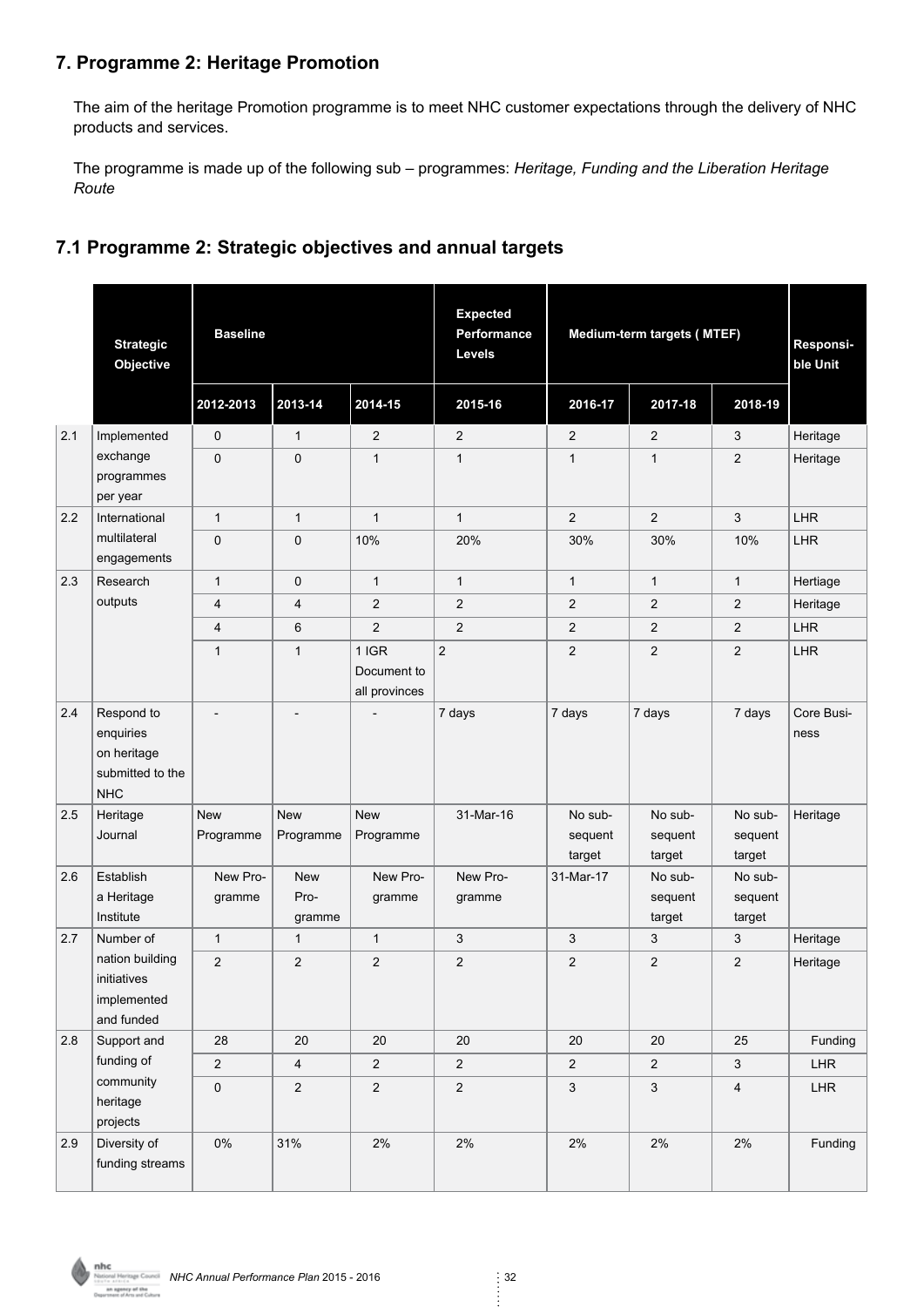#### **7. Programme 2: Heritage Promotion**

The aim of the heritage Promotion programme is to meet NHC customer expectations through the delivery of NHC products and services.

The programme is made up of the following sub – programmes: *Heritage, Funding and the Liberation Heritage Route*

#### **7.1 Programme 2: Strategic objectives and annual targets**

|     | <b>Strategic</b><br>Objective                                            | <b>Baseline</b>         |                              |                                         | <b>Expected</b><br>Performance<br>Levels |                              | Medium-term targets (MTEF)   |                              | Responsi-<br>ble Unit |
|-----|--------------------------------------------------------------------------|-------------------------|------------------------------|-----------------------------------------|------------------------------------------|------------------------------|------------------------------|------------------------------|-----------------------|
|     |                                                                          | 2012-2013               | 2013-14                      | 2014-15                                 | 2015-16                                  | 2016-17                      | 2017-18                      | 2018-19                      |                       |
| 2.1 | Implemented                                                              | 0                       | $\mathbf{1}$                 | $\overline{2}$                          | $\overline{2}$                           | 2                            | 2                            | 3                            | Heritage              |
|     | exchange<br>programmes<br>per year                                       | 0                       | $\pmb{0}$                    | $\mathbf{1}$                            | $\mathbf{1}$                             | $\mathbf{1}$                 | $\mathbf{1}$                 | $\overline{2}$               | Heritage              |
| 2.2 | International                                                            | $\mathbf{1}$            | $\mathbf{1}$                 | $\mathbf{1}$                            | $\mathbf{1}$                             | $\overline{2}$               | $\overline{2}$               | 3                            | <b>LHR</b>            |
|     | multilateral<br>engagements                                              | 0                       | $\pmb{0}$                    | 10%                                     | 20%                                      | 30%                          | 30%                          | 10%                          | <b>LHR</b>            |
| 2.3 | Research                                                                 | $\mathbf{1}$            | $\pmb{0}$                    | $\mathbf{1}$                            | $\mathbf{1}$                             | $\mathbf{1}$                 | $\mathbf{1}$                 | $\mathbf{1}$                 | Hertiage              |
|     | outputs                                                                  | 4                       | $\overline{\mathbf{4}}$      | $\overline{2}$                          | $\overline{2}$                           | $\overline{2}$               | $\overline{2}$               | $\overline{2}$               | Heritage              |
|     |                                                                          | 4                       | $6\phantom{1}$               | $\overline{2}$                          | 2                                        | $\overline{c}$               | $\overline{2}$               | $\overline{2}$               | LHR                   |
|     |                                                                          | $\mathbf{1}$            | $\mathbf{1}$                 | $1$ IGR<br>Document to<br>all provinces | $\overline{c}$                           | $\overline{2}$               | $\overline{2}$               | $\overline{2}$               | <b>LHR</b>            |
| 2.4 | Respond to<br>enquiries<br>on heritage<br>submitted to the<br><b>NHC</b> | $\overline{a}$          | $\overline{a}$               |                                         | 7 days                                   | 7 days                       | 7 days                       | 7 days                       | Core Busi-<br>ness    |
| 2.5 | Heritage<br>Journal                                                      | <b>New</b><br>Programme | <b>New</b><br>Programme      | <b>New</b><br>Programme                 | 31-Mar-16                                | No sub-<br>sequent<br>target | No sub-<br>sequent<br>target | No sub-<br>sequent<br>target | Heritage              |
| 2.6 | Establish<br>a Heritage<br>Institute                                     | New Pro-<br>gramme      | <b>New</b><br>Pro-<br>gramme | New Pro-<br>gramme                      | New Pro-<br>gramme                       | 31-Mar-17                    | No sub-<br>sequent<br>target | No sub-<br>sequent<br>target |                       |
| 2.7 | Number of                                                                | $\mathbf{1}$            | $\mathbf{1}$                 | $\mathbf{1}$                            | 3                                        | 3                            | 3                            | 3                            | Heritage              |
|     | nation building<br>initiatives<br>implemented<br>and funded              | $\overline{2}$          | 2                            | $\overline{2}$                          | $\overline{c}$                           | $\overline{2}$               | $\overline{2}$               | $\overline{2}$               | Heritage              |
| 2.8 | Support and                                                              | 28                      | 20                           | 20                                      | 20                                       | 20                           | 20                           | 25                           | Funding               |
|     | funding of                                                               | $\overline{2}$          | $\overline{4}$               | $\overline{2}$                          | $\boldsymbol{2}$                         | $\overline{2}$               | $\overline{2}$               | $\mathbf{3}$                 | LHR                   |
|     | community<br>heritage<br>projects                                        | $\mathsf{O}\xspace$     | $\overline{c}$               | $\overline{c}$                          | $\sqrt{2}$                               | $\mathfrak{S}$               | $\mathfrak{Z}$               | 4                            | LHR                   |
| 2.9 | Diversity of<br>funding streams                                          | $0\%$                   | 31%                          | 2%                                      | 2%                                       | 2%                           | 2%                           | 2%                           | Funding               |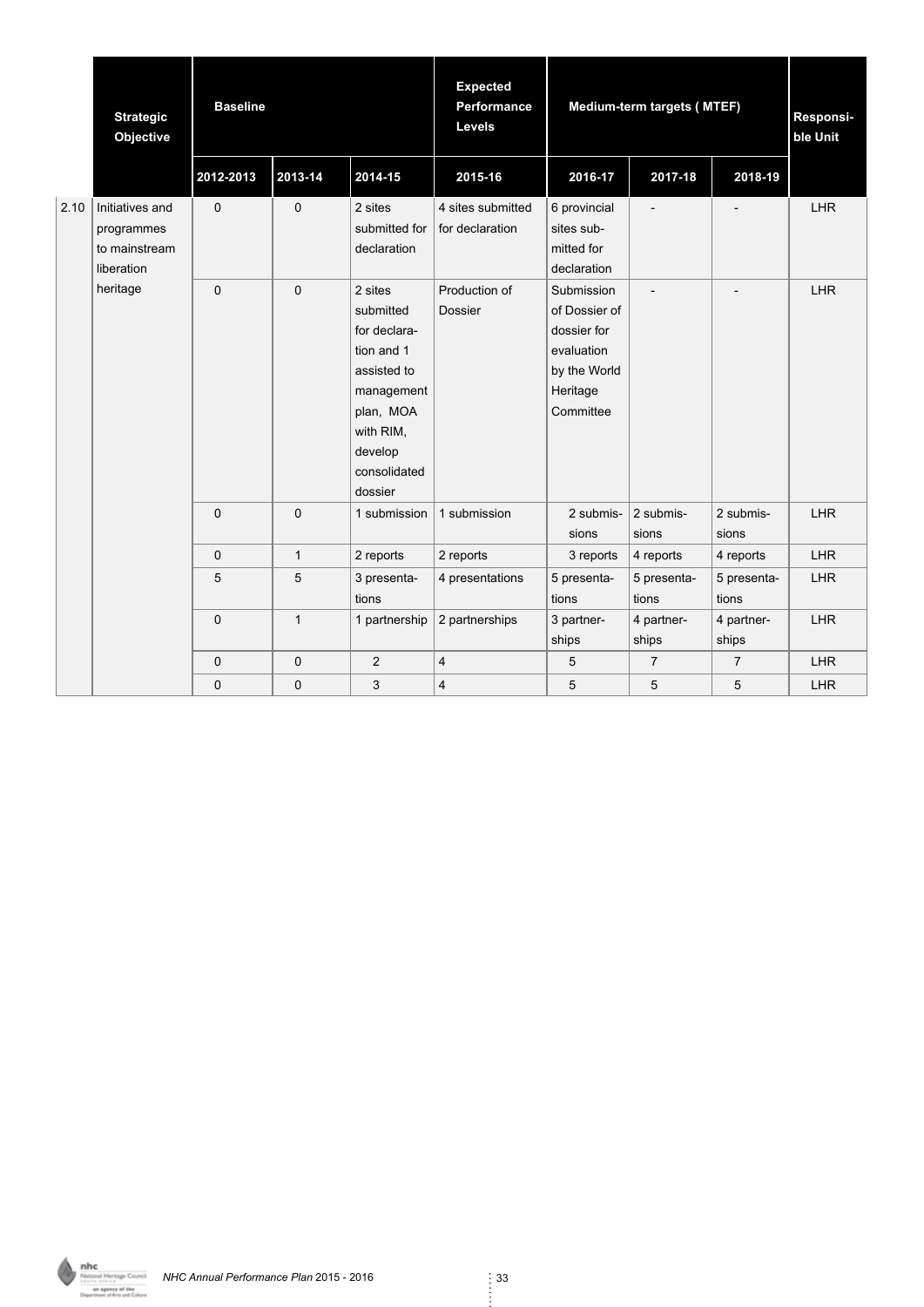|      | <b>Strategic</b><br>Objective                                | <b>Baseline</b> |              |                                                                                                                                                 | <b>Expected</b><br>Performance<br>Levels |                                                                                                   | Medium-term targets (MTEF) |                          | Responsi-<br>ble Unit |
|------|--------------------------------------------------------------|-----------------|--------------|-------------------------------------------------------------------------------------------------------------------------------------------------|------------------------------------------|---------------------------------------------------------------------------------------------------|----------------------------|--------------------------|-----------------------|
|      |                                                              | 2012-2013       | 2013-14      | 2014-15                                                                                                                                         | 2015-16                                  | 2016-17                                                                                           | 2017-18                    | 2018-19                  |                       |
| 2.10 | Initiatives and<br>programmes<br>to mainstream<br>liberation | 0               | $\pmb{0}$    | 2 sites<br>submitted for<br>declaration                                                                                                         | 4 sites submitted<br>for declaration     | 6 provincial<br>sites sub-<br>mitted for<br>declaration                                           | $\overline{a}$             |                          | <b>LHR</b>            |
|      | heritage                                                     | 0               | $\mathbf 0$  | 2 sites<br>submitted<br>for declara-<br>tion and 1<br>assisted to<br>management<br>plan, MOA<br>with RIM,<br>develop<br>consolidated<br>dossier | Production of<br>Dossier                 | Submission<br>of Dossier of<br>dossier for<br>evaluation<br>by the World<br>Heritage<br>Committee | $\overline{\phantom{a}}$   | $\overline{\phantom{a}}$ | <b>LHR</b>            |
|      |                                                              | 0               | $\mathbf 0$  | 1 submission                                                                                                                                    | 1 submission                             | 2 submis-<br>sions                                                                                | 2 submis-<br>sions         | 2 submis-<br>sions       | <b>LHR</b>            |
|      |                                                              | $\mathbf 0$     | $\mathbf{1}$ | 2 reports                                                                                                                                       | 2 reports                                | 3 reports                                                                                         | 4 reports                  | 4 reports                | <b>LHR</b>            |
|      |                                                              | 5               | 5            | 3 presenta-<br>tions                                                                                                                            | 4 presentations                          | 5 presenta-<br>tions                                                                              | 5 presenta-<br>tions       | 5 presenta-<br>tions     | <b>LHR</b>            |
|      |                                                              | 0               | $\mathbf{1}$ | 1 partnership                                                                                                                                   | 2 partnerships                           | 3 partner-<br>ships                                                                               | 4 partner-<br>ships        | 4 partner-<br>ships      | <b>LHR</b>            |
|      |                                                              | 0               | $\mathbf 0$  | $\overline{2}$                                                                                                                                  | $\overline{\mathbf{4}}$                  | 5                                                                                                 | $\overline{7}$             | $\overline{7}$           | <b>LHR</b>            |
|      |                                                              | 0               | $\mathbf 0$  | 3                                                                                                                                               | $\overline{4}$                           | 5                                                                                                 | 5                          | 5                        | <b>LHR</b>            |

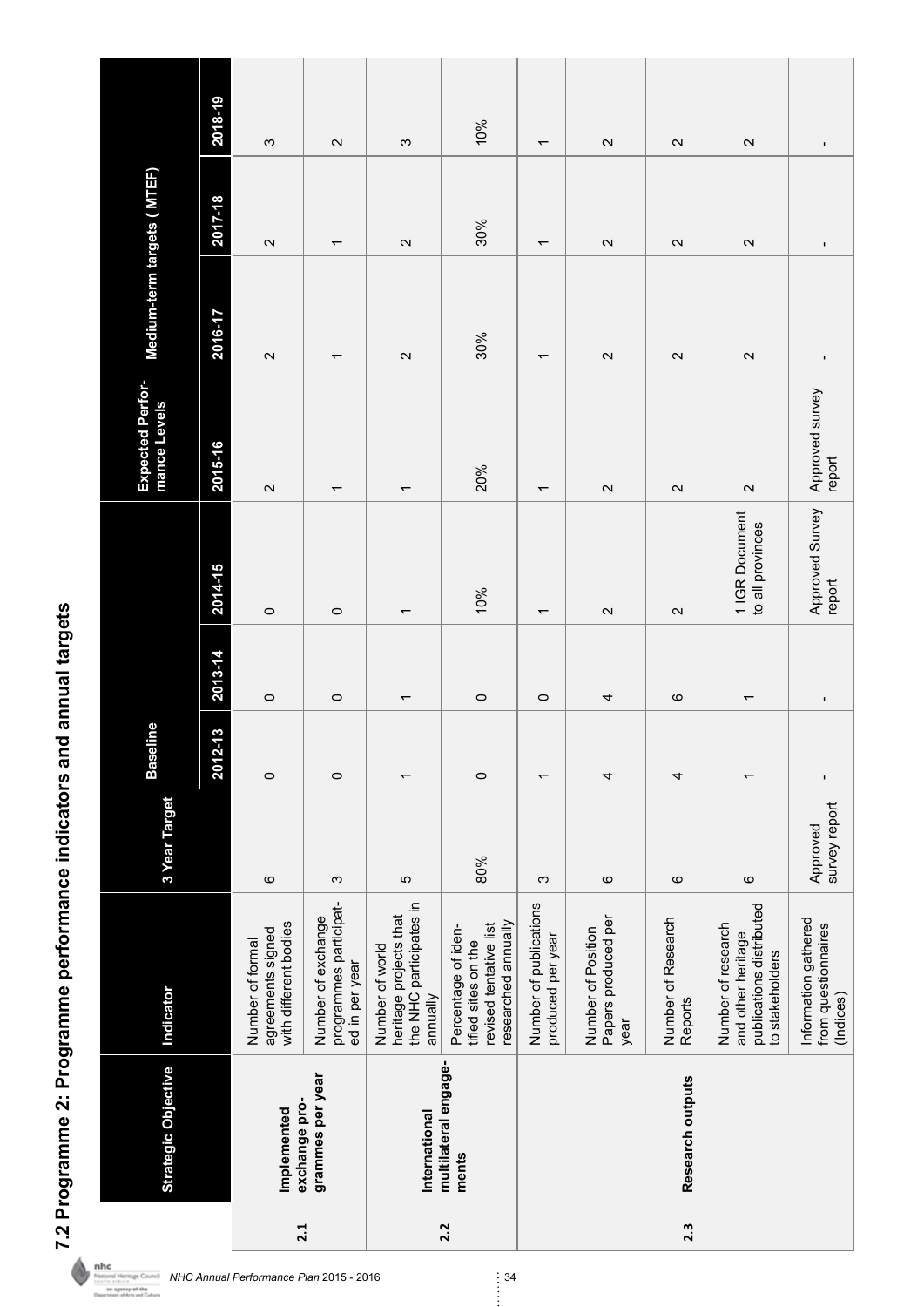7.2 Programme 2: Programme performance indicators and annual targets **7.2 Programme 2: Programme performance indicators and annual targets**

 $\color{red}\blacklozenge$ 

| <b>Strategic Objective</b>    | Indicator                                                                                   | 3 Year Target             | <b>Baseline</b>          |                          |                                    | Expected Perfor-<br>mance Levels | Medium-term targets (MTEF) |                          |                     |
|-------------------------------|---------------------------------------------------------------------------------------------|---------------------------|--------------------------|--------------------------|------------------------------------|----------------------------------|----------------------------|--------------------------|---------------------|
|                               |                                                                                             |                           | $2 - 13$<br>2012         | 2013-14                  | 2014-15                            | 2015-16                          | 2016-17                    | 2017-18                  | 2018-19             |
| exchange pro-<br>Implemented  | with different bodies<br>agreements signed<br>Number of formal                              | $\circ$                   | $\circ$                  | $\circ$                  | $\circ$                            | $\mathbf{\Omega}$                | $\mathbf{\Omega}$          | $\mathbf{\Omega}$        | က                   |
| grammes per year              | programmes participat-<br>Number of exchange<br>ed in per year                              | S                         | $\circ$                  | $\circ$                  | $\circ$                            | $\overline{ }$                   | $\overline{\phantom{0}}$   | $\overline{\phantom{0}}$ | $\mathbf{\Omega}$   |
| International                 | the NHC participates in<br>heritage projects that<br>Number of world<br>annually            | 5                         | $\overline{\phantom{0}}$ | $\overline{\phantom{0}}$ | $\overline{ }$                     | $\overline{\phantom{0}}$         | $\mathbf{\Omega}$          | $\mathbf{\Omega}$        | S                   |
| multilateral engage-<br>ments | researched annually<br>revised tentative list<br>Percentage of iden-<br>tified sites on the | 80%                       | $\circ$                  | $\circ$                  | 10%                                | 20%                              | 30%                        | 30%                      | 10%                 |
|                               | Number of publications<br>produced per year                                                 | ო                         | $\overline{\phantom{0}}$ | $\circ$                  | $\overline{ }$                     | $\overline{\phantom{0}}$         | $\overline{ }$             | $\overline{\phantom{0}}$ | $\overline{ }$      |
|                               | Papers produced per<br>Number of Position<br>year                                           | $\circ$                   | 4                        | 4                        | $\mathbf{\Omega}$                  | $\mathbf{\Omega}$                | $\mathbf{\Omega}$          | $\mathbf{\Omega}$        | $\mathbf{\Omega}$   |
| Research outputs              | Number of Research<br><b>Reports</b>                                                        | $\circ$                   | 4                        | ဖ                        | $\sim$                             | $\sim$                           | $\mathbf{\Omega}$          | $\sim$                   | $\sim$              |
|                               | publications distributed<br>Number of research<br>and other heritage<br>to stakeholders     | $\circ$                   | $\overline{\phantom{0}}$ | $\overline{\phantom{0}}$ | 1 IGR Document<br>to all provinces | $\boldsymbol{\sim}$              | $\boldsymbol{\sim}$        | $\boldsymbol{\sim}$      | $\boldsymbol{\sim}$ |
|                               | Information gathered<br>from questionnaires<br>(Indices)                                    | survey report<br>Approved | $\mathbf{I}$             | $\blacksquare$           | Approved Survey<br>report          | Approved survey<br>report        | $\blacksquare$             | $\blacksquare$           | $\blacksquare$      |

**nhc**<br>
NHC Annual Performance Plan 2015 - 2016 34<br> **Charles of the annual Performance Plan 2015 - 2016**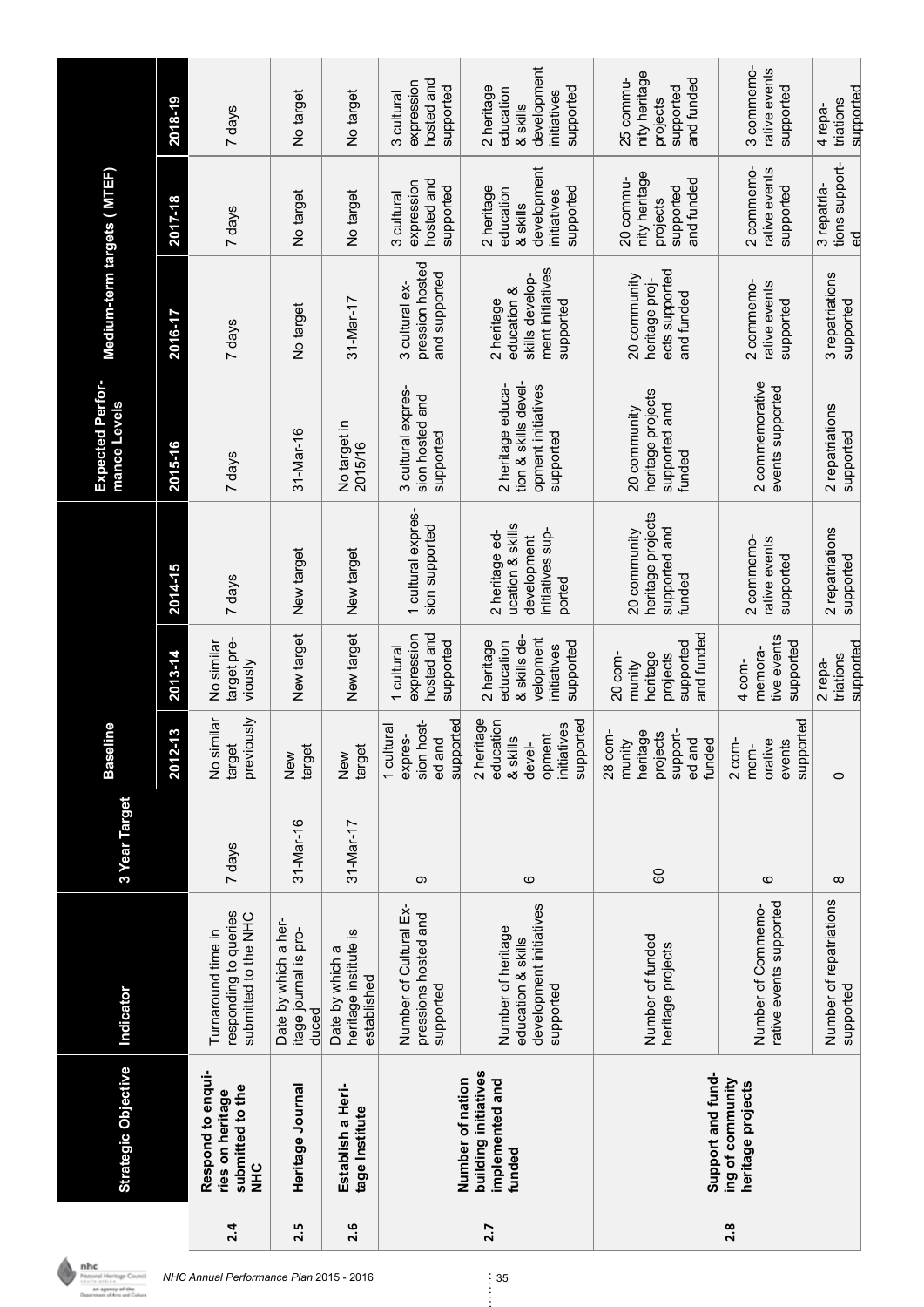|     | <b>Strategic Objective</b>                                            | Indicator                                                                        | 3 Year Target | Baseline                                                                                               |                                                                                  |                                                                                 | <b>Expected Perfor-</b><br>mance Levels                                      | Medium-term targets ( MTEF)                                                   |                                                                                |                                                                                |
|-----|-----------------------------------------------------------------------|----------------------------------------------------------------------------------|---------------|--------------------------------------------------------------------------------------------------------|----------------------------------------------------------------------------------|---------------------------------------------------------------------------------|------------------------------------------------------------------------------|-------------------------------------------------------------------------------|--------------------------------------------------------------------------------|--------------------------------------------------------------------------------|
|     |                                                                       |                                                                                  |               | 2012-13                                                                                                | 2013-14                                                                          | 2014-15                                                                         | 2015-16                                                                      | 2016-17                                                                       | 2017-18                                                                        | 2018-19                                                                        |
| 2.4 | Respond to enqui-<br>submitted to the<br>ries on heritage<br>)<br>도   | responding to queries<br>submitted to the NHC<br>Turnaround time in              | 7 days        | previously<br>No similar<br>target                                                                     | target pre-<br>No similar<br>viously                                             | 7 days                                                                          | 7 days                                                                       | 7 days                                                                        | 7 days                                                                         | 7 days                                                                         |
| 2.5 | Heritage Journal                                                      | Date by which a her-<br>itage journal is pro-<br>duced                           | 31-Mar-16     | target<br>New                                                                                          | New target                                                                       | New target                                                                      | $31 - $ Mar-16                                                               | No target                                                                     | No target                                                                      | No target                                                                      |
| 2.6 | Establish a Heri-<br>tage Institute                                   | heritage institute is<br>Date by which a<br>established                          | 31-Mar-17     | target<br>New                                                                                          | New target                                                                       | New target                                                                      | No target in<br>2015/16                                                      | $31 - $ Mar-17                                                                | No target                                                                      | No target                                                                      |
|     |                                                                       | Number of Cultural Ex-<br>pressions hosted and<br>supported                      | တ             | supported<br>sion host-<br>1 cultural<br>expres-<br>ed and                                             | hosted and<br>expression<br>supported<br>1 cultural                              | 1 cultural expres-<br>sion supported                                            | 3 cultural expres-<br>sion hosted and<br>supported                           | pression hosted<br>and supported<br>3 cultural ex-                            | hosted and<br>expression<br>supported<br>3 cultural                            | hosted and<br>expression<br>supported<br>3 cultural                            |
| 2.7 | building initiatives<br>Number of nation<br>implemented and<br>funded | development initiatives<br>Number of heritage<br>education & skills<br>supported | ဖ             | 2 heritage<br>supported<br>education<br>initiatives<br>opment<br>$\frac{\omega}{2}$<br>& skil<br>devel | & skills de-<br>velopment<br>2 heritage<br>education<br>supported<br>initiatives | ucation & skills<br>initiatives sup-<br>2 heritage ed-<br>development<br>ported | tion & skills devel-<br>opment initiatives<br>2 heritage educa-<br>supported | ment initiatives<br>skills develop-<br>education &<br>2 heritage<br>supported | development<br>2 heritage<br>supported<br>education<br>initiatives<br>& skills | development<br>2 heritage<br>supported<br>education<br>initiatives<br>& skills |
|     | Support and fund-                                                     | Number of funded<br>heritage projects                                            | 80            | 28 com-<br>heritage<br>projects<br>support-<br>munity<br>ed and<br>funded                              | and funded<br>supported<br>heritage<br>projects<br>20 com-<br>munity             | heritage projects<br>supported and<br>20 community<br>funded                    | heritage projects<br>supported and<br>20 community<br>funded                 | ects supported<br>20 community<br>heritage proj-<br>and funded                | nity heritage<br>20 commu-<br>and funded<br>supported<br>projects              | nity heritage<br>25 commu-<br>and funded<br>supported<br>projects              |
| 2.8 | ing of community<br>heritage projects                                 | rative events supported<br>Number of Commemo-                                    | ဖ             | supported<br>orative<br>$2$ com-<br>events<br>mem-                                                     | tive events<br>supported<br>memora-<br>$4 \text{ com}$                           | 2 commemo-<br>rative events<br>supported                                        | 2 commemorative<br>events supported                                          | rative events<br>2 commemo<br>supported                                       | 2 commemo-<br>rative events<br>supported                                       | rative events<br>3 commemo-<br>supported                                       |
|     |                                                                       | Number of repatriations<br>supported                                             | $\infty$      | $\circ$                                                                                                | supported<br>triations<br>2 repa-                                                | 2 repatriations<br>supported                                                    | 2 repatriations<br>supported                                                 | 3 repatriations<br>supported                                                  | tions support-<br>3 repatria-<br>ය<br>ග                                        | supported<br>triations<br>4 repa-                                              |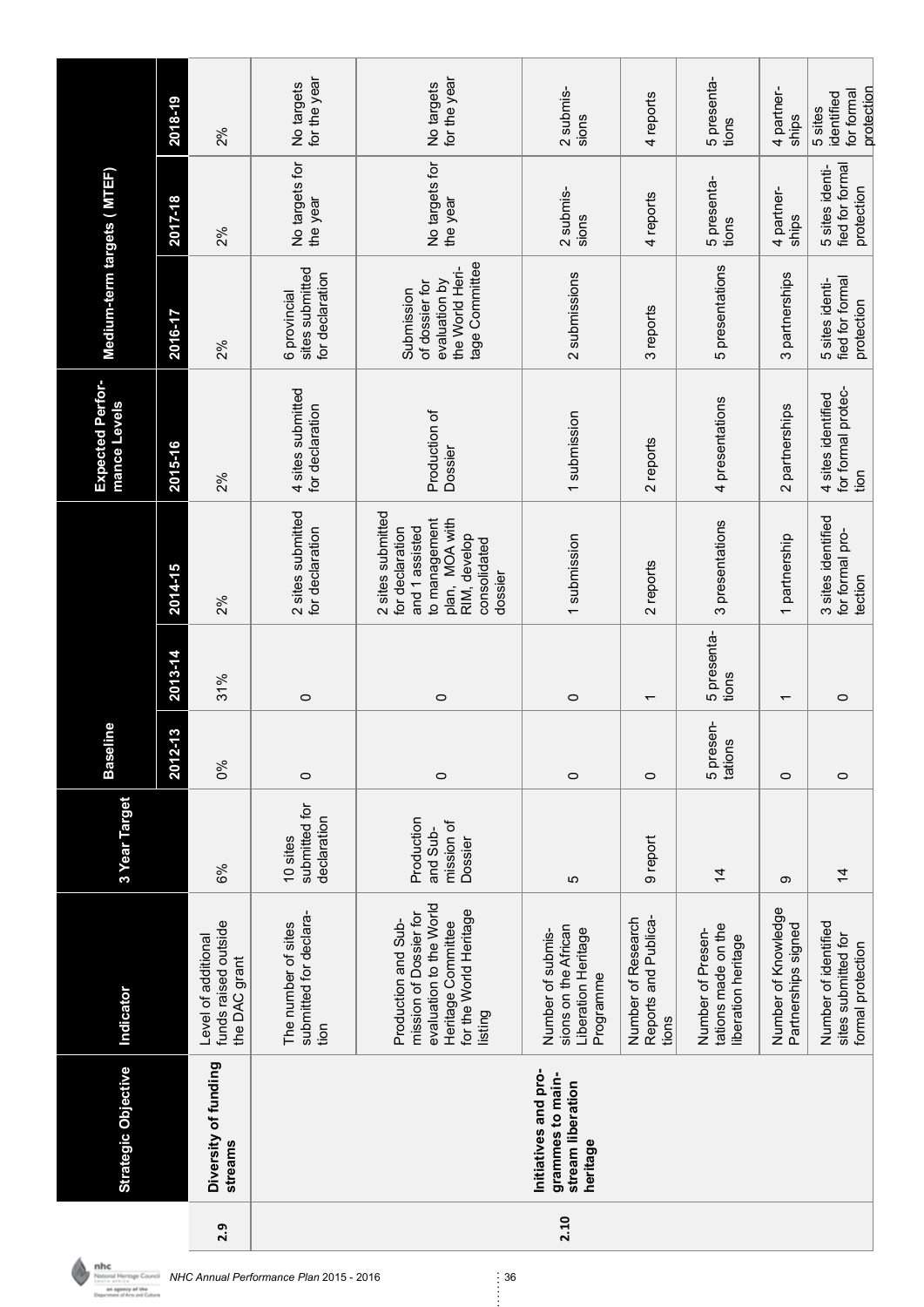|      | <b>Strategic Objective</b>                                                | Indicator                                                                                                                           | 3 Year Target                                   | line<br><b>Base</b>       |                          |                                                                                                                                      | <b>Expected Perfor-</b><br>mance Levels          | Medium-term targets (MTEF)                                                         |                                                  |                                                   |
|------|---------------------------------------------------------------------------|-------------------------------------------------------------------------------------------------------------------------------------|-------------------------------------------------|---------------------------|--------------------------|--------------------------------------------------------------------------------------------------------------------------------------|--------------------------------------------------|------------------------------------------------------------------------------------|--------------------------------------------------|---------------------------------------------------|
|      |                                                                           |                                                                                                                                     |                                                 | 2012-13                   | 2013-14                  | 2014-15                                                                                                                              | 2015-16                                          | 2016-17                                                                            | 2017-18                                          | 2018-19                                           |
| 2.9  | Diversity of funding<br>streams                                           | funds raised outside<br>Level of additional<br>the DAC grant                                                                        | 6%                                              | 0%                        | 31%                      | 2%                                                                                                                                   | 2%                                               | 2%                                                                                 | 2%                                               | 2%                                                |
|      |                                                                           | submitted for declara-<br>The number of sites<br>tion                                                                               | submitted for<br>declaration<br>10 sites        | $\circ$                   | $\circ$                  | 2 sites submitted<br>for declaration                                                                                                 | 4 sites submitted<br>for declaration             | sites submitted<br>for declaration<br>6 provincial                                 | No targets for<br>the year                       | for the year<br>No targets                        |
|      |                                                                           | evaluation to the World<br>for the World Heritage<br>mission of Dossier for<br>Production and Sub-<br>Heritage Committee<br>listing | Production<br>mission of<br>and Sub-<br>Dossier | $\circ$                   | $\circ$                  | 2 sites submitted<br>plan, MOA with<br>to management<br>for declaration<br>and 1 assisted<br>RIM, develop<br>consolidated<br>dossier | Production of<br>Dossier                         | tage Committee<br>the World Heri-<br>evaluation by<br>of dossier for<br>Submission | No targets for<br>the year                       | for the year<br>No targets                        |
| 2.10 | Initiatives and pro-<br>grammes to main-<br>stream liberation<br>heritage | sions on the African<br>Liberation Heritage<br>Number of submis-<br>Programme                                                       | Ю                                               | $\circ$                   | $\circ$                  | 1 submission                                                                                                                         | 1 submission                                     | 2 submissions                                                                      | 2 submis-<br>sions                               | 2 submis-<br>sions                                |
|      |                                                                           | Reports and Publica-<br>Number of Research<br>tions                                                                                 | 9 report                                        | $\circ$                   | $\overline{\phantom{0}}$ | 2 reports                                                                                                                            | 2 reports                                        | 3 reports                                                                          | 4 reports                                        | 4 reports                                         |
|      |                                                                           | tations made on the<br>Number of Presen-<br>liberation heritage                                                                     | $\frac{4}{3}$                                   | 5 presen-<br>ഗൂ<br>tation | 5 presenta-<br>tions     | 3 presentations                                                                                                                      | 4 presentations                                  | 5 presentations                                                                    | 5 presenta-<br>tions                             | 5 presenta-<br>tions                              |
|      |                                                                           | Number of Knowledge<br>Partnerships signed                                                                                          | တ                                               | $\circ$                   | $\overline{ }$           | 1 partnership                                                                                                                        | 2 partnerships                                   | 3 partnerships                                                                     | 4 partner-<br>ships                              | 4 partner-<br>ships                               |
|      |                                                                           | Number of identified<br>sites submitted for<br>formal protection                                                                    | $\frac{4}{4}$                                   | $\circ$                   | $\circ$                  | 3 sites identified<br>for formal pro-<br>tection                                                                                     | for formal protec-<br>4 sites identified<br>tion | fied for formal<br>5 sites identi-<br>protection                                   | fied for formal<br>5 sites identi-<br>protection | protection<br>for formal<br>identified<br>5 sites |

**NHC Annual Performance Plan 2015 - 2016**<br> *NHC Annual Performance Plan 2015 - 2016* 36<br> **Business of Annual Performance** Plan 2015 - 2016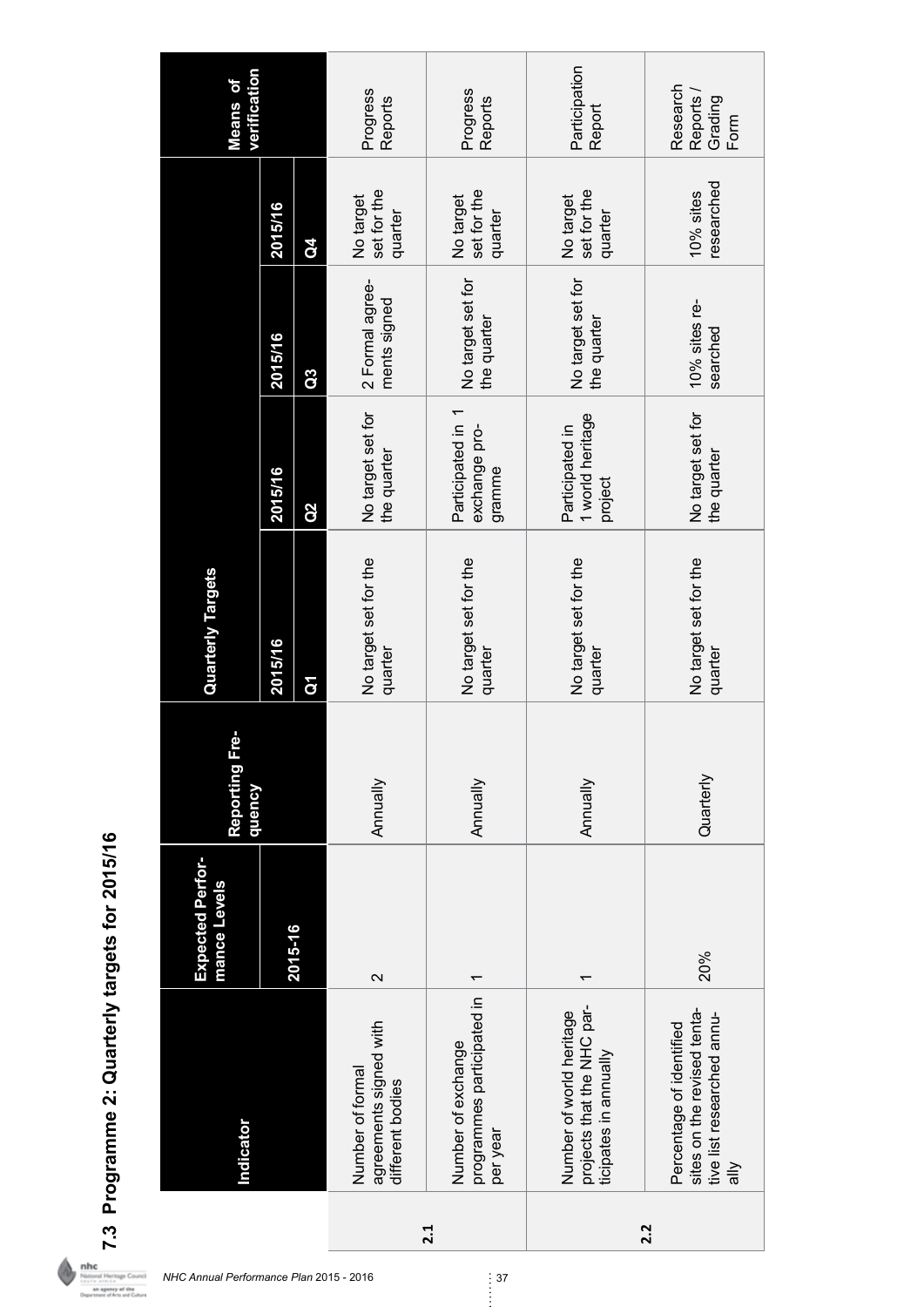| $\frac{1}{2}$<br>j<br>י<br>ג<br>j    |
|--------------------------------------|
| פּיש<br>・・・・・・・・・<br>١<br>.<br> <br> |
| ٢                                    |
| י<br>?<br>?<br>いとてくり<br>I            |
| ና<br>ኮ                               |

|     | Indicator                                                                                                                               | <b>Expected Perfor-</b><br>mance Levels | ģ<br>Reporting F<br>dneucy | <b>Quarterly Targets</b>         |                                                |                                  |                                     | verification<br><b>Means</b> of          |
|-----|-----------------------------------------------------------------------------------------------------------------------------------------|-----------------------------------------|----------------------------|----------------------------------|------------------------------------------------|----------------------------------|-------------------------------------|------------------------------------------|
|     |                                                                                                                                         |                                         |                            | 2015/16                          | 2015/16                                        | 2015/16                          | 2015/16                             |                                          |
|     |                                                                                                                                         | 2015-16                                 |                            | $\mathbf{\bar{g}}$               | $\overline{a}$                                 | Q3                               | <b>S</b>                            |                                          |
|     | agreements signed with<br>Number of formal<br>different bodies                                                                          | $\sim$                                  | Annually                   | No target set for the<br>quarter | No target set for<br>the quarter               | 2 Formal agree-<br>ments signed  | set for the<br>No target<br>quarter | Progress<br>Reports                      |
| 2.1 | programmes participated in<br>Number of exchange<br>per year                                                                            |                                         | Annually                   | No target set for the<br>quarter | Participated in 1<br>exchange pro-<br>gramme   | No target set for<br>the quarter | set for the<br>No target<br>quarter | Progress<br>Reports                      |
|     | projects that the NHC par-<br>Number of world heritage<br>ticipates in annually                                                         |                                         | Annually                   | No target set for the<br>quarter | 1 world heritage<br>Participated in<br>project | No target set for<br>the quarter | set for the<br>No target<br>quarter | Participation<br>Report                  |
| 2.2 | sites on the revised tenta-<br>tive list researched annu-<br>Percentage of identified<br>$\stackrel{\textstyle{>}}{\textstyle{\equiv}}$ | 20%                                     | Quarterly                  | No target set for the<br>quarter | No target set for<br>the quarter               | 10% sites re-<br>searched        | researched<br>$10%$ sites           | Research<br>Reports /<br>Grading<br>Form |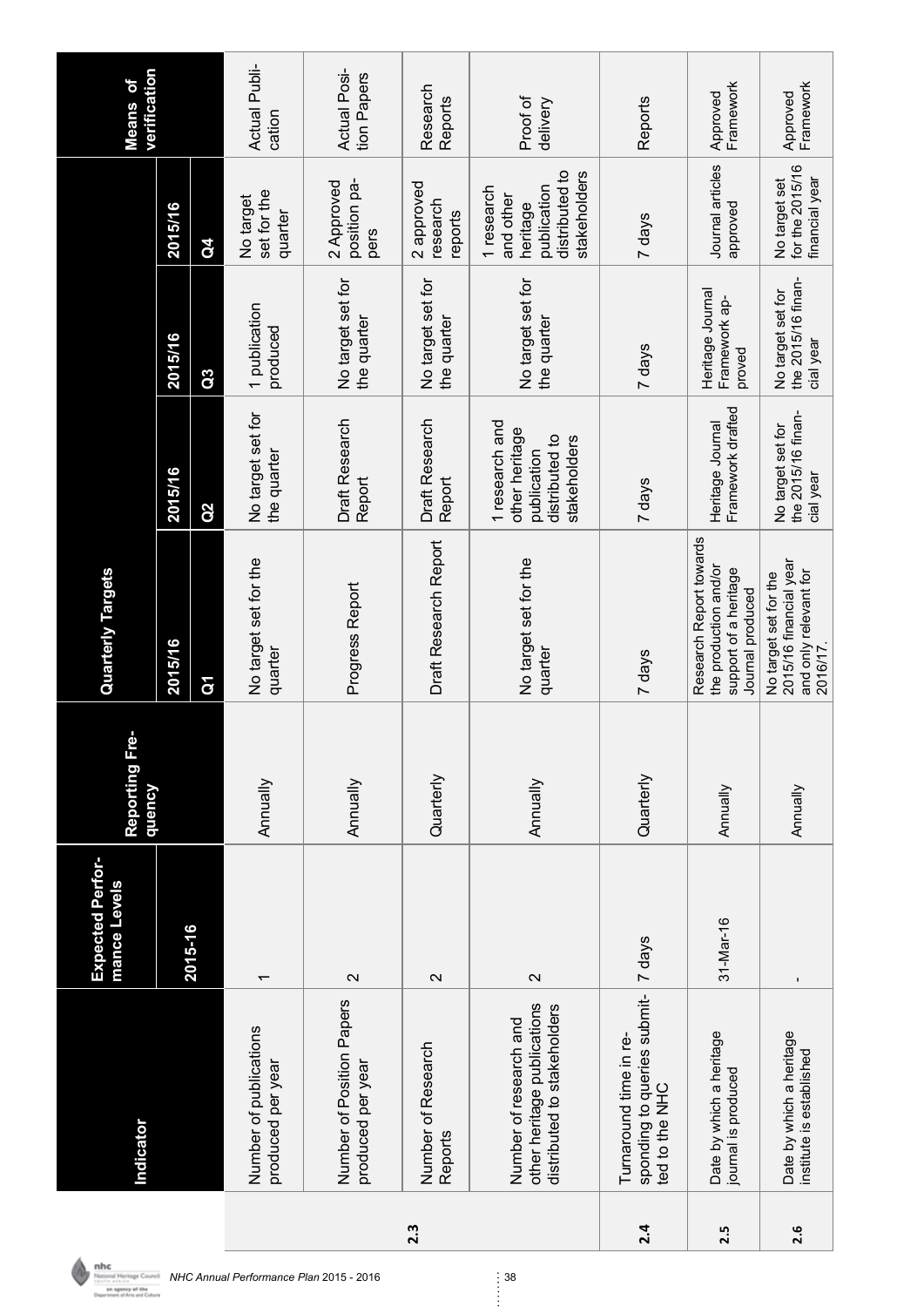|     | Indicator                                                                            | <b>Expected Perfor-</b><br>mance Levels | ۈ<br>Reporting Fr<br>dneucy | <b>Quarterly Targets</b>                                                                      |                                                                                   |                                                      |                                                                                      | verification<br>Means of    |
|-----|--------------------------------------------------------------------------------------|-----------------------------------------|-----------------------------|-----------------------------------------------------------------------------------------------|-----------------------------------------------------------------------------------|------------------------------------------------------|--------------------------------------------------------------------------------------|-----------------------------|
|     |                                                                                      | 2015-16                                 |                             | 2015/16                                                                                       | 2015/16                                                                           | 2015/16                                              | 2015/16                                                                              |                             |
|     |                                                                                      |                                         |                             | δ                                                                                             | Q <sub>2</sub>                                                                    | G <sub>3</sub>                                       | $\mathbf{G}$                                                                         |                             |
|     | Number of publications<br>produced per year                                          | $\overline{\phantom{0}}$                | Annually                    | No target set for the<br>quarter                                                              | No target set for<br>the quarter                                                  | 1 publication<br>produced                            | set for the<br>No target<br>quarter                                                  | Actual Publi-<br>cation     |
|     | Number of Position Papers<br>produced per year                                       | $\mathbf{\Omega}$                       | <b>Annually</b>             | Progress Report                                                                               | <b>Draft Research</b><br>Report                                                   | No target set for<br>the quarter                     | position pa-<br>2 Approved<br>pers                                                   | Actual Posi-<br>tion Papers |
| 2.3 | Number of Research<br>Reports                                                        | $\sim$                                  | Quarterly                   | Draft Research Report                                                                         | <b>Draft Research</b><br>Report                                                   | No target set for<br>the quarter                     | 2 approved<br>research<br>reports                                                    | Research<br>Reports         |
|     | other heritage publications<br>distributed to stakeholders<br>Number of research and | $\sim$                                  | <b>Annually</b>             | No target set for the<br>quarter                                                              | 1 research and<br>other heritage<br>distributed to<br>stakeholders<br>publication | No target set for<br>the quarter                     | distributed to<br>stakeholders<br>publication<br>1 research<br>and other<br>heritage | Proof of<br>delivery        |
| 2.4 | sponding to queries submit-<br>Turnaround time in re-<br>ted to the NHC              | 7 days                                  | Quarterly                   | 7 days                                                                                        | 7 days                                                                            | 7 days                                               | 7 days                                                                               | Reports                     |
| 2.5 | Date by which a heritage<br>journal is produced                                      | $31 - 1$ Mar-16                         | Annually                    | Research Report towards<br>the production and/or<br>support of a heritage<br>Journal produced | Framework drafted<br>Heritage Journal                                             | Heritage Journal<br>Framework ap-<br>proved          | Journal articles<br>approved                                                         | Framework<br>Approved       |
| 2.6 | Date by which a heritage<br>institute is established                                 | $\mathbf{I}$                            | Annually                    | 2015/16 financial year<br>and only relevant for<br>No target set for the<br>2016/17           | the 2015/16 finan-<br>No target set for<br>cial year                              | the 2015/16 finan-<br>No target set for<br>cial year | for the 2015/16<br>financial year<br>No target set                                   | Framework<br>Approved       |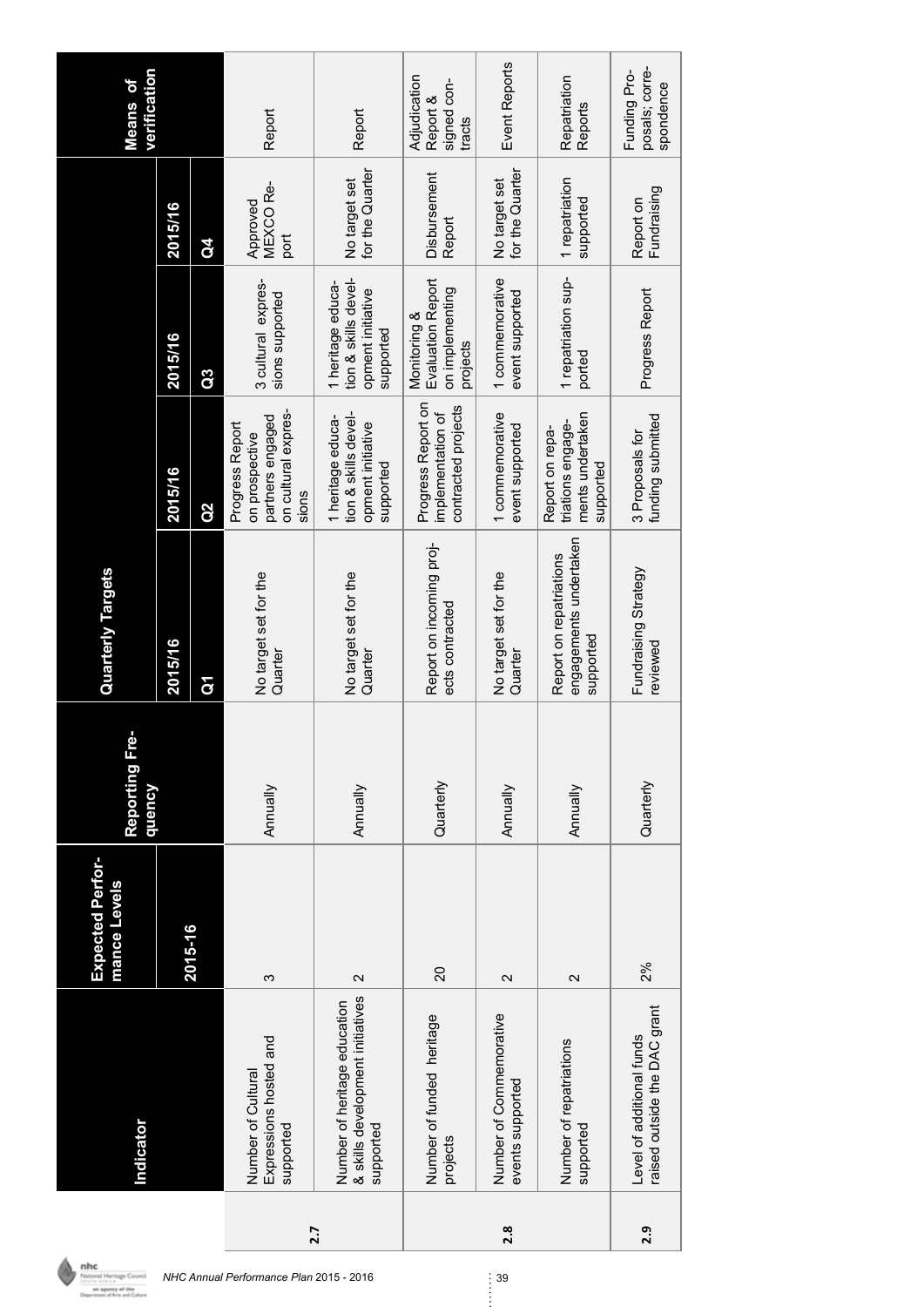|     | Indicator                                                                     | <b>Expected Perfor-</b><br>mance Levels | φ<br>Reporting Fr<br>dneucy | <b>Quarterly Targets</b>                                       |                                                                                       |                                                                             |                                  | verification<br><b>Means of</b>                   |
|-----|-------------------------------------------------------------------------------|-----------------------------------------|-----------------------------|----------------------------------------------------------------|---------------------------------------------------------------------------------------|-----------------------------------------------------------------------------|----------------------------------|---------------------------------------------------|
|     |                                                                               |                                         |                             | 2015/16                                                        | 2015/16                                                                               | 2015/16                                                                     | 2015/16                          |                                                   |
|     |                                                                               | 2015-16                                 |                             | ă                                                              | $\overline{\mathbf{Q}}$                                                               | Q3                                                                          | $\mathbf{G}$                     |                                                   |
| 2.7 | Expressions hosted and<br>Number of Cultural<br>supported                     | က                                       | Annually                    | No target set for the<br>Quarter                               | on cultural expres-<br>partners engaged<br>Progress Report<br>on prospective<br>sions | 3 cultural expres-<br>sions supported                                       | MEXCO Re-<br>Approved<br>port    | Report                                            |
|     | & skills development initiatives<br>Number of heritage education<br>supported | $\mathbf{\Omega}$                       | Annually                    | No target set for the<br>Quarter                               | tion & skills devel-<br>1 heritage educa-<br>opment initiative<br>supported           | tion & skills devel-<br>1 heritage educa-<br>opment initiative<br>supported | for the Quarter<br>No target set | Report                                            |
|     | Number of funded heritage<br>projects                                         | 20                                      | Quarterly                   | Report on incoming proj-<br>ects contracted                    | Progress Report on<br>contracted projects<br>implementation of                        | <b>Evaluation Report</b><br>on implementing<br>Monitoring &<br>projects     | Disbursement<br>Report           | Adjudication<br>signed con-<br>Report &<br>tracts |
| 2.8 | Number of Commemorative<br>events supported                                   | $\mathbf{\Omega}$                       | Annually                    | No target set for the<br>Quarter                               | 1 commemorative<br>event supported                                                    | 1 commemorative<br>event supported                                          | for the Quarter<br>No target set | <b>Event Reports</b>                              |
|     | Number of repatriations<br>supported                                          | $\mathbf{\Omega}$                       | Annually                    | engagements undertaken<br>Report on repatriations<br>supported | ments undertaken<br>triations engage-<br>Report on repa-<br>supported                 | 1 repatriation sup-<br>ported                                               | 1 repatriation<br>supported      | Repatriation<br>Reports                           |
| 2.9 | raised outside the DAC grant<br>Level of additional funds                     | 2%                                      | Quarterly                   | Fundraising Strategy<br>reviewed                               | funding submitted<br>3 Proposals for                                                  | Progress Report                                                             | Fundraising<br>Report on         | posals; corre-<br>Funding Pro-<br>spondence       |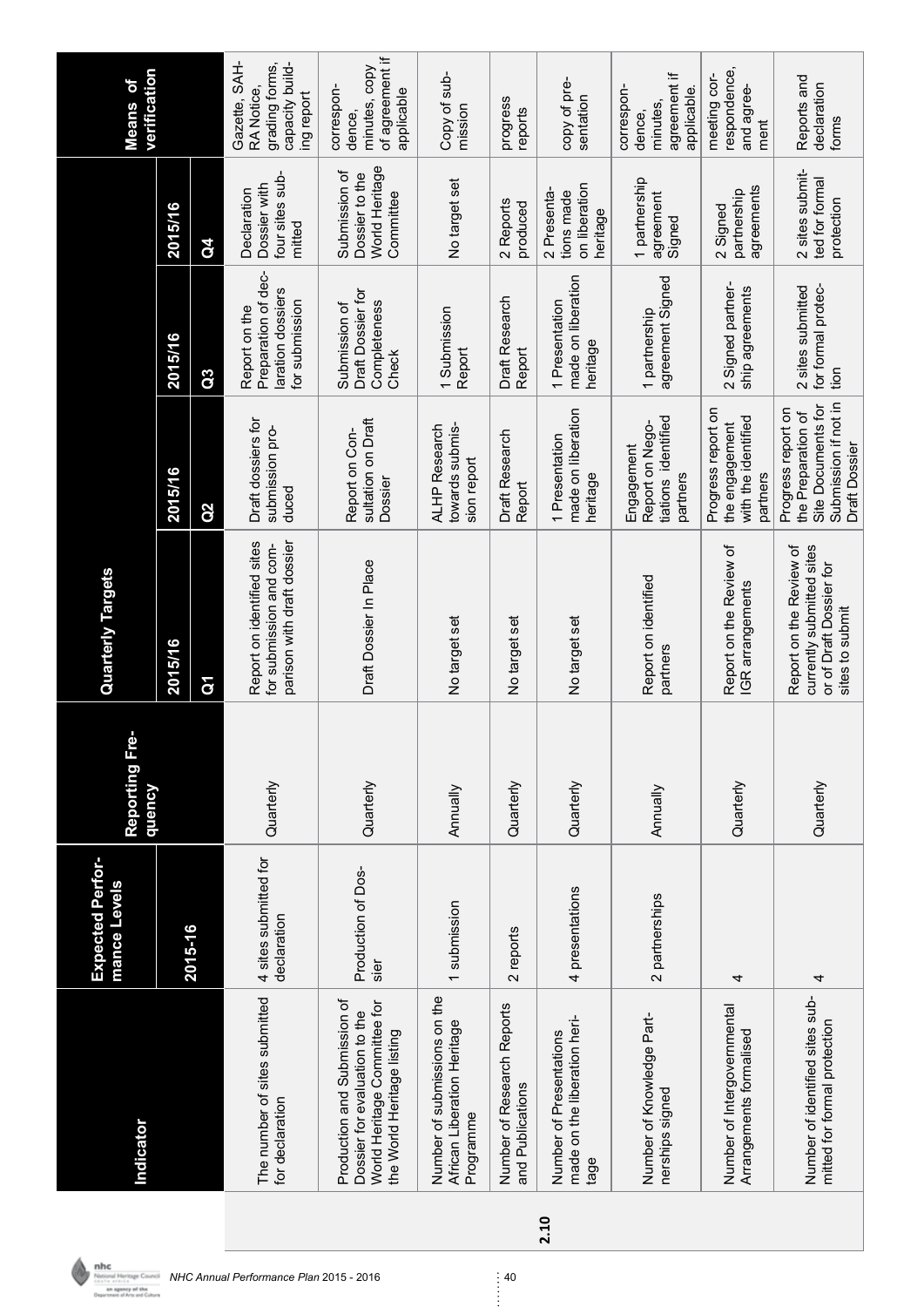|      | Indicator                                                                                                                   | <b>Expected Perfor-</b><br>mance Levels | Reporting Fre<br>dneucy | <b>Quarterly Targets</b>                                                                           |                                                                                                         |                                                                             |                                                                | verification<br><b>Means of</b>                                                |
|------|-----------------------------------------------------------------------------------------------------------------------------|-----------------------------------------|-------------------------|----------------------------------------------------------------------------------------------------|---------------------------------------------------------------------------------------------------------|-----------------------------------------------------------------------------|----------------------------------------------------------------|--------------------------------------------------------------------------------|
|      |                                                                                                                             |                                         |                         | 2015/16                                                                                            | 2015/16                                                                                                 | 2015/16                                                                     | 2015/16                                                        |                                                                                |
|      |                                                                                                                             | 2015-16                                 |                         | $\mathbf{\tilde{g}}$                                                                               | Q2                                                                                                      | $\overline{a}$                                                              | $\overline{d}$                                                 |                                                                                |
|      | The number of sites submitted<br>for declaration                                                                            | 4 sites submitted for<br>declaration    | Quarterly               | parison with draft dossier<br>Report on identified sites<br>for submission and com-                | Draft dossiers for<br>submission pro-<br>duced                                                          | Preparation of dec-<br>laration dossiers<br>for submission<br>Report on the | four sites sub-<br>Dossier with<br>Declaration<br>mitted       | Gazette, SAH-<br>capacity build-<br>grading forms,<br>RA Notice,<br>ing report |
|      | Production and Submission of<br>World Heritage Committee for<br>Dossier for evaluation to the<br>the World Heritage listing | Production of Dos-<br>sier              | Quarterly               | Draft Dossier In Place                                                                             | sultation on Draft<br>Report on Con-<br>Dossier                                                         | Draft Dossier for<br>Completeness<br>Submission of<br>Check                 | World Heritage<br>Submission of<br>Dossier to the<br>Committee | of agreement if<br>minutes, copy<br>correspon-<br>applicable<br>dence.         |
|      | Number of submissions on the<br>African Liberation Heritage<br>Programme                                                    | 1 submission                            | Annually                | No target set                                                                                      | ALHP Research<br>towards submis-<br>sion report                                                         | 1 Submission<br>Report                                                      | No target set                                                  | Copy of sub-<br>mission                                                        |
|      | Number of Research Reports<br>and Publications                                                                              | 2 reports                               | Quarterly               | No target set                                                                                      | Draft Research<br>Report                                                                                | Draft Research<br>Report                                                    | 2 Reports<br>produced                                          | progress<br>reports                                                            |
| 2.10 | made on the liberation heri-<br>Number of Presentations<br>tage                                                             | 4 presentations                         | Quarterly               | No target set                                                                                      | made on liberation<br>1 Presentation<br>heritage                                                        | made on liberation<br>1 Presentation<br>heritage                            | on liberation<br>2 Presenta<br>tions made<br>heritage          | copy of pre-<br>sentation                                                      |
|      | Number of Knowledge Part-<br>nerships signed                                                                                | 2 partnerships                          | Annually                | Report on identified<br>partners                                                                   | tiations identified<br>Report on Nego-<br>Engagement<br>partners                                        | agreement Signed<br>1 partnership                                           | 1 partnership<br>agreement<br>Signed                           | agreement if<br>correspon-<br>applicable.<br>minutes.<br>dence                 |
|      | Number of Intergovernmental<br>Arrangements formalised                                                                      | 4                                       | Quarterly               | Report on the Review of<br>IGR arrangements                                                        | Progress report on<br>with the identified<br>the engagement<br>partners                                 | 2 Signed partner-<br>ship agreements                                        | agreements<br>partnership<br>2 Signed                          | respondence,<br>meeting cor-<br>and agree-<br>ment                             |
|      | Number of identified sites sub-<br>mitted for formal protection                                                             | 4                                       | Quarterly               | Report on the Review of<br>currently submitted sites<br>or of Draft Dossier for<br>sites to submit | Submission if not in<br>Site Documents for<br>Progress report on<br>the Preparation of<br>Draft Dossier | for formal protec-<br>2 sites submitted<br>tion                             | 2 sites submit-<br>ted for formal<br>protection                | Reports and<br>declaration<br>forms                                            |

*NHC Annual Performance Plan* 2015 - 2016 40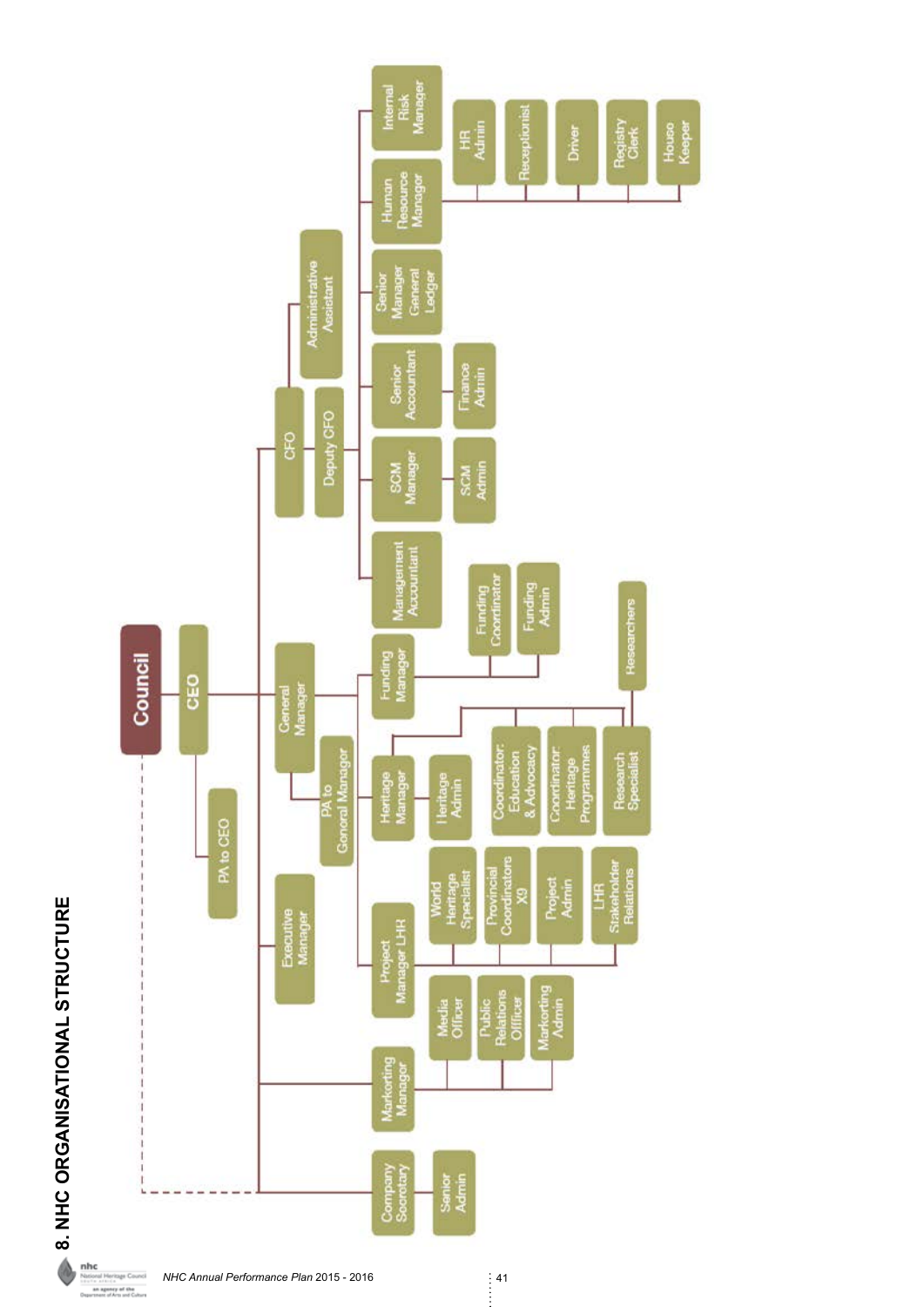8. NHC ORGANISATIONAL STRUCTURE **8. NHC ORGANISATIONAL STRUCTURE**

é



*NHC Annual Performance Plan* 2015 - 2016<br>| 41<br>| |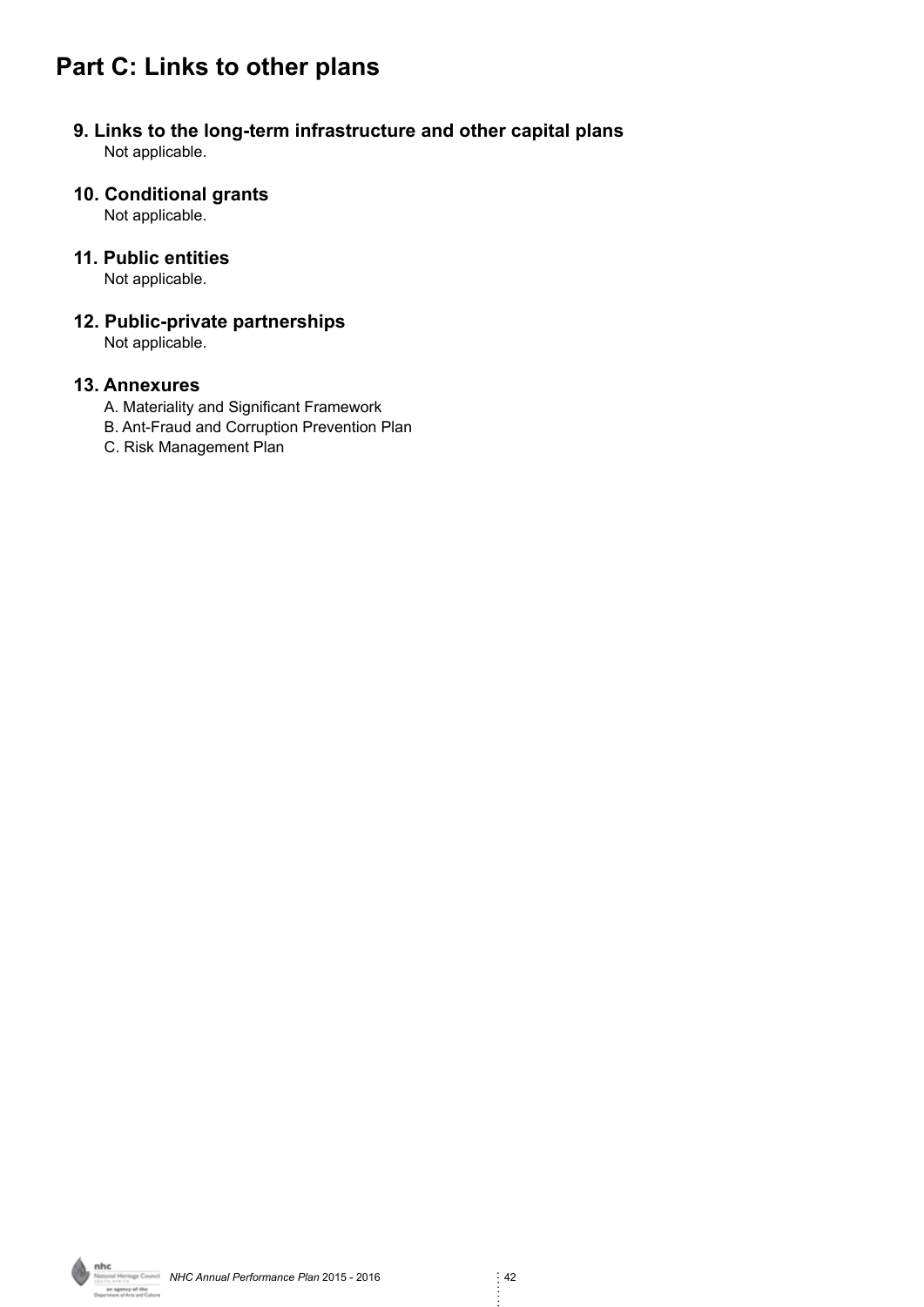# **Part C: Links to other plans**

#### **9. Links to the long-term infrastructure and other capital plans** Not applicable.

## **10. Conditional grants**

Not applicable.

#### **11. Public entities**

Not applicable.

# **12. Public-private partnerships**

Not applicable.

#### **13. Annexures**

- A. Materiality and Significant Framework
- B. Ant-Fraud and Corruption Prevention Plan
- C. Risk Management Plan

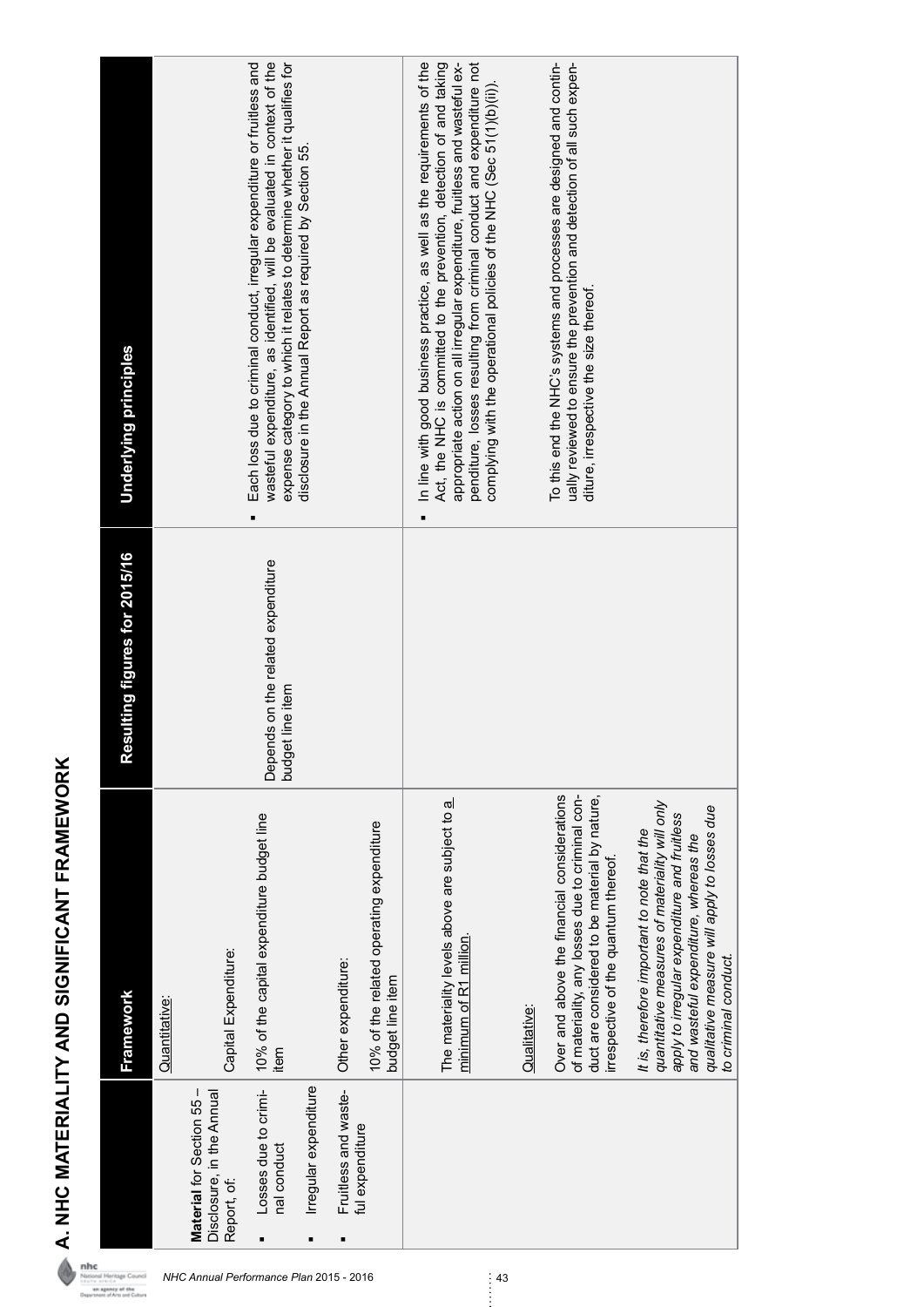|                                                                       | Framework                                                                                                                                                                                                                                                      | exailting figures for 2015/16<br>ř                     | Underlying principles                                                                                                                                                                                                                                                                                                                                                            |
|-----------------------------------------------------------------------|----------------------------------------------------------------------------------------------------------------------------------------------------------------------------------------------------------------------------------------------------------------|--------------------------------------------------------|----------------------------------------------------------------------------------------------------------------------------------------------------------------------------------------------------------------------------------------------------------------------------------------------------------------------------------------------------------------------------------|
|                                                                       | Quantitative:                                                                                                                                                                                                                                                  |                                                        |                                                                                                                                                                                                                                                                                                                                                                                  |
| Material for Section 55 -<br>Disclosure, in the Annual<br>Report, of: | Capital Expenditure:                                                                                                                                                                                                                                           |                                                        |                                                                                                                                                                                                                                                                                                                                                                                  |
| Losses due to crimi-<br>nal conduct<br>Ξ                              | 10% of the capital expenditure budget line<br>item                                                                                                                                                                                                             | Depends on the related expenditure<br>budget line item | expense category to which it relates to determine whether it qualifies for<br>wasteful expenditure, as identified, will be evaluated in context of the<br>Each loss due to criminal conduct, irregular expenditure or fruitless and                                                                                                                                              |
| Irregular expenditure<br>Ξ                                            |                                                                                                                                                                                                                                                                |                                                        | disclosure in the Annual Report as required by Section 55.                                                                                                                                                                                                                                                                                                                       |
| Fruitless and waste-                                                  | Other expenditure:                                                                                                                                                                                                                                             |                                                        |                                                                                                                                                                                                                                                                                                                                                                                  |
| ful expenditure                                                       | 10% of the related operating expenditure<br>budget line item                                                                                                                                                                                                   |                                                        |                                                                                                                                                                                                                                                                                                                                                                                  |
|                                                                       | The materiality levels above are subject to a<br>minimum of R1 million.                                                                                                                                                                                        |                                                        | appropriate action on all irregular expenditure, fruitless and wasteful ex-<br>penditure, losses resulting from criminal conduct and expenditure not<br>In line with good business practice, as well as the requirements of the<br>Act, the NHC is committed to the prevention, detection of and taking<br>complying with the operational policies of the NHC (Sec 51(1)(b)(ii)) |
|                                                                       | Qualitative:                                                                                                                                                                                                                                                   |                                                        |                                                                                                                                                                                                                                                                                                                                                                                  |
|                                                                       | Over and above the financial considerations<br>of materiality, any losses due to criminal con-<br>duct are considered to be material by nature,<br>irrespective of the quantum thereof.                                                                        |                                                        | To this end the NHC's systems and processes are designed and contin-<br>ually reviewed to ensure the prevention and detection of all such expen-<br>diture, irrespective the size thereof.                                                                                                                                                                                       |
|                                                                       | quantitative measures of materiality will only<br>qualitative measure will apply to losses due<br>apply to irregular expenditure and fruitless<br>It is, therefore important to note that the<br>and wasteful expenditure, whereas the<br>to criminal conduct. |                                                        |                                                                                                                                                                                                                                                                                                                                                                                  |

**A. NHC MATERIALITY AND SIGNIFICANT FRAMEWORK**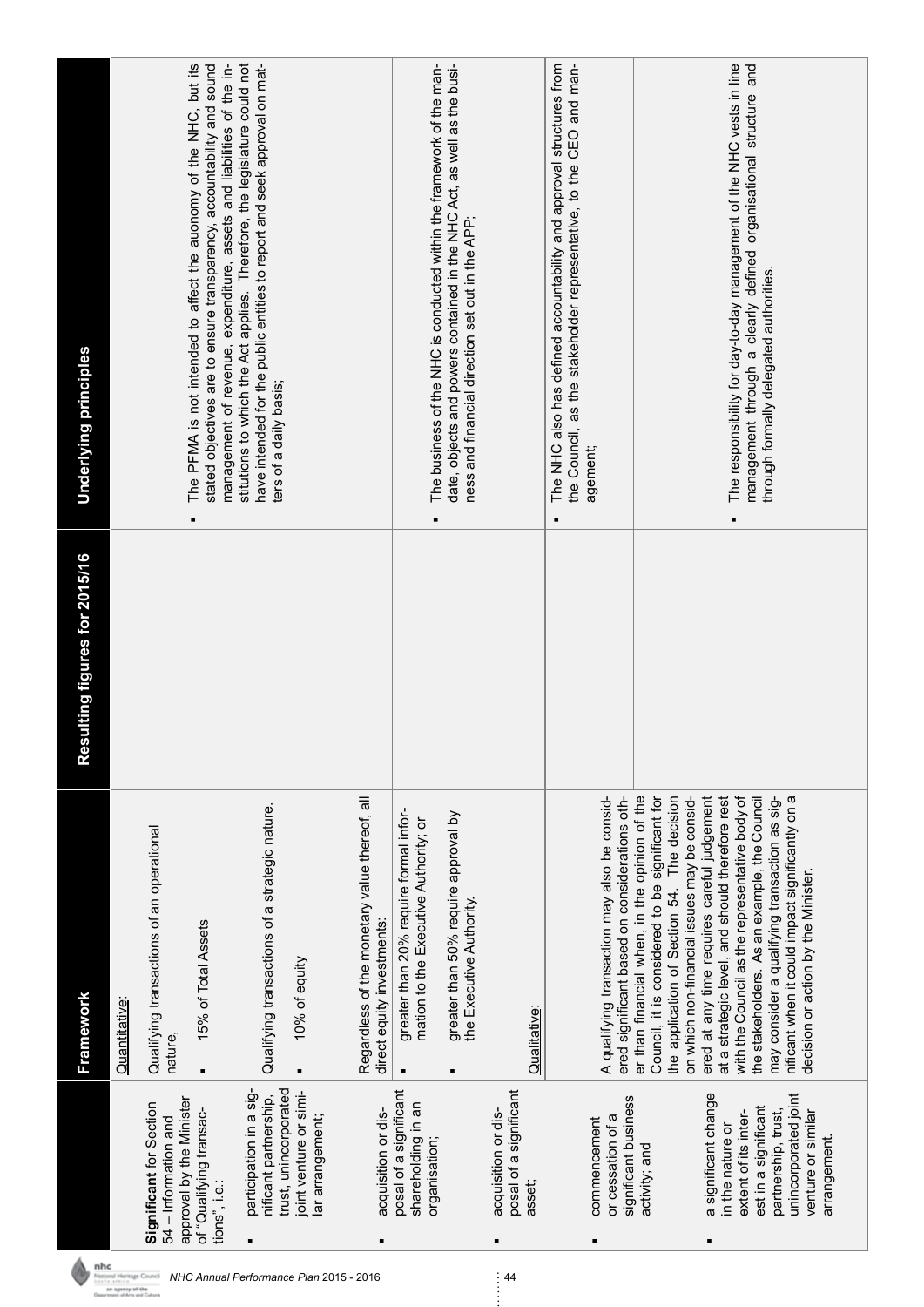|                                                                                                                 | <b>Framework</b>                                                                                                                                                                                                                                  | esulting figures for 2015/16 | Underlying principles                                                                                                                                                                                                 |
|-----------------------------------------------------------------------------------------------------------------|---------------------------------------------------------------------------------------------------------------------------------------------------------------------------------------------------------------------------------------------------|------------------------------|-----------------------------------------------------------------------------------------------------------------------------------------------------------------------------------------------------------------------|
|                                                                                                                 | Quantitative:                                                                                                                                                                                                                                     |                              |                                                                                                                                                                                                                       |
| approval by the Minister<br>Significant for Section<br>54 – Information and                                     | Qualifying transactions of an operational<br>nature,                                                                                                                                                                                              |                              |                                                                                                                                                                                                                       |
| of "Qualifying transac-<br>tions", i.e.:                                                                        | 15% of Total Assets                                                                                                                                                                                                                               |                              | stated objectives are to ensure transparency, accountability and sound<br>management of revenue, expenditure, assets and liabilities of the in-<br>The PFMA is not intended to affect the auonomy of the NHC, but its |
| participation in a sig-<br>nificant partnership,                                                                | Qualifying transactions of a strategic nature.                                                                                                                                                                                                    |                              | stitutions to which the Act applies. Therefore, the legislature could not<br>have intended for the public entities to report and seek approval on mat-<br>ters of a daily basis;                                      |
| trust, unincorporated<br>oint venture or simi-<br>lar arrangement;                                              | 10% of equity                                                                                                                                                                                                                                     |                              |                                                                                                                                                                                                                       |
| acquisition or dis-                                                                                             | Regardless of the monetary value thereof, all<br>direct equity investments:                                                                                                                                                                       |                              |                                                                                                                                                                                                                       |
| posal of a significant<br>shareholding in an<br>organisation;                                                   | greater than 20% require formal infor-<br>mation to the Executive Authority; or                                                                                                                                                                   |                              | The business of the NHC is conducted within the framework of the man-                                                                                                                                                 |
|                                                                                                                 | greater than 50% require approval by<br>the Executive Authority.                                                                                                                                                                                  |                              | date, objects and powers contained in the NHC Act, as well as the busi-<br>ness and financial direction set out in the APP;                                                                                           |
| posal of a significant<br>acquisition or dis-<br>asset;                                                         | Qualitative:                                                                                                                                                                                                                                      |                              |                                                                                                                                                                                                                       |
| significant business<br>or cessation of a<br>commencement                                                       | ered significant based on considerations oth-<br>A qualifying transaction may also be consid-                                                                                                                                                     |                              | The NHC also has defined accountability and approval structures from<br>the Council, as the stakeholder representative, to the CEO and man-<br>agement;                                                               |
| activity; and                                                                                                   | er than financial when, in the opinion of the<br>Council, it is considered to be significant for<br>on which non-financial issues may be consid-<br>the application of Section 54. The decision                                                   |                              |                                                                                                                                                                                                                       |
| a significant change<br>est in a significant<br>partnership, trust,<br>extent of its inter-<br>in the nature or | ered at any time requires careful judgement<br>at a strategic level, and should therefore rest<br>with the Council as the representative body of<br>may consider a qualifying transaction as sig-<br>the stakeholders. As an example, the Council |                              | management through a clearly defined organisational structure and<br>The responsibility for day-to-day management of the NHC vests in line<br>through formally delegated authorities.                                 |
| unincorporated joint<br>venture or similar<br>arrangement.                                                      | nificant when it could impact significantly on a<br>decision or action by the Minister.                                                                                                                                                           |                              |                                                                                                                                                                                                                       |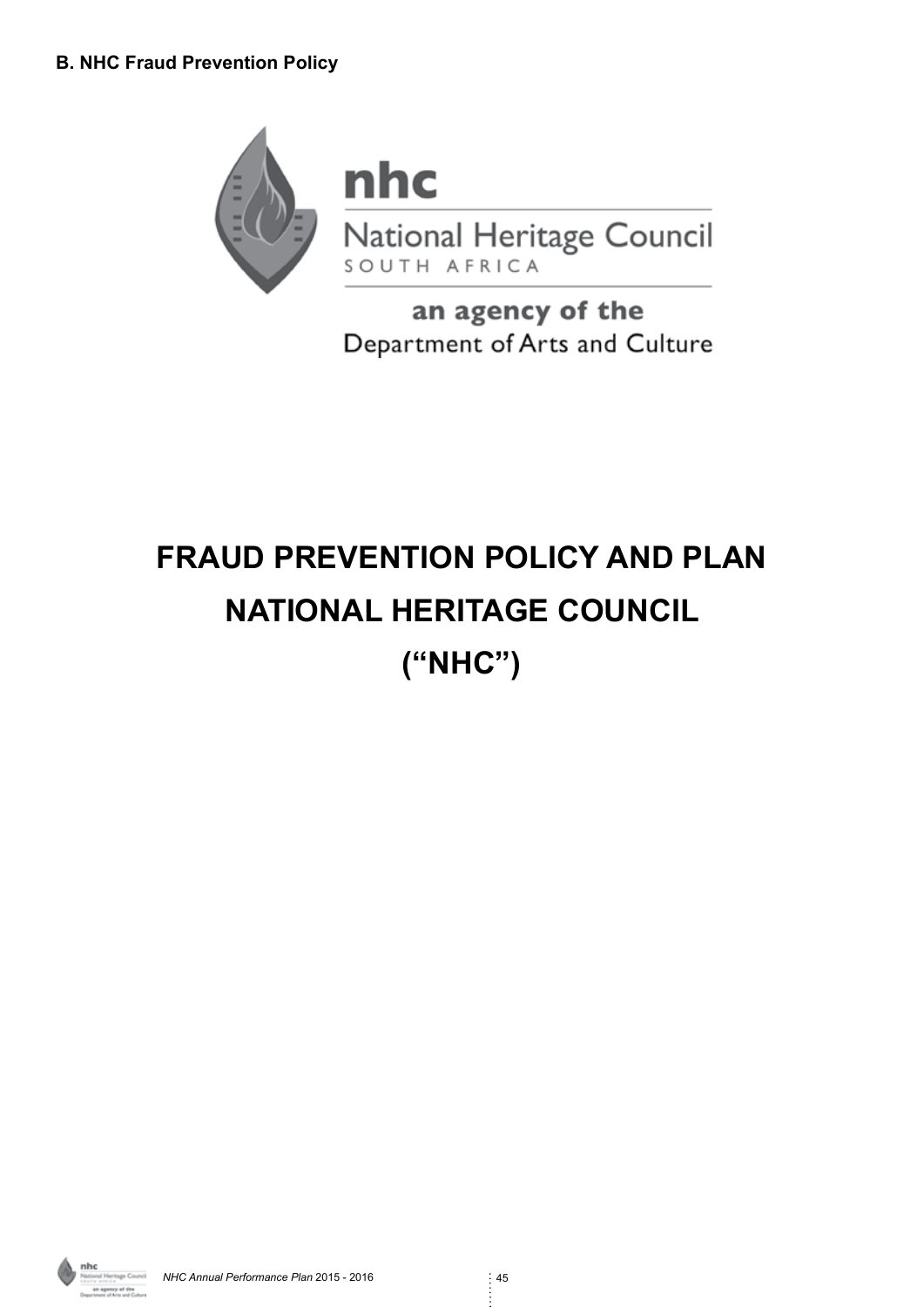

an agency of the Department of Arts and Culture

# **FRAUD PREVENTION POLICY AND PLAN NATIONAL HERITAGE COUNCIL ("NHC")**

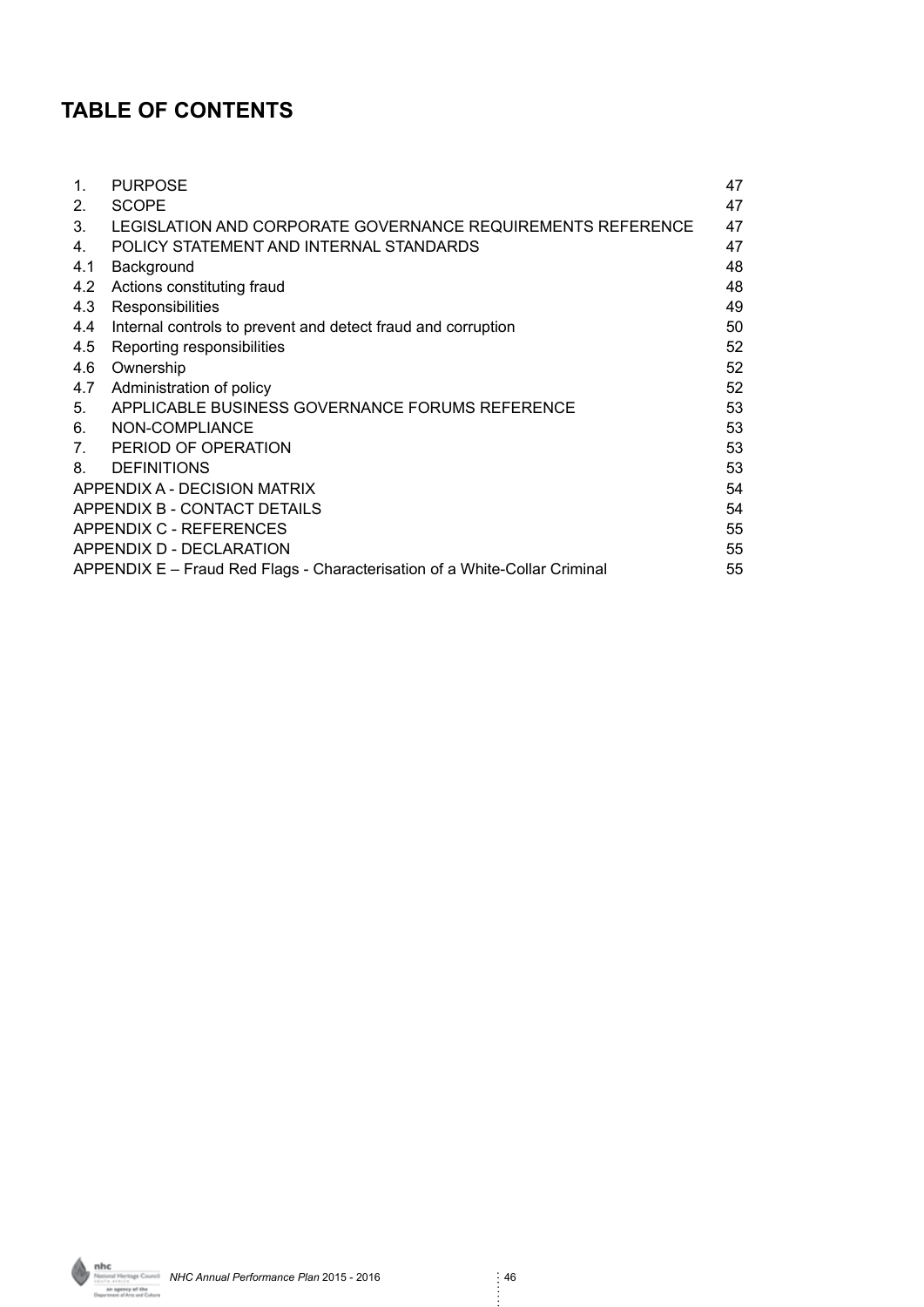# **TABLE OF CONTENTS**

| $\mathbf{1}$ .                 | <b>PURPOSE</b>                                                             | 47 |
|--------------------------------|----------------------------------------------------------------------------|----|
| 2.                             | <b>SCOPE</b>                                                               | 47 |
| 3.                             | LEGISLATION AND CORPORATE GOVERNANCE REQUIREMENTS REFERENCE                | 47 |
| 4.                             | POLICY STATEMENT AND INTERNAL STANDARDS                                    | 47 |
| 4.1                            | Background                                                                 | 48 |
| 4.2                            | Actions constituting fraud                                                 | 48 |
| 4.3                            | Responsibilities                                                           | 49 |
| 4.4                            | Internal controls to prevent and detect fraud and corruption               | 50 |
| 4.5                            | Reporting responsibilities                                                 | 52 |
| 4.6                            | Ownership                                                                  | 52 |
| 4.7                            | Administration of policy                                                   | 52 |
| 5.                             | APPLICABLE BUSINESS GOVERNANCE FORUMS REFERENCE                            | 53 |
| 6.                             | NON-COMPLIANCE                                                             | 53 |
| $7_{\scriptscriptstyle{\sim}}$ | PERIOD OF OPERATION                                                        | 53 |
| 8.                             | <b>DEFINITIONS</b>                                                         | 53 |
|                                | APPENDIX A - DECISION MATRIX                                               | 54 |
|                                | APPENDIX B - CONTACT DETAILS                                               | 54 |
|                                | APPENDIX C - REFERENCES                                                    | 55 |
|                                | APPENDIX D - DECLARATION                                                   | 55 |
|                                | APPENDIX E – Fraud Red Flags - Characterisation of a White-Collar Criminal | 55 |

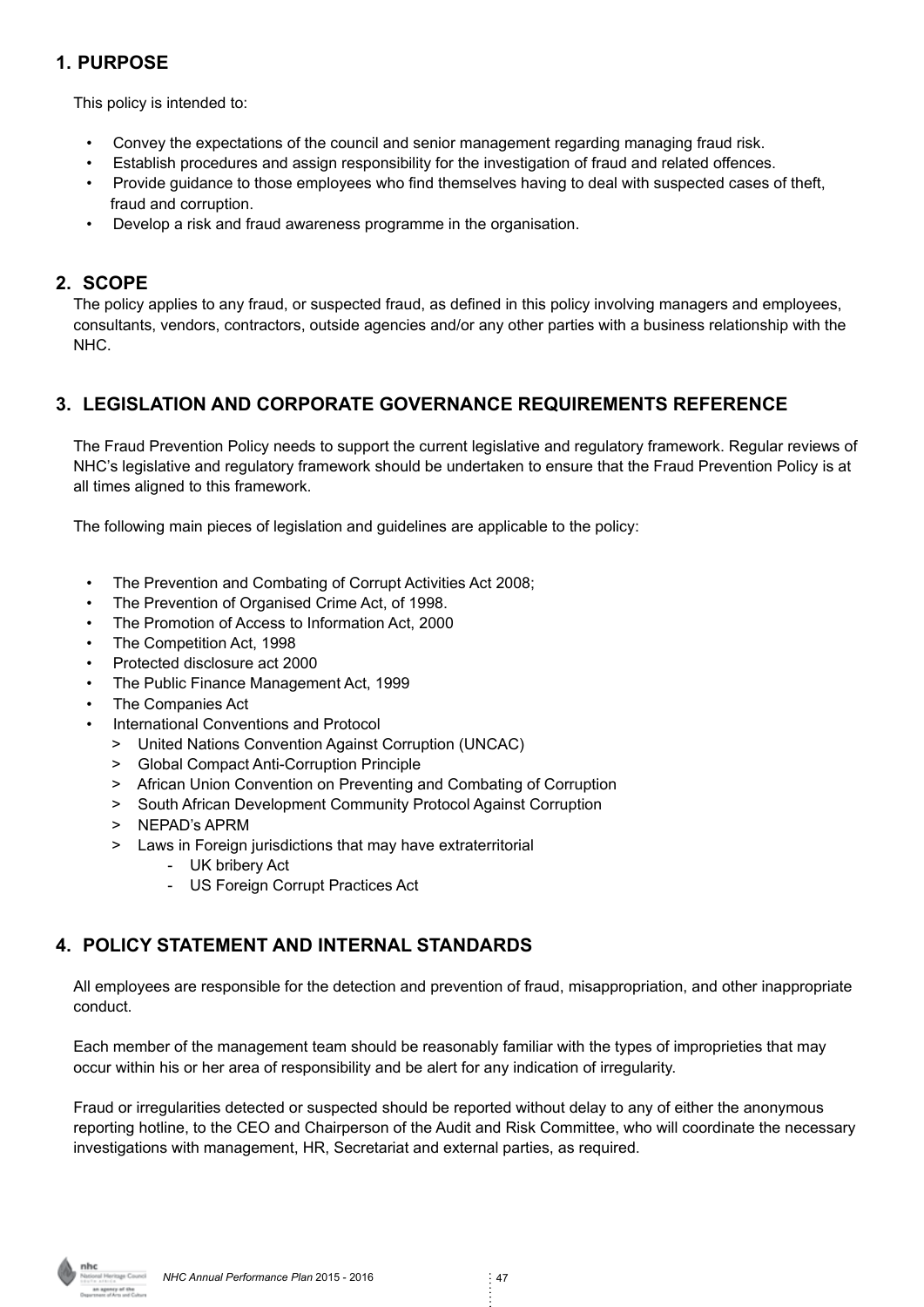# **1. PURPOSE**

This policy is intended to:

- Convey the expectations of the council and senior management regarding managing fraud risk.
- Establish procedures and assign responsibility for the investigation of fraud and related offences.
- Provide guidance to those employees who find themselves having to deal with suspected cases of theft, fraud and corruption.
- Develop a risk and fraud awareness programme in the organisation.

#### **2. SCOPE**

The policy applies to any fraud, or suspected fraud, as defined in this policy involving managers and employees, consultants, vendors, contractors, outside agencies and/or any other parties with a business relationship with the NHC.

# **3. LEGISLATION AND CORPORATE GOVERNANCE REQUIREMENTS REFERENCE**

The Fraud Prevention Policy needs to support the current legislative and regulatory framework. Regular reviews of NHC's legislative and regulatory framework should be undertaken to ensure that the Fraud Prevention Policy is at all times aligned to this framework.

The following main pieces of legislation and guidelines are applicable to the policy:

- The Prevention and Combating of Corrupt Activities Act 2008;
- The Prevention of Organised Crime Act, of 1998.
- The Promotion of Access to Information Act, 2000
- The Competition Act, 1998
- Protected disclosure act 2000
- The Public Finance Management Act, 1999
- The Companies Act
- International Conventions and Protocol
	- > United Nations Convention Against Corruption (UNCAC)
	- > Global Compact Anti-Corruption Principle
	- > African Union Convention on Preventing and Combating of Corruption
	- > South African Development Community Protocol Against Corruption
	- > NEPAD's APRM
	- > Laws in Foreign jurisdictions that may have extraterritorial
		- UK bribery Act
		- US Foreign Corrupt Practices Act

# **4. POLICY STATEMENT AND INTERNAL STANDARDS**

All employees are responsible for the detection and prevention of fraud, misappropriation, and other inappropriate conduct.

Each member of the management team should be reasonably familiar with the types of improprieties that may occur within his or her area of responsibility and be alert for any indication of irregularity.

Fraud or irregularities detected or suspected should be reported without delay to any of either the anonymous reporting hotline, to the CEO and Chairperson of the Audit and Risk Committee, who will coordinate the necessary investigations with management, HR, Secretariat and external parties, as required.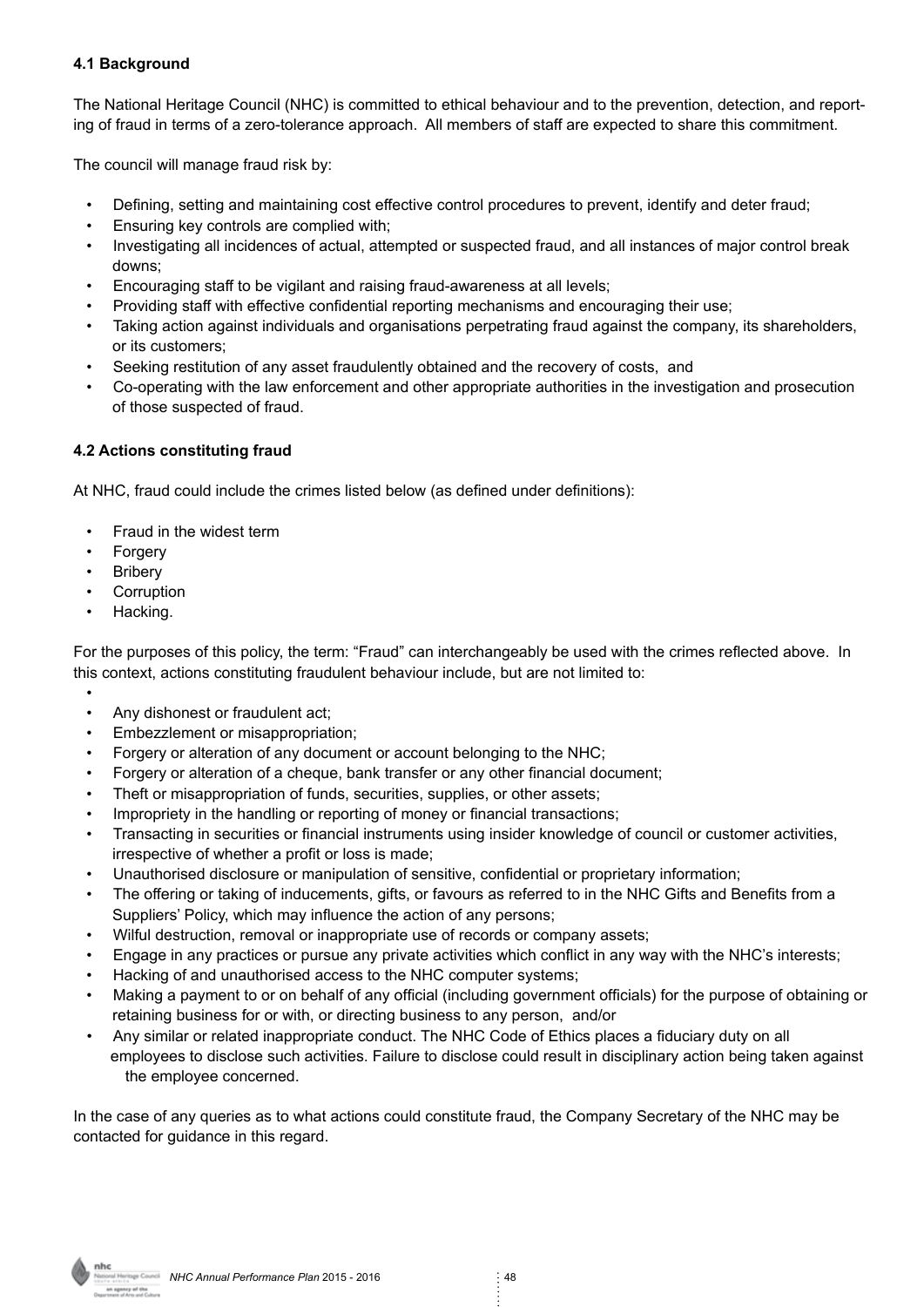#### **4.1 Background**

The National Heritage Council (NHC) is committed to ethical behaviour and to the prevention, detection, and reporting of fraud in terms of a zero-tolerance approach. All members of staff are expected to share this commitment.

The council will manage fraud risk by:

- Defining, setting and maintaining cost effective control procedures to prevent, identify and deter fraud;
- Ensuring key controls are complied with;
- Investigating all incidences of actual, attempted or suspected fraud, and all instances of major control break downs;
- Encouraging staff to be vigilant and raising fraud-awareness at all levels;
- Providing staff with effective confidential reporting mechanisms and encouraging their use;
- Taking action against individuals and organisations perpetrating fraud against the company, its shareholders, or its customers;
- Seeking restitution of any asset fraudulently obtained and the recovery of costs, and
- Co-operating with the law enforcement and other appropriate authorities in the investigation and prosecution of those suspected of fraud.

#### **4.2 Actions constituting fraud**

At NHC, fraud could include the crimes listed below (as defined under definitions):

- Fraud in the widest term
- Forgery
- Bribery
- Corruption
- Hacking.

For the purposes of this policy, the term: "Fraud" can interchangeably be used with the crimes reflected above. In this context, actions constituting fraudulent behaviour include, but are not limited to:

- • Any dishonest or fraudulent act;
- Embezzlement or misappropriation;
- Forgery or alteration of any document or account belonging to the NHC;
- Forgery or alteration of a cheque, bank transfer or any other financial document;
- Theft or misappropriation of funds, securities, supplies, or other assets;
- Impropriety in the handling or reporting of money or financial transactions;
- Transacting in securities or financial instruments using insider knowledge of council or customer activities, irrespective of whether a profit or loss is made;
- Unauthorised disclosure or manipulation of sensitive, confidential or proprietary information;
- The offering or taking of inducements, gifts, or favours as referred to in the NHC Gifts and Benefits from a Suppliers' Policy, which may influence the action of any persons;
- Wilful destruction, removal or inappropriate use of records or company assets;
- Engage in any practices or pursue any private activities which conflict in any way with the NHC's interests;
- Hacking of and unauthorised access to the NHC computer systems;
- Making a payment to or on behalf of any official (including government officials) for the purpose of obtaining or retaining business for or with, or directing business to any person, and/or
- Any similar or related inappropriate conduct. The NHC Code of Ethics places a fiduciary duty on all employees to disclose such activities. Failure to disclose could result in disciplinary action being taken against the employee concerned.

In the case of any queries as to what actions could constitute fraud, the Company Secretary of the NHC may be contacted for quidance in this regard.

**nhc**<br>NHC Annual Performance Plan 2015 - 2016<br>Annual Performance Plan 2015 - 2016 s article<br>an agency of the<br>treet of Arts and Culture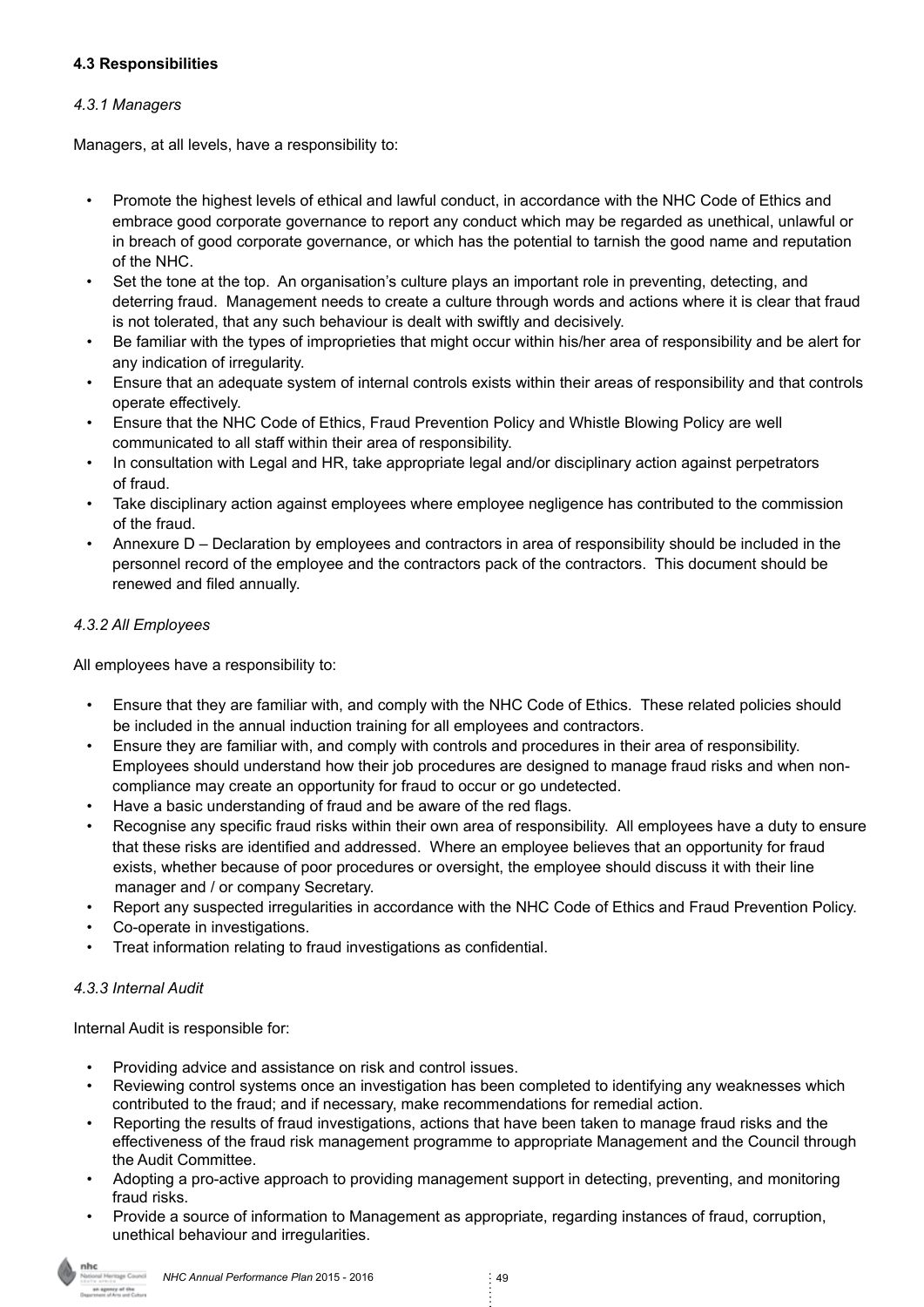#### **4.3 Responsibilities**

#### *4.3.1 Managers*

Managers, at all levels, have a responsibility to:

- Promote the highest levels of ethical and lawful conduct, in accordance with the NHC Code of Ethics and embrace good corporate governance to report any conduct which may be regarded as unethical, unlawful or in breach of good corporate governance, or which has the potential to tarnish the good name and reputation of the NHC.
- Set the tone at the top. An organisation's culture plays an important role in preventing, detecting, and deterring fraud. Management needs to create a culture through words and actions where it is clear that fraud is not tolerated, that any such behaviour is dealt with swiftly and decisively.
- Be familiar with the types of improprieties that might occur within his/her area of responsibility and be alert for any indication of irregularity.
- Ensure that an adequate system of internal controls exists within their areas of responsibility and that controls operate effectively.
- Ensure that the NHC Code of Ethics, Fraud Prevention Policy and Whistle Blowing Policy are well communicated to all staff within their area of responsibility.
- In consultation with Legal and HR, take appropriate legal and/or disciplinary action against perpetrators of fraud.
- Take disciplinary action against employees where employee negligence has contributed to the commission of the fraud.
- Annexure D Declaration by employees and contractors in area of responsibility should be included in the personnel record of the employee and the contractors pack of the contractors. This document should be renewed and filed annually.

#### *4.3.2 All Employees*

All employees have a responsibility to:

- Ensure that they are familiar with, and comply with the NHC Code of Ethics. These related policies should be included in the annual induction training for all employees and contractors.
- Ensure they are familiar with, and comply with controls and procedures in their area of responsibility. Employees should understand how their job procedures are designed to manage fraud risks and when non compliance may create an opportunity for fraud to occur or go undetected.
- Have a basic understanding of fraud and be aware of the red flags.
- Recognise any specific fraud risks within their own area of responsibility. All employees have a duty to ensure that these risks are identified and addressed. Where an employee believes that an opportunity for fraud exists, whether because of poor procedures or oversight, the employee should discuss it with their line manager and / or company Secretary.
- Report any suspected irregularities in accordance with the NHC Code of Ethics and Fraud Prevention Policy.
- Co-operate in investigations.
- Treat information relating to fraud investigations as confidential.

#### *4.3.3 Internal Audit*

Internal Audit is responsible for:

- Providing advice and assistance on risk and control issues.
- Reviewing control systems once an investigation has been completed to identifying any weaknesses which contributed to the fraud; and if necessary, make recommendations for remedial action.
- Reporting the results of fraud investigations, actions that have been taken to manage fraud risks and the effectiveness of the fraud risk management programme to appropriate Management and the Council through the Audit Committee.
- Adopting a pro-active approach to providing management support in detecting, preventing, and monitoring fraud risks.
- Provide a source of information to Management as appropriate, regarding instances of fraud, corruption, unethical behaviour and irregularities.

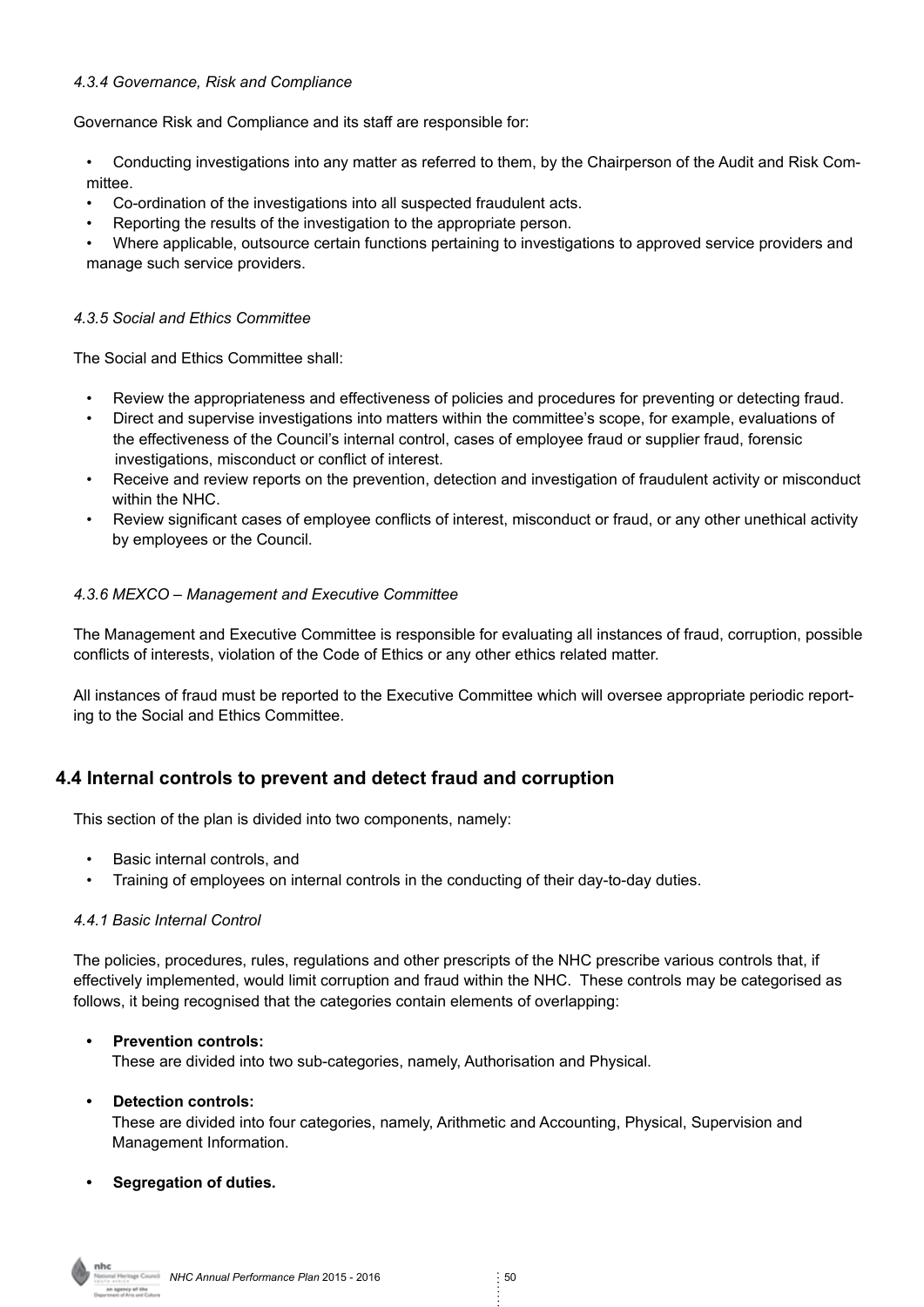#### *4.3.4 Governance, Risk and Compliance*

Governance Risk and Compliance and its staff are responsible for:

- Conducting investigations into any matter as referred to them, by the Chairperson of the Audit and Risk Committee.
- Co-ordination of the investigations into all suspected fraudulent acts.
- Reporting the results of the investigation to the appropriate person.

• Where applicable, outsource certain functions pertaining to investigations to approved service providers and manage such service providers.

#### *4.3.5 Social and Ethics Committee*

The Social and Ethics Committee shall:

- Review the appropriateness and effectiveness of policies and procedures for preventing or detecting fraud.
- Direct and supervise investigations into matters within the committee's scope, for example, evaluations of the effectiveness of the Council's internal control, cases of employee fraud or supplier fraud, forensic investigations, misconduct or conflict of interest.
- Receive and review reports on the prevention, detection and investigation of fraudulent activity or misconduct within the NHC.
- Review significant cases of employee conflicts of interest, misconduct or fraud, or any other unethical activity by employees or the Council.

#### *4.3.6 MEXCO – Management and Executive Committee*

The Management and Executive Committee is responsible for evaluating all instances of fraud, corruption, possible conflicts of interests, violation of the Code of Ethics or any other ethics related matter.

All instances of fraud must be reported to the Executive Committee which will oversee appropriate periodic reporting to the Social and Ethics Committee.

#### **4.4 Internal controls to prevent and detect fraud and corruption**

This section of the plan is divided into two components, namely:

- Basic internal controls, and
- Training of employees on internal controls in the conducting of their day-to-day duties.

#### *4.4.1 Basic Internal Control*

The policies, procedures, rules, regulations and other prescripts of the NHC prescribe various controls that, if effectively implemented, would limit corruption and fraud within the NHC. These controls may be categorised as follows, it being recognised that the categories contain elements of overlapping:

#### **• Prevention controls:**

These are divided into two sub-categories, namely, Authorisation and Physical.

#### **• Detection controls:**

 These are divided into four categories, namely, Arithmetic and Accounting, Physical, Supervision and Management Information.

#### **• Segregation of duties.**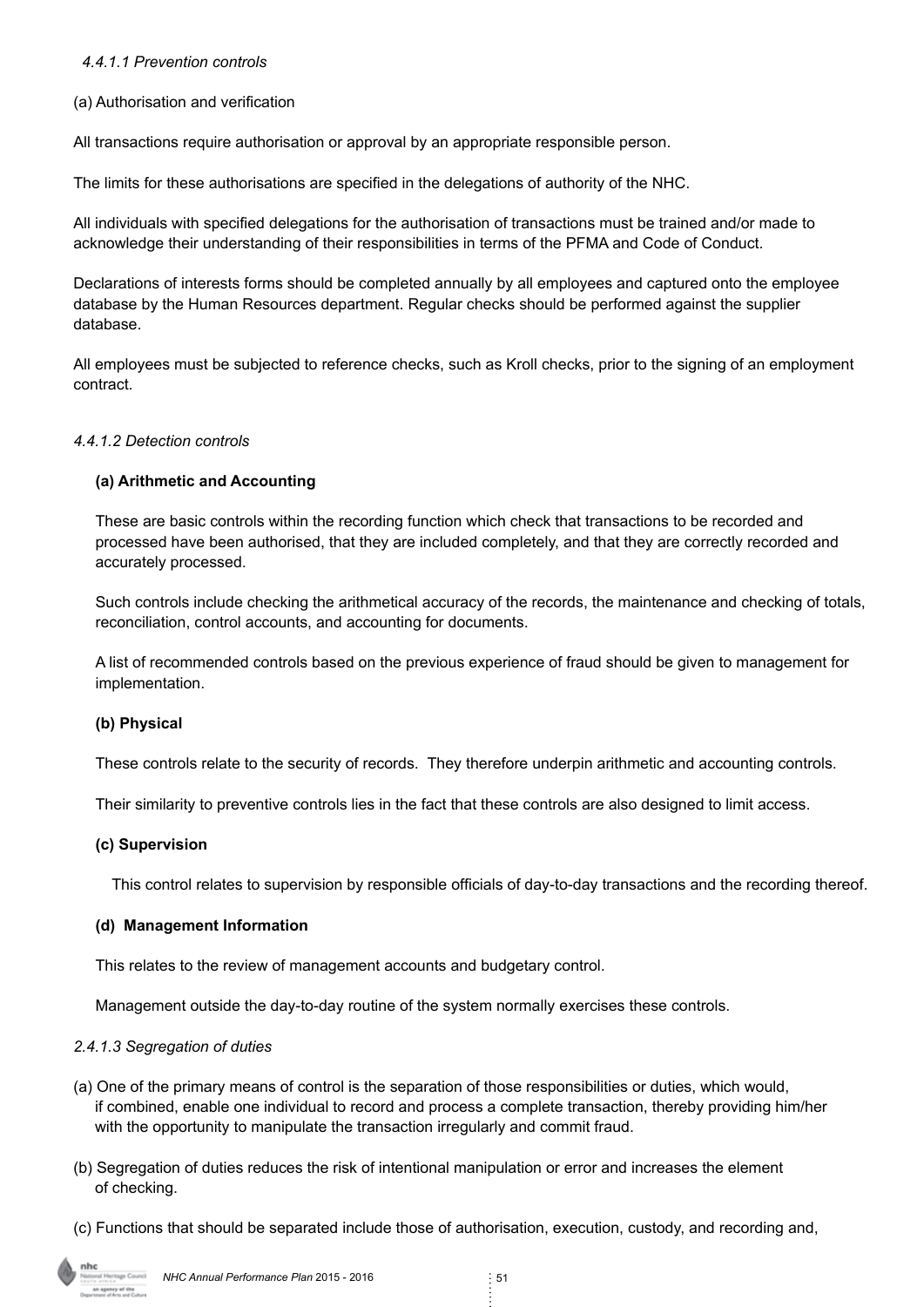#### *4.4.1.1 Prevention controls*

#### (a) Authorisation and verification

All transactions require authorisation or approval by an appropriate responsible person.

The limits for these authorisations are specified in the delegations of authority of the NHC.

All individuals with specified delegations for the authorisation of transactions must be trained and/or made to acknowledge their understanding of their responsibilities in terms of the PFMA and Code of Conduct.

Declarations of interests forms should be completed annually by all employees and captured onto the employee database by the Human Resources department. Regular checks should be performed against the supplier database.

All employees must be subjected to reference checks, such as Kroll checks, prior to the signing of an employment contract.

#### *4.4.1.2 Detection controls*

#### **(a) Arithmetic and Accounting**

These are basic controls within the recording function which check that transactions to be recorded and processed have been authorised, that they are included completely, and that they are correctly recorded and accurately processed.

Such controls include checking the arithmetical accuracy of the records, the maintenance and checking of totals, reconciliation, control accounts, and accounting for documents.

A list of recommended controls based on the previous experience of fraud should be given to management for implementation.

#### **(b) Physical**

These controls relate to the security of records. They therefore underpin arithmetic and accounting controls.

Their similarity to preventive controls lies in the fact that these controls are also designed to limit access.

#### **(c) Supervision**

This control relates to supervision by responsible officials of day-to-day transactions and the recording thereof.

#### **(d) Management Information**

This relates to the review of management accounts and budgetary control.

Management outside the day-to-day routine of the system normally exercises these controls.

#### *2.4.1.3 Segregation of duties*

- (a) One of the primary means of control is the separation of those responsibilities or duties, which would, if combined, enable one individual to record and process a complete transaction, thereby providing him/her with the opportunity to manipulate the transaction irregularly and commit fraud.
- (b) Segregation of duties reduces the risk of intentional manipulation or error and increases the element of checking.
- (c) Functions that should be separated include those of authorisation, execution, custody, and recording and,

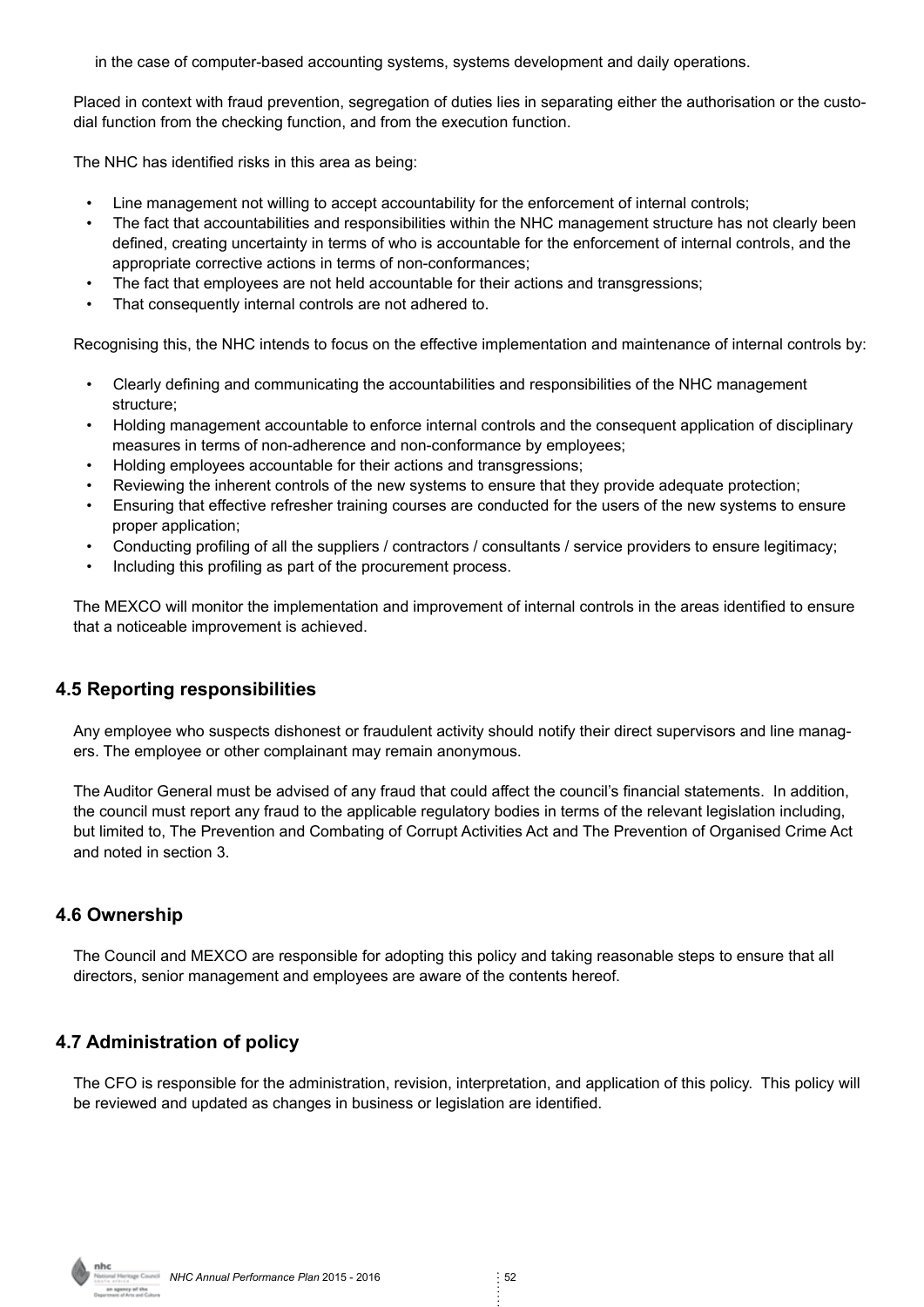in the case of computer-based accounting systems, systems development and daily operations.

Placed in context with fraud prevention, segregation of duties lies in separating either the authorisation or the custodial function from the checking function, and from the execution function.

The NHC has identified risks in this area as being:

- Line management not willing to accept accountability for the enforcement of internal controls;
- The fact that accountabilities and responsibilities within the NHC management structure has not clearly been defined, creating uncertainty in terms of who is accountable for the enforcement of internal controls, and the appropriate corrective actions in terms of non-conformances;
- The fact that employees are not held accountable for their actions and transgressions:
- That consequently internal controls are not adhered to.

Recognising this, the NHC intends to focus on the effective implementation and maintenance of internal controls by:

- Clearly defining and communicating the accountabilities and responsibilities of the NHC management structure;
- Holding management accountable to enforce internal controls and the consequent application of disciplinary measures in terms of non-adherence and non-conformance by employees;
- Holding employees accountable for their actions and transgressions;
- Reviewing the inherent controls of the new systems to ensure that they provide adequate protection;
- Ensuring that effective refresher training courses are conducted for the users of the new systems to ensure proper application;
- Conducting profiling of all the suppliers / contractors / consultants / service providers to ensure legitimacy;
- Including this profiling as part of the procurement process.

The MEXCO will monitor the implementation and improvement of internal controls in the areas identified to ensure that a noticeable improvement is achieved.

#### **4.5 Reporting responsibilities**

Any employee who suspects dishonest or fraudulent activity should notify their direct supervisors and line managers. The employee or other complainant may remain anonymous.

The Auditor General must be advised of any fraud that could affect the council's financial statements. In addition, the council must report any fraud to the applicable regulatory bodies in terms of the relevant legislation including, but limited to, The Prevention and Combating of Corrupt Activities Act and The Prevention of Organised Crime Act and noted in section 3.

#### **4.6 Ownership**

The Council and MEXCO are responsible for adopting this policy and taking reasonable steps to ensure that all directors, senior management and employees are aware of the contents hereof.

#### **4.7 Administration of policy**

The CFO is responsible for the administration, revision, interpretation, and application of this policy. This policy will be reviewed and updated as changes in business or legislation are identified.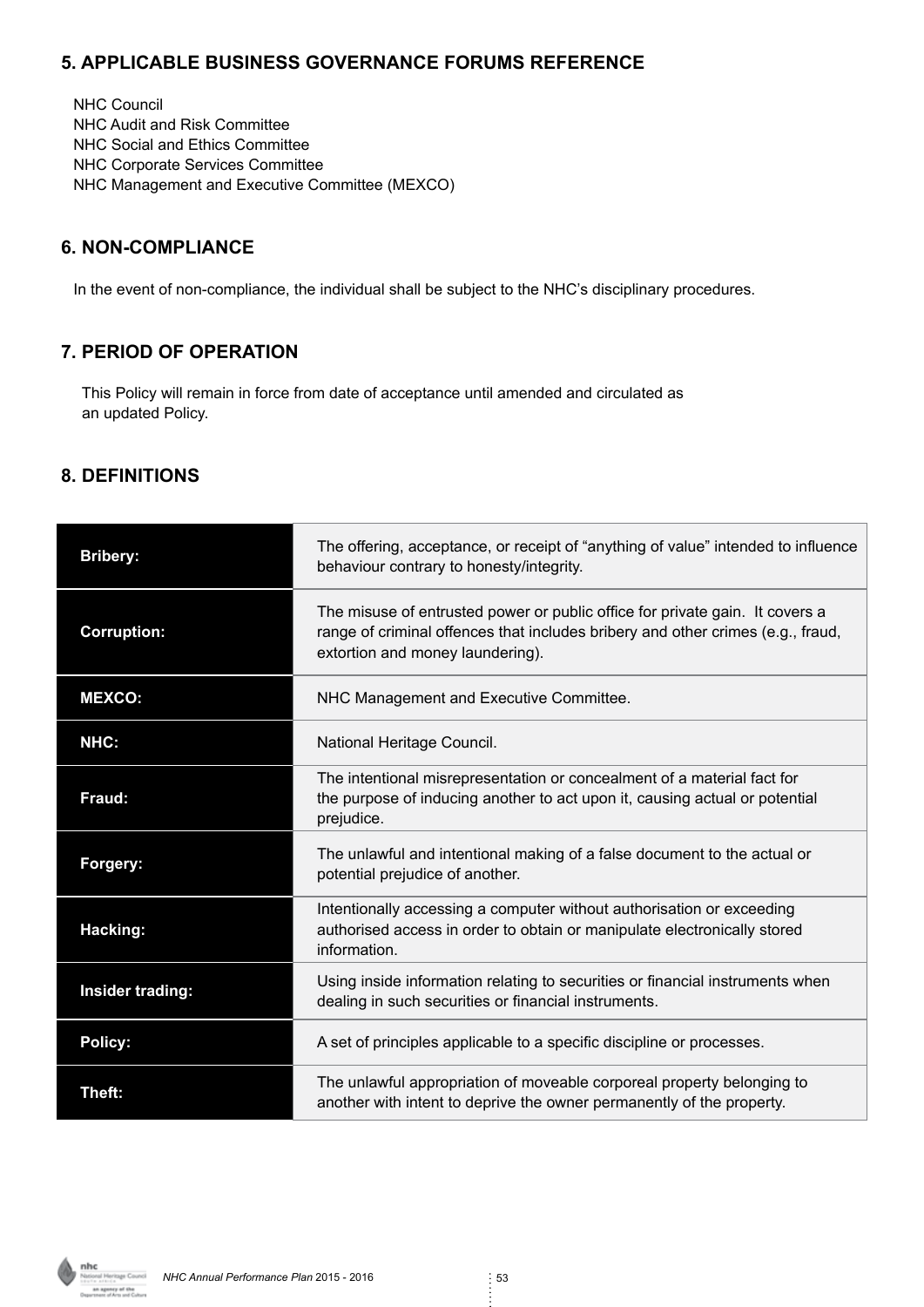# **5. APPLICABLE BUSINESS GOVERNANCE FORUMS REFERENCE**

NHC Council NHC Audit and Risk Committee NHC Social and Ethics Committee NHC Corporate Services Committee NHC Management and Executive Committee (MEXCO)

# **6. NON-COMPLIANCE**

In the event of non-compliance, the individual shall be subject to the NHC's disciplinary procedures.

# **7. PERIOD OF OPERATION**

 This Policy will remain in force from date of acceptance until amended and circulated as an updated Policy.

# **8. DEFINITIONS**

| <b>Bribery:</b>                                                                                                         | The offering, acceptance, or receipt of "anything of value" intended to influence<br>behaviour contrary to honesty/integrity.                                                                       |
|-------------------------------------------------------------------------------------------------------------------------|-----------------------------------------------------------------------------------------------------------------------------------------------------------------------------------------------------|
| <b>Corruption:</b>                                                                                                      | The misuse of entrusted power or public office for private gain. It covers a<br>range of criminal offences that includes bribery and other crimes (e.g., fraud,<br>extortion and money laundering). |
| <b>MEXCO:</b>                                                                                                           | NHC Management and Executive Committee.                                                                                                                                                             |
| NHC:                                                                                                                    | National Heritage Council.                                                                                                                                                                          |
| Fraud:                                                                                                                  | The intentional misrepresentation or concealment of a material fact for<br>the purpose of inducing another to act upon it, causing actual or potential<br>prejudice.                                |
| The unlawful and intentional making of a false document to the actual or<br>Forgery:<br>potential prejudice of another. |                                                                                                                                                                                                     |
| Hacking:                                                                                                                | Intentionally accessing a computer without authorisation or exceeding<br>authorised access in order to obtain or manipulate electronically stored<br>information.                                   |
| Insider trading:                                                                                                        | Using inside information relating to securities or financial instruments when<br>dealing in such securities or financial instruments.                                                               |
| <b>Policy:</b>                                                                                                          | A set of principles applicable to a specific discipline or processes.                                                                                                                               |
| Theft:                                                                                                                  | The unlawful appropriation of moveable corporeal property belonging to<br>another with intent to deprive the owner permanently of the property.                                                     |

an agency of the<br>snore of Arts and Culture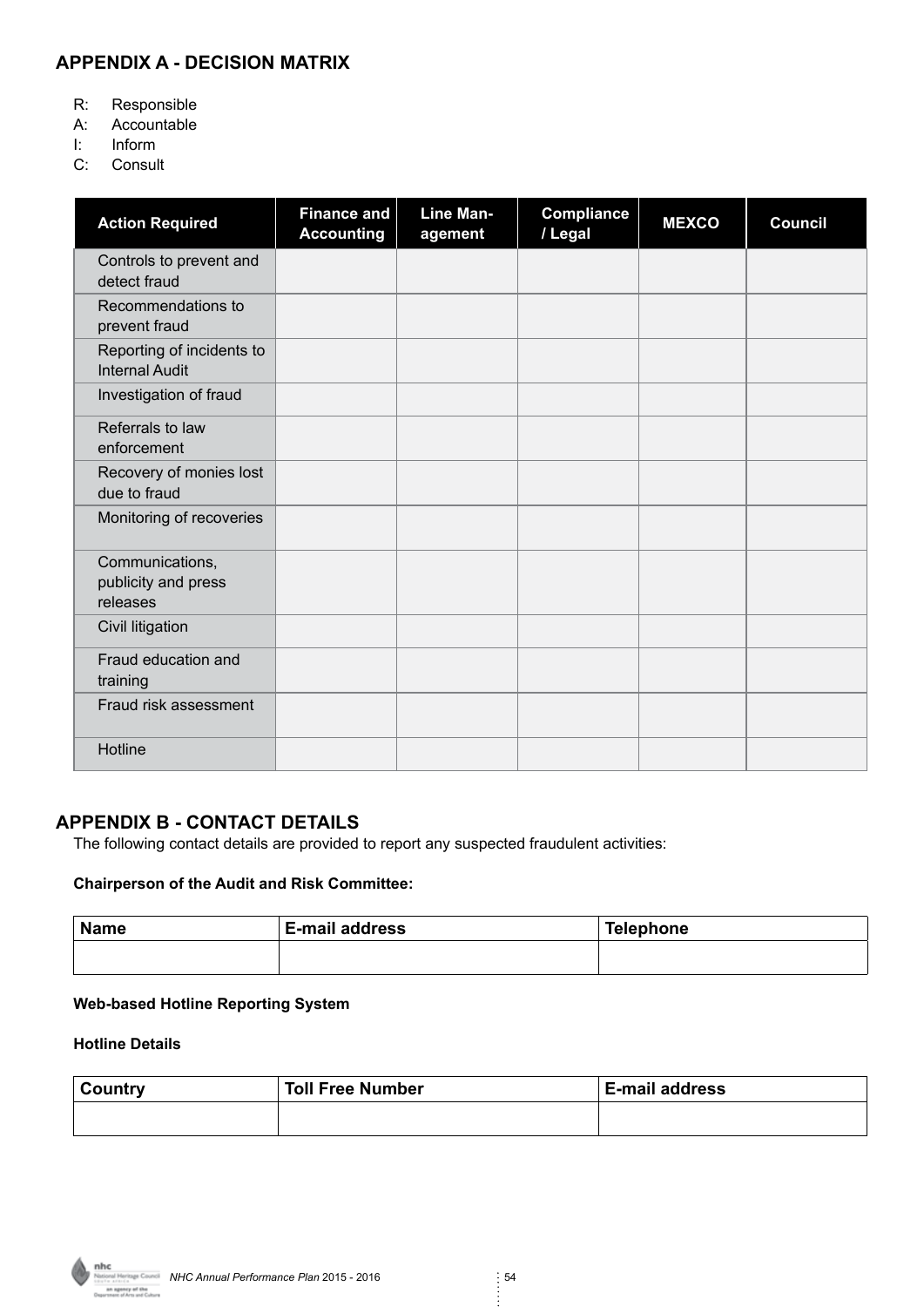# **APPENDIX A - DECISION MATRIX**

- R: Responsible
- A: Accountable
- I: Inform
- C: Consult

| <b>Action Required</b>                             | <b>Finance and</b><br><b>Accounting</b> | <b>Line Man-</b><br>agement | <b>Compliance</b><br>/ Legal | <b>MEXCO</b> | <b>Council</b> |
|----------------------------------------------------|-----------------------------------------|-----------------------------|------------------------------|--------------|----------------|
| Controls to prevent and<br>detect fraud            |                                         |                             |                              |              |                |
| Recommendations to<br>prevent fraud                |                                         |                             |                              |              |                |
| Reporting of incidents to<br><b>Internal Audit</b> |                                         |                             |                              |              |                |
| Investigation of fraud                             |                                         |                             |                              |              |                |
| Referrals to law<br>enforcement                    |                                         |                             |                              |              |                |
| Recovery of monies lost<br>due to fraud            |                                         |                             |                              |              |                |
| Monitoring of recoveries                           |                                         |                             |                              |              |                |
| Communications,<br>publicity and press<br>releases |                                         |                             |                              |              |                |
| Civil litigation                                   |                                         |                             |                              |              |                |
| Fraud education and<br>training                    |                                         |                             |                              |              |                |
| Fraud risk assessment                              |                                         |                             |                              |              |                |
| Hotline                                            |                                         |                             |                              |              |                |

#### **APPENDIX B - CONTACT DETAILS**

The following contact details are provided to report any suspected fraudulent activities:

#### **Chairperson of the Audit and Risk Committee:**

| <b>Name</b> | E-mail address | Telephone |
|-------------|----------------|-----------|
|             |                |           |

#### **Web-based Hotline Reporting System**

#### **Hotline Details**

| <b>Country</b> | <b>Toll Free Number</b> | <b>E-mail address</b> |
|----------------|-------------------------|-----------------------|
|                |                         |                       |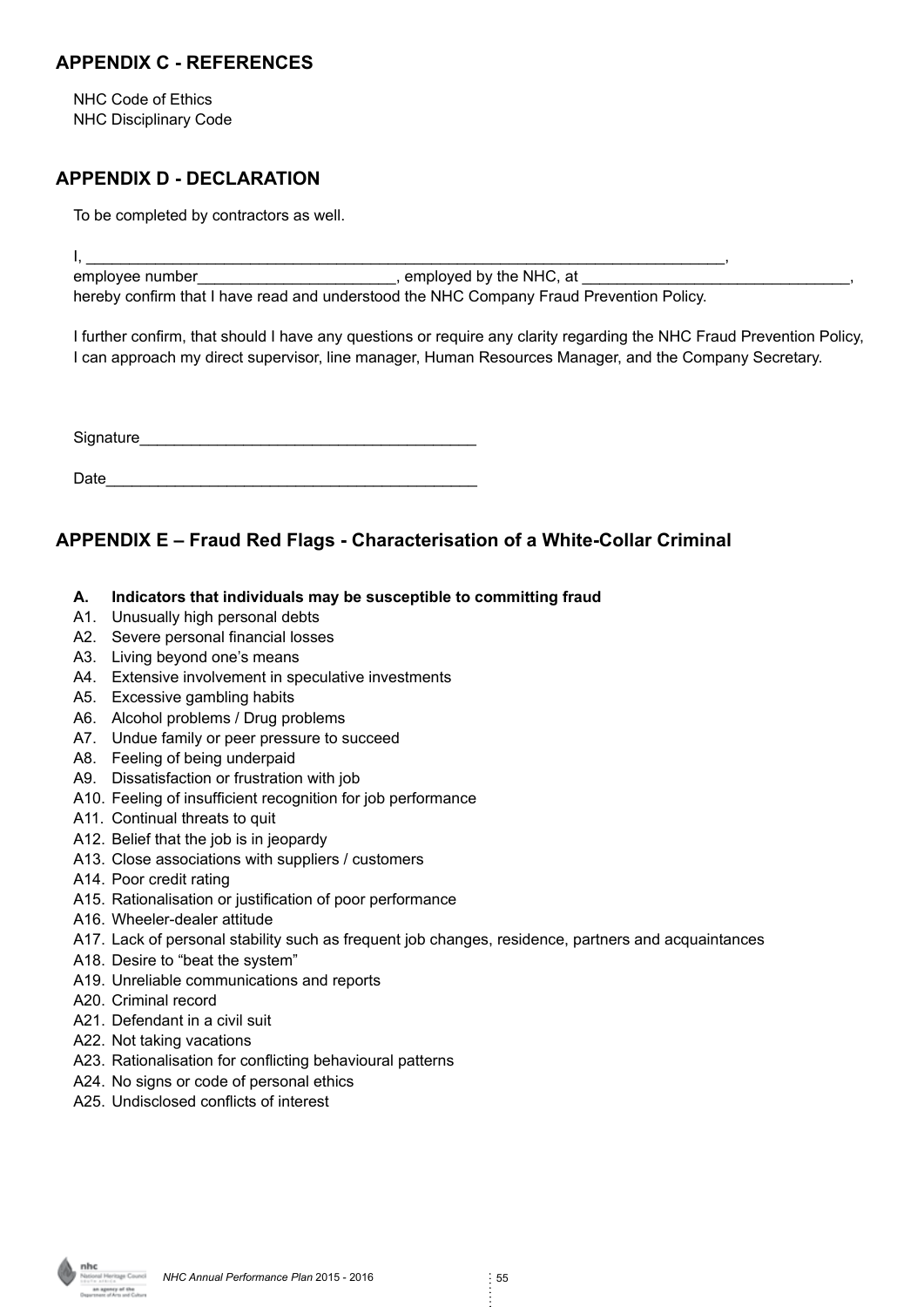## **APPENDIX C - REFERENCES**

NHC Code of Ethics NHC Disciplinary Code

# **APPENDIX D - DECLARATION**

To be completed by contractors as well.

I, \_\_\_\_\_\_\_\_\_\_\_\_\_\_\_\_\_\_\_\_\_\_\_\_\_\_\_\_\_\_\_\_\_\_\_\_\_\_\_\_\_\_\_\_\_\_\_\_\_\_\_\_\_\_\_\_\_\_\_\_\_\_\_\_\_\_\_\_\_\_\_\_\_\_, employee number\_\_\_\_\_\_\_\_\_\_\_\_\_\_\_\_\_\_\_\_\_\_\_\_\_\_, employed by the NHC, at hereby confirm that I have read and understood the NHC Company Fraud Prevention Policy.

I further confirm, that should I have any questions or require any clarity regarding the NHC Fraud Prevention Policy, I can approach my direct supervisor, line manager, Human Resources Manager, and the Company Secretary.

Signature

| Date |  |
|------|--|
|      |  |
|      |  |

# **APPENDIX E – Fraud Red Flags - Characterisation of a White-Collar Criminal**

- **A. Indicators that individuals may be susceptible to committing fraud**
- A1. Unusually high personal debts
- A2. Severe personal financial losses
- A3. Living beyond one's means
- A4. Extensive involvement in speculative investments
- A5. Excessive gambling habits
- A6. Alcohol problems / Drug problems
- A7. Undue family or peer pressure to succeed
- A8. Feeling of being underpaid
- A9. Dissatisfaction or frustration with job
- A10. Feeling of insufficient recognition for job performance
- A11. Continual threats to quit
- A12. Belief that the job is in jeopardy
- A13. Close associations with suppliers / customers
- A14. Poor credit rating
- A15. Rationalisation or justification of poor performance
- A16. Wheeler-dealer attitude
- A17. Lack of personal stability such as frequent job changes, residence, partners and acquaintances
- A18. Desire to "beat the system"
- A19. Unreliable communications and reports
- A20. Criminal record
- A21. Defendant in a civil suit
- A22. Not taking vacations
- A23. Rationalisation for conflicting behavioural patterns
- A24. No signs or code of personal ethics
- A25. Undisclosed conflicts of interest

antinia<br>L**agency of the**<br>ant of Arts and Culture

*NHC Annual Performance Plan 2015 - 2016 55*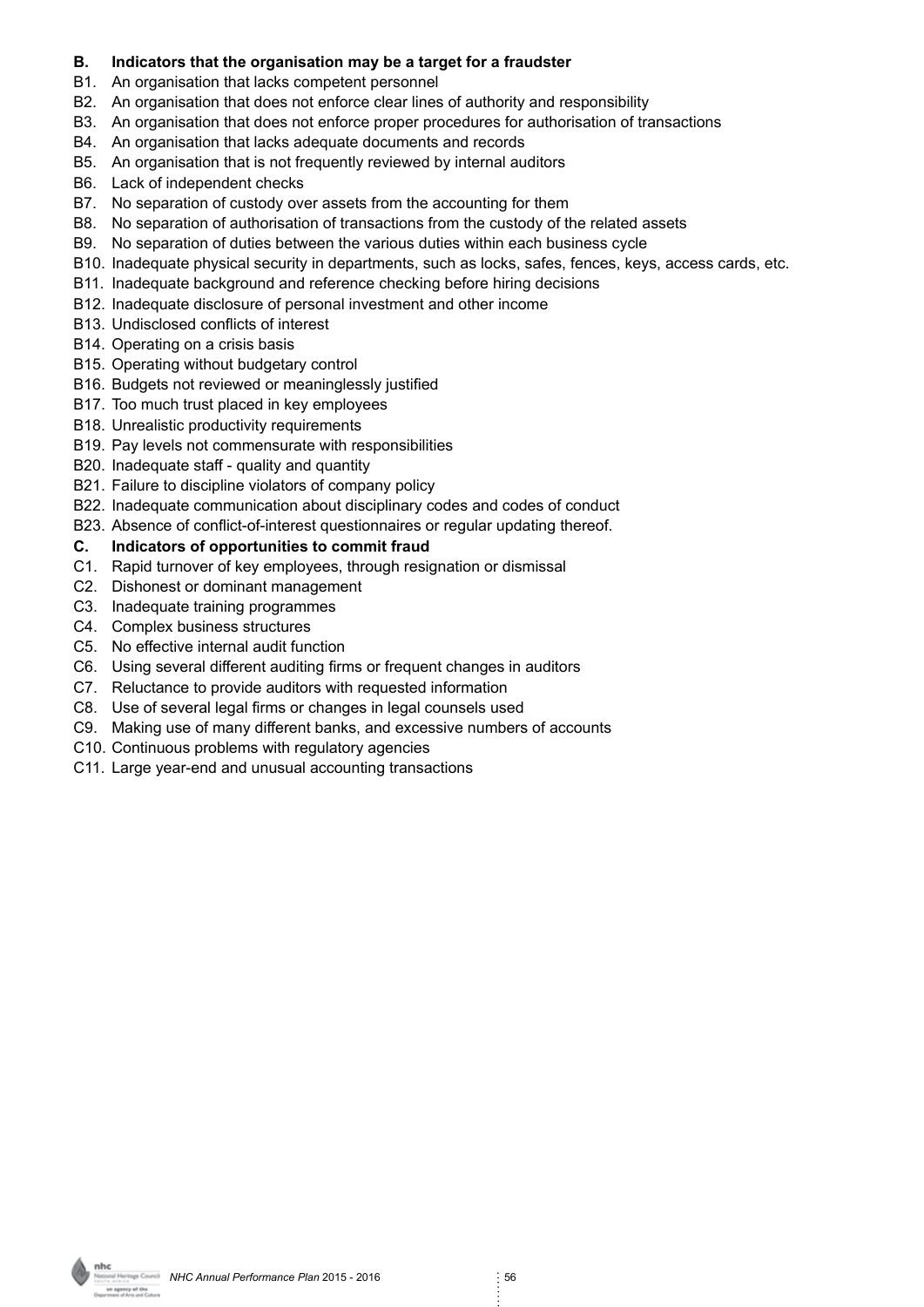#### **B. Indicators that the organisation may be a target for a fraudster**

- B1. An organisation that lacks competent personnel
- B2. An organisation that does not enforce clear lines of authority and responsibility
- B3. An organisation that does not enforce proper procedures for authorisation of transactions
- B4. An organisation that lacks adequate documents and records
- B5. An organisation that is not frequently reviewed by internal auditors
- B6. Lack of independent checks
- B7. No separation of custody over assets from the accounting for them
- B8. No separation of authorisation of transactions from the custody of the related assets
- B9. No separation of duties between the various duties within each business cycle
- B10. Inadequate physical security in departments, such as locks, safes, fences, keys, access cards, etc.
- B11. Inadequate background and reference checking before hiring decisions
- B12. Inadequate disclosure of personal investment and other income
- B13. Undisclosed conflicts of interest
- B14. Operating on a crisis basis
- B15. Operating without budgetary control
- B16. Budgets not reviewed or meaninglessly justified
- B17. Too much trust placed in key employees
- B18. Unrealistic productivity requirements
- B19. Pay levels not commensurate with responsibilities
- B20. Inadequate staff quality and quantity
- B21. Failure to discipline violators of company policy
- B22. Inadequate communication about disciplinary codes and codes of conduct
- B23. Absence of conflict-of-interest questionnaires or regular updating thereof.

#### **C. Indicators of opportunities to commit fraud**

- C1. Rapid turnover of key employees, through resignation or dismissal
- C2. Dishonest or dominant management
- C3. Inadequate training programmes
- C4. Complex business structures
- C5. No effective internal audit function
- C6. Using several different auditing firms or frequent changes in auditors
- C7. Reluctance to provide auditors with requested information
- C8. Use of several legal firms or changes in legal counsels used
- C9. Making use of many different banks, and excessive numbers of accounts
- C10. Continuous problems with regulatory agencies
- C11. Large year-end and unusual accounting transactions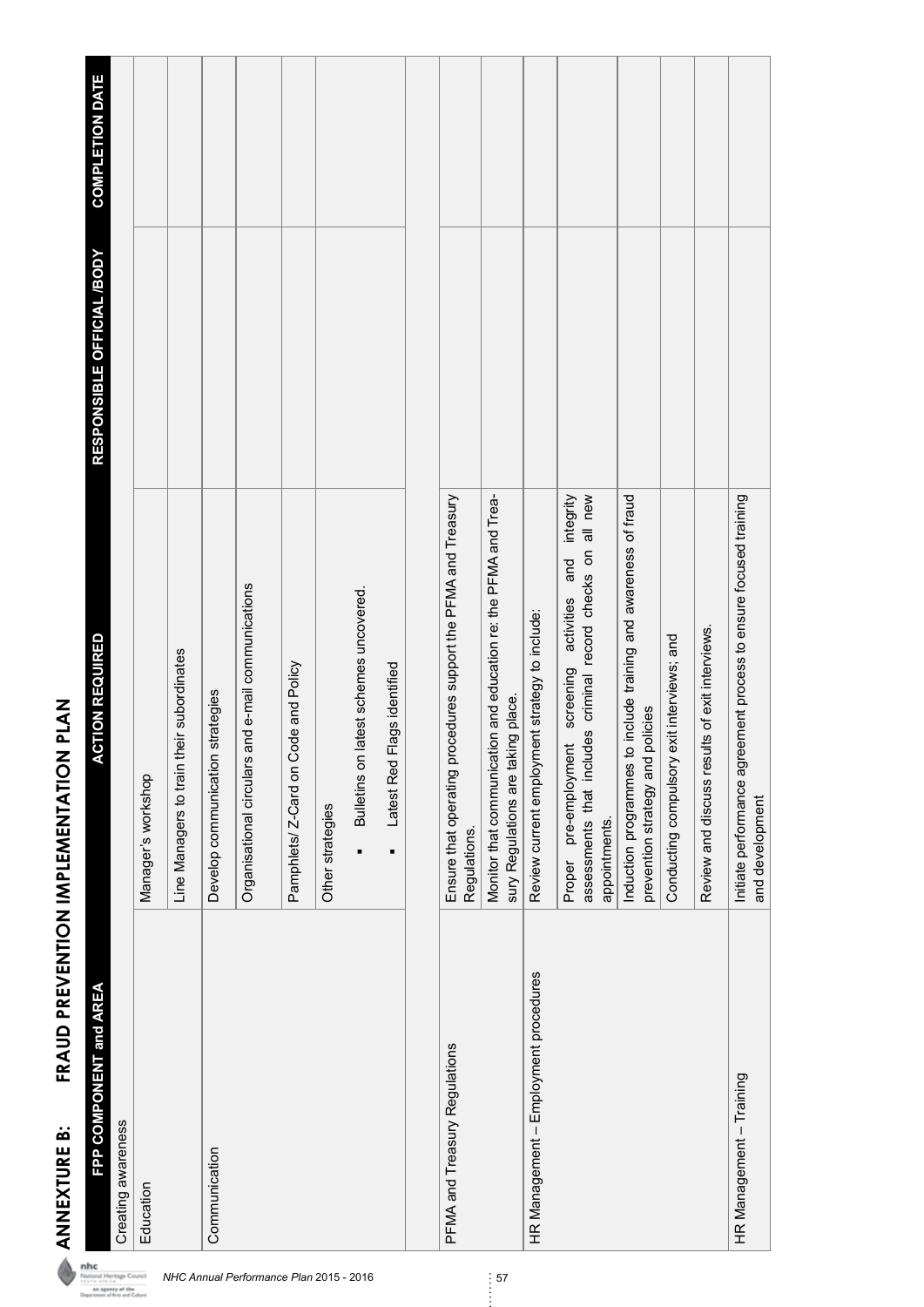| FPP COMPONENT and AREA                | <b>ACTION REQUIRED</b>                                                                                                                            | RESPONSIBLE OFFICIAL /BODY | <b>COMPLETION DATE</b> |
|---------------------------------------|---------------------------------------------------------------------------------------------------------------------------------------------------|----------------------------|------------------------|
| Creating awareness                    |                                                                                                                                                   |                            |                        |
| Education                             | Manager's workshop                                                                                                                                |                            |                        |
|                                       | their subordinates<br>Line Managers to train t                                                                                                    |                            |                        |
| Communication                         | Develop communication strategies                                                                                                                  |                            |                        |
|                                       | and e-mail communications<br>Organisational circulars                                                                                             |                            |                        |
|                                       | Pamphlets/ Z-Card on Code and Policy                                                                                                              |                            |                        |
|                                       | Other strategies                                                                                                                                  |                            |                        |
|                                       | Bulletins on latest schemes uncovered.<br>$\blacksquare$                                                                                          |                            |                        |
|                                       | Flags identified<br>Latest Red                                                                                                                    |                            |                        |
|                                       |                                                                                                                                                   |                            |                        |
| PFMA and Treasury Regulations         | Ensure that operating procedures support the PFMA and Treasury<br>Regulations.                                                                    |                            |                        |
|                                       | Monitor that communication and education re: the PFMA and Trea-<br>sury Regulations are taking place.                                             |                            |                        |
| HR Management - Employment procedures | Review current employment strategy to include:                                                                                                    |                            |                        |
|                                       | assessments that includes criminal record checks on all new<br>integrity<br>and<br>pre-employment screening activities<br>appointments.<br>Proper |                            |                        |
|                                       | Induction programmes to include training and awareness of fraud<br>policies<br>prevention strategy and                                            |                            |                        |
|                                       | exit interviews; and<br>Conducting compulsory                                                                                                     |                            |                        |
|                                       | Review and discuss results of exit interviews.                                                                                                    |                            |                        |
| HR Management - Training              | Initiate performance agreement process to ensure focused training<br>and development                                                              |                            |                        |

FRAUD PREVENTION IMPLEMENTATION PLAN **ANNEXTURE B: FRAUD PREVENTION IMPLEMENTATION PLAN** ANNEXTURE B:

**nhc**<br> *NHC Annual Performance Plan 2015 - 2016* 57<br> **Interactivity of the Supper of the Supper of the Supper of the Supper of the Supper of the Supper of the Supper of the Supper of the Supper of the Supper of the Supper**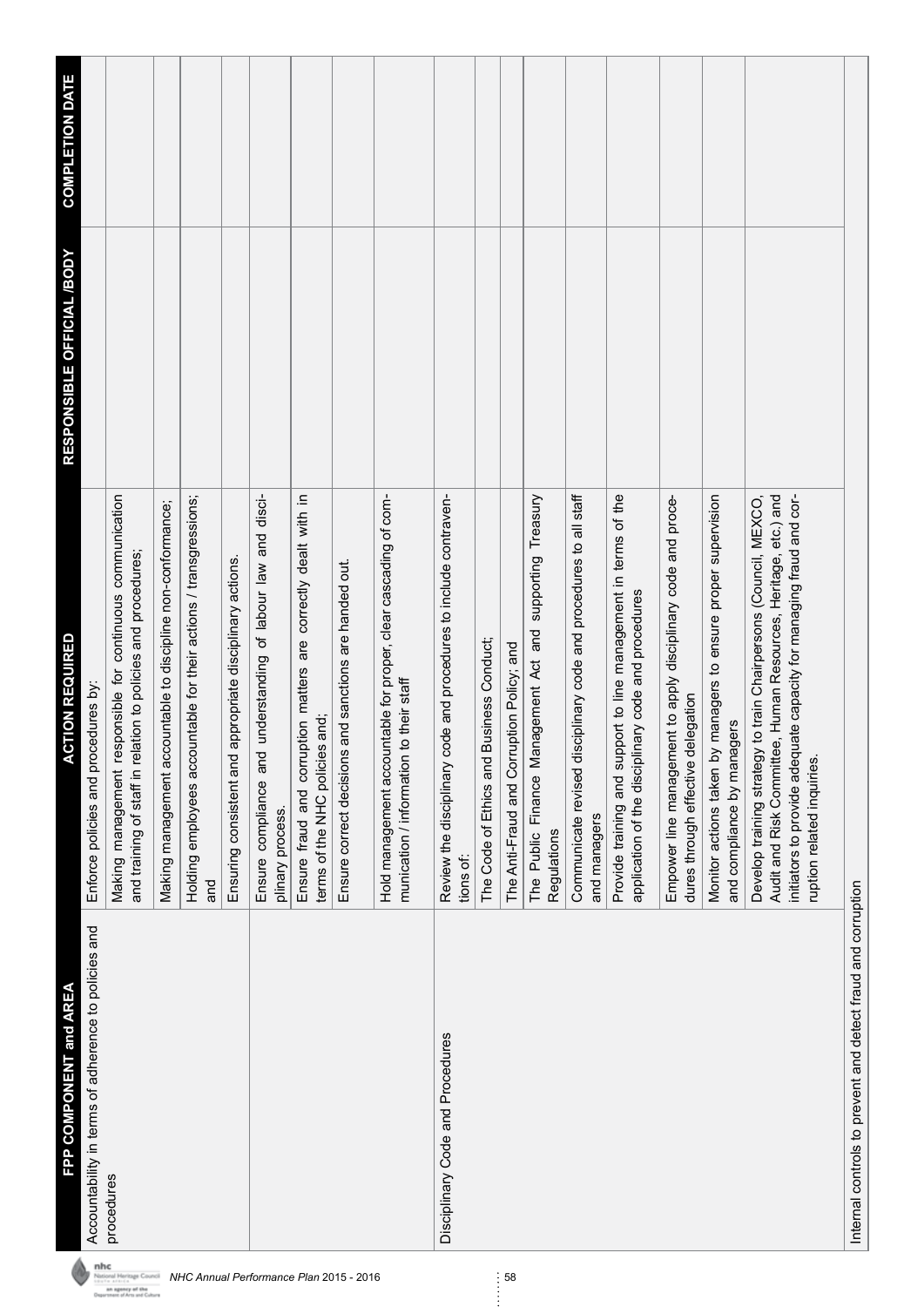|                                                                        | FPP COMPONENT and AREA                                       | <b>CTION REQUIRED</b><br>⋖                                                                                                                                                                                                             | RESPONSIBLE OFFICIAL /BODY | <b>COMPLETION DATE</b> |
|------------------------------------------------------------------------|--------------------------------------------------------------|----------------------------------------------------------------------------------------------------------------------------------------------------------------------------------------------------------------------------------------|----------------------------|------------------------|
| nhc                                                                    | Accountability in terms of adherence to policies and         | Enforce policies and procedures by:                                                                                                                                                                                                    |                            |                        |
| sional Heritage Council<br>an agency of the<br>ant of Arts and Culture | procedures                                                   | Making management responsible for continuous communication<br>and training of staff in relation to policies and procedures;                                                                                                            |                            |                        |
|                                                                        |                                                              | Making management accountable to discipline non-conformance;                                                                                                                                                                           |                            |                        |
| NHC Annual Performance Plan 2015 - 2016                                |                                                              | Holding employees accountable for their actions / transgressions;<br>and                                                                                                                                                               |                            |                        |
|                                                                        |                                                              | appropriate disciplinary actions.<br>Ensuring consistent and                                                                                                                                                                           |                            |                        |
|                                                                        |                                                              | understanding of labour law and disci-<br>Ensure compliance and<br>plinary process.                                                                                                                                                    |                            |                        |
|                                                                        |                                                              | Ensure fraud and corruption matters are correctly dealt with in<br>terms of the NHC policies and;                                                                                                                                      |                            |                        |
|                                                                        |                                                              | and sanctions are handed out.<br>Ensure correct decisions                                                                                                                                                                              |                            |                        |
|                                                                        |                                                              | Hold management accountable for proper, clear cascading of com-<br>munication / information to their staff                                                                                                                             |                            |                        |
|                                                                        | Disciplinary Code and Procedures                             | Review the disciplinary code and procedures to include contraven-<br>tions of:                                                                                                                                                         |                            |                        |
|                                                                        |                                                              | <b>Business Conduct;</b><br>The Code of Ethics and                                                                                                                                                                                     |                            |                        |
| 58                                                                     |                                                              | The Anti-Fraud and Corruption Policy; and                                                                                                                                                                                              |                            |                        |
|                                                                        |                                                              | The Public Finance Management Act and supporting Treasury<br>Regulations                                                                                                                                                               |                            |                        |
|                                                                        |                                                              | Communicate revised disciplinary code and procedures to all staff<br>and managers                                                                                                                                                      |                            |                        |
|                                                                        |                                                              | Provide training and support to line management in terms of the<br>application of the disciplinary code and procedures                                                                                                                 |                            |                        |
|                                                                        |                                                              | Empower line management to apply disciplinary code and proce-<br>dures through effective delegation                                                                                                                                    |                            |                        |
|                                                                        |                                                              | Monitor actions taken by managers to ensure proper supervision<br>and compliance by managers                                                                                                                                           |                            |                        |
|                                                                        |                                                              | Audit and Risk Committee, Human Resources, Heritage, etc.) and<br>initiators to provide adequate capacity for managing fraud and cor-<br>Develop training strategy to train Chairpersons (Council, MEXCO<br>ruption related inquiries. |                            |                        |
|                                                                        | Internal controls to prevent and detect fraud and corruption |                                                                                                                                                                                                                                        |                            |                        |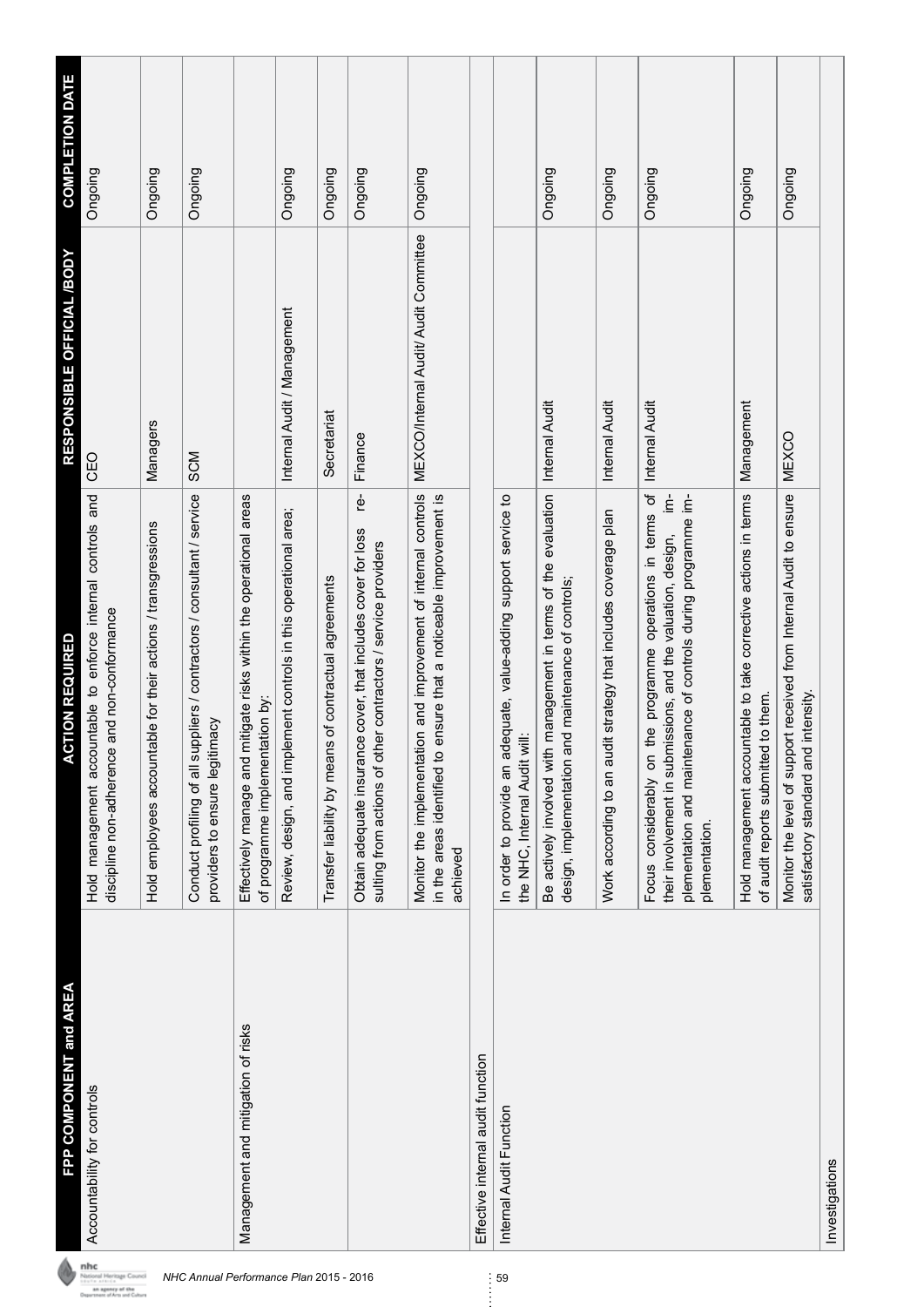| FPP COMPONENT and AREA             | <b>CTION REQUIRED</b><br>⋖                                                                                                                                                                                                       | RESPONSIBLE OFFICIAL /BODY            | <b>COMPLETION DATE</b> |
|------------------------------------|----------------------------------------------------------------------------------------------------------------------------------------------------------------------------------------------------------------------------------|---------------------------------------|------------------------|
| Accountability for controls        | Hold management accountable to enforce internal controls and<br>discipline non-adherence and non-conformance                                                                                                                     | CEO                                   | Ongoing                |
|                                    | Hold employees accountable for their actions / transgressions                                                                                                                                                                    | Managers                              | Ongoing                |
|                                    | Conduct profiling of all suppliers / contractors / consultant / service<br>providers to ensure legitimacy                                                                                                                        | <b>SCM</b>                            | Ongoing                |
| Management and mitigation of risks | mitigate risks within the operational areas<br>of programme implementation by:<br>Effectively manage and                                                                                                                         |                                       |                        |
|                                    | Review, design, and implement controls in this operational area;                                                                                                                                                                 | Internal Audit / Management           | Ongoing                |
|                                    | Transfer liability by means of contractual agreements                                                                                                                                                                            | Secretariat                           | Ongoing                |
|                                    | ģ<br>Obtain adequate insurance cover, that includes cover for loss<br>sulting from actions of other contractors / service providers                                                                                              | Finance                               | Ongoing                |
|                                    | Monitor the implementation and improvement of internal controls<br>in the areas identified to ensure that a noticeable improvement is<br>achieved                                                                                | MEXCO/Internal Audit/ Audit Committee | Ongoing                |
| Effective internal audit function  |                                                                                                                                                                                                                                  |                                       |                        |
| Internal Audit Function            | In order to provide an adequate, value-adding support service to<br>the NHC, Internal Audit will:                                                                                                                                |                                       |                        |
|                                    | Be actively involved with management in terms of the evaluation<br>design, implementation and maintenance of controls;                                                                                                           | Internal Audit                        | Ongoing                |
|                                    | Work according to an audit strategy that includes coverage plan                                                                                                                                                                  | Internal Audit                        | Ongoing                |
|                                    | the programme operations in terms of<br>$\frac{1}{2}$<br>plementation and maintenance of controls during programme im-<br>their involvement in submissions, and the valuation, design,<br>Focus considerably on<br>plementation. | <b>Internal Audit</b>                 | Ongoing                |
|                                    | Hold management accountable to take corrective actions in terms<br>of audit reports submitted to them.                                                                                                                           | Management                            | Ongoing                |
|                                    | Monitor the level of support received from Internal Audit to ensure<br>satisfactory standard and intensity.                                                                                                                      | <b>MEXCO</b>                          | Ongoing                |
| Investigations                     |                                                                                                                                                                                                                                  |                                       |                        |

**NHC Annual Performance Plan 2015 - 2016**<br> *NHC Annual Performance Plan 2015 - 2016* 59<br> **Experiment of Annual Performance** Plan 2015 - 2016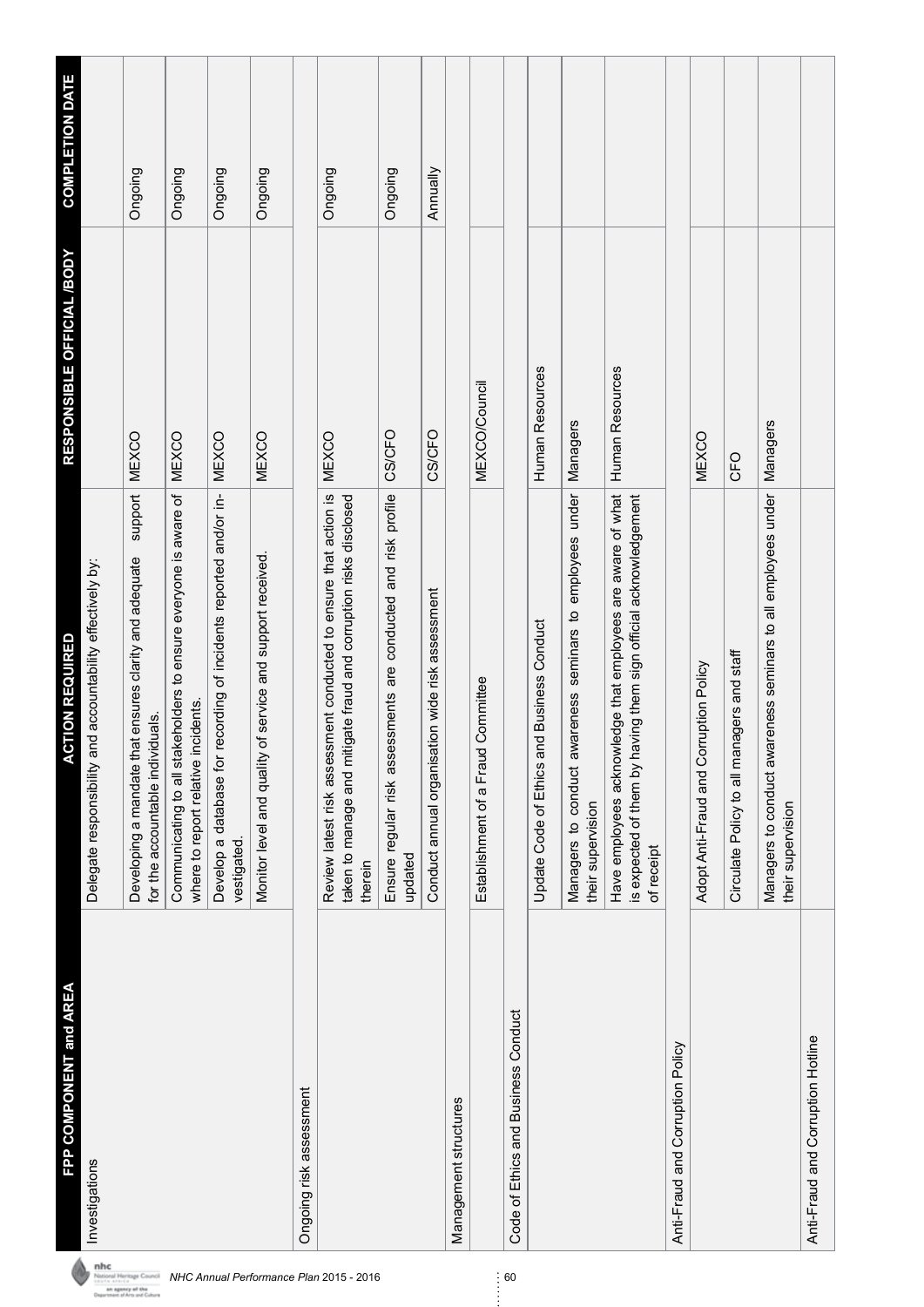| FPP COMPONENT and AREA              | <b>CTION REQUIRED</b><br>⋖                                                                                                                       | RESPONSIBLE OFFICIAL /BODY | <b>COMPLETION DATE</b> |
|-------------------------------------|--------------------------------------------------------------------------------------------------------------------------------------------------|----------------------------|------------------------|
| Investigations                      | Delegate responsibility and accountability effectively by:                                                                                       |                            |                        |
|                                     | support<br>Developing a mandate that ensures clarity and adequate<br>for the accountable individuals.                                            | <b>MEXCO</b>               | Ongoing                |
|                                     | Communicating to all stakeholders to ensure everyone is aware of<br>where to report relative incidents.                                          | <b>MEXCO</b>               | Ongoing                |
|                                     | recording of incidents reported and/or in-<br>Develop a database for<br>vestigated.                                                              | <b>MEXCO</b>               | Ongoing                |
|                                     | of service and support received<br>Monitor level and quality                                                                                     | <b>MEXCO</b>               | Ongoing                |
| Ongoing risk assessment             |                                                                                                                                                  |                            |                        |
|                                     | Review latest risk assessment conducted to ensure that action is<br>taken to manage and mitigate fraud and corruption risks disclosed<br>therein | <b>MEXCO</b>               | Ongoing                |
|                                     | Ensure regular risk assessments are conducted and risk profile<br>updated                                                                        | <b>CS/CFO</b>              | Ongoing                |
|                                     | Conduct annual organisation wide risk assessment                                                                                                 | <b>CS/CFO</b>              | Annually               |
| Management structures               |                                                                                                                                                  |                            |                        |
|                                     | d Committee<br>Establishment of a Frau                                                                                                           | <b>MEXCO/Council</b>       |                        |
| Code of Ethics and Business Conduct |                                                                                                                                                  |                            |                        |
|                                     | Update Code of Ethics and Business Conduct                                                                                                       | Human Resources            |                        |
|                                     | Managers to conduct awareness seminars to employees under<br>their supervision                                                                   | Managers                   |                        |
|                                     | Have employees acknowledge that employees are aware of what<br>is expected of them by having them sign official acknowledgement<br>of receipt    | Human Resources            |                        |
| Anti-Fraud and Corruption Policy    |                                                                                                                                                  |                            |                        |
|                                     | Adopt Anti-Fraud and Corruption Policy                                                                                                           | <b>MEXCO</b>               |                        |
|                                     | Circulate Policy to all managers and staff                                                                                                       | CFO                        |                        |
|                                     | Managers to conduct awareness seminars to all employees under<br>their supervision                                                               | Managers                   |                        |
| Anti-Fraud and Corruption Hotline   |                                                                                                                                                  |                            |                        |

**NHC Annual Performance Plan 2015 - 2016**<br> *NHC Annual Performance Plan 2015 - 2016* 60<br> **Charles and Control** and Cohen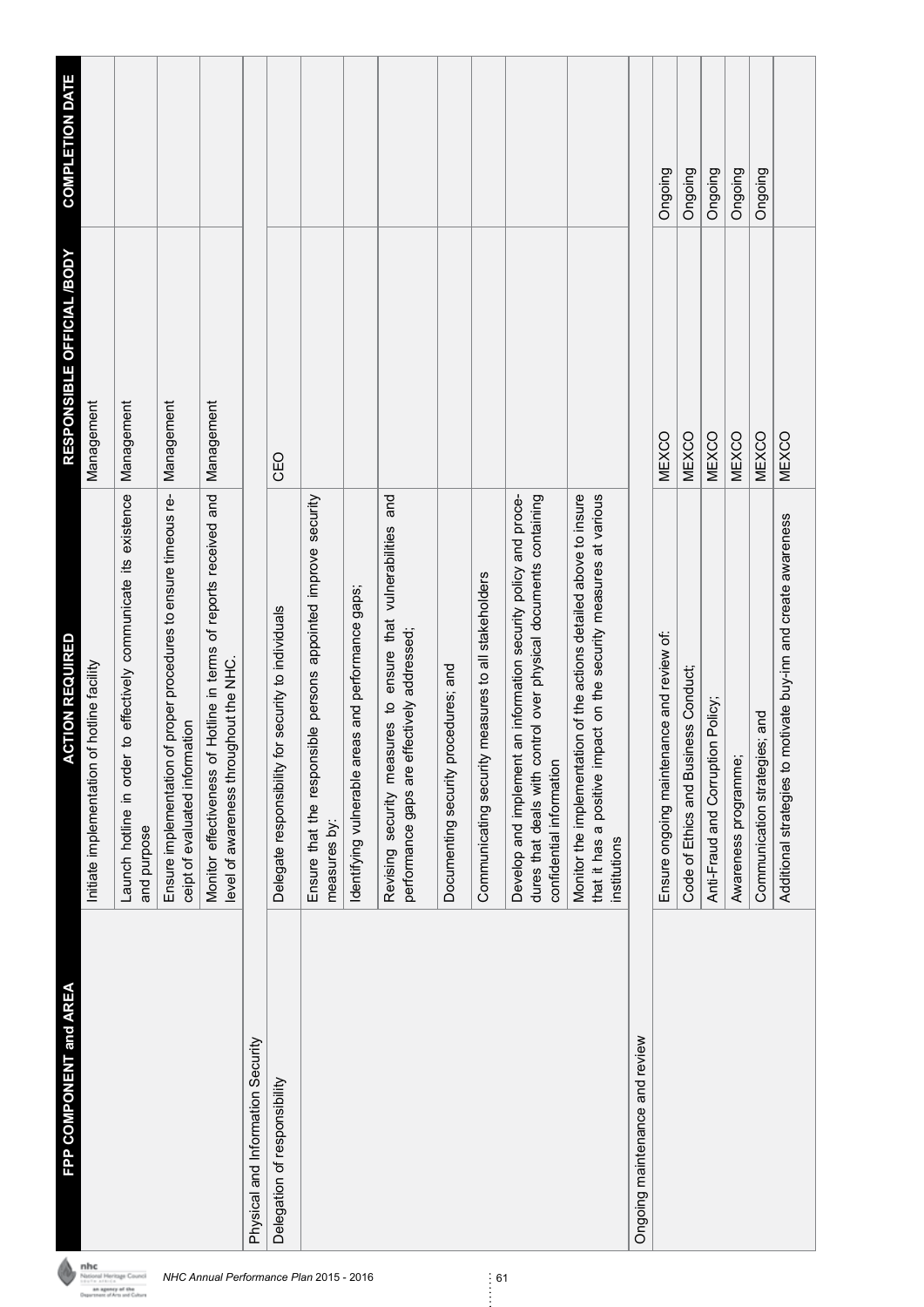| FPP COMPONENT and AREA            | <b>ACTION REQUIRED</b>                                                                                                                                             | RESPONSIBLE OFFICIAL /BODY | <b>COMPLETION DATE</b> |
|-----------------------------------|--------------------------------------------------------------------------------------------------------------------------------------------------------------------|----------------------------|------------------------|
|                                   | Initiate implementation of hotline facility                                                                                                                        | Management                 |                        |
|                                   | to effectively communicate its existence<br>Launch hotline in order<br>and purpose                                                                                 | Management                 |                        |
|                                   | Ensure implementation of proper procedures to ensure timeous re-<br>ceipt of evaluated information                                                                 | Management                 |                        |
|                                   | Hotline in terms of reports received and<br>level of awareness throughout the NHC.<br>Monitor effectiveness of                                                     | Management                 |                        |
| Physical and Information Security |                                                                                                                                                                    |                            |                        |
| Delegation of responsibility      | Delegate responsibility for security to individuals                                                                                                                | CEO                        |                        |
|                                   | Ensure that the responsible persons appointed improve security<br>measures by:                                                                                     |                            |                        |
|                                   | Identifying vulnerable areas and performance gaps;                                                                                                                 |                            |                        |
|                                   | Revising security measures to ensure that vulnerabilities and<br>performance gaps are effectively addressed;                                                       |                            |                        |
|                                   | Documenting security procedures; and                                                                                                                               |                            |                        |
|                                   | measures to all stakeholders<br>Communicating security                                                                                                             |                            |                        |
|                                   | dures that deals with control over physical documents containing<br>an information security policy and proce-<br>Develop and implement<br>confidential information |                            |                        |
|                                   | Monitor the implementation of the actions detailed above to insure<br>that it has a positive impact on the security measures at various<br>institutions            |                            |                        |
| Ongoing maintenance and review    |                                                                                                                                                                    |                            |                        |
|                                   | Ensure ongoing maintenance and review of:                                                                                                                          | <b>MEXCO</b>               | Ongoing                |
|                                   | Code of Ethics and Business Conduct;                                                                                                                               | <b>MEXCO</b>               | Ongoing                |
|                                   | Anti-Fraud and Corruption Policy;                                                                                                                                  | <b>MEXCO</b>               | Ongoing                |
|                                   | Awareness programme;                                                                                                                                               | <b>MEXCO</b>               | Ongoing                |
|                                   | Communication strategies; and                                                                                                                                      | <b>MEXCO</b>               | Ongoing                |
|                                   | motivate buy-inn and create awareness<br>Additional strategies to i                                                                                                | <b>MEXCO</b>               |                        |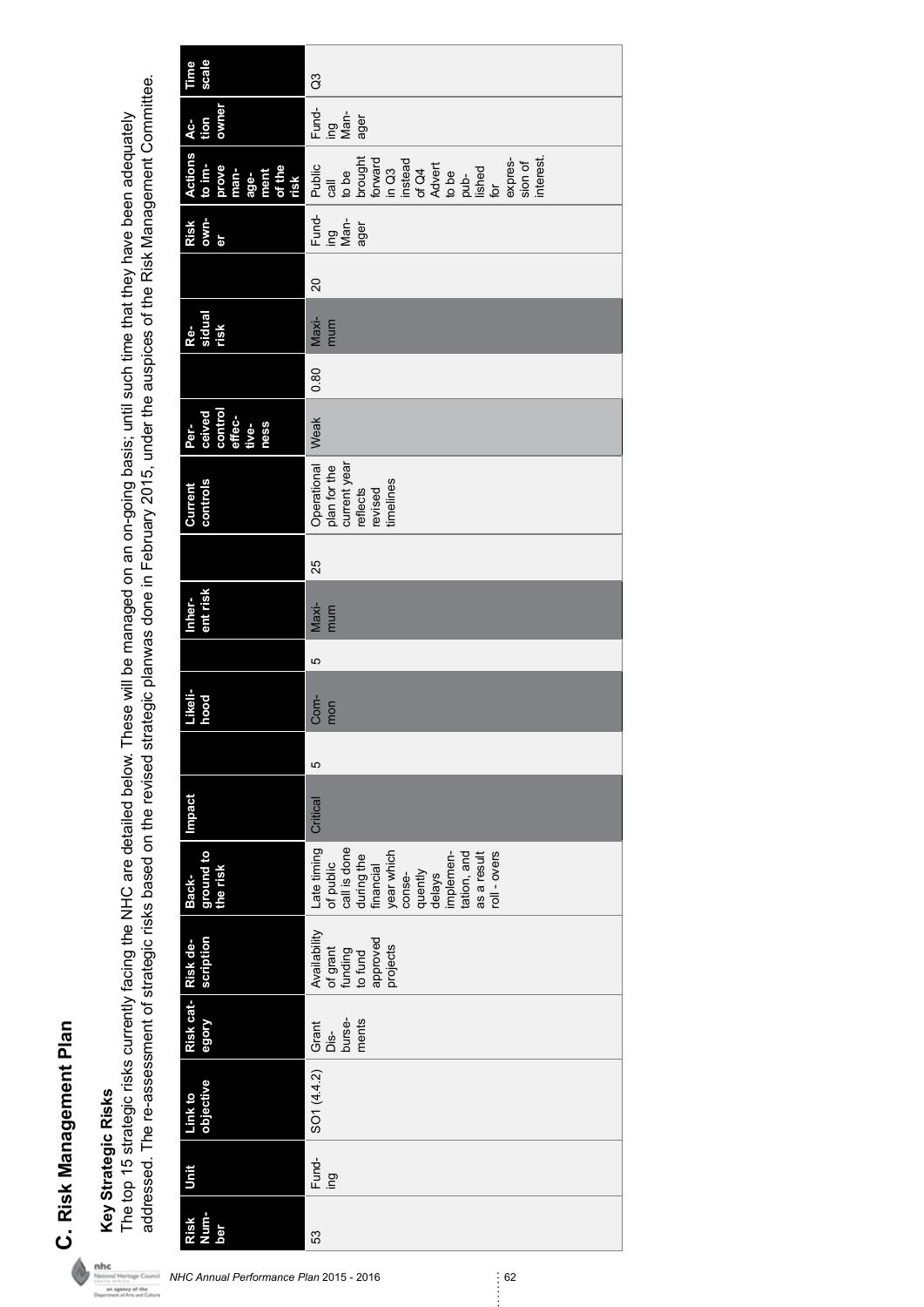C. Risk Management Plan **C. Risk Management Plan**

# **Key Strategic Risks**

addressed. The re-assessment of strategic risks based on the revised strategic planwas done in February 2015, under the auspices of the Risk Management Committee. addressed. The re-assessment of strategic risks based on the revised strategic planwas done in February 2015, under the auspices of the Risk Management Committee. Key Strategic Risks<br>The top 15 strategic risks currently facing the NHC are detailed below. These will be managed on an on-going basis; until such time that they have been adequately The top 15 strategic risks currently facing the NHC are detailed below. These will be managed on an on-going basis; until such time that they have been adequately

| Time<br>scale                                                         | $\mathfrak{S}$                                                                                                                                                                                                                                                                               |
|-----------------------------------------------------------------------|----------------------------------------------------------------------------------------------------------------------------------------------------------------------------------------------------------------------------------------------------------------------------------------------|
| owner<br>tion<br>$AC-$                                                | Fund-<br>ing<br>Man-<br>ager                                                                                                                                                                                                                                                                 |
| <b>Actions</b><br>to im-<br>prove<br>man-<br>age-<br>of the<br>of the | expres-<br>sion of<br>interest.<br>call<br>to be<br>to cought<br>for Carrier of C4<br>is to couple to be<br>to couple to couple to couple to couple to couple to couple<br>for couple to couple to couple to couple to couple to couple to couple to couple to couple to couple to<br>Public |
| own-<br>Risk<br>er                                                    | Fund-<br>ing<br>Man-<br>ager                                                                                                                                                                                                                                                                 |
|                                                                       | 20                                                                                                                                                                                                                                                                                           |
| Re-<br>sidual<br>risk                                                 | $Maxi-$<br>mum                                                                                                                                                                                                                                                                               |
|                                                                       | 0.80                                                                                                                                                                                                                                                                                         |
| ceived<br>control<br>effec-<br>tive-<br>ness<br>Per-                  | Weak                                                                                                                                                                                                                                                                                         |
| controls<br>Current                                                   | Operational<br>plan for the<br>current year<br>reflects<br>revised<br>timelines                                                                                                                                                                                                              |
|                                                                       | 25                                                                                                                                                                                                                                                                                           |
| ent risk<br>Inher-                                                    | Maxi-<br>mum                                                                                                                                                                                                                                                                                 |
|                                                                       | 5                                                                                                                                                                                                                                                                                            |
| Likeli-<br>hood                                                       | Com-<br>mon                                                                                                                                                                                                                                                                                  |
|                                                                       | 5                                                                                                                                                                                                                                                                                            |
| Impact                                                                | Critical                                                                                                                                                                                                                                                                                     |
| ground to<br>the risk<br>Back-                                        | Late timing<br>of public<br>call is done<br>year which<br>conse-<br>roll - overs<br>tation, and<br>as a result<br>during the<br>financial<br>quently<br>delays<br>implemen-                                                                                                                  |
| scription<br>Risk de-                                                 | Availability<br>of grant<br>funding<br>to fund<br>approved<br>projects                                                                                                                                                                                                                       |
| Risk cat-<br>Alobe                                                    | ments<br>Grant<br>Dis-<br>burse-                                                                                                                                                                                                                                                             |
| objective<br>Link to                                                  | SO(44.2)                                                                                                                                                                                                                                                                                     |
| Unit                                                                  | Fund-<br>ing                                                                                                                                                                                                                                                                                 |
| Num-<br>Risk<br>ber                                                   | 53                                                                                                                                                                                                                                                                                           |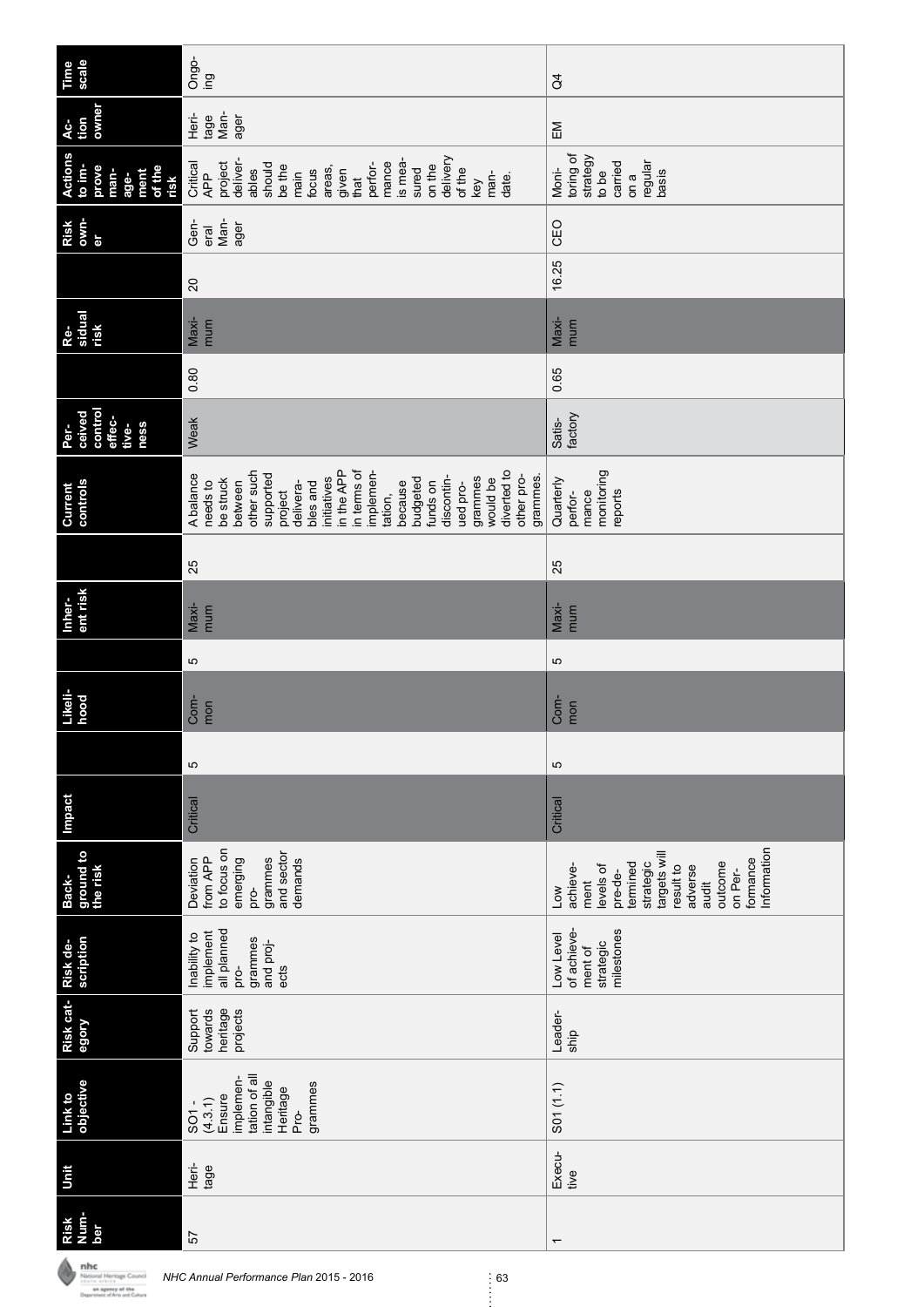| Time<br>scale                                                               | Ongo-<br>ing                                                                                                                                                                                                                                                                                                  | $\beta$                                                                                                                                                                    |
|-----------------------------------------------------------------------------|---------------------------------------------------------------------------------------------------------------------------------------------------------------------------------------------------------------------------------------------------------------------------------------------------------------|----------------------------------------------------------------------------------------------------------------------------------------------------------------------------|
| owner<br>tion<br>Ac-                                                        | Man-<br>Heri-<br>tage<br>ager                                                                                                                                                                                                                                                                                 | EM                                                                                                                                                                         |
| <b>Actions</b><br>to im-<br>prove<br>of the<br>man-<br>ment<br>age-<br>risk | delivery<br>is mea-<br>deliver-<br>project<br>mance<br>should<br>Critical<br>perfor-<br>on the<br>be the<br>sured<br>areas,<br>of the<br>ables<br>focus<br>given<br>main<br>APP<br>man-<br>date.<br>that<br>key                                                                                               | toring of<br>strategy<br>carried<br>regular<br>Moni-<br>basis<br>to be<br>on a                                                                                             |
| own-<br>Risk<br>ъr                                                          | Man-<br>Gen-<br>ager<br>eral                                                                                                                                                                                                                                                                                  | CEO                                                                                                                                                                        |
|                                                                             | $\overline{20}$                                                                                                                                                                                                                                                                                               | 16.25                                                                                                                                                                      |
| Re-<br>sidual<br>risk                                                       | Maxi-<br>mum                                                                                                                                                                                                                                                                                                  | Maxi-<br>mum                                                                                                                                                               |
|                                                                             | 0.80                                                                                                                                                                                                                                                                                                          | 0.65                                                                                                                                                                       |
| control<br>ceived<br>effec-<br>ness<br>Per-<br>tive-                        | Weak                                                                                                                                                                                                                                                                                                          | factory<br>Satis-                                                                                                                                                          |
| controls<br>Current                                                         | diverted to<br>other such<br>in the APP<br>in terms of<br>implemen-<br>supported<br>A balance<br>other pro-<br>discontin-<br>grammes.<br>initiatives<br>grammes<br>be struck<br>budgeted<br>would be<br>between<br>funds on<br>needs to<br>because<br>delivera-<br>bles and<br>ued pro-<br>project<br>tation, | monitoring<br>Quarterly<br>mance<br>reports<br>perfor-                                                                                                                     |
|                                                                             | 25                                                                                                                                                                                                                                                                                                            | 25                                                                                                                                                                         |
| ent risk<br>Inher-                                                          | Maxi-<br>mum                                                                                                                                                                                                                                                                                                  | Maxi-<br>mum                                                                                                                                                               |
|                                                                             | 5                                                                                                                                                                                                                                                                                                             | Ю                                                                                                                                                                          |
| Likeli-<br>hood                                                             | Com-<br>mon                                                                                                                                                                                                                                                                                                   | Com-<br>mon                                                                                                                                                                |
|                                                                             | 5                                                                                                                                                                                                                                                                                                             | Ю                                                                                                                                                                          |
| <b>Impact</b>                                                               | Critical                                                                                                                                                                                                                                                                                                      | Critical                                                                                                                                                                   |
| ground to<br>the risk<br>Back-                                              | to focus on<br>and sector<br>grammes<br>from APP<br>emerging<br>demands<br>Deviation<br>pro-                                                                                                                                                                                                                  | Information<br>targets will<br>formance<br>strategic<br>termined<br>outcome<br>levels of<br>achieve-<br>result to<br>adverse<br>on Per-<br>pre-de-<br>ment<br>audit<br>Low |
| scription<br>Risk de-                                                       | all planned<br>implement<br>Inability to<br>grammes<br>and proj-<br>pro-<br>ects                                                                                                                                                                                                                              | milestones<br>of achieve-<br>Low Level<br>strategic<br>ment of                                                                                                             |
| Risk cat-<br>egory                                                          | heritage<br>Support<br>towards<br>projects                                                                                                                                                                                                                                                                    | Leader-<br>ship                                                                                                                                                            |
| objective<br>Link to                                                        | tation of all<br>implemen-<br>intangible<br>grammes<br>Heritage<br>Ensure<br>(4.3.1)<br>SO <sub>1</sub><br>Pro-                                                                                                                                                                                               | S01 (1.1)                                                                                                                                                                  |
| Unit                                                                        | Heri-<br>tage                                                                                                                                                                                                                                                                                                 | Execu-<br>tive                                                                                                                                                             |
| Risk<br>Num-<br>ber                                                         | 57                                                                                                                                                                                                                                                                                                            | $\overline{\phantom{0}}$                                                                                                                                                   |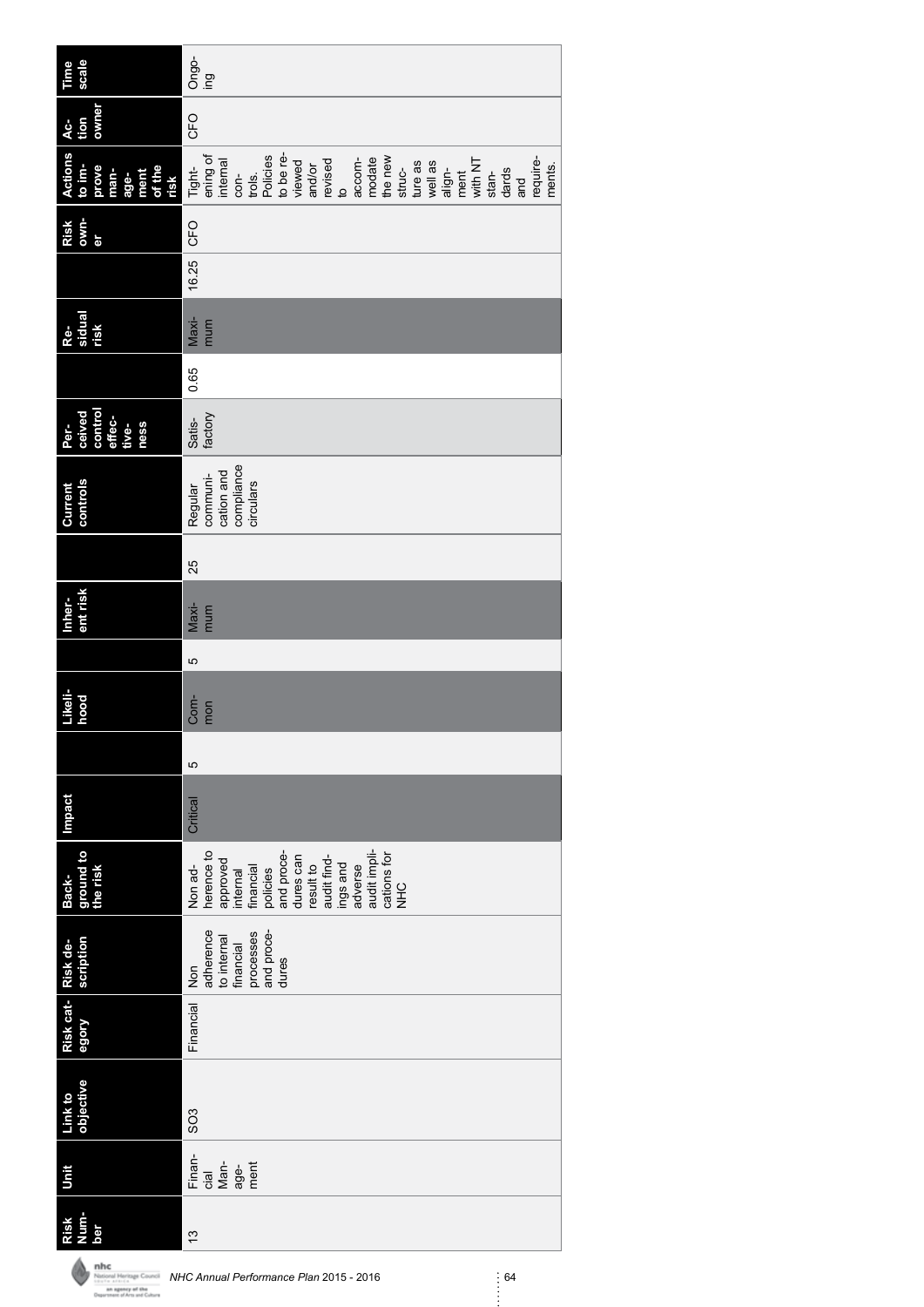| scale<br>Time                                                               | Ongo-<br>ing                                                                                                                                                                                                                                                  |
|-----------------------------------------------------------------------------|---------------------------------------------------------------------------------------------------------------------------------------------------------------------------------------------------------------------------------------------------------------|
| owner                                                                       |                                                                                                                                                                                                                                                               |
| tion<br>$AC-$                                                               | CFO                                                                                                                                                                                                                                                           |
| <b>Actions</b><br>to im-<br>prove<br>of the<br>risk<br>man-<br>ment<br>age- | to be re-<br>ening of<br>Policies<br>the new<br>modate<br>require-<br>accom-<br>internal<br>with NT<br>revised<br>viewed<br>ture as<br>well as<br>and/or<br>struc-<br>ments.<br>Tight-<br>align-<br>dards<br>ment<br>trols.<br>stan-<br>con-<br>and<br>e<br>9 |
| own-<br>Risk<br>er                                                          |                                                                                                                                                                                                                                                               |
|                                                                             | 16.25 CFO                                                                                                                                                                                                                                                     |
| Re-<br>sidual<br>risk                                                       | Maxi-<br>mum                                                                                                                                                                                                                                                  |
|                                                                             | 0.65                                                                                                                                                                                                                                                          |
| ceived<br>control<br>effec-<br>Per-<br>tive-<br>ness                        | factory<br>Satis-                                                                                                                                                                                                                                             |
| controls<br>Current                                                         | compliance<br>cation and<br>communi-<br>circulars<br>Regular                                                                                                                                                                                                  |
|                                                                             | 25                                                                                                                                                                                                                                                            |
| ent risk<br>Inher-                                                          | Maxi-<br>mum                                                                                                                                                                                                                                                  |
|                                                                             | 5                                                                                                                                                                                                                                                             |
| Likeli-<br>hood                                                             | Com-<br>mon                                                                                                                                                                                                                                                   |
|                                                                             | 5                                                                                                                                                                                                                                                             |
| <b>Impact</b>                                                               | Critical                                                                                                                                                                                                                                                      |
| ground to<br>the risk<br>Back-                                              | audit impli-<br>and proce-<br>herence to<br>cations for<br>NHC<br>dures can<br>audit find-<br>approved<br>internal<br>result to<br>ings and<br>Non ad-<br>adverse<br>financial<br>policies                                                                    |
| scription                                                                   | adherence<br>and proce-<br>processes<br>to internal<br>financial<br>dures<br>Non                                                                                                                                                                              |
| Risk cat- Risk de-<br>egory                                                 | Financial                                                                                                                                                                                                                                                     |
| Link to<br>objective                                                        | SO <sub>3</sub>                                                                                                                                                                                                                                               |
| Unit                                                                        | Finan-<br>$Man-$<br>ment<br>age-<br>cial                                                                                                                                                                                                                      |
| <b>Rund</b><br>Risk<br>ber                                                  | ίä                                                                                                                                                                                                                                                            |

**NHC Annual Performance Plan 2015 - 2016**<br> *NHC Annual Performance Plan 2015 - 2016* 64<br> **Construct of Annual Performance** Plan 2015 - 2016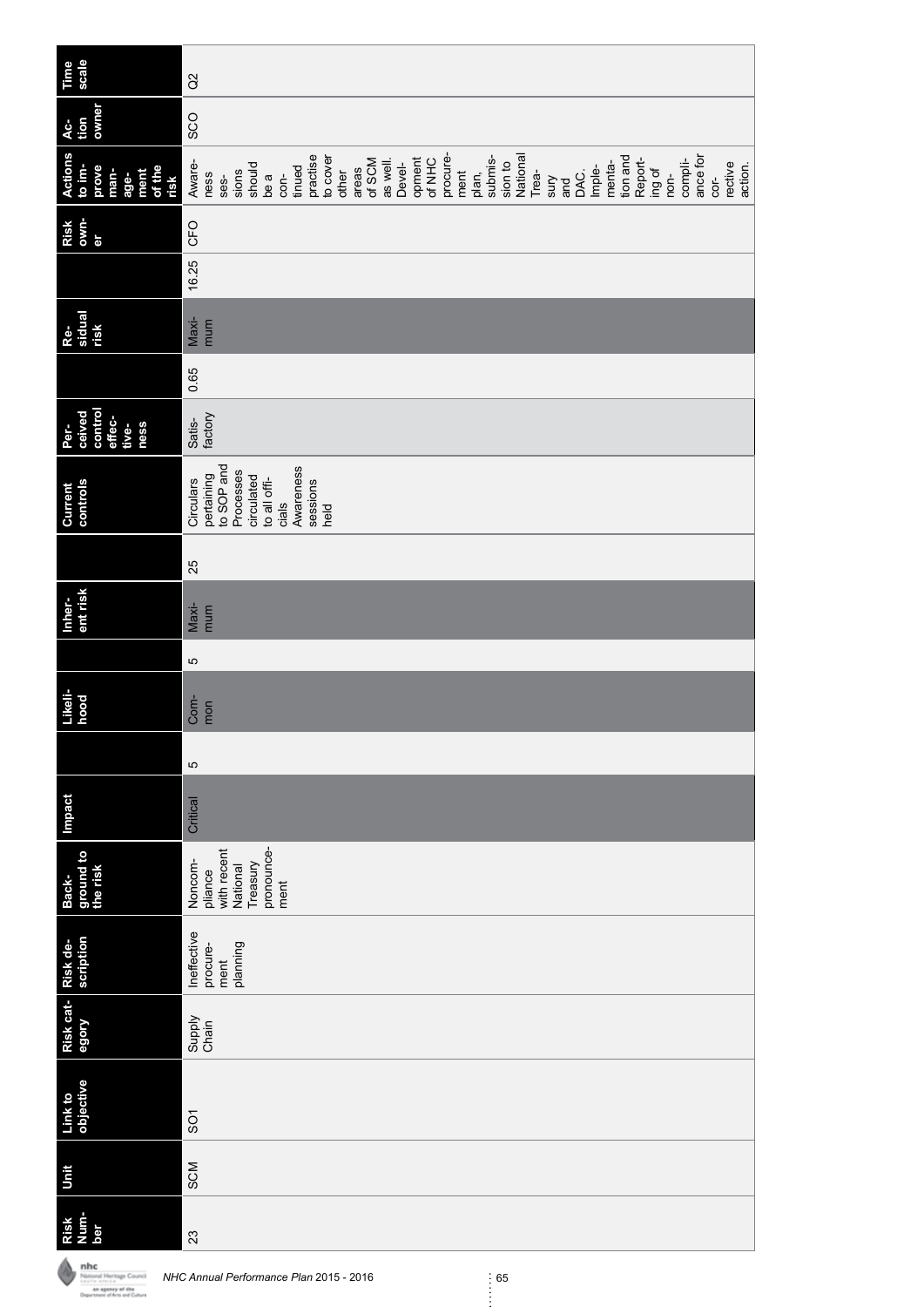| Time<br>scale                                                               | $\alpha$                                                                                                                                                                                                                                                                                                                                                                        |
|-----------------------------------------------------------------------------|---------------------------------------------------------------------------------------------------------------------------------------------------------------------------------------------------------------------------------------------------------------------------------------------------------------------------------------------------------------------------------|
| owner<br>Ac-<br>tion                                                        | SCO                                                                                                                                                                                                                                                                                                                                                                             |
| <b>Actions</b><br>to im-<br>prove<br>of the<br>man-<br>ment<br>age-<br>risk | procure-<br>practise<br>National<br>tion and<br>ance for<br>to cover<br>opment<br>submis-<br>Report-<br>Of NHC<br>of SCM<br>compli-<br>Aware-<br>as well.<br>menta-<br>sion to<br>rective<br>Devel-<br>action.<br>should<br>Imple-<br>tinued<br>areas<br>ment<br>ing of<br>other<br>sions<br>Trea-<br>DAC.<br>plan,<br>ness<br>non-<br>be a<br>con-<br>ses-<br>cor-<br>X<br>and |
| own-<br>Risk<br>er                                                          | CFO                                                                                                                                                                                                                                                                                                                                                                             |
|                                                                             | 16.25                                                                                                                                                                                                                                                                                                                                                                           |
| Re-<br>sidual<br>risk                                                       | $Maxi-$<br>mum                                                                                                                                                                                                                                                                                                                                                                  |
|                                                                             | 0.65                                                                                                                                                                                                                                                                                                                                                                            |
| control<br>Per-<br>ceived<br>effec-<br>ness<br>tive-                        | factory<br>Satis-                                                                                                                                                                                                                                                                                                                                                               |
| controls<br>Current                                                         | to SOP and<br>Awareness<br>Processes<br>pertaining<br>circulated<br>to all offi-<br>Circulars<br>sessions<br>cials<br>held                                                                                                                                                                                                                                                      |
|                                                                             | 25                                                                                                                                                                                                                                                                                                                                                                              |
| ent risk<br>Inher-                                                          | $Maxi-$<br>mum                                                                                                                                                                                                                                                                                                                                                                  |
|                                                                             | Ю                                                                                                                                                                                                                                                                                                                                                                               |
| Likeli-<br>hood                                                             | Com-<br>mon                                                                                                                                                                                                                                                                                                                                                                     |
|                                                                             | 5                                                                                                                                                                                                                                                                                                                                                                               |
| <b>Impact</b>                                                               | Critical                                                                                                                                                                                                                                                                                                                                                                        |
| ground to<br>the risk<br>Back-                                              | pronounce-<br>with recent<br>Noncom-<br>Treasury<br>National<br>pliance<br>ment                                                                                                                                                                                                                                                                                                 |
| <b>Risk de-<br/>scription</b>                                               | Ineffective<br>planning<br>procure-<br>ment                                                                                                                                                                                                                                                                                                                                     |
| Risk cat-<br>egory                                                          | Supply<br>Chain                                                                                                                                                                                                                                                                                                                                                                 |
| Link to<br>objective                                                        | $\overline{5}$                                                                                                                                                                                                                                                                                                                                                                  |
| Unit                                                                        | SCM                                                                                                                                                                                                                                                                                                                                                                             |
| Risk<br>Num-<br>ber                                                         | 23                                                                                                                                                                                                                                                                                                                                                                              |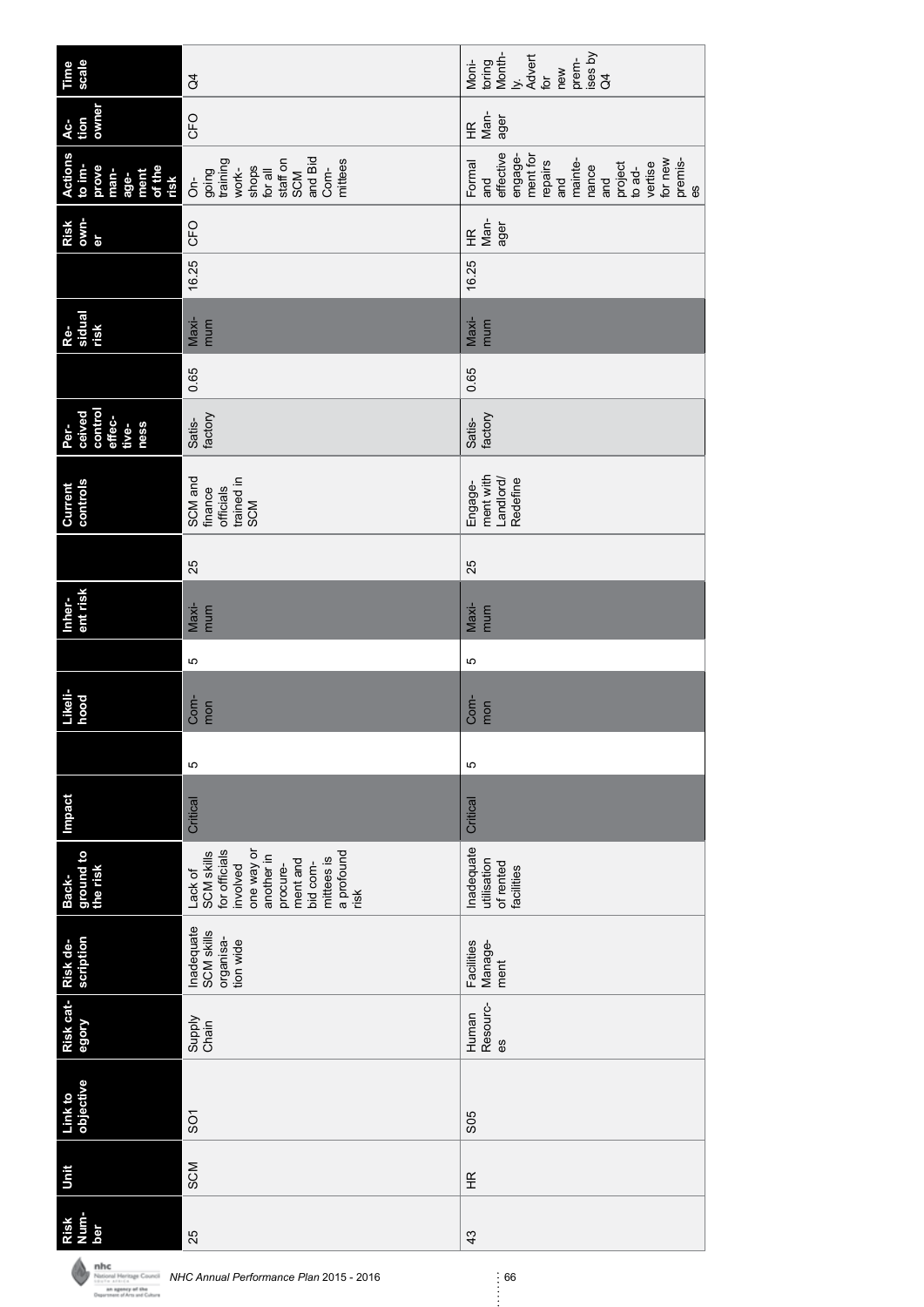| scale<br>Time                                                               | $\beta$                                                                                                                                                       | Month-<br>ises by<br>Advert<br>prem-<br>toring<br>Moni-<br>new<br>.<br>خ<br>for<br>$\beta$                                                                 |
|-----------------------------------------------------------------------------|---------------------------------------------------------------------------------------------------------------------------------------------------------------|------------------------------------------------------------------------------------------------------------------------------------------------------------|
| owner<br>Ac-<br>tion                                                        | CFO                                                                                                                                                           | Man-<br>ager<br>$\widetilde{\Xi}$                                                                                                                          |
| <b>Actions</b><br>to im-<br>prove<br>of the<br>man-<br>ment<br>age-<br>risk | and Bid<br>training<br>mittees<br>staff on<br>shops<br>Com-<br>work-<br>going<br>for all<br><b>SCM</b><br>ຣັ່                                                 | effective<br>ment for<br>engage-<br>mainte-<br>for new<br>premis-<br>repairs<br>project<br>vertise<br>Formal<br>nance<br>to ad-<br>and<br>and<br>and<br>es |
| own-<br>Risk<br>er                                                          | CFO                                                                                                                                                           | Man-<br>ager<br>$\widetilde{\Xi}$                                                                                                                          |
|                                                                             | 16.25                                                                                                                                                         | 16.25                                                                                                                                                      |
| sidual<br>Re-<br>risk                                                       | Maxi-<br>mum                                                                                                                                                  | Maxi-<br>mum                                                                                                                                               |
|                                                                             | 0.65                                                                                                                                                          | 0.65                                                                                                                                                       |
| control<br>ceived<br>effec-<br>Per-<br>ness<br>tive-                        | factory<br>Satis-                                                                                                                                             | factory<br>Satis-                                                                                                                                          |
| controls<br>Current                                                         | SCM and<br>trained in<br>officials<br>finance<br>SCM                                                                                                          | ment with<br>Landlord/<br>Redefine<br>Engage-                                                                                                              |
|                                                                             | 25                                                                                                                                                            | 25                                                                                                                                                         |
| ent risk<br>Inher-                                                          | Maxi-<br>mum                                                                                                                                                  | Maxi-<br>mum                                                                                                                                               |
|                                                                             | ю                                                                                                                                                             | ю                                                                                                                                                          |
| Likeli-<br>hood                                                             | Com-<br>mon                                                                                                                                                   | Com-<br>mon                                                                                                                                                |
|                                                                             | 5                                                                                                                                                             | 5                                                                                                                                                          |
| <b>Impact</b>                                                               | Critical                                                                                                                                                      | Critical                                                                                                                                                   |
| ground to<br>the risk<br>Back-                                              | for officials<br>one way or<br>a profound<br><b>SCM skills</b><br>another in<br>mittees is<br>ment and<br>bid com-<br>involved<br>procure-<br>Lack of<br>risk | Inadequate<br>utilisation<br>of rented<br>facilities                                                                                                       |
| scription                                                                   | Inadequate<br><b>SCM skills</b><br>organisa-<br>tion wide                                                                                                     | Facilities<br>Manage-<br>ment                                                                                                                              |
| Risk cat-Risk de-<br>egory                                                  | Supply<br>Chain                                                                                                                                               | Resourc-<br>Human<br>69                                                                                                                                    |
| objective<br>Link to                                                        | SS <sub>1</sub>                                                                                                                                               | S <sub>05</sub>                                                                                                                                            |
| Unit                                                                        | SCM                                                                                                                                                           | Ξ                                                                                                                                                          |
| Num-<br>Risk<br>ber                                                         | 25                                                                                                                                                            | 43                                                                                                                                                         |

**NHC Annual Performance Plan 2015 - 2016**<br> *NHC Annual Performance Plan 2015 - 2016* 66<br> **Construct of Annual Performance** Plan 2015 - 2016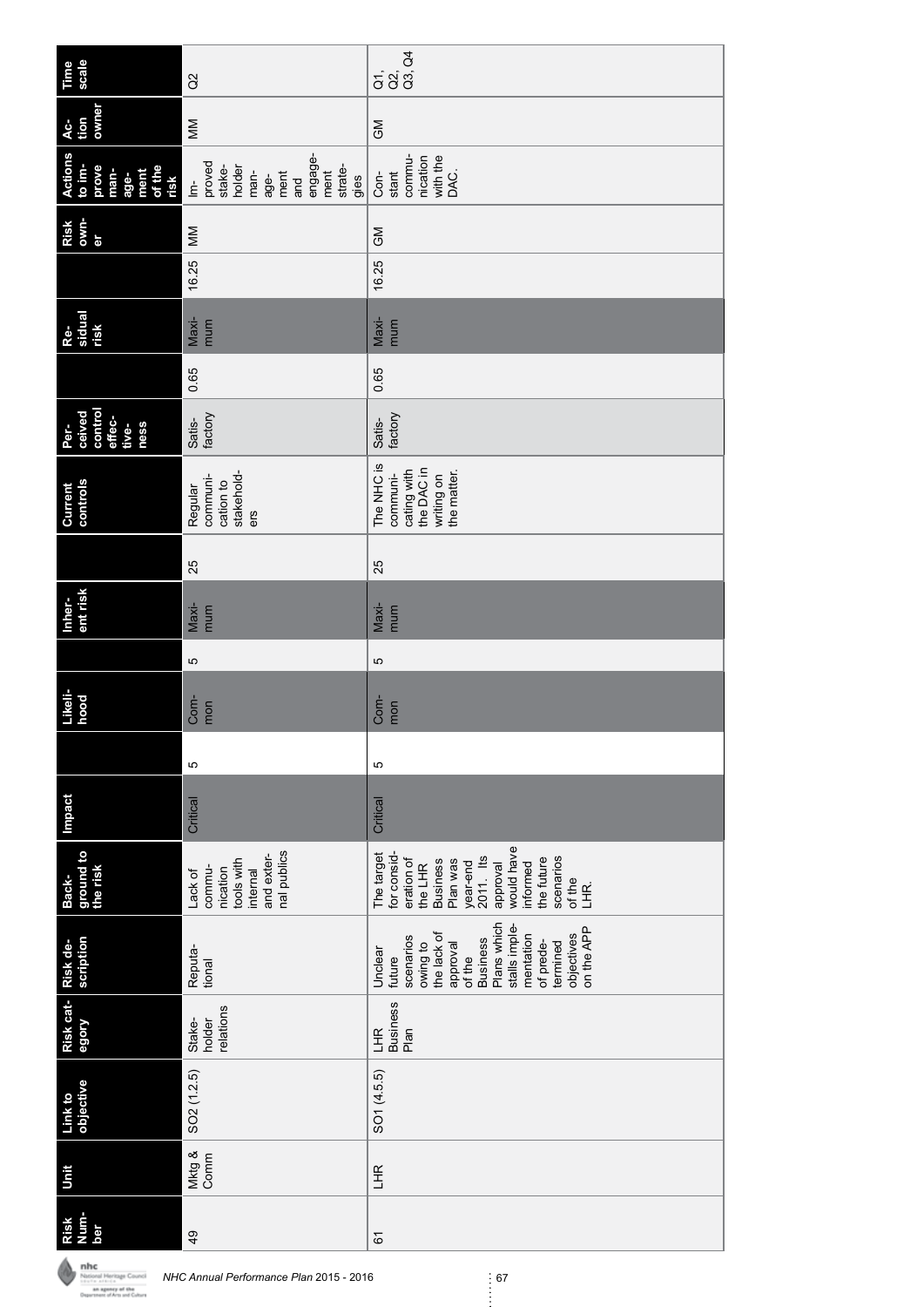| scale<br>Time                                                               | $\alpha$                                                                                                                        | $\frac{5}{9}$<br>$\frac{2}{9}$<br>$\frac{4}{9}$                                                                                                                                                      |
|-----------------------------------------------------------------------------|---------------------------------------------------------------------------------------------------------------------------------|------------------------------------------------------------------------------------------------------------------------------------------------------------------------------------------------------|
| owner<br>tion<br>4ċ-                                                        | MM                                                                                                                              | <b>SM</b>                                                                                                                                                                                            |
| <b>Actions</b><br>to im-<br>prove<br>of the<br>man-<br>ment<br>age-<br>risk | engage-<br>proved<br>holder<br>strate-<br>stake-<br>ment<br>man-<br>ment<br>age-<br>gies<br>and<br>$\dot{\underline{\epsilon}}$ | commu-<br>nication<br>with the<br>DAC.<br>stant<br>Con-                                                                                                                                              |
| own-<br>Risk<br>er                                                          | MM                                                                                                                              | $\mathbb{S}^2$                                                                                                                                                                                       |
|                                                                             | 16.25                                                                                                                           | 16.25                                                                                                                                                                                                |
| sidual<br>risk<br>Re-                                                       | $Maxi-$<br>mum                                                                                                                  | Maxi-<br>mum                                                                                                                                                                                         |
|                                                                             | 0.65                                                                                                                            | 0.65                                                                                                                                                                                                 |
| control<br>ceived<br>effec-<br>ness<br>Per-<br>tive-                        | factory<br>Satis-                                                                                                               | factory<br>Satis-                                                                                                                                                                                    |
| controls<br>Current                                                         | stakehold-<br>communi-<br>cation to<br>Regular<br>ers                                                                           | The NHC is<br>the DAC in<br>cating with<br>the matter.<br>communi-<br>writing on                                                                                                                     |
|                                                                             | 25                                                                                                                              | 25                                                                                                                                                                                                   |
| ent risk<br>Inher-                                                          | Maxi-<br>mum                                                                                                                    | Maxi-<br>mum                                                                                                                                                                                         |
|                                                                             | 5                                                                                                                               | Б                                                                                                                                                                                                    |
| Likeli-<br>hood                                                             | Com-<br>mon                                                                                                                     | Com-<br>mon                                                                                                                                                                                          |
|                                                                             | 5                                                                                                                               | Ю                                                                                                                                                                                                    |
| Impact                                                                      | Critical                                                                                                                        | Critical                                                                                                                                                                                             |
| ground to<br>the risk<br>Back-                                              | nal publics<br>and exter-<br>tools with<br>commu-<br>nication<br>internal<br>Lack of                                            | would have<br>The target<br>for consid-<br>2011. Its<br>the future<br>scenarios<br>eration of<br><b>Business</b><br>Plan was<br>year-end<br>informed<br>approval<br>the LHR<br>of the<br>LHR.        |
| scription<br>Risk de-                                                       | Reputa-<br>tional                                                                                                               | Plans which<br>stalls imple-<br>on the APP<br>the lack of<br>objectives<br>mentation<br>scenarios<br><b>Business</b><br>of prede-<br>owing to<br>termined<br>approval<br>Unclear<br>of the<br>future |
| Risk cat-<br>egory                                                          | relations<br>Stake-<br>holder                                                                                                   | <b>Business</b><br>LHR<br>Plan                                                                                                                                                                       |
| objective<br>Link to                                                        | SO <sub>2</sub> (1.2.5)                                                                                                         | SO1 (4.5.5)                                                                                                                                                                                          |
| Unit                                                                        | Mktg &<br>Comm                                                                                                                  | LHR                                                                                                                                                                                                  |
| <b>Num-</b><br>Risk<br>ber                                                  | 49                                                                                                                              | 67                                                                                                                                                                                                   |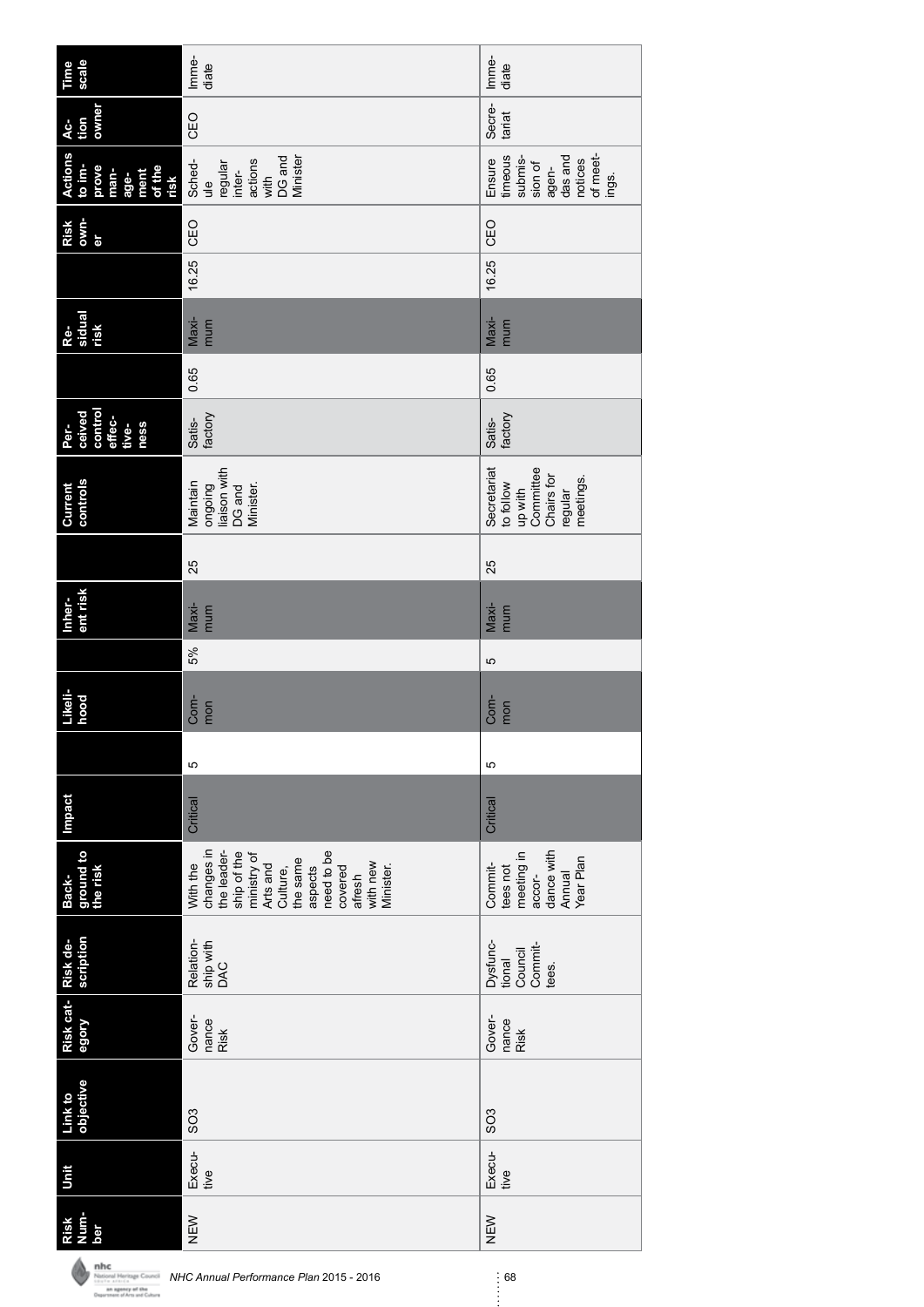| scale<br>Time                                                               | Imme-<br>diate                                                                                                                                                                 | Imme-<br>diate                                                                              |
|-----------------------------------------------------------------------------|--------------------------------------------------------------------------------------------------------------------------------------------------------------------------------|---------------------------------------------------------------------------------------------|
| owner<br>tion<br>$AC-$                                                      | CEO                                                                                                                                                                            | Secre-<br>tariat                                                                            |
| <b>Actions</b><br>to im-<br>prove<br>of the<br>man-<br>ment<br>age-<br>risk | DG and<br>Minister<br>Sched-<br>actions<br>regular<br>inter-<br>with<br>$\frac{1}{x}$                                                                                          | of meet-<br>timeous<br>das and<br>submis-<br>notices<br>Ensure<br>sion of<br>agen-<br>ings. |
| own-<br>Risk<br>er                                                          | CEO                                                                                                                                                                            | CEO                                                                                         |
|                                                                             | 16.25                                                                                                                                                                          | 16.25                                                                                       |
| Re-<br>sidual<br>risk                                                       | Maxi-<br>mum                                                                                                                                                                   | Maxi-<br>mum                                                                                |
|                                                                             | 0.65                                                                                                                                                                           | 0.65                                                                                        |
| control<br>ceived<br>effec-<br>ness<br>Per-<br>tive-                        | factory<br>Satis-                                                                                                                                                              | factory<br>Satis-                                                                           |
| controls<br>Current                                                         | liaison with<br>Maintain<br>ongoing<br>Minister.<br>DG and                                                                                                                     | Committee<br>Secretariat<br>Chairs for<br>meetings.<br>to follow<br>up with<br>regular      |
|                                                                             | 25                                                                                                                                                                             | 25                                                                                          |
| ent risk<br>Inher-                                                          | Maxi-<br>mum                                                                                                                                                                   | Maxi-<br>mum                                                                                |
|                                                                             | 5%                                                                                                                                                                             | Ю                                                                                           |
| Likeli-<br>hood                                                             | Com-<br>mon                                                                                                                                                                    | Com-<br>mon                                                                                 |
|                                                                             | 5                                                                                                                                                                              | Ю                                                                                           |
| <b>Impact</b>                                                               | Critical                                                                                                                                                                       | Critical                                                                                    |
| ground to<br>the risk<br>Back-                                              | changes in<br>need to be<br>the leader-<br>ship of the<br>ministry of<br>the same<br>with new<br>With the<br>Arts and<br>Minister.<br>aspects<br>Culture,<br>covered<br>afresh | dance with<br>meeting in<br>Year Plan<br>Commit-<br>tees not<br>Annual<br>accor-            |
| scription                                                                   | Relation-<br>ship with<br>DAC                                                                                                                                                  | Dysfunc-<br>Commit-<br>Council<br>tional<br>tees.                                           |
| Risk cat-Risk de-<br>Alobe                                                  | Gover-<br>nance<br><b>Risk</b>                                                                                                                                                 | Gover-<br>nance<br>Risk                                                                     |
| Link to<br>objective                                                        | SO <sub>3</sub>                                                                                                                                                                | SO <sub>3</sub>                                                                             |
| Unit                                                                        | Execu-<br>tive                                                                                                                                                                 | Execu-<br>tive                                                                              |
| Num-<br>Risk<br>ber                                                         | NEW                                                                                                                                                                            | NEW                                                                                         |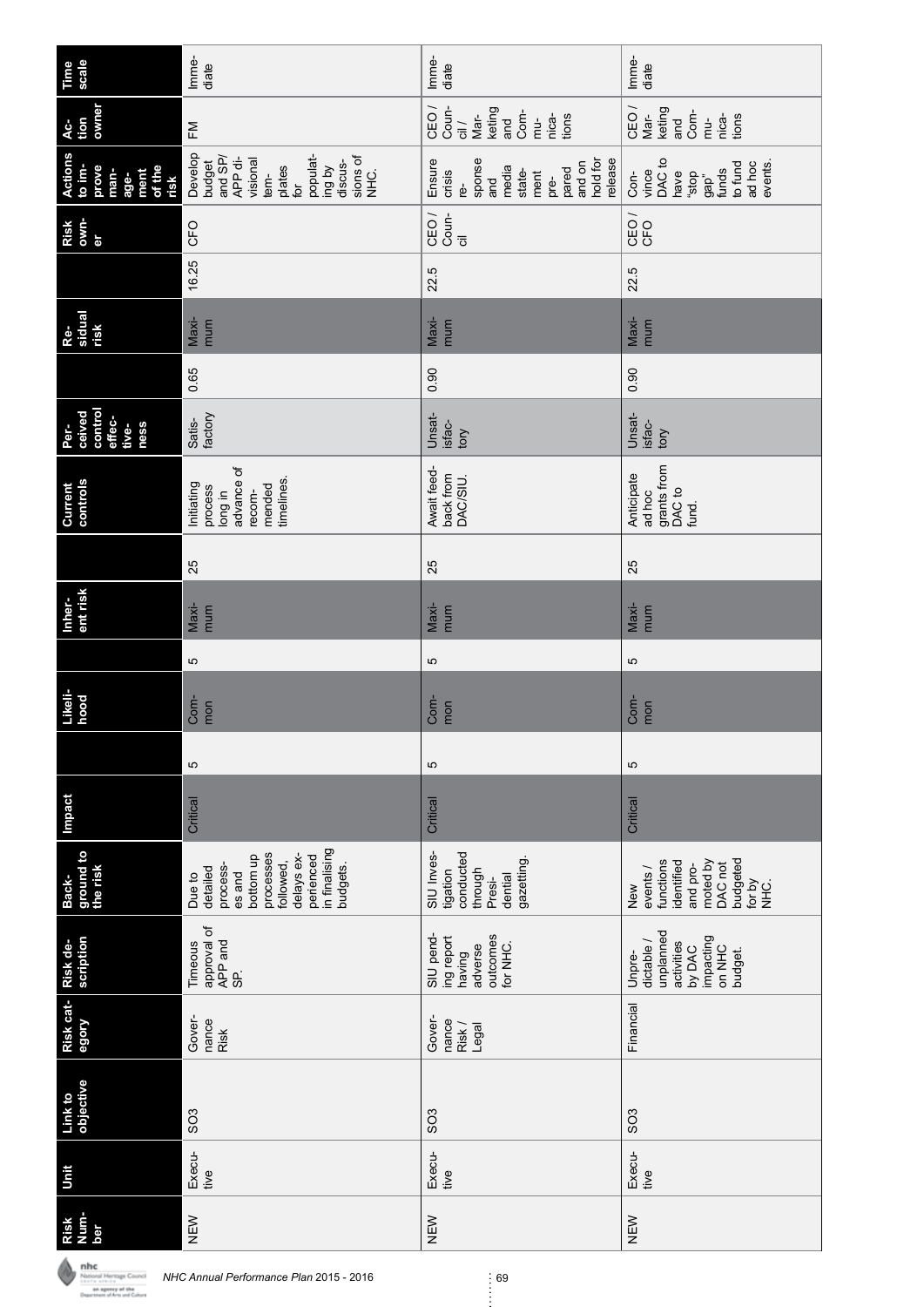| Time<br>scale                                                               | Imme-<br>diate                                                                                                                               | Imme-<br>diate                                                                                                      | Imme-<br>diate                                                                                                   |
|-----------------------------------------------------------------------------|----------------------------------------------------------------------------------------------------------------------------------------------|---------------------------------------------------------------------------------------------------------------------|------------------------------------------------------------------------------------------------------------------|
| owner<br>tion<br>Ac-                                                        | FM                                                                                                                                           | Coun-<br>CEO <sub>/</sub><br>keting<br>Com-<br>Mar-<br>nica-<br>tions<br>$\frac{1}{\overline{c}}$<br>and<br>$mu$ -  | CEO <sub>/</sub><br>keting<br>Com-<br>Mar-<br>tions<br>nica-<br>and<br>mu-                                       |
| <b>Actions</b><br>to im-<br>of the<br>prove<br>ment<br>man-<br>age-<br>risk | Develop<br>and SP/<br>populat-<br>sions of<br>APP di-<br>visional<br>budget<br>discus-<br>ing by<br>plates<br>SHC.<br>tem-<br>$\overline{p}$ | hold for<br>sponse<br>release<br>Ensure<br>and on<br>media<br>pared<br>state-<br>crisis<br>ment<br>and<br>pre-<br>ൎ | DAC to<br>to fund<br>ad hoc<br>events.<br>vince<br>funds<br>have<br>dops,<br>Con-<br>9ap''                       |
| own-<br>Risk<br>ðr                                                          | CFO                                                                                                                                          | Coun-<br>CEO <sub>/</sub><br>$\overline{\overline{c}}$                                                              | <b>CEO</b>                                                                                                       |
|                                                                             | 16.25                                                                                                                                        | 22.5                                                                                                                | 22.5                                                                                                             |
| sidual<br>risk<br>Re-                                                       | $Maxi-$<br>mum                                                                                                                               | Maxi-<br>mum                                                                                                        | Maxi-<br>mum                                                                                                     |
|                                                                             | 0.65                                                                                                                                         | 0.90                                                                                                                | 0.90                                                                                                             |
| control<br>ceived<br>effec-<br>ness<br>tive-<br>Per-                        | factory<br>Satis-                                                                                                                            | Unsat-<br>isfac-<br>tory                                                                                            | Unsat-<br>isfac-<br>tory                                                                                         |
| controls<br>Current                                                         | advance of<br>timelines.<br>mended<br>Initiating<br>process<br>recom-<br>Iong in                                                             | Await feed-<br>back from<br>DAC/SIU.                                                                                | grants from<br>Anticipate<br>DAC <sub>to</sub><br>ad hoc<br>fund.                                                |
|                                                                             | 25                                                                                                                                           | 25                                                                                                                  | 25                                                                                                               |
| ent risk<br>Inher-                                                          | $Maxi-$<br>mum                                                                                                                               | Maxi-<br>mum                                                                                                        | Maxi-<br>mum                                                                                                     |
|                                                                             | 5                                                                                                                                            | Б                                                                                                                   | 5                                                                                                                |
| Likeli-<br>hood                                                             | Com-<br>mon                                                                                                                                  | Com-<br>mon                                                                                                         | Com-<br>mon                                                                                                      |
|                                                                             | 5                                                                                                                                            | ю                                                                                                                   | ю                                                                                                                |
| <b>Impact</b>                                                               | Critical                                                                                                                                     | Critical                                                                                                            | Critical                                                                                                         |
| ground to<br>the risk<br>Back-                                              | in finalising<br>processes<br>bottom up<br>delays ex-<br>perienced<br>followed,<br>budgets.<br>process-<br>detailed<br>es and<br>Due to      | SIU Inves-<br>conducted<br>gazetting.<br>through<br>tigation<br>dential<br>Presi-                                   | budgeted<br>moted by<br>functions<br>identified<br>DAC not<br>and pro-<br>events/<br>for by<br>`Q<br>NHC.<br>New |
| scription<br>Risk de-                                                       | approval of<br>APP and<br>Timeous<br>SP.                                                                                                     | SIU pend-<br>outcomes<br>ing report<br>for NHC.<br>adverse<br>having                                                | unplanned<br>impacting<br>dictable /<br>activities<br>ON NHC<br>by DAC<br>budget.<br>Unpre-                      |
| Risk cat-<br>egory                                                          | Gover-<br>nance<br><b>Risk</b>                                                                                                               | Gover-<br>nance<br>Risk /<br>Legal                                                                                  | Financial                                                                                                        |
| objective<br>Link to                                                        | SO <sub>3</sub>                                                                                                                              | SO <sub>3</sub>                                                                                                     | SO <sub>3</sub>                                                                                                  |
| Jnit                                                                        | Execu-<br>tive                                                                                                                               | Execu-<br>tive                                                                                                      | Execu-<br>tive                                                                                                   |
| Num-<br>Risk<br>ber                                                         | NEW                                                                                                                                          | NEW                                                                                                                 | NEW                                                                                                              |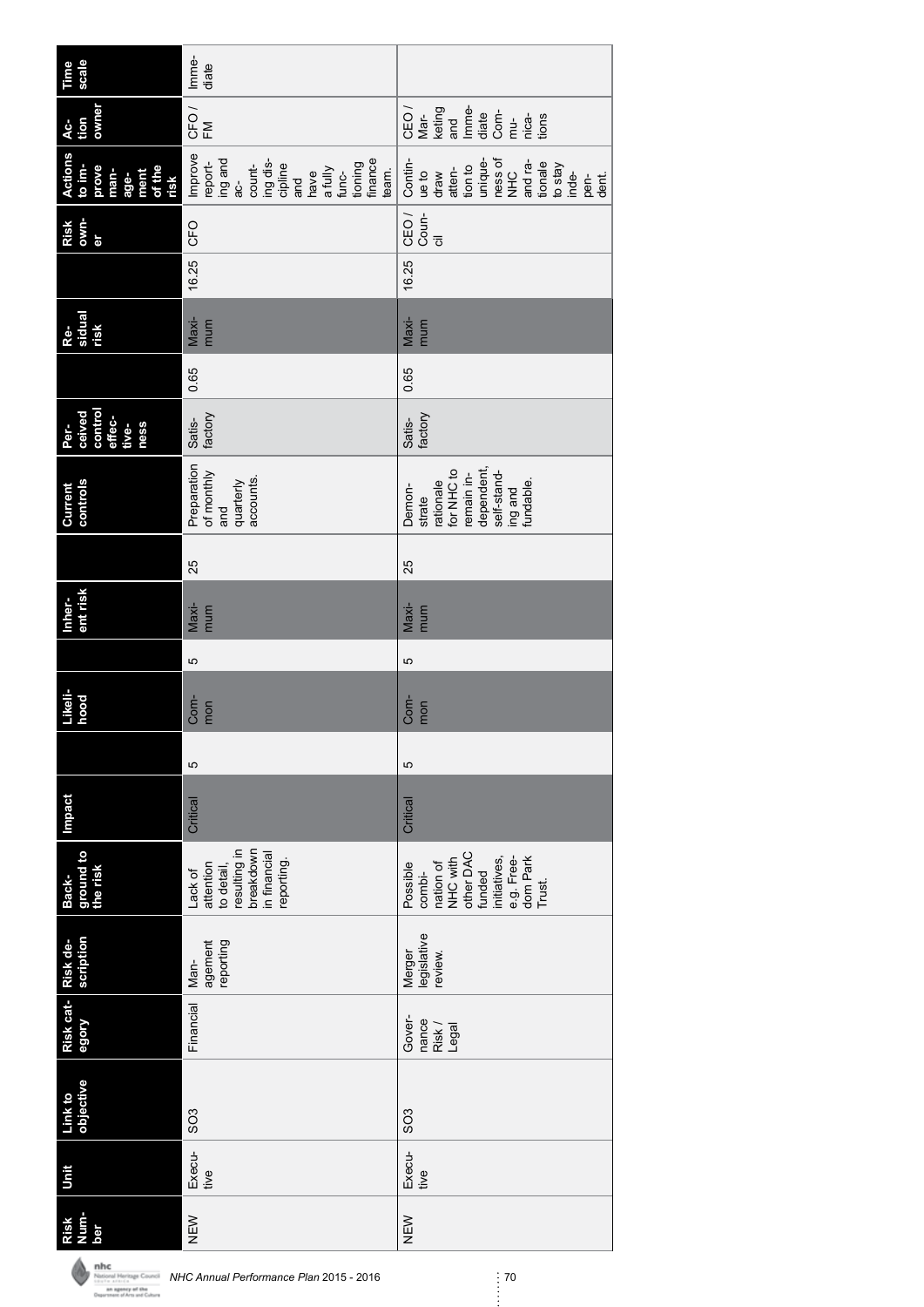| scale<br>Time                                                               | Imme-<br>diate                                                                                                                             |                                                                                                                                                |
|-----------------------------------------------------------------------------|--------------------------------------------------------------------------------------------------------------------------------------------|------------------------------------------------------------------------------------------------------------------------------------------------|
| owner<br>tion<br>Ac-                                                        | CFO <sub>/</sub><br>F <sub>M</sub>                                                                                                         | CEO/<br>Imme-<br>keting<br>Com-<br>Mar-<br>diate<br>nica-<br>and<br>tions<br>mu-                                                               |
| <b>Actions</b><br>to im-<br>prove<br>of the<br>man-<br>ment<br>age-<br>risk | Improve<br>ing and<br>ing dis-<br>finance<br>report-<br>tioning<br>count-<br>cipline<br>a fully<br>team.<br>func-<br>have<br>and<br>ე<br>მ | Contin-<br>ness of<br>unique-<br>and ra-<br>tionale<br>to stay<br>tion to<br>atten-<br>$ue$ to<br><b>NHC</b><br>draw<br>inde-<br>pen-<br>dent. |
| own-<br>Risk<br>er                                                          | <b>CFO</b>                                                                                                                                 | CEO <sub>/</sub><br>Coun-<br>$\overline{\overline{c}}$                                                                                         |
|                                                                             | 16.25                                                                                                                                      | 16.25                                                                                                                                          |
| Re-<br>sidual<br>risk                                                       | Maxi-<br>mum                                                                                                                               | Maxi-<br>mum                                                                                                                                   |
|                                                                             | 0.65                                                                                                                                       | 0.65                                                                                                                                           |
| control<br>ceived<br>effec-<br>Per-<br>tive-<br><b>ness</b>                 | factory<br>Satis-                                                                                                                          | factory<br>Satis-                                                                                                                              |
| controls<br>Current                                                         | Preparation<br>of monthly<br>accounts.<br>quarterly<br>and                                                                                 | dependent,<br>for NHC to<br>remain in-<br>self-stand-<br>fundable.<br>rationale<br>Demon-<br>ing and<br>strate                                 |
|                                                                             | 25                                                                                                                                         | 25                                                                                                                                             |
| ent risk<br>Inher-                                                          | Maxi-<br>mum                                                                                                                               | Maxi-<br>mum                                                                                                                                   |
|                                                                             | Ю                                                                                                                                          | 5                                                                                                                                              |
| Likeli-<br>hood                                                             | Com-<br>mon                                                                                                                                | Com-<br>mon                                                                                                                                    |
|                                                                             | 5                                                                                                                                          | 5                                                                                                                                              |
| Impact                                                                      | Critical                                                                                                                                   | Critical                                                                                                                                       |
| ground to<br>the risk<br>Back-                                              | resulting in<br>breakdown<br>in financial<br>reporting.<br>attention<br>to detail,<br>Lack of                                              | other DAC<br>dom Park<br>Trust.<br>initiatives,<br>e.g. Free-<br>NHC with<br>nation of<br>Possible<br>funded<br>combi-                         |
| scription<br>Risk de-                                                       | reporting<br>agement<br>Man-                                                                                                               | legislative<br>Merger<br>review.                                                                                                               |
| Risk cat-<br>Alobe                                                          | Financial                                                                                                                                  | Gover-<br>nance<br>Risk /<br>Legal                                                                                                             |
| objective<br>Link to                                                        | SO <sub>3</sub>                                                                                                                            | SO <sub>3</sub>                                                                                                                                |
| Unit                                                                        | Execu-<br>tive                                                                                                                             | Execu-<br>tive                                                                                                                                 |
| Num-<br>Risk<br>ber                                                         | NEW                                                                                                                                        | NEW                                                                                                                                            |

**NHC Annual Performance Plan 2015 - 2016**<br> *NHC Annual Performance Plan 2015 - 2016* 70<br> *NHC Annual Performance Plan 2015 - 2016*